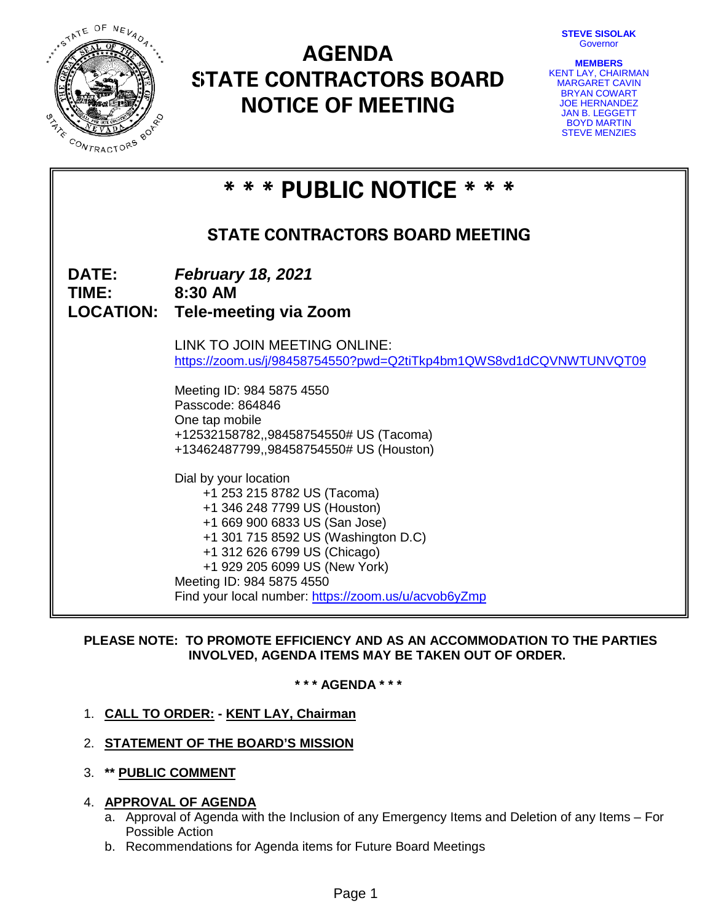**STEVE SISOLAK** Governor



# **AGENDA STATE CONTRACTORS BOARD NOTICE OF MEETING**



**\* \* \* PUBLIC NOTICE \* \* \* STATE CONTRACTORS BOARD MEETING DATE:** *February 18, 2021* **TIME: 8:30 AM LOCATION: Tele-meeting via Zoom** LINK TO JOIN MEETING ONLINE: <https://zoom.us/j/98458754550?pwd=Q2tiTkp4bm1QWS8vd1dCQVNWTUNVQT09> Meeting ID: 984 5875 4550 Passcode: 864846 One tap mobile +12532158782,,98458754550# US (Tacoma) +13462487799,,98458754550# US (Houston) Dial by your location +1 253 215 8782 US (Tacoma) +1 346 248 7799 US (Houston) +1 669 900 6833 US (San Jose) +1 301 715 8592 US (Washington D.C) +1 312 626 6799 US (Chicago) +1 929 205 6099 US (New York) Meeting ID: 984 5875 4550 Find your local number:<https://zoom.us/u/acvob6yZmp>

# **PLEASE NOTE: TO PROMOTE EFFICIENCY AND AS AN ACCOMMODATION TO THE PARTIES INVOLVED, AGENDA ITEMS MAY BE TAKEN OUT OF ORDER.**

**\* \* \* AGENDA \* \* \***

# 1. **CALL TO ORDER: - KENT LAY, Chairman**

# 2. **STATEMENT OF THE BOARD'S MISSION**

3. **\*\* PUBLIC COMMENT**

# 4. **APPROVAL OF AGENDA**

- a. Approval of Agenda with the Inclusion of any Emergency Items and Deletion of any Items For Possible Action
- b. Recommendations for Agenda items for Future Board Meetings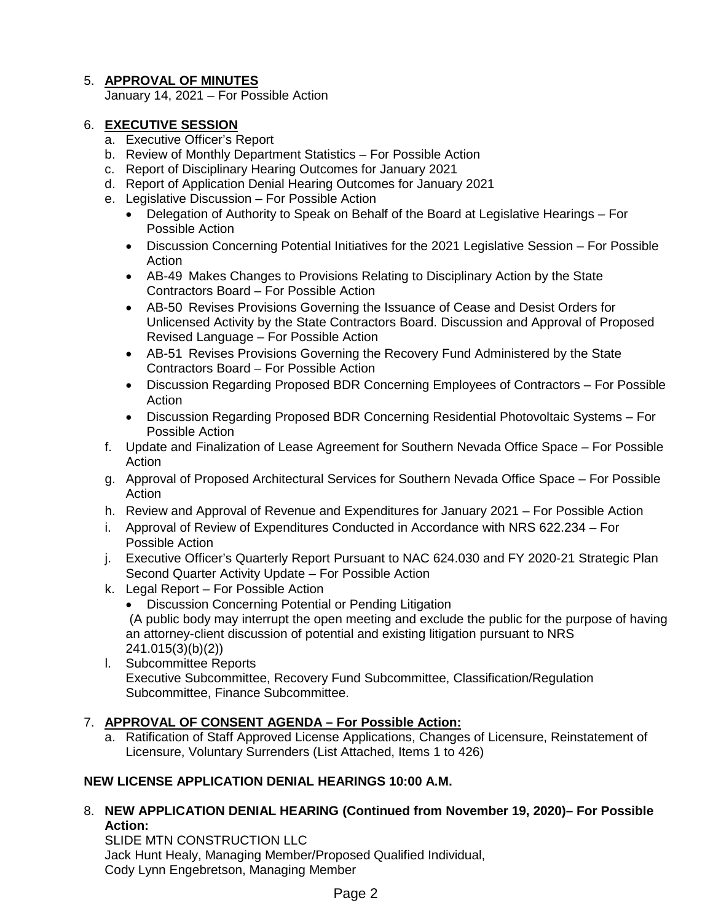# 5. **APPROVAL OF MINUTES**

January 14, 2021 – For Possible Action

# 6. **EXECUTIVE SESSION**

- a. Executive Officer's Report
- b. Review of Monthly Department Statistics For Possible Action
- c. Report of Disciplinary Hearing Outcomes for January 2021
- d. Report of Application Denial Hearing Outcomes for January 2021
- e. Legislative Discussion For Possible Action
	- Delegation of Authority to Speak on Behalf of the Board at Legislative Hearings For Possible Action
	- Discussion Concerning Potential Initiatives for the 2021 Legislative Session For Possible Action
	- AB-49 Makes Changes to Provisions Relating to Disciplinary Action by the State Contractors Board – For Possible Action
	- AB-50 Revises Provisions Governing the Issuance of Cease and Desist Orders for Unlicensed Activity by the State Contractors Board. Discussion and Approval of Proposed Revised Language – For Possible Action
	- AB-51 Revises Provisions Governing the Recovery Fund Administered by the State Contractors Board – For Possible Action
	- Discussion Regarding Proposed BDR Concerning Employees of Contractors For Possible Action
	- Discussion Regarding Proposed BDR Concerning Residential Photovoltaic Systems For Possible Action
- f. Update and Finalization of Lease Agreement for Southern Nevada Office Space For Possible Action
- g. Approval of Proposed Architectural Services for Southern Nevada Office Space For Possible Action
- h. Review and Approval of Revenue and Expenditures for January 2021 For Possible Action
- i. Approval of Review of Expenditures Conducted in Accordance with NRS 622.234 For Possible Action
- j. Executive Officer's Quarterly Report Pursuant to NAC 624.030 and FY 2020-21 Strategic Plan Second Quarter Activity Update – For Possible Action
- k. Legal Report For Possible Action
	- Discussion Concerning Potential or Pending Litigation (A public body may interrupt the open meeting and exclude the public for the purpose of having an attorney-client discussion of potential and existing litigation pursuant to NRS 241.015(3)(b)(2))
- l. Subcommittee Reports Executive Subcommittee, Recovery Fund Subcommittee, Classification/Regulation Subcommittee, Finance Subcommittee.

# 7. **APPROVAL OF CONSENT AGENDA – For Possible Action:**

a. Ratification of Staff Approved License Applications, Changes of Licensure, Reinstatement of Licensure, Voluntary Surrenders (List Attached, Items 1 to 426)

# **NEW LICENSE APPLICATION DENIAL HEARINGS 10:00 A.M.**

8. **NEW APPLICATION DENIAL HEARING (Continued from November 19, 2020)– For Possible Action:**

SLIDE MTN CONSTRUCTION LLC Jack Hunt Healy, Managing Member/Proposed Qualified Individual, Cody Lynn Engebretson, Managing Member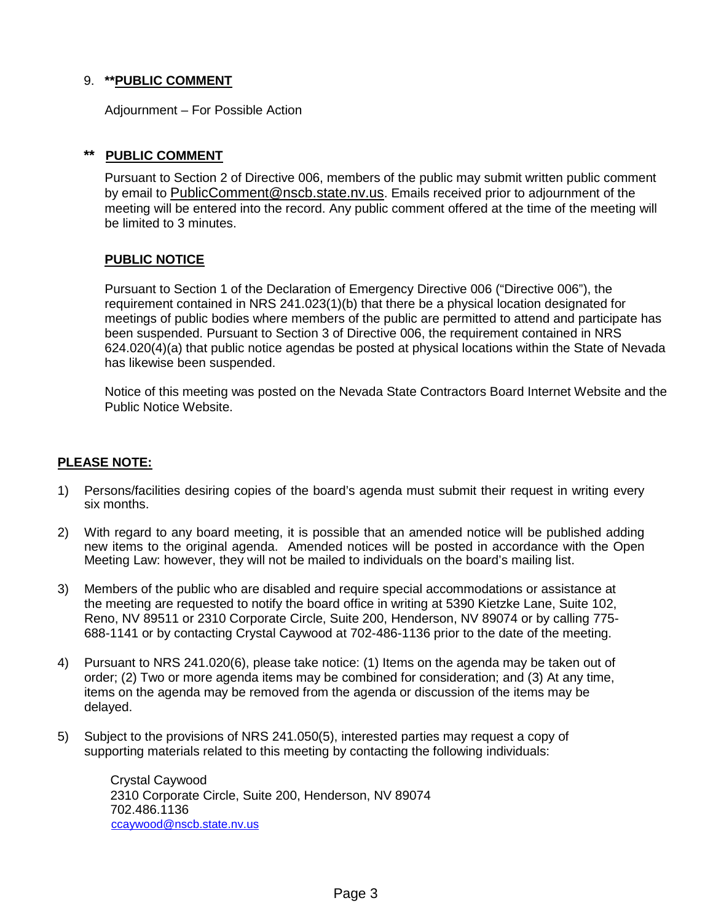# 9. **\*\*PUBLIC COMMENT**

Adjournment – For Possible Action

## **\*\* PUBLIC COMMENT**

Pursuant to Section 2 of Directive 006, members of the public may submit written public comment by email to [PublicComment@nscb.state.nv.us.](mailto:PublicComment@nscb.state.nv.us) Emails received prior to adjournment of the meeting will be entered into the record. Any public comment offered at the time of the meeting will be limited to 3 minutes.

## **PUBLIC NOTICE**

Pursuant to Section 1 of the Declaration of Emergency Directive 006 ("Directive 006"), the requirement contained in NRS 241.023(1)(b) that there be a physical location designated for meetings of public bodies where members of the public are permitted to attend and participate has been suspended. Pursuant to Section 3 of Directive 006, the requirement contained in NRS 624.020(4)(a) that public notice agendas be posted at physical locations within the State of Nevada has likewise been suspended.

Notice of this meeting was posted on the Nevada State Contractors Board Internet Website and the Public Notice Website.

## **PLEASE NOTE:**

- 1) Persons/facilities desiring copies of the board's agenda must submit their request in writing every six months.
- 2) With regard to any board meeting, it is possible that an amended notice will be published adding new items to the original agenda. Amended notices will be posted in accordance with the Open Meeting Law: however, they will not be mailed to individuals on the board's mailing list.
- 3) Members of the public who are disabled and require special accommodations or assistance at the meeting are requested to notify the board office in writing at 5390 Kietzke Lane, Suite 102, Reno, NV 89511 or 2310 Corporate Circle, Suite 200, Henderson, NV 89074 or by calling 775- 688-1141 or by contacting Crystal Caywood at 702-486-1136 prior to the date of the meeting.
- 4) Pursuant to NRS 241.020(6), please take notice: (1) Items on the agenda may be taken out of order; (2) Two or more agenda items may be combined for consideration; and (3) At any time, items on the agenda may be removed from the agenda or discussion of the items may be delayed.
- 5) Subject to the provisions of NRS 241.050(5), interested parties may request a copy of supporting materials related to this meeting by contacting the following individuals:

Crystal Caywood 2310 Corporate Circle, Suite 200, Henderson, NV 89074 702.486.1136 [ccaywood@nscb.state.nv.us](mailto:ccaywood@nscb.state.nv.us)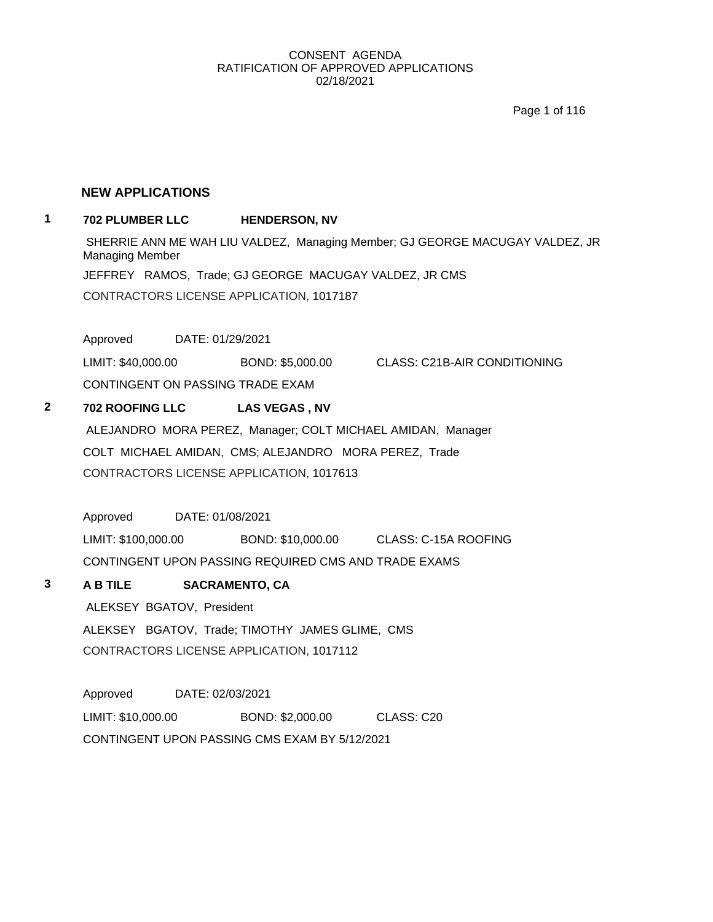Page 1 of 116

#### **NEW APPLICATIONS**

## **1 702 PLUMBER LLC HENDERSON, NV**

SHERRIE ANN ME WAH LIU VALDEZ, Managing Member; GJ GEORGE MACUGAY VALDEZ, JR Managing Member JEFFREY RAMOS, Trade; GJ GEORGE MACUGAY VALDEZ, JR CMS CONTRACTORS LICENSE APPLICATION, 1017187

Approved DATE: 01/29/2021

LIMIT: \$40,000.00 BOND: \$5,000.00 CLASS: C21B-AIR CONDITIONING CONTINGENT ON PASSING TRADE EXAM

#### **2 702 ROOFING LLC LAS VEGAS , NV**

ALEJANDRO MORA PEREZ, Manager; COLT MICHAEL AMIDAN, Manager COLT MICHAEL AMIDAN, CMS; ALEJANDRO MORA PEREZ, Trade CONTRACTORS LICENSE APPLICATION, 1017613

Approved DATE: 01/08/2021

LIMIT: \$100,000.00 BOND: \$10,000.00 CLASS: C-15A ROOFING CONTINGENT UPON PASSING REQUIRED CMS AND TRADE EXAMS

# **3 A B TILE SACRAMENTO, CA**

ALEKSEY BGATOV, President

ALEKSEY BGATOV, Trade; TIMOTHY JAMES GLIME, CMS CONTRACTORS LICENSE APPLICATION, 1017112

Approved DATE: 02/03/2021 LIMIT: \$10,000.00 BOND: \$2,000.00 CLASS: C20 CONTINGENT UPON PASSING CMS EXAM BY 5/12/2021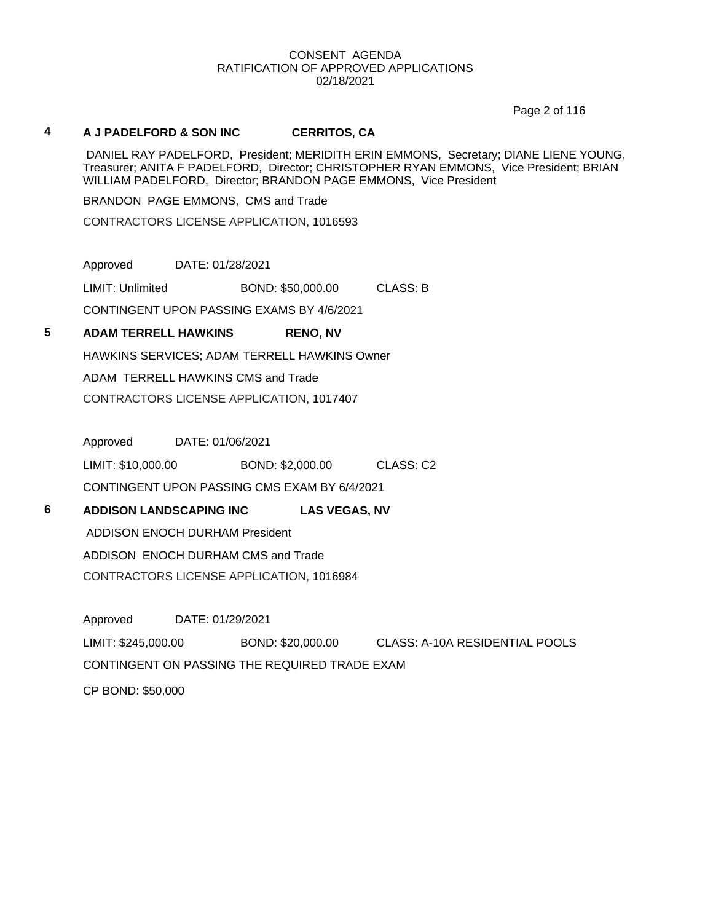Page 2 of 116

#### **4 A J PADELFORD & SON INC CERRITOS, CA**

DANIEL RAY PADELFORD, President; MERIDITH ERIN EMMONS, Secretary; DIANE LIENE YOUNG, Treasurer; ANITA F PADELFORD, Director; CHRISTOPHER RYAN EMMONS, Vice President; BRIAN WILLIAM PADELFORD, Director; BRANDON PAGE EMMONS, Vice President

BRANDON PAGE EMMONS, CMS and Trade

CONTRACTORS LICENSE APPLICATION, 1016593

Approved DATE: 01/28/2021 LIMIT: Unlimited BOND: \$50,000.00 CLASS: B

CONTINGENT UPON PASSING EXAMS BY 4/6/2021

# **5 ADAM TERRELL HAWKINS RENO, NV**

HAWKINS SERVICES; ADAM TERRELL HAWKINS Owner

ADAM TERRELL HAWKINS CMS and Trade

CONTRACTORS LICENSE APPLICATION, 1017407

Approved DATE: 01/06/2021

LIMIT: \$10,000.00 BOND: \$2,000.00 CLASS: C2 CONTINGENT UPON PASSING CMS EXAM BY 6/4/2021

**6 ADDISON LANDSCAPING INC LAS VEGAS, NV**

ADDISON ENOCH DURHAM President ADDISON ENOCH DURHAM CMS and Trade

CONTRACTORS LICENSE APPLICATION, 1016984

Approved DATE: 01/29/2021 LIMIT: \$245,000.00 BOND: \$20,000.00 CLASS: A-10A RESIDENTIAL POOLS CONTINGENT ON PASSING THE REQUIRED TRADE EXAM CP BOND: \$50,000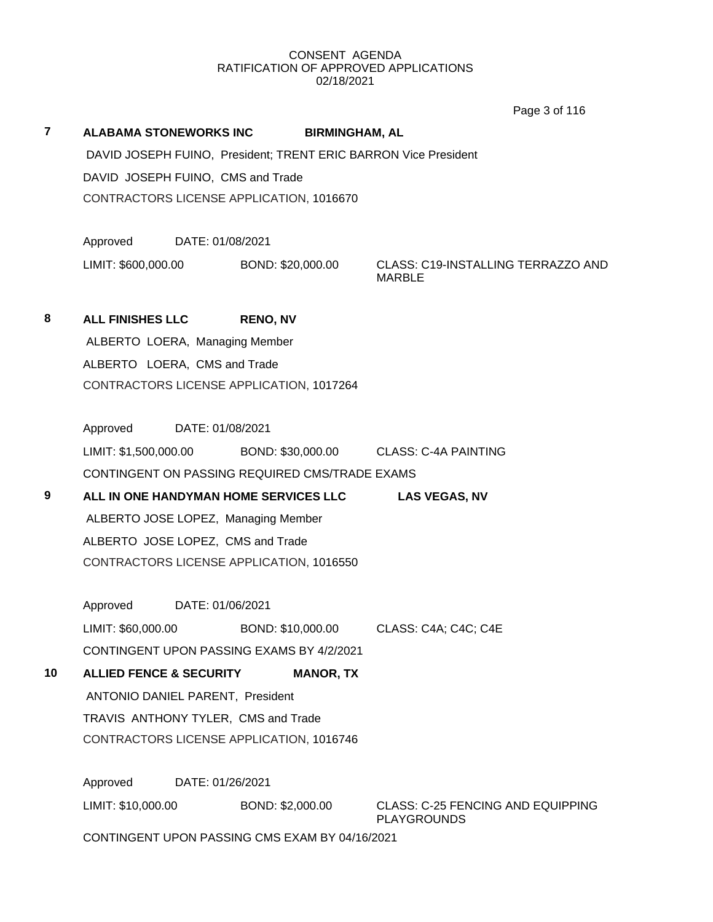Page 3 of 116

**7 ALABAMA STONEWORKS INC BIRMINGHAM, AL** DAVID JOSEPH FUINO, President; TRENT ERIC BARRON Vice President DAVID JOSEPH FUINO, CMS and Trade CONTRACTORS LICENSE APPLICATION, 1016670 Approved DATE: 01/08/2021 LIMIT: \$600,000.00 BOND: \$20,000.00 CLASS: C19-INSTALLING TERRAZZO AND MARBLE **8 ALL FINISHES LLC RENO, NV** ALBERTO LOERA, Managing Member ALBERTO LOERA, CMS and Trade CONTRACTORS LICENSE APPLICATION, 1017264 Approved DATE: 01/08/2021 LIMIT: \$1,500,000.00 BOND: \$30,000.00 CLASS: C-4A PAINTING CONTINGENT ON PASSING REQUIRED CMS/TRADE EXAMS **9 ALL IN ONE HANDYMAN HOME SERVICES LLC LAS VEGAS, NV** ALBERTO JOSE LOPEZ, Managing Member ALBERTO JOSE LOPEZ, CMS and Trade CONTRACTORS LICENSE APPLICATION, 1016550 Approved DATE: 01/06/2021 LIMIT: \$60,000.00 BOND: \$10,000.00 CLASS: C4A; C4C; C4E CONTINGENT UPON PASSING EXAMS BY 4/2/2021 **10 ALLIED FENCE & SECURITY MANOR, TX** ANTONIO DANIEL PARENT, President TRAVIS ANTHONY TYLER, CMS and Trade CONTRACTORS LICENSE APPLICATION, 1016746 Approved DATE: 01/26/2021 LIMIT: \$10,000.00 BOND: \$2,000.00 CLASS: C-25 FENCING AND EQUIPPING PLAYGROUNDS CONTINGENT UPON PASSING CMS EXAM BY 04/16/2021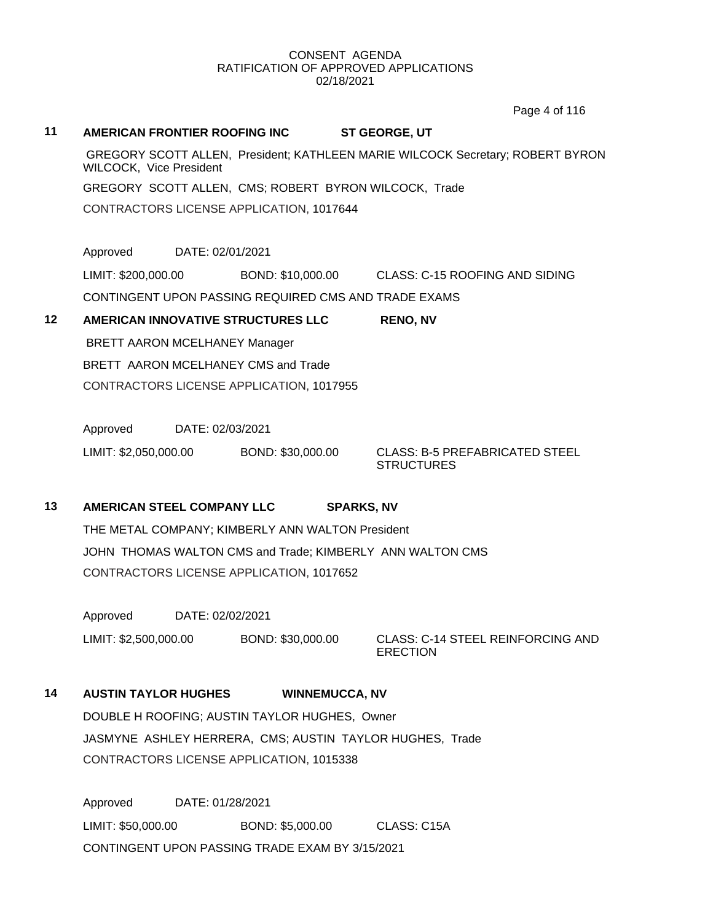Page 4 of 116

**11 AMERICAN FRONTIER ROOFING INC ST GEORGE, UT** GREGORY SCOTT ALLEN, President; KATHLEEN MARIE WILCOCK Secretary; ROBERT BYRON WILCOCK, Vice President GREGORY SCOTT ALLEN, CMS; ROBERT BYRON WILCOCK, Trade CONTRACTORS LICENSE APPLICATION, 1017644 Approved DATE: 02/01/2021 LIMIT: \$200,000.00 BOND: \$10,000.00 CLASS: C-15 ROOFING AND SIDING CONTINGENT UPON PASSING REQUIRED CMS AND TRADE EXAMS **12 AMERICAN INNOVATIVE STRUCTURES LLC RENO, NV** BRETT AARON MCELHANEY Manager BRETT AARON MCELHANEY CMS and Trade CONTRACTORS LICENSE APPLICATION, 1017955 Approved DATE: 02/03/2021 LIMIT: \$2,050,000.00 BOND: \$30,000.00 CLASS: B-5 PREFABRICATED STEEL **STRUCTURES 13 AMERICAN STEEL COMPANY LLC SPARKS, NV** THE METAL COMPANY; KIMBERLY ANN WALTON President JOHN THOMAS WALTON CMS and Trade; KIMBERLY ANN WALTON CMS CONTRACTORS LICENSE APPLICATION, 1017652 Approved DATE: 02/02/2021 LIMIT: \$2,500,000.00 BOND: \$30,000.00 CLASS: C-14 STEEL REINFORCING AND **ERECTION** 

# **14 AUSTIN TAYLOR HUGHES WINNEMUCCA, NV**

DOUBLE H ROOFING; AUSTIN TAYLOR HUGHES, Owner JASMYNE ASHLEY HERRERA, CMS; AUSTIN TAYLOR HUGHES, Trade CONTRACTORS LICENSE APPLICATION, 1015338

Approved DATE: 01/28/2021 LIMIT: \$50,000.00 BOND: \$5,000.00 CLASS: C15A CONTINGENT UPON PASSING TRADE EXAM BY 3/15/2021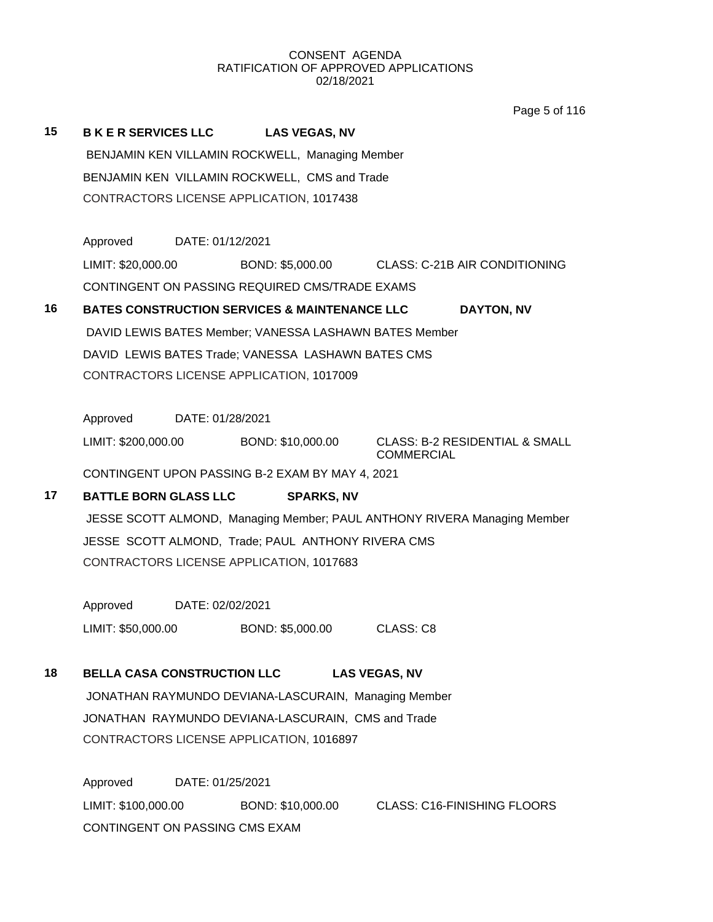Page 5 of 116

| 15 | <b>BKER SERVICES LLC</b><br>BENJAMIN KEN VILLAMIN ROCKWELL, CMS and Trade<br>CONTRACTORS LICENSE APPLICATION, 1017438 | <b>LAS VEGAS, NV</b><br>BENJAMIN KEN VILLAMIN ROCKWELL, Managing Member |                                                                          |
|----|-----------------------------------------------------------------------------------------------------------------------|-------------------------------------------------------------------------|--------------------------------------------------------------------------|
|    | Approved DATE: 01/12/2021                                                                                             |                                                                         |                                                                          |
|    |                                                                                                                       |                                                                         | LIMIT: \$20,000.00 BOND: \$5,000.00 CLASS: C-21B AIR CONDITIONING        |
|    | CONTINGENT ON PASSING REQUIRED CMS/TRADE EXAMS                                                                        |                                                                         |                                                                          |
| 16 | <b>BATES CONSTRUCTION SERVICES &amp; MAINTENANCE LLC</b>                                                              |                                                                         | DAYTON, NV                                                               |
|    |                                                                                                                       | DAVID LEWIS BATES Member; VANESSA LASHAWN BATES Member                  |                                                                          |
|    | DAVID LEWIS BATES Trade; VANESSA LASHAWN BATES CMS                                                                    |                                                                         |                                                                          |
|    | CONTRACTORS LICENSE APPLICATION, 1017009                                                                              |                                                                         |                                                                          |
|    | Approved DATE: 01/28/2021                                                                                             |                                                                         |                                                                          |
|    | LIMIT: \$200,000.00 BOND: \$10,000.00                                                                                 |                                                                         | <b>CLASS: B-2 RESIDENTIAL &amp; SMALL</b>                                |
|    |                                                                                                                       |                                                                         | <b>COMMERCIAL</b>                                                        |
|    | CONTINGENT UPON PASSING B-2 EXAM BY MAY 4, 2021                                                                       |                                                                         |                                                                          |
| 17 | <b>BATTLE BORN GLASS LLC</b>                                                                                          | <b>SPARKS, NV</b>                                                       |                                                                          |
|    |                                                                                                                       |                                                                         | JESSE SCOTT ALMOND, Managing Member; PAUL ANTHONY RIVERA Managing Member |
|    | JESSE SCOTT ALMOND, Trade; PAUL ANTHONY RIVERA CMS<br>CONTRACTORS LICENSE APPLICATION, 1017683                        |                                                                         |                                                                          |
|    |                                                                                                                       |                                                                         |                                                                          |
|    | Approved DATE: 02/02/2021                                                                                             |                                                                         |                                                                          |
|    | LIMIT: \$50,000.00                                                                                                    | BOND: \$5,000.00                                                        | CLASS: C8                                                                |
|    |                                                                                                                       |                                                                         |                                                                          |
| 18 | <b>BELLA CASA CONSTRUCTION LLC</b>                                                                                    |                                                                         | <b>LAS VEGAS, NV</b>                                                     |
|    |                                                                                                                       | JONATHAN RAYMUNDO DEVIANA-LASCURAIN, Managing Member                    |                                                                          |
|    | JONATHAN RAYMUNDO DEVIANA-LASCURAIN, CMS and Trade                                                                    |                                                                         |                                                                          |
|    | CONTRACTORS LICENSE APPLICATION, 1016897                                                                              |                                                                         |                                                                          |
|    | Approved<br>DATE: 01/25/2021                                                                                          |                                                                         |                                                                          |
|    | LIMIT: \$100,000.00                                                                                                   | BOND: \$10,000.00                                                       | <b>CLASS: C16-FINISHING FLOORS</b>                                       |
|    | CONTINGENT ON PASSING CMS EXAM                                                                                        |                                                                         |                                                                          |
|    |                                                                                                                       |                                                                         |                                                                          |
|    |                                                                                                                       |                                                                         |                                                                          |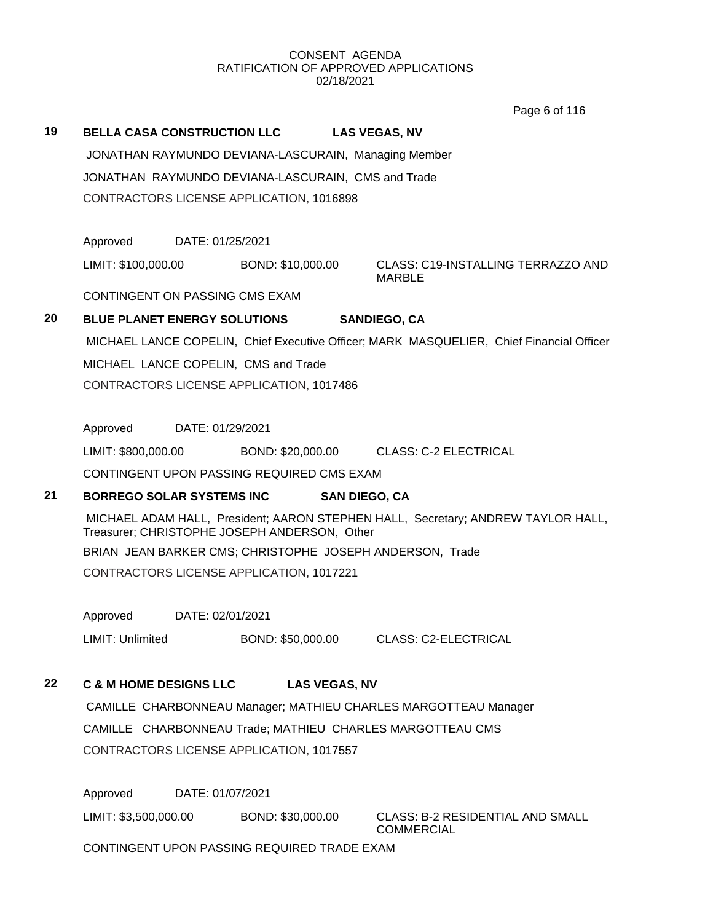Page 6 of 116

# **19 BELLA CASA CONSTRUCTION LLC LAS VEGAS, NV** JONATHAN RAYMUNDO DEVIANA-LASCURAIN, Managing Member JONATHAN RAYMUNDO DEVIANA-LASCURAIN, CMS and Trade CONTRACTORS LICENSE APPLICATION, 1016898 Approved DATE: 01/25/2021 LIMIT: \$100,000.00 BOND: \$10,000.00 CLASS: C19-INSTALLING TERRAZZO AND MARBLE CONTINGENT ON PASSING CMS EXAM **20 BLUE PLANET ENERGY SOLUTIONS SANDIEGO, CA** MICHAEL LANCE COPELIN, Chief Executive Officer; MARK MASQUELIER, Chief Financial Officer MICHAEL LANCE COPELIN, CMS and Trade CONTRACTORS LICENSE APPLICATION, 1017486 Approved DATE: 01/29/2021 LIMIT: \$800,000.00 BOND: \$20,000.00 CLASS: C-2 ELECTRICAL CONTINGENT UPON PASSING REQUIRED CMS EXAM **21 BORREGO SOLAR SYSTEMS INC SAN DIEGO, CA** MICHAEL ADAM HALL, President; AARON STEPHEN HALL, Secretary; ANDREW TAYLOR HALL, Treasurer; CHRISTOPHE JOSEPH ANDERSON, Other BRIAN JEAN BARKER CMS; CHRISTOPHE JOSEPH ANDERSON, Trade CONTRACTORS LICENSE APPLICATION, 1017221 Approved DATE: 02/01/2021 LIMIT: Unlimited BOND: \$50,000.00 CLASS: C2-ELECTRICAL **22 C & M HOME DESIGNS LLC LAS VEGAS, NV** CAMILLE CHARBONNEAU Manager; MATHIEU CHARLES MARGOTTEAU Manager CAMILLE CHARBONNEAU Trade; MATHIEU CHARLES MARGOTTEAU CMS

CONTRACTORS LICENSE APPLICATION, 1017557

Approved DATE: 01/07/2021

LIMIT: \$3,500,000.00 BOND: \$30,000.00 CLASS: B-2 RESIDENTIAL AND SMALL

COMMERCIAL

CONTINGENT UPON PASSING REQUIRED TRADE EXAM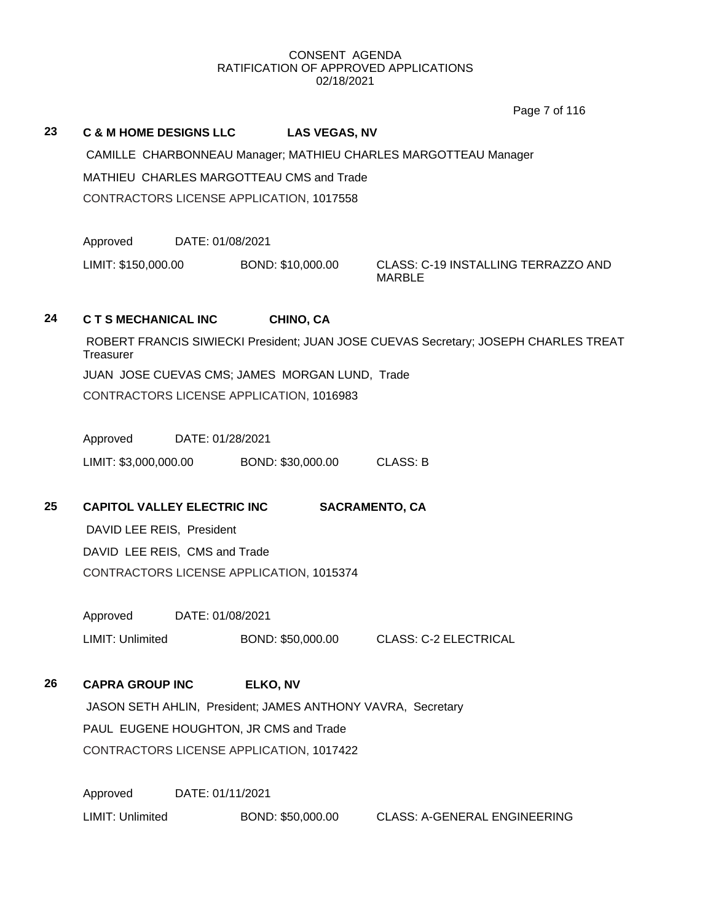Page 7 of 116

#### **23 C & M HOME DESIGNS LLC LAS VEGAS, NV**

CAMILLE CHARBONNEAU Manager; MATHIEU CHARLES MARGOTTEAU Manager MATHIEU CHARLES MARGOTTEAU CMS and Trade CONTRACTORS LICENSE APPLICATION, 1017558

Approved DATE: 01/08/2021

LIMIT: \$150,000.00 BOND: \$10,000.00 CLASS: C-19 INSTALLING TERRAZZO AND

MARBLE

## **24 C T S MECHANICAL INC CHINO, CA**

ROBERT FRANCIS SIWIECKI President; JUAN JOSE CUEVAS Secretary; JOSEPH CHARLES TREAT **Treasurer** JUAN JOSE CUEVAS CMS; JAMES MORGAN LUND, Trade CONTRACTORS LICENSE APPLICATION, 1016983

Approved DATE: 01/28/2021

LIMIT: \$3,000,000.00 BOND: \$30,000.00 CLASS: B

# **25 CAPITOL VALLEY ELECTRIC INC SACRAMENTO, CA**

DAVID LEE REIS, President

DAVID LEE REIS, CMS and Trade CONTRACTORS LICENSE APPLICATION, 1015374

Approved DATE: 01/08/2021

LIMIT: Unlimited BOND: \$50,000.00 CLASS: C-2 ELECTRICAL

# **26 CAPRA GROUP INC ELKO, NV**

JASON SETH AHLIN, President; JAMES ANTHONY VAVRA, Secretary PAUL EUGENE HOUGHTON, JR CMS and Trade CONTRACTORS LICENSE APPLICATION, 1017422

Approved DATE: 01/11/2021 LIMIT: Unlimited BOND: \$50,000.00 CLASS: A-GENERAL ENGINEERING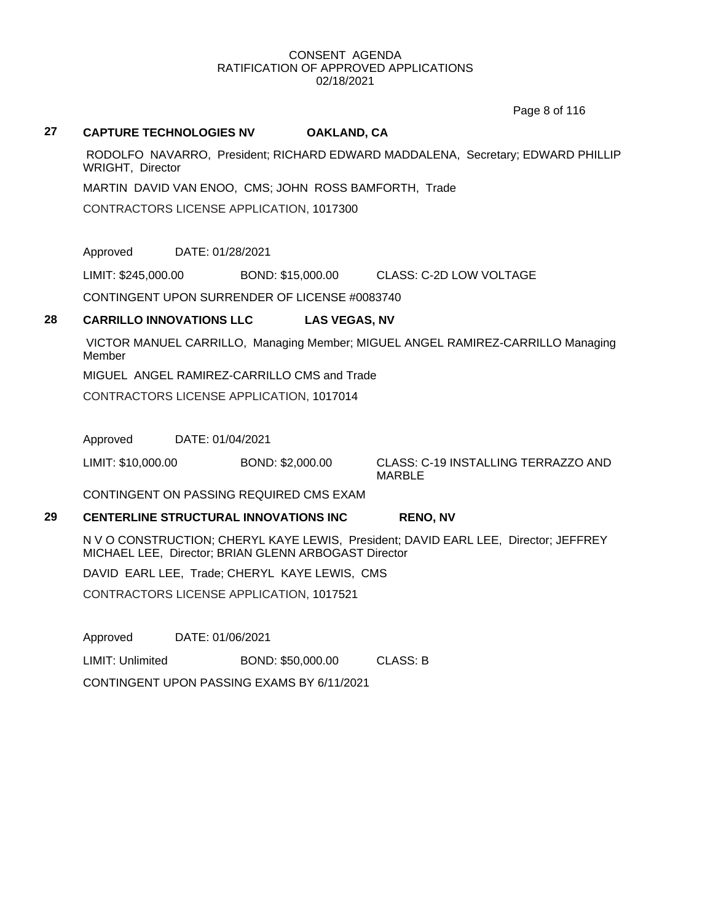Page 8 of 116

#### **27 CAPTURE TECHNOLOGIES NV OAKLAND, CA**

RODOLFO NAVARRO, President; RICHARD EDWARD MADDALENA, Secretary; EDWARD PHILLIP WRIGHT, Director

MARTIN DAVID VAN ENOO, CMS; JOHN ROSS BAMFORTH, Trade

CONTRACTORS LICENSE APPLICATION, 1017300

Approved DATE: 01/28/2021

LIMIT: \$245,000.00 BOND: \$15,000.00 CLASS: C-2D LOW VOLTAGE

CONTINGENT UPON SURRENDER OF LICENSE #0083740

## **28 CARRILLO INNOVATIONS LLC LAS VEGAS, NV**

VICTOR MANUEL CARRILLO, Managing Member; MIGUEL ANGEL RAMIREZ-CARRILLO Managing Member

MIGUEL ANGEL RAMIREZ-CARRILLO CMS and Trade

CONTRACTORS LICENSE APPLICATION, 1017014

Approved DATE: 01/04/2021

LIMIT: \$10,000.00 BOND: \$2,000.00 CLASS: C-19 INSTALLING TERRAZZO AND

MARBLE

CONTINGENT ON PASSING REQUIRED CMS EXAM

## **29 CENTERLINE STRUCTURAL INNOVATIONS INC RENO, NV**

N V O CONSTRUCTION; CHERYL KAYE LEWIS, President; DAVID EARL LEE, Director; JEFFREY MICHAEL LEE, Director; BRIAN GLENN ARBOGAST Director

DAVID EARL LEE, Trade; CHERYL KAYE LEWIS, CMS

CONTRACTORS LICENSE APPLICATION, 1017521

Approved DATE: 01/06/2021

LIMIT: Unlimited BOND: \$50,000.00 CLASS: B

CONTINGENT UPON PASSING EXAMS BY 6/11/2021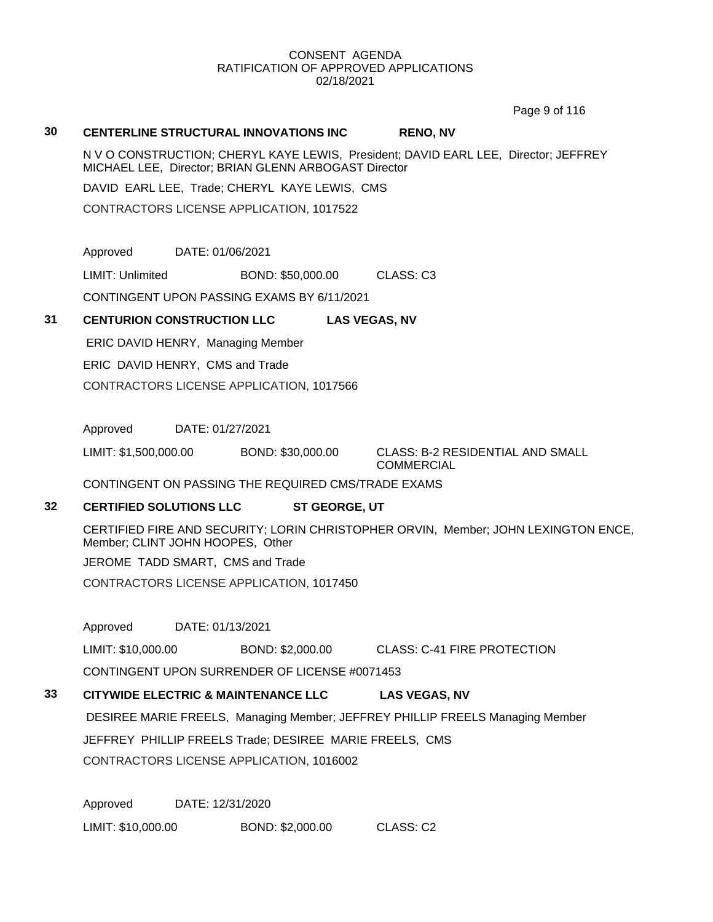Page 9 of 116

#### **30 CENTERLINE STRUCTURAL INNOVATIONS INC RENO, NV**

N V O CONSTRUCTION; CHERYL KAYE LEWIS, President; DAVID EARL LEE, Director; JEFFREY MICHAEL LEE, Director; BRIAN GLENN ARBOGAST Director

DAVID EARL LEE, Trade; CHERYL KAYE LEWIS, CMS

CONTRACTORS LICENSE APPLICATION, 1017522

Approved DATE: 01/06/2021

LIMIT: Unlimited BOND: \$50,000.00 CLASS: C3

CONTINGENT UPON PASSING EXAMS BY 6/11/2021

# **31 CENTURION CONSTRUCTION LLC LAS VEGAS, NV**

ERIC DAVID HENRY, Managing Member ERIC DAVID HENRY, CMS and Trade CONTRACTORS LICENSE APPLICATION, 1017566

Approved DATE: 01/27/2021

LIMIT: \$1,500,000.00 BOND: \$30,000.00 CLASS: B-2 RESIDENTIAL AND SMALL

COMMERCIAL

CONTINGENT ON PASSING THE REQUIRED CMS/TRADE EXAMS

# **32 CERTIFIED SOLUTIONS LLC ST GEORGE, UT**

CERTIFIED FIRE AND SECURITY; LORIN CHRISTOPHER ORVIN, Member; JOHN LEXINGTON ENCE, Member; CLINT JOHN HOOPES, Other

JEROME TADD SMART, CMS and Trade

CONTRACTORS LICENSE APPLICATION, 1017450

Approved DATE: 01/13/2021

LIMIT: \$10,000.00 BOND: \$2,000.00 CLASS: C-41 FIRE PROTECTION

CONTINGENT UPON SURRENDER OF LICENSE #0071453

### **33 CITYWIDE ELECTRIC & MAINTENANCE LLC LAS VEGAS, NV**

DESIREE MARIE FREELS, Managing Member; JEFFREY PHILLIP FREELS Managing Member JEFFREY PHILLIP FREELS Trade; DESIREE MARIE FREELS, CMS CONTRACTORS LICENSE APPLICATION, 1016002

Approved DATE: 12/31/2020 LIMIT: \$10,000.00 BOND: \$2,000.00 CLASS: C2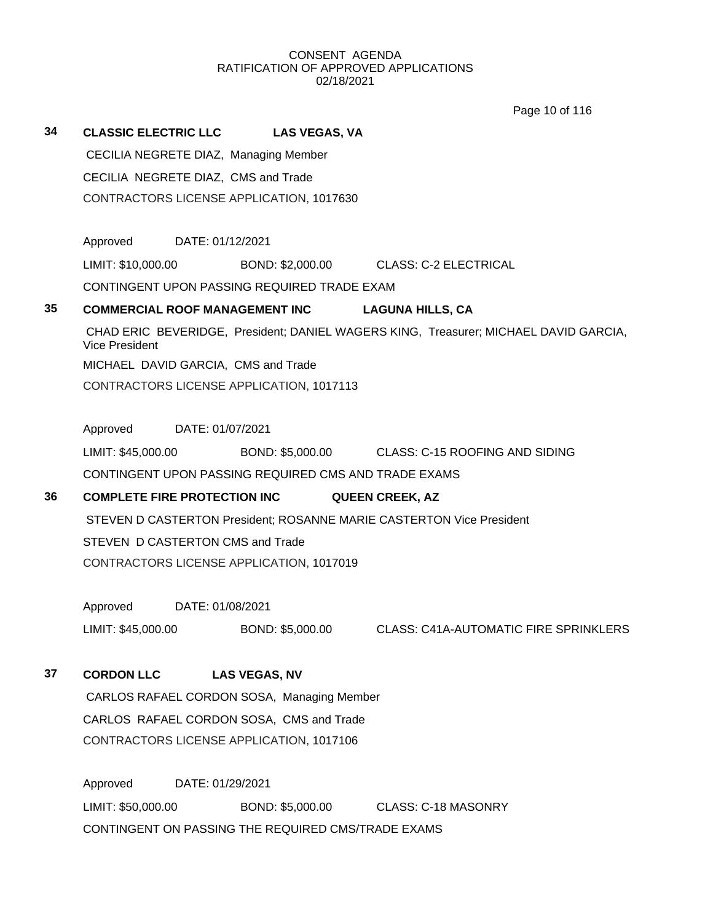Page 10 of 116

| 34 | <b>CLASSIC ELECTRIC LLC</b>         |                  | <b>LAS VEGAS, VA</b>                                 |                                                                                      |  |
|----|-------------------------------------|------------------|------------------------------------------------------|--------------------------------------------------------------------------------------|--|
|    |                                     |                  | CECILIA NEGRETE DIAZ, Managing Member                |                                                                                      |  |
|    | CECILIA NEGRETE DIAZ, CMS and Trade |                  |                                                      |                                                                                      |  |
|    |                                     |                  | CONTRACTORS LICENSE APPLICATION, 1017630             |                                                                                      |  |
|    |                                     |                  |                                                      |                                                                                      |  |
|    | Approved DATE: 01/12/2021           |                  |                                                      |                                                                                      |  |
|    | LIMIT: \$10,000.00                  |                  |                                                      | BOND: \$2,000.00 CLASS: C-2 ELECTRICAL                                               |  |
|    |                                     |                  | CONTINGENT UPON PASSING REQUIRED TRADE EXAM          |                                                                                      |  |
| 35 |                                     |                  | <b>COMMERCIAL ROOF MANAGEMENT INC</b>                | <b>LAGUNA HILLS, CA</b>                                                              |  |
|    | <b>Vice President</b>               |                  |                                                      | CHAD ERIC BEVERIDGE, President; DANIEL WAGERS KING, Treasurer; MICHAEL DAVID GARCIA, |  |
|    |                                     |                  | MICHAEL DAVID GARCIA, CMS and Trade                  |                                                                                      |  |
|    |                                     |                  | CONTRACTORS LICENSE APPLICATION, 1017113             |                                                                                      |  |
|    |                                     |                  |                                                      |                                                                                      |  |
|    | Approved DATE: 01/07/2021           |                  |                                                      |                                                                                      |  |
|    | LIMIT: \$45,000.00                  |                  |                                                      | BOND: \$5,000.00 CLASS: C-15 ROOFING AND SIDING                                      |  |
|    |                                     |                  | CONTINGENT UPON PASSING REQUIRED CMS AND TRADE EXAMS |                                                                                      |  |
| 36 |                                     |                  | <b>COMPLETE FIRE PROTECTION INC</b>                  | <b>QUEEN CREEK, AZ</b>                                                               |  |
|    |                                     |                  |                                                      | STEVEN D CASTERTON President; ROSANNE MARIE CASTERTON Vice President                 |  |
|    | STEVEN D CASTERTON CMS and Trade    |                  |                                                      |                                                                                      |  |
|    |                                     |                  | CONTRACTORS LICENSE APPLICATION, 1017019             |                                                                                      |  |
|    |                                     |                  |                                                      |                                                                                      |  |
|    | Approved DATE: 01/08/2021           |                  |                                                      |                                                                                      |  |
|    | LIMIT: \$45,000.00                  |                  | BOND: \$5,000.00                                     | <b>CLASS: C41A-AUTOMATIC FIRE SPRINKLERS</b>                                         |  |
|    |                                     |                  |                                                      |                                                                                      |  |
| 37 | <b>CORDON LLC</b>                   |                  | <b>LAS VEGAS, NV</b>                                 |                                                                                      |  |
|    |                                     |                  | CARLOS RAFAEL CORDON SOSA, Managing Member           |                                                                                      |  |
|    |                                     |                  | CARLOS RAFAEL CORDON SOSA, CMS and Trade             |                                                                                      |  |
|    |                                     |                  | CONTRACTORS LICENSE APPLICATION, 1017106             |                                                                                      |  |
|    | Approved                            | DATE: 01/29/2021 |                                                      |                                                                                      |  |
|    | LIMIT: \$50,000.00                  |                  | BOND: \$5,000.00                                     | <b>CLASS: C-18 MASONRY</b>                                                           |  |

CONTINGENT ON PASSING THE REQUIRED CMS/TRADE EXAMS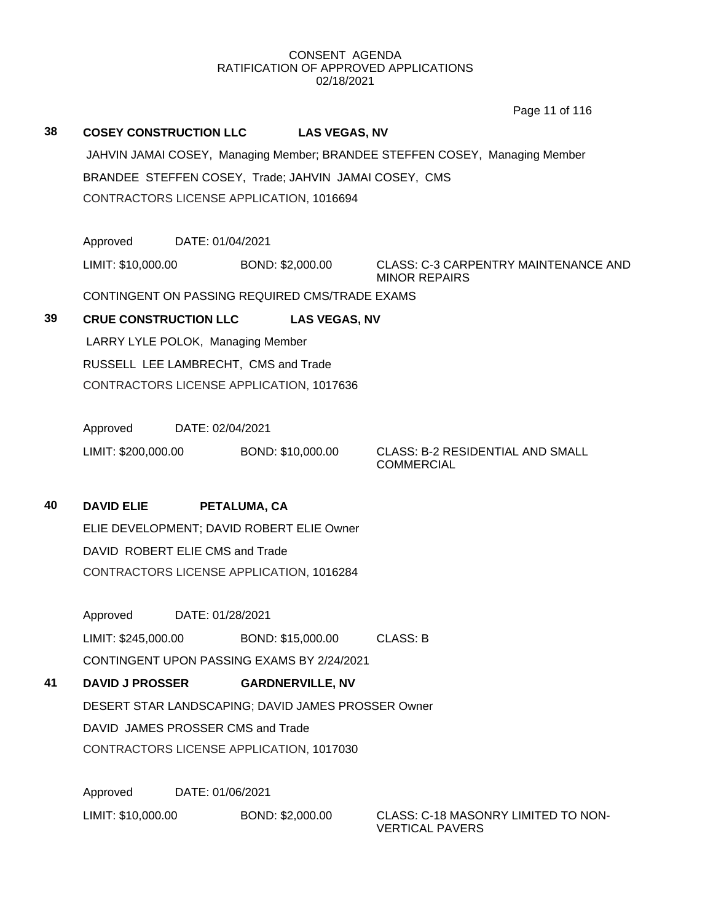Page 11 of 116

# **38 COSEY CONSTRUCTION LLC LAS VEGAS, NV** JAHVIN JAMAI COSEY, Managing Member; BRANDEE STEFFEN COSEY, Managing Member BRANDEE STEFFEN COSEY, Trade; JAHVIN JAMAI COSEY, CMS CONTRACTORS LICENSE APPLICATION, 1016694 Approved DATE: 01/04/2021 LIMIT: \$10,000.00 BOND: \$2,000.00 CLASS: C-3 CARPENTRY MAINTENANCE AND MINOR REPAIRS CONTINGENT ON PASSING REQUIRED CMS/TRADE EXAMS **39 CRUE CONSTRUCTION LLC LAS VEGAS, NV** LARRY LYLE POLOK, Managing Member RUSSELL LEE LAMBRECHT, CMS and Trade CONTRACTORS LICENSE APPLICATION, 1017636 Approved DATE: 02/04/2021 LIMIT: \$200,000.00 BOND: \$10,000.00 CLASS: B-2 RESIDENTIAL AND SMALL **COMMERCIAL 40 DAVID ELIE PETALUMA, CA** ELIE DEVELOPMENT; DAVID ROBERT ELIE Owner DAVID ROBERT ELIE CMS and Trade CONTRACTORS LICENSE APPLICATION, 1016284 Approved DATE: 01/28/2021 LIMIT: \$245,000.00 BOND: \$15,000.00 CLASS: B CONTINGENT UPON PASSING EXAMS BY 2/24/2021 **41 DAVID J PROSSER GARDNERVILLE, NV** DESERT STAR LANDSCAPING; DAVID JAMES PROSSER Owner DAVID JAMES PROSSER CMS and Trade CONTRACTORS LICENSE APPLICATION, 1017030 Approved DATE: 01/06/2021

LIMIT: \$10,000.00 BOND: \$2,000.00 CLASS: C-18 MASONRY LIMITED TO NON-VERTICAL PAVERS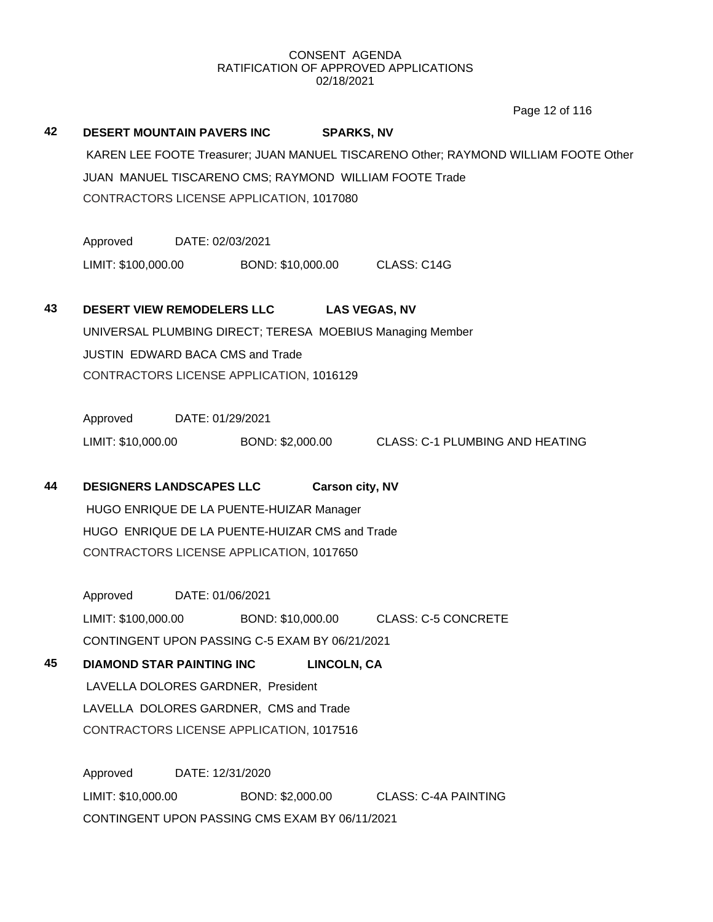Page 12 of 116

| 42 | DESERT MOUNTAIN PAVERS INC<br>CONTRACTORS LICENSE APPLICATION, 1017080 |                  | <b>SPARKS, NV</b>      | KAREN LEE FOOTE Treasurer; JUAN MANUEL TISCARENO Other; RAYMOND WILLIAM FOOTE Other<br>JUAN MANUEL TISCARENO CMS; RAYMOND WILLIAM FOOTE Trade |
|----|------------------------------------------------------------------------|------------------|------------------------|-----------------------------------------------------------------------------------------------------------------------------------------------|
|    | Approved                                                               | DATE: 02/03/2021 |                        |                                                                                                                                               |
|    | LIMIT: \$100,000.00                                                    |                  |                        | BOND: \$10,000.00 CLASS: C14G                                                                                                                 |
| 43 | <b>DESERT VIEW REMODELERS LLC</b>                                      |                  | <b>LAS VEGAS, NV</b>   |                                                                                                                                               |
|    |                                                                        |                  |                        | UNIVERSAL PLUMBING DIRECT; TERESA MOEBIUS Managing Member                                                                                     |
|    | <b>JUSTIN EDWARD BACA CMS and Trade</b>                                |                  |                        |                                                                                                                                               |
|    | CONTRACTORS LICENSE APPLICATION, 1016129                               |                  |                        |                                                                                                                                               |
|    | Approved DATE: 01/29/2021                                              |                  |                        |                                                                                                                                               |
|    | LIMIT: \$10,000.00                                                     |                  |                        | BOND: \$2,000.00 CLASS: C-1 PLUMBING AND HEATING                                                                                              |
| 44 | <b>DESIGNERS LANDSCAPES LLC</b>                                        |                  | <b>Carson city, NV</b> |                                                                                                                                               |
|    | HUGO ENRIQUE DE LA PUENTE-HUIZAR Manager                               |                  |                        |                                                                                                                                               |
|    | HUGO ENRIQUE DE LA PUENTE-HUIZAR CMS and Trade                         |                  |                        |                                                                                                                                               |
|    | CONTRACTORS LICENSE APPLICATION, 1017650                               |                  |                        |                                                                                                                                               |
|    | Approved                                                               | DATE: 01/06/2021 |                        |                                                                                                                                               |
|    | LIMIT: \$100,000.00                                                    |                  |                        | BOND: \$10,000.00 CLASS: C-5 CONCRETE                                                                                                         |
|    | CONTINGENT UPON PASSING C-5 EXAM BY 06/21/2021                         |                  |                        |                                                                                                                                               |
| 45 | <b>DIAMOND STAR PAINTING INC</b>                                       |                  | <b>LINCOLN, CA</b>     |                                                                                                                                               |
|    | LAVELLA DOLORES GARDNER, President                                     |                  |                        |                                                                                                                                               |
|    | LAVELLA DOLORES GARDNER, CMS and Trade                                 |                  |                        |                                                                                                                                               |
|    | CONTRACTORS LICENSE APPLICATION, 1017516                               |                  |                        |                                                                                                                                               |
|    | Approved                                                               | DATE: 12/31/2020 |                        |                                                                                                                                               |

LIMIT: \$10,000.00 BOND: \$2,000.00 CLASS: C-4A PAINTING CONTINGENT UPON PASSING CMS EXAM BY 06/11/2021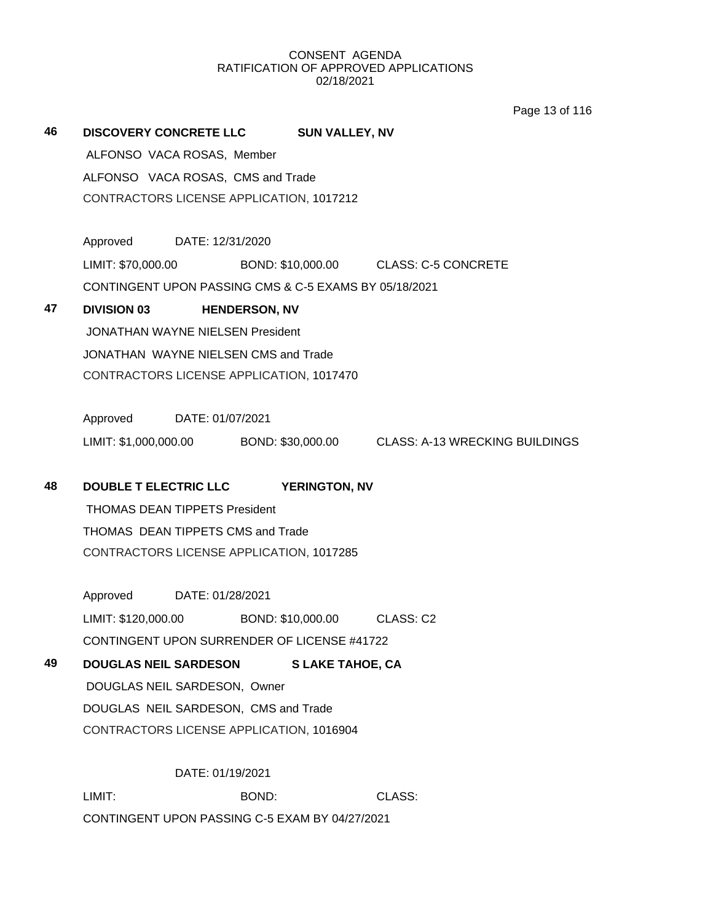Page 13 of 116

| 46 | DISCOVERY CONCRETE LLC SUN VALLEY, NV                 |                  |                      |                             |                                                                        |
|----|-------------------------------------------------------|------------------|----------------------|-----------------------------|------------------------------------------------------------------------|
|    | ALFONSO VACA ROSAS, Member                            |                  |                      |                             |                                                                        |
|    | ALFONSO VACA ROSAS, CMS and Trade                     |                  |                      |                             |                                                                        |
|    | CONTRACTORS LICENSE APPLICATION, 1017212              |                  |                      |                             |                                                                        |
|    |                                                       |                  |                      |                             |                                                                        |
|    | Approved DATE: 12/31/2020                             |                  |                      |                             |                                                                        |
|    |                                                       |                  |                      |                             | LIMIT: \$70,000.00 BOND: \$10,000.00 CLASS: C-5 CONCRETE               |
|    | CONTINGENT UPON PASSING CMS & C-5 EXAMS BY 05/18/2021 |                  |                      |                             |                                                                        |
| 47 | <b>DIVISION 03</b>                                    |                  | <b>HENDERSON, NV</b> |                             |                                                                        |
|    | <b>JONATHAN WAYNE NIELSEN President</b>               |                  |                      |                             |                                                                        |
|    | JONATHAN WAYNE NIELSEN CMS and Trade                  |                  |                      |                             |                                                                        |
|    | CONTRACTORS LICENSE APPLICATION, 1017470              |                  |                      |                             |                                                                        |
|    |                                                       |                  |                      |                             |                                                                        |
|    | Approved DATE: 01/07/2021                             |                  |                      |                             |                                                                        |
|    |                                                       |                  |                      |                             | LIMIT: \$1,000,000.00 BOND: \$30,000.00 CLASS: A-13 WRECKING BUILDINGS |
|    |                                                       |                  |                      |                             |                                                                        |
| 48 | DOUBLE T ELECTRIC LLC YERINGTON, NV                   |                  |                      |                             |                                                                        |
|    | <b>THOMAS DEAN TIPPETS President</b>                  |                  |                      |                             |                                                                        |
|    | THOMAS DEAN TIPPETS CMS and Trade                     |                  |                      |                             |                                                                        |
|    | CONTRACTORS LICENSE APPLICATION, 1017285              |                  |                      |                             |                                                                        |
|    |                                                       |                  |                      |                             |                                                                        |
|    | Approved DATE: 01/28/2021                             |                  |                      |                             |                                                                        |
|    | LIMIT: \$120,000.00                                   |                  |                      | BOND: \$10,000.00 CLASS: C2 |                                                                        |
|    | CONTINGENT UPON SURRENDER OF LICENSE #41722           |                  |                      |                             |                                                                        |
| 49 | <b>DOUGLAS NEIL SARDESON</b>                          |                  |                      | <b>S LAKE TAHOE, CA</b>     |                                                                        |
|    | DOUGLAS NEIL SARDESON, Owner                          |                  |                      |                             |                                                                        |
|    | DOUGLAS NEIL SARDESON, CMS and Trade                  |                  |                      |                             |                                                                        |
|    | CONTRACTORS LICENSE APPLICATION, 1016904              |                  |                      |                             |                                                                        |
|    |                                                       |                  |                      |                             |                                                                        |
|    |                                                       | DATE: 01/19/2021 |                      |                             |                                                                        |
|    | LIMIT:                                                |                  | BOND:                |                             | CLASS:                                                                 |

CONTINGENT UPON PASSING C-5 EXAM BY 04/27/2021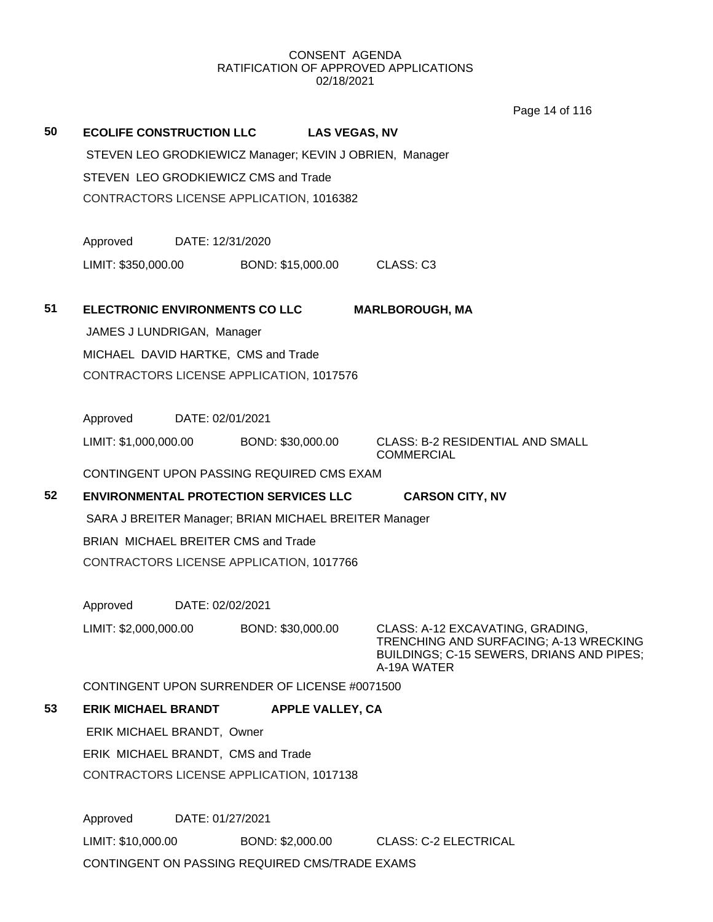Page 14 of 116

|    |                                                         |                         | טוווט דו סעסו                                                              |  |  |
|----|---------------------------------------------------------|-------------------------|----------------------------------------------------------------------------|--|--|
| 50 | <b>ECOLIFE CONSTRUCTION LLC</b>                         |                         | <b>LAS VEGAS, NV</b>                                                       |  |  |
|    | STEVEN LEO GRODKIEWICZ Manager; KEVIN J OBRIEN, Manager |                         |                                                                            |  |  |
|    | STEVEN LEO GRODKIEWICZ CMS and Trade                    |                         |                                                                            |  |  |
|    | CONTRACTORS LICENSE APPLICATION, 1016382                |                         |                                                                            |  |  |
|    |                                                         |                         |                                                                            |  |  |
|    | Approved                                                | DATE: 12/31/2020        |                                                                            |  |  |
|    | LIMIT: \$350,000.00                                     | BOND: \$15,000.00       | CLASS: C3                                                                  |  |  |
|    |                                                         |                         |                                                                            |  |  |
| 51 | ELECTRONIC ENVIRONMENTS CO LLC                          |                         | <b>MARLBOROUGH, MA</b>                                                     |  |  |
|    | JAMES J LUNDRIGAN, Manager                              |                         |                                                                            |  |  |
|    | MICHAEL DAVID HARTKE, CMS and Trade                     |                         |                                                                            |  |  |
|    | CONTRACTORS LICENSE APPLICATION, 1017576                |                         |                                                                            |  |  |
|    |                                                         |                         |                                                                            |  |  |
|    | Approved                                                | DATE: 02/01/2021        |                                                                            |  |  |
|    | LIMIT: \$1,000,000.00                                   | BOND: \$30,000.00       | <b>CLASS: B-2 RESIDENTIAL AND SMALL</b><br><b>COMMERCIAL</b>               |  |  |
|    | CONTINGENT UPON PASSING REQUIRED CMS EXAM               |                         |                                                                            |  |  |
| 52 | <b>ENVIRONMENTAL PROTECTION SERVICES LLC</b>            |                         | <b>CARSON CITY, NV</b>                                                     |  |  |
|    | SARA J BREITER Manager; BRIAN MICHAEL BREITER Manager   |                         |                                                                            |  |  |
|    | BRIAN MICHAEL BREITER CMS and Trade                     |                         |                                                                            |  |  |
|    | CONTRACTORS LICENSE APPLICATION, 1017766                |                         |                                                                            |  |  |
|    |                                                         |                         |                                                                            |  |  |
|    | Approved                                                | DATE: 02/02/2021        |                                                                            |  |  |
|    | LIMIT: \$2,000,000.00                                   | BOND: \$30,000.00       | CLASS: A-12 EXCAVATING, GRADING,<br>TRENCHING AND SURFACING; A-13 WRECKING |  |  |
|    |                                                         |                         | BUILDINGS; C-15 SEWERS, DRIANS AND PIPES;                                  |  |  |
|    | CONTINGENT UPON SURRENDER OF LICENSE #0071500           |                         | A-19A WATER                                                                |  |  |
| 53 | <b>ERIK MICHAEL BRANDT</b>                              | <b>APPLE VALLEY, CA</b> |                                                                            |  |  |
|    | ERIK MICHAEL BRANDT, Owner                              |                         |                                                                            |  |  |
|    | ERIK MICHAEL BRANDT, CMS and Trade                      |                         |                                                                            |  |  |
|    | CONTRACTORS LICENSE APPLICATION, 1017138                |                         |                                                                            |  |  |
|    |                                                         |                         |                                                                            |  |  |
|    |                                                         |                         |                                                                            |  |  |

Approved DATE: 01/27/2021 LIMIT: \$10,000.00 BOND: \$2,000.00 CLASS: C-2 ELECTRICAL CONTINGENT ON PASSING REQUIRED CMS/TRADE EXAMS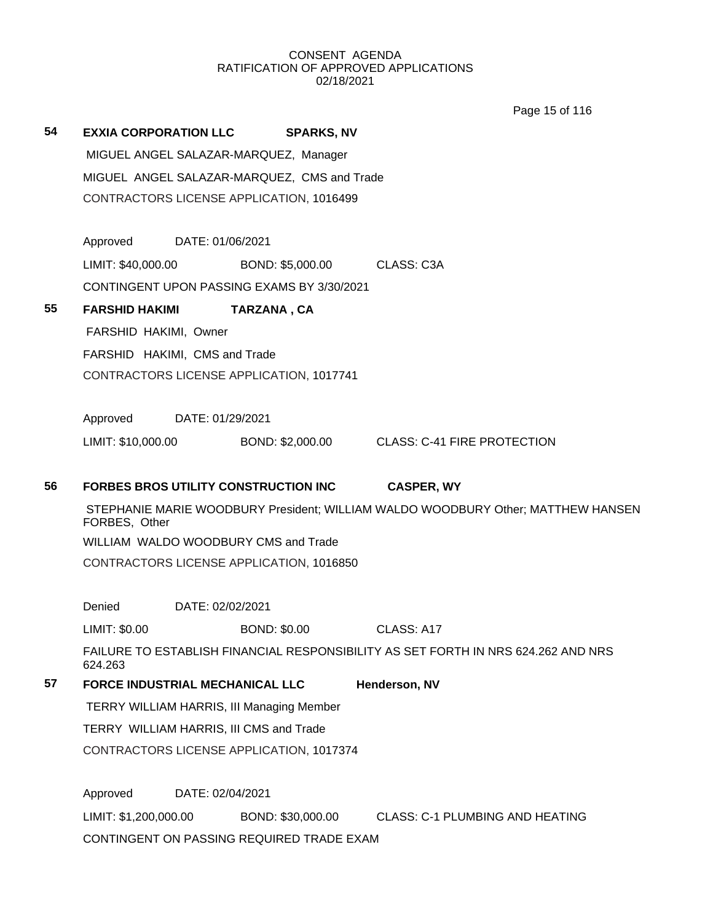Page 15 of 116

| 54                            | <b>EXXIA CORPORATION LLC</b>                     |                  | <b>SPARKS, NV</b>                            |                                                                                   |  |
|-------------------------------|--------------------------------------------------|------------------|----------------------------------------------|-----------------------------------------------------------------------------------|--|
|                               |                                                  |                  | MIGUEL ANGEL SALAZAR-MARQUEZ, Manager        |                                                                                   |  |
|                               |                                                  |                  | MIGUEL ANGEL SALAZAR-MARQUEZ, CMS and Trade  |                                                                                   |  |
|                               |                                                  |                  | CONTRACTORS LICENSE APPLICATION, 1016499     |                                                                                   |  |
|                               | Approved                                         | DATE: 01/06/2021 |                                              |                                                                                   |  |
|                               | LIMIT: \$40,000.00                               |                  | BOND: \$5,000.00                             | CLASS: C3A                                                                        |  |
|                               |                                                  |                  | CONTINGENT UPON PASSING EXAMS BY 3/30/2021   |                                                                                   |  |
| 55                            | <b>FARSHID HAKIMI</b>                            |                  | TARZANA, CA                                  |                                                                                   |  |
|                               | FARSHID HAKIMI, Owner                            |                  |                                              |                                                                                   |  |
| FARSHID HAKIMI, CMS and Trade |                                                  |                  |                                              |                                                                                   |  |
|                               |                                                  |                  | CONTRACTORS LICENSE APPLICATION, 1017741     |                                                                                   |  |
|                               | Approved                                         | DATE: 01/29/2021 |                                              |                                                                                   |  |
|                               | LIMIT: \$10,000.00                               |                  | BOND: \$2,000.00                             | <b>CLASS: C-41 FIRE PROTECTION</b>                                                |  |
| 56                            |                                                  |                  | <b>FORBES BROS UTILITY CONSTRUCTION INC.</b> | <b>CASPER, WY</b>                                                                 |  |
|                               | FORBES, Other                                    |                  |                                              | STEPHANIE MARIE WOODBURY President; WILLIAM WALDO WOODBURY Other; MATTHEW HANSEN  |  |
|                               |                                                  |                  | WILLIAM WALDO WOODBURY CMS and Trade         |                                                                                   |  |
|                               |                                                  |                  | CONTRACTORS LICENSE APPLICATION, 1016850     |                                                                                   |  |
|                               | Denied                                           | DATE: 02/02/2021 |                                              |                                                                                   |  |
|                               | LIMIT: \$0.00                                    |                  | <b>BOND: \$0.00</b>                          | CLASS: A17                                                                        |  |
|                               | 624.263                                          |                  |                                              | FAILURE TO ESTABLISH FINANCIAL RESPONSIBILITY AS SET FORTH IN NRS 624.262 AND NRS |  |
| 57                            | FORCE INDUSTRIAL MECHANICAL LLC                  |                  |                                              | Henderson, NV                                                                     |  |
|                               | <b>TERRY WILLIAM HARRIS, III Managing Member</b> |                  |                                              |                                                                                   |  |
|                               | TERRY WILLIAM HARRIS, III CMS and Trade          |                  |                                              |                                                                                   |  |
|                               |                                                  |                  | CONTRACTORS LICENSE APPLICATION, 1017374     |                                                                                   |  |
|                               | Approved                                         | DATE: 02/04/2021 |                                              |                                                                                   |  |
|                               | LIMIT: \$1,200,000.00                            |                  | BOND: \$30,000.00                            | <b>CLASS: C-1 PLUMBING AND HEATING</b>                                            |  |
|                               |                                                  |                  | CONTINGENT ON PASSING REQUIRED TRADE EXAM    |                                                                                   |  |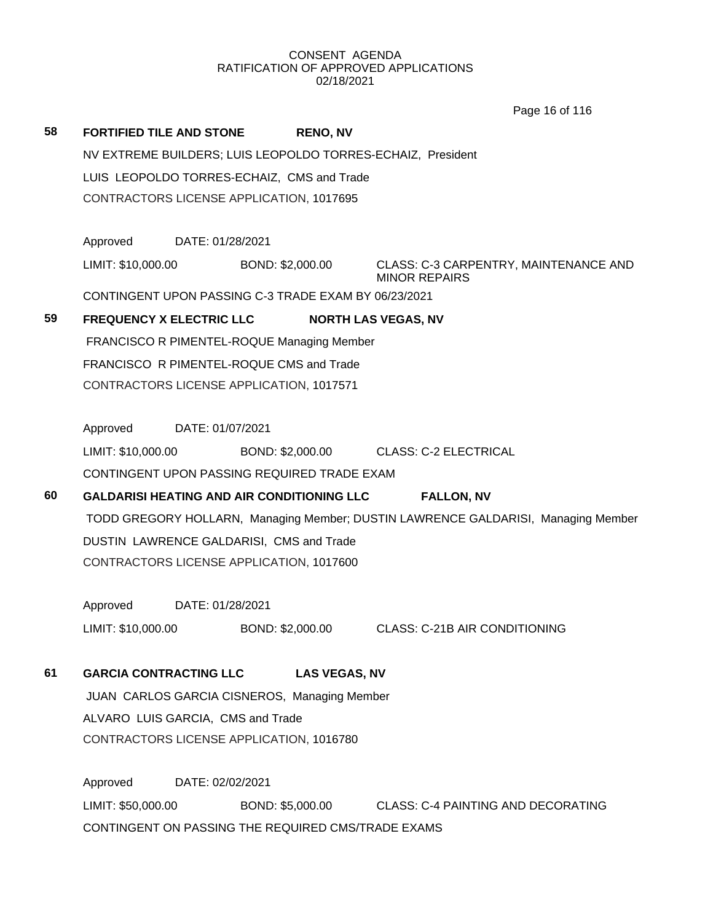|    |                                                             |                      | Page 16 of 116                                                                    |
|----|-------------------------------------------------------------|----------------------|-----------------------------------------------------------------------------------|
| 58 | <b>FORTIFIED TILE AND STONE</b>                             | <b>RENO, NV</b>      |                                                                                   |
|    | NV EXTREME BUILDERS; LUIS LEOPOLDO TORRES-ECHAIZ, President |                      |                                                                                   |
|    | LUIS LEOPOLDO TORRES-ECHAIZ, CMS and Trade                  |                      |                                                                                   |
|    | CONTRACTORS LICENSE APPLICATION, 1017695                    |                      |                                                                                   |
|    |                                                             |                      |                                                                                   |
|    | Approved<br>DATE: 01/28/2021                                |                      |                                                                                   |
|    | LIMIT: \$10,000.00                                          | BOND: \$2,000.00     | CLASS: C-3 CARPENTRY, MAINTENANCE AND<br><b>MINOR REPAIRS</b>                     |
|    | CONTINGENT UPON PASSING C-3 TRADE EXAM BY 06/23/2021        |                      |                                                                                   |
| 59 | <b>FREQUENCY X ELECTRIC LLC</b>                             |                      | <b>NORTH LAS VEGAS, NV</b>                                                        |
|    | FRANCISCO R PIMENTEL-ROQUE Managing Member                  |                      |                                                                                   |
|    | FRANCISCO R PIMENTEL-ROQUE CMS and Trade                    |                      |                                                                                   |
|    | CONTRACTORS LICENSE APPLICATION, 1017571                    |                      |                                                                                   |
|    |                                                             |                      |                                                                                   |
|    | Approved<br>DATE: 01/07/2021                                |                      |                                                                                   |
|    | LIMIT: \$10,000.00                                          |                      | BOND: \$2,000.00 CLASS: C-2 ELECTRICAL                                            |
|    | CONTINGENT UPON PASSING REQUIRED TRADE EXAM                 |                      |                                                                                   |
| 60 | GALDARISI HEATING AND AIR CONDITIONING LLC                  |                      | <b>FALLON, NV</b>                                                                 |
|    |                                                             |                      | TODD GREGORY HOLLARN, Managing Member; DUSTIN LAWRENCE GALDARISI, Managing Member |
|    | DUSTIN LAWRENCE GALDARISI, CMS and Trade                    |                      |                                                                                   |
|    | CONTRACTORS LICENSE APPLICATION, 1017600                    |                      |                                                                                   |
|    | DATE: 01/28/2021<br>Approved                                |                      |                                                                                   |
|    | LIMIT: \$10,000.00                                          | BOND: \$2,000.00     | <b>CLASS: C-21B AIR CONDITIONING</b>                                              |
|    |                                                             |                      |                                                                                   |
| 61 | <b>GARCIA CONTRACTING LLC</b>                               | <b>LAS VEGAS, NV</b> |                                                                                   |
|    | JUAN CARLOS GARCIA CISNEROS, Managing Member                |                      |                                                                                   |
|    | ALVARO LUIS GARCIA, CMS and Trade                           |                      |                                                                                   |
|    | CONTRACTORS LICENSE APPLICATION, 1016780                    |                      |                                                                                   |
|    |                                                             |                      |                                                                                   |
|    | Approved<br>DATE: 02/02/2021                                |                      |                                                                                   |
|    | LIMIT: \$50,000.00                                          | BOND: \$5,000.00     | <b>CLASS: C-4 PAINTING AND DECORATING</b>                                         |
|    | CONTINGENT ON PASSING THE REQUIRED CMS/TRADE EXAMS          |                      |                                                                                   |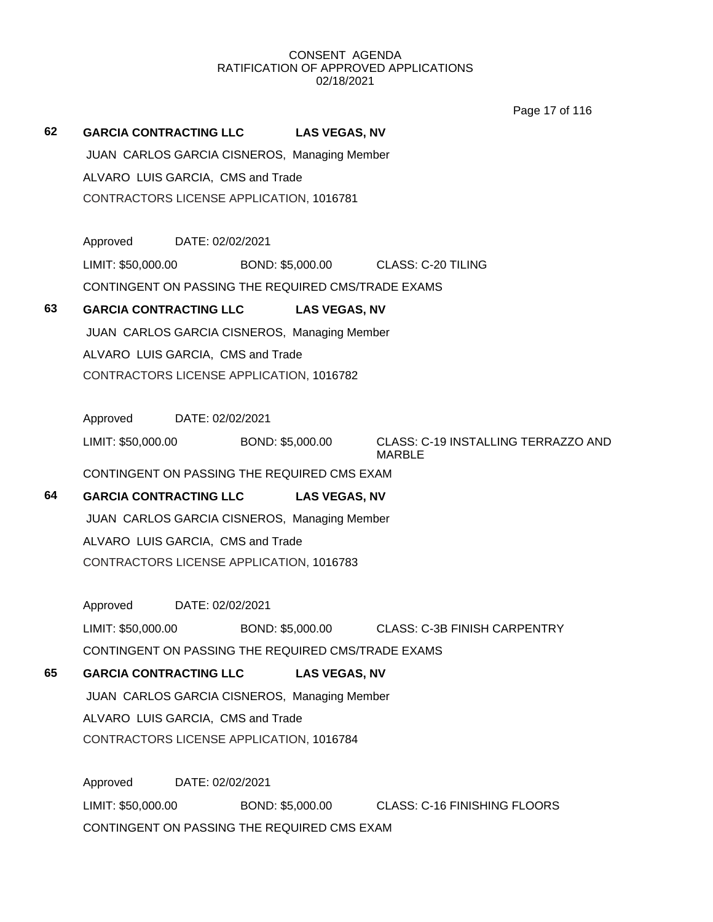Page 17 of 116

# **62 GARCIA CONTRACTING LLC LAS VEGAS, NV**

JUAN CARLOS GARCIA CISNEROS, Managing Member

ALVARO LUIS GARCIA, CMS and Trade

CONTRACTORS LICENSE APPLICATION, 1016781

Approved DATE: 02/02/2021 LIMIT: \$50,000.00 BOND: \$5,000.00 CLASS: C-20 TILING

CONTINGENT ON PASSING THE REQUIRED CMS/TRADE EXAMS

# **63 GARCIA CONTRACTING LLC LAS VEGAS, NV**

JUAN CARLOS GARCIA CISNEROS, Managing Member

ALVARO LUIS GARCIA, CMS and Trade

CONTRACTORS LICENSE APPLICATION, 1016782

Approved DATE: 02/02/2021

LIMIT: \$50,000.00 BOND: \$5,000.00 CLASS: C-19 INSTALLING TERRAZZO AND

MARBLE

CONTINGENT ON PASSING THE REQUIRED CMS EXAM

# **64 GARCIA CONTRACTING LLC LAS VEGAS, NV**

JUAN CARLOS GARCIA CISNEROS, Managing Member ALVARO LUIS GARCIA, CMS and Trade CONTRACTORS LICENSE APPLICATION, 1016783

Approved DATE: 02/02/2021

LIMIT: \$50,000.00 BOND: \$5,000.00 CLASS: C-3B FINISH CARPENTRY CONTINGENT ON PASSING THE REQUIRED CMS/TRADE EXAMS

**65 GARCIA CONTRACTING LLC LAS VEGAS, NV**

JUAN CARLOS GARCIA CISNEROS, Managing Member

ALVARO LUIS GARCIA, CMS and Trade

CONTRACTORS LICENSE APPLICATION, 1016784

Approved DATE: 02/02/2021 LIMIT: \$50,000.00 BOND: \$5,000.00 CLASS: C-16 FINISHING FLOORS CONTINGENT ON PASSING THE REQUIRED CMS EXAM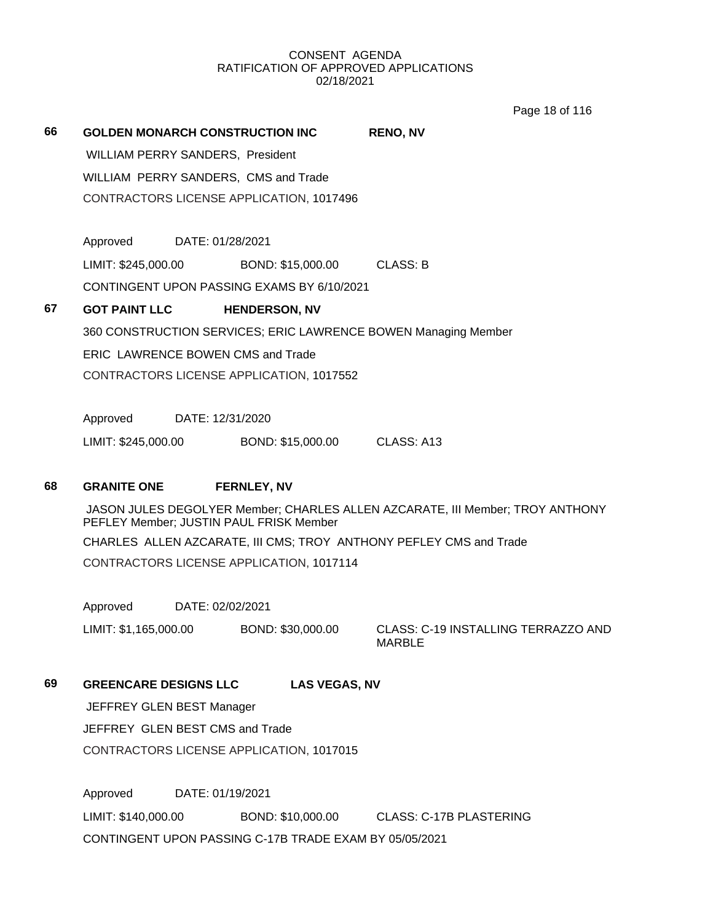Page 18 of 116

| 66 | <b>GOLDEN MONARCH CONSTRUCTION INC</b>                                                                                   | <b>RENO, NV</b>                                      |
|----|--------------------------------------------------------------------------------------------------------------------------|------------------------------------------------------|
|    | <b>WILLIAM PERRY SANDERS, President</b>                                                                                  |                                                      |
|    | WILLIAM PERRY SANDERS, CMS and Trade                                                                                     |                                                      |
|    | CONTRACTORS LICENSE APPLICATION, 1017496                                                                                 |                                                      |
|    |                                                                                                                          |                                                      |
|    | Approved<br>DATE: 01/28/2021                                                                                             |                                                      |
|    | LIMIT: \$245,000.00<br>BOND: \$15,000.00                                                                                 | CLASS: B                                             |
|    | CONTINGENT UPON PASSING EXAMS BY 6/10/2021                                                                               |                                                      |
| 67 | <b>GOT PAINT LLC</b><br><b>HENDERSON, NV</b>                                                                             |                                                      |
|    | 360 CONSTRUCTION SERVICES; ERIC LAWRENCE BOWEN Managing Member                                                           |                                                      |
|    | <b>ERIC LAWRENCE BOWEN CMS and Trade</b>                                                                                 |                                                      |
|    | CONTRACTORS LICENSE APPLICATION, 1017552                                                                                 |                                                      |
|    |                                                                                                                          |                                                      |
|    | Approved<br>DATE: 12/31/2020                                                                                             |                                                      |
|    | LIMIT: \$245,000.00<br>BOND: \$15,000.00                                                                                 | CLASS: A13                                           |
|    |                                                                                                                          |                                                      |
| 68 | <b>GRANITE ONE</b><br><b>FERNLEY, NV</b>                                                                                 |                                                      |
|    | JASON JULES DEGOLYER Member; CHARLES ALLEN AZCARATE, III Member; TROY ANTHONY<br>PEFLEY Member; JUSTIN PAUL FRISK Member |                                                      |
|    | CHARLES ALLEN AZCARATE, III CMS; TROY ANTHONY PEFLEY CMS and Trade                                                       |                                                      |
|    | CONTRACTORS LICENSE APPLICATION, 1017114                                                                                 |                                                      |
|    |                                                                                                                          |                                                      |
|    | Approved<br>DATE: 02/02/2021                                                                                             |                                                      |
|    | LIMIT: \$1,165,000.00<br>BOND: \$30,000.00                                                                               | CLASS: C-19 INSTALLING TERRAZZO AND<br><b>MARBLE</b> |
| 69 | <b>GREENCARE DESIGNS LLC</b><br><b>LAS VEGAS, NV</b>                                                                     |                                                      |
|    |                                                                                                                          |                                                      |
|    | JEFFREY GLEN BEST Manager                                                                                                |                                                      |
|    | JEFFREY GLEN BEST CMS and Trade                                                                                          |                                                      |

Approved DATE: 01/19/2021 LIMIT: \$140,000.00 BOND: \$10,000.00 CLASS: C-17B PLASTERING CONTINGENT UPON PASSING C-17B TRADE EXAM BY 05/05/2021

CONTRACTORS LICENSE APPLICATION, 1017015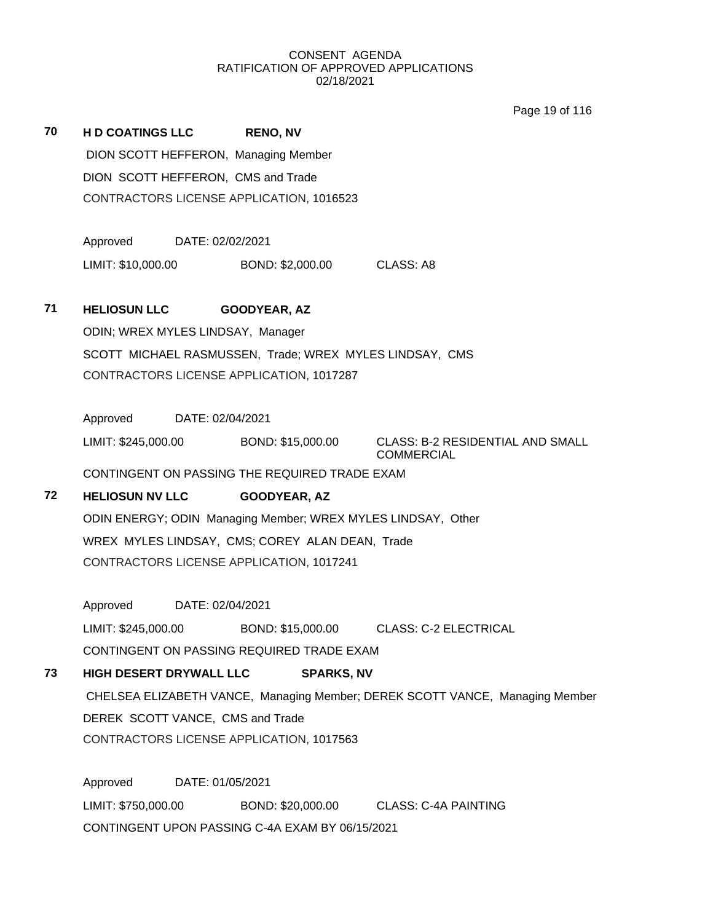Page 19 of 116

| 70 | <b>HD COATINGS LLC</b>               | <b>RENO, NV</b>                                              |                                                                              |
|----|--------------------------------------|--------------------------------------------------------------|------------------------------------------------------------------------------|
|    | DION SCOTT HEFFERON, Managing Member |                                                              |                                                                              |
|    | DION SCOTT HEFFERON, CMS and Trade   |                                                              |                                                                              |
|    |                                      | CONTRACTORS LICENSE APPLICATION, 1016523                     |                                                                              |
|    |                                      |                                                              |                                                                              |
|    | Approved DATE: 02/02/2021            |                                                              |                                                                              |
|    | LIMIT: \$10,000.00                   | BOND: \$2,000.00 CLASS: A8                                   |                                                                              |
| 71 | <b>HELIOSUN LLC</b>                  | GOODYEAR, AZ                                                 |                                                                              |
|    | ODIN; WREX MYLES LINDSAY, Manager    |                                                              |                                                                              |
|    |                                      | SCOTT MICHAEL RASMUSSEN, Trade; WREX MYLES LINDSAY, CMS      |                                                                              |
|    |                                      | CONTRACTORS LICENSE APPLICATION, 1017287                     |                                                                              |
|    |                                      |                                                              |                                                                              |
|    | Approved DATE: 02/04/2021            |                                                              |                                                                              |
|    | LIMIT: \$245,000.00                  | BOND: \$15,000.00                                            | <b>CLASS: B-2 RESIDENTIAL AND SMALL</b><br><b>COMMERCIAL</b>                 |
|    |                                      | CONTINGENT ON PASSING THE REQUIRED TRADE EXAM                |                                                                              |
| 72 | <b>HELIOSUN NV LLC</b>               | <b>GOODYEAR, AZ</b>                                          |                                                                              |
|    |                                      | ODIN ENERGY; ODIN Managing Member; WREX MYLES LINDSAY, Other |                                                                              |
|    |                                      | WREX MYLES LINDSAY, CMS; COREY ALAN DEAN, Trade              |                                                                              |
|    |                                      | CONTRACTORS LICENSE APPLICATION, 1017241                     |                                                                              |
|    |                                      |                                                              |                                                                              |
|    | Approved DATE: 02/04/2021            |                                                              |                                                                              |
|    | LIMIT: \$245,000.00                  |                                                              | BOND: \$15,000.00 CLASS: C-2 ELECTRICAL                                      |
|    |                                      | CONTINGENT ON PASSING REQUIRED TRADE EXAM                    |                                                                              |
| 73 | <b>HIGH DESERT DRYWALL LLC</b>       | <b>SPARKS, NV</b>                                            |                                                                              |
|    |                                      |                                                              | CHELSEA ELIZABETH VANCE, Managing Member; DEREK SCOTT VANCE, Managing Member |
|    | DEREK SCOTT VANCE, CMS and Trade     |                                                              |                                                                              |
|    |                                      | CONTRACTORS LICENSE APPLICATION, 1017563                     |                                                                              |
|    | Approved                             | DATE: 01/05/2021                                             |                                                                              |
|    | LIMIT: \$750,000.00                  | BOND: \$20,000.00                                            | <b>CLASS: C-4A PAINTING</b>                                                  |
|    |                                      | CONTINGENT UPON PASSING C-4A EXAM BY 06/15/2021              |                                                                              |
|    |                                      |                                                              |                                                                              |
|    |                                      |                                                              |                                                                              |
|    |                                      |                                                              |                                                                              |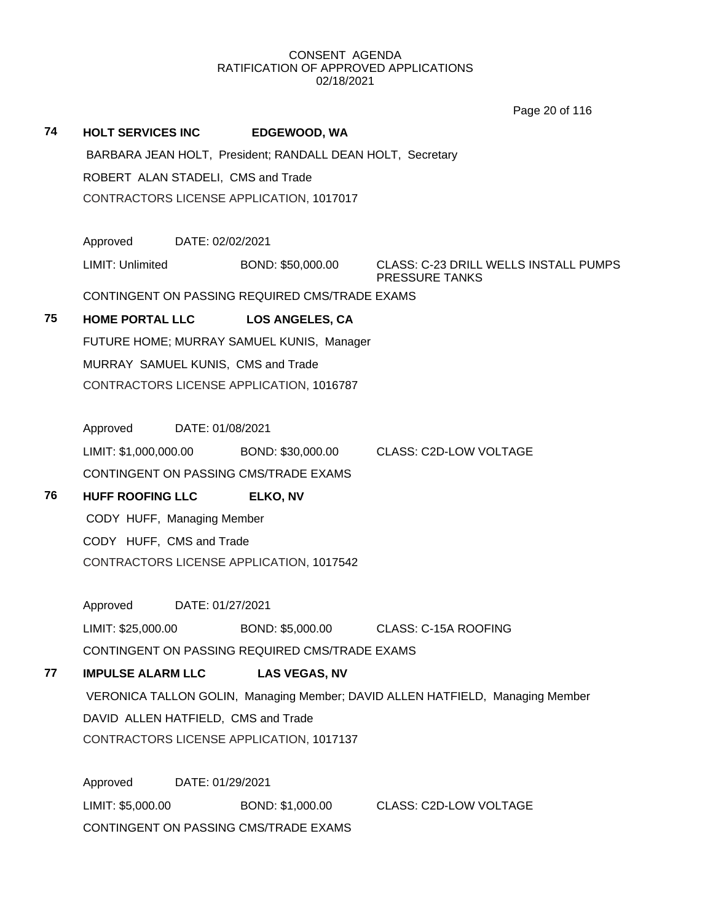Page 20 of 116

|    |                                                            |                        | Page 20 01 110                                                                |
|----|------------------------------------------------------------|------------------------|-------------------------------------------------------------------------------|
| 74 | <b>HOLT SERVICES INC</b>                                   | <b>EDGEWOOD, WA</b>    |                                                                               |
|    | BARBARA JEAN HOLT, President; RANDALL DEAN HOLT, Secretary |                        |                                                                               |
|    | ROBERT ALAN STADELI, CMS and Trade                         |                        |                                                                               |
|    | CONTRACTORS LICENSE APPLICATION, 1017017                   |                        |                                                                               |
|    |                                                            |                        |                                                                               |
|    | Approved DATE: 02/02/2021                                  |                        |                                                                               |
|    | LIMIT: Unlimited                                           | BOND: \$50,000.00      | CLASS: C-23 DRILL WELLS INSTALL PUMPS<br><b>PRESSURE TANKS</b>                |
|    | CONTINGENT ON PASSING REQUIRED CMS/TRADE EXAMS             |                        |                                                                               |
| 75 | <b>HOME PORTAL LLC</b>                                     | <b>LOS ANGELES, CA</b> |                                                                               |
|    | FUTURE HOME; MURRAY SAMUEL KUNIS, Manager                  |                        |                                                                               |
|    | MURRAY SAMUEL KUNIS, CMS and Trade                         |                        |                                                                               |
|    | CONTRACTORS LICENSE APPLICATION, 1016787                   |                        |                                                                               |
|    |                                                            |                        |                                                                               |
|    | Approved<br>DATE: 01/08/2021                               |                        |                                                                               |
|    |                                                            |                        | LIMIT: \$1,000,000.00 BOND: \$30,000.00 CLASS: C2D-LOW VOLTAGE                |
|    | CONTINGENT ON PASSING CMS/TRADE EXAMS                      |                        |                                                                               |
| 76 | <b>HUFF ROOFING LLC</b>                                    | <b>ELKO, NV</b>        |                                                                               |
|    | CODY HUFF, Managing Member                                 |                        |                                                                               |
|    | CODY HUFF, CMS and Trade                                   |                        |                                                                               |
|    | CONTRACTORS LICENSE APPLICATION, 1017542                   |                        |                                                                               |
|    |                                                            |                        |                                                                               |
|    | Approved DATE: 01/27/2021                                  |                        |                                                                               |
|    | LIMIT: \$25,000.00                                         | BOND: \$5,000.00       | CLASS: C-15A ROOFING                                                          |
|    | CONTINGENT ON PASSING REQUIRED CMS/TRADE EXAMS             |                        |                                                                               |
| 77 | <b>IMPULSE ALARM LLC</b>                                   | <b>LAS VEGAS, NV</b>   |                                                                               |
|    |                                                            |                        | VERONICA TALLON GOLIN, Managing Member; DAVID ALLEN HATFIELD, Managing Member |
|    | DAVID ALLEN HATFIELD, CMS and Trade                        |                        |                                                                               |
|    | CONTRACTORS LICENSE APPLICATION, 1017137                   |                        |                                                                               |
|    | Approved<br>DATE: 01/29/2021                               |                        |                                                                               |
|    | LIMIT: \$5,000.00                                          | BOND: \$1,000.00       | <b>CLASS: C2D-LOW VOLTAGE</b>                                                 |
|    | CONTINGENT ON PASSING CMS/TRADE EXAMS                      |                        |                                                                               |
|    |                                                            |                        |                                                                               |
|    |                                                            |                        |                                                                               |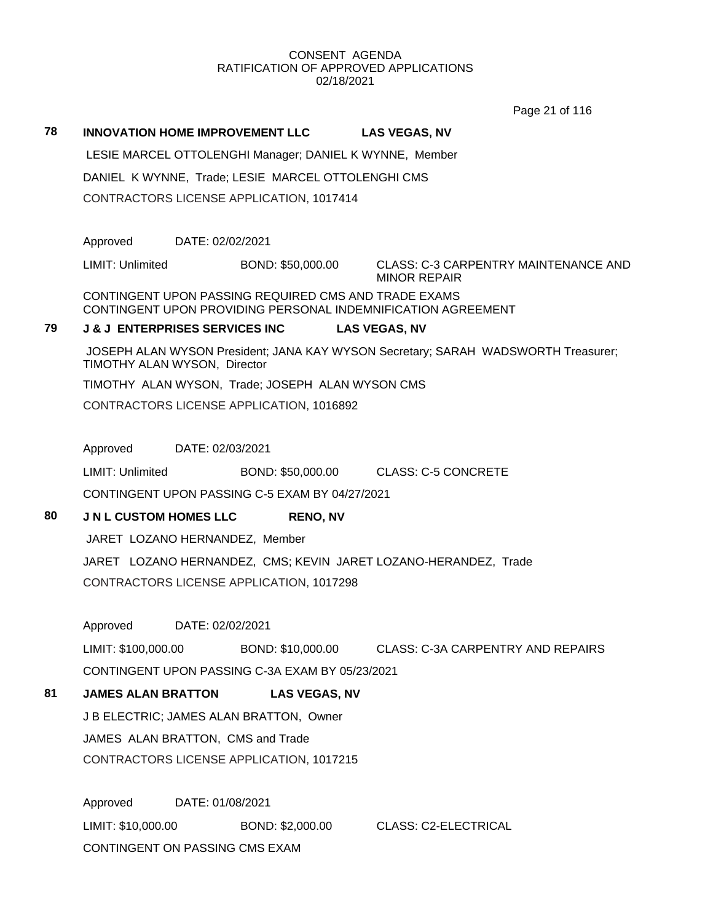Page 21 of 116

| 78 | <b>INNOVATION HOME IMPROVEMENT LLC</b>                  |                                                      | <b>LAS VEGAS, NV</b>                                                              |  |  |
|----|---------------------------------------------------------|------------------------------------------------------|-----------------------------------------------------------------------------------|--|--|
|    | LESIE MARCEL OTTOLENGHI Manager; DANIEL K WYNNE, Member |                                                      |                                                                                   |  |  |
|    |                                                         | DANIEL K WYNNE, Trade; LESIE MARCEL OTTOLENGHI CMS   |                                                                                   |  |  |
|    |                                                         | CONTRACTORS LICENSE APPLICATION, 1017414             |                                                                                   |  |  |
|    |                                                         |                                                      |                                                                                   |  |  |
|    | Approved                                                | DATE: 02/02/2021                                     |                                                                                   |  |  |
|    | LIMIT: Unlimited                                        | BOND: \$50,000.00                                    | <b>CLASS: C-3 CARPENTRY MAINTENANCE AND</b><br><b>MINOR REPAIR</b>                |  |  |
|    |                                                         | CONTINGENT UPON PASSING REQUIRED CMS AND TRADE EXAMS | CONTINGENT UPON PROVIDING PERSONAL INDEMNIFICATION AGREEMENT                      |  |  |
| 79 | <b>J &amp; J ENTERPRISES SERVICES INC</b>               |                                                      | <b>LAS VEGAS, NV</b>                                                              |  |  |
|    | TIMOTHY ALAN WYSON, Director                            |                                                      | JOSEPH ALAN WYSON President; JANA KAY WYSON Secretary; SARAH WADSWORTH Treasurer; |  |  |
|    |                                                         | TIMOTHY ALAN WYSON, Trade; JOSEPH ALAN WYSON CMS     |                                                                                   |  |  |
|    |                                                         | CONTRACTORS LICENSE APPLICATION, 1016892             |                                                                                   |  |  |
|    |                                                         |                                                      |                                                                                   |  |  |
|    | Approved<br>DATE: 02/03/2021                            |                                                      |                                                                                   |  |  |
|    | LIMIT: Unlimited                                        |                                                      | BOND: \$50,000.00 CLASS: C-5 CONCRETE                                             |  |  |
|    |                                                         | CONTINGENT UPON PASSING C-5 EXAM BY 04/27/2021       |                                                                                   |  |  |
| 80 | <b>J N L CUSTOM HOMES LLC</b>                           | <b>RENO, NV</b>                                      |                                                                                   |  |  |
|    | JARET LOZANO HERNANDEZ, Member                          |                                                      |                                                                                   |  |  |
|    |                                                         |                                                      | JARET LOZANO HERNANDEZ, CMS; KEVIN JARET LOZANO-HERANDEZ, Trade                   |  |  |
|    |                                                         | CONTRACTORS LICENSE APPLICATION, 1017298             |                                                                                   |  |  |
|    |                                                         |                                                      |                                                                                   |  |  |
|    | Approved                                                | DATE: 02/02/2021                                     |                                                                                   |  |  |
|    | LIMIT: \$100,000.00                                     | BOND: \$10,000.00                                    | <b>CLASS: C-3A CARPENTRY AND REPAIRS</b>                                          |  |  |
|    |                                                         | CONTINGENT UPON PASSING C-3A EXAM BY 05/23/2021      |                                                                                   |  |  |
| 81 | <b>JAMES ALAN BRATTON</b>                               | <b>LAS VEGAS, NV</b>                                 |                                                                                   |  |  |
|    |                                                         | J B ELECTRIC; JAMES ALAN BRATTON, Owner              |                                                                                   |  |  |
|    | JAMES ALAN BRATTON, CMS and Trade                       |                                                      |                                                                                   |  |  |

CONTRACTORS LICENSE APPLICATION, 1017215

Approved DATE: 01/08/2021 LIMIT: \$10,000.00 BOND: \$2,000.00 CLASS: C2-ELECTRICAL CONTINGENT ON PASSING CMS EXAM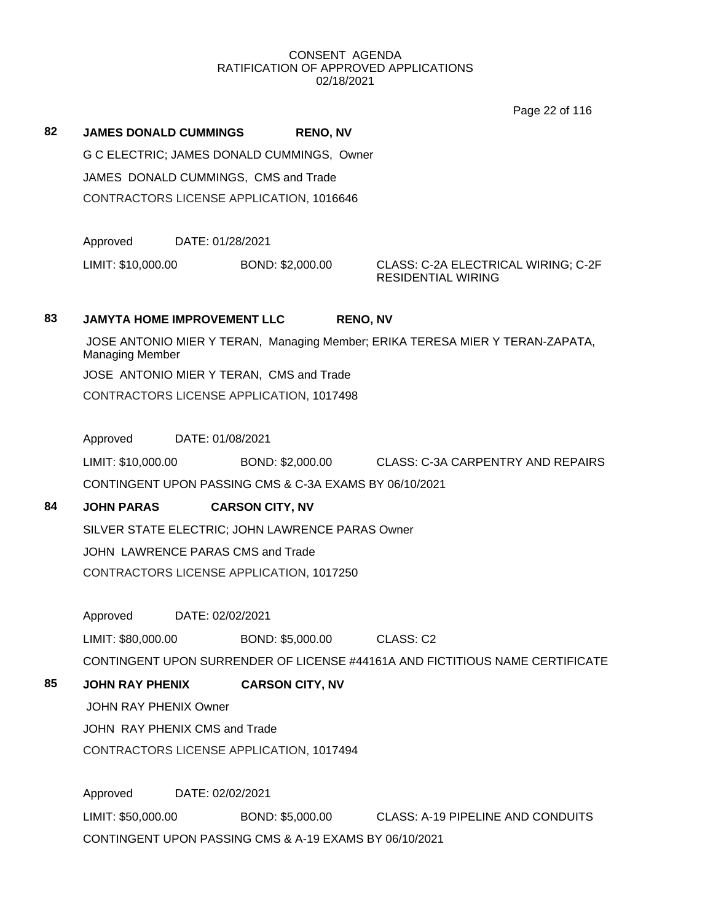Page 22 of 116

**82 JAMES DONALD CUMMINGS RENO, NV** G C ELECTRIC; JAMES DONALD CUMMINGS, Owner JAMES DONALD CUMMINGS, CMS and Trade CONTRACTORS LICENSE APPLICATION, 1016646

Approved DATE: 01/28/2021

LIMIT: \$10,000.00 BOND: \$2,000.00 CLASS: C-2A ELECTRICAL WIRING; C-2F

RESIDENTIAL WIRING

# **83 JAMYTA HOME IMPROVEMENT LLC RENO, NV**

JOSE ANTONIO MIER Y TERAN, Managing Member; ERIKA TERESA MIER Y TERAN-ZAPATA, Managing Member JOSE ANTONIO MIER Y TERAN, CMS and Trade CONTRACTORS LICENSE APPLICATION, 1017498

Approved DATE: 01/08/2021

LIMIT: \$10,000.00 BOND: \$2,000.00 CLASS: C-3A CARPENTRY AND REPAIRS

CONTINGENT UPON PASSING CMS & C-3A EXAMS BY 06/10/2021

# **84 JOHN PARAS CARSON CITY, NV**

SILVER STATE ELECTRIC; JOHN LAWRENCE PARAS Owner

JOHN LAWRENCE PARAS CMS and Trade

CONTRACTORS LICENSE APPLICATION, 1017250

Approved DATE: 02/02/2021

LIMIT: \$80,000.00 BOND: \$5,000.00 CLASS: C2

CONTINGENT UPON SURRENDER OF LICENSE #44161A AND FICTITIOUS NAME CERTIFICATE

# **85 JOHN RAY PHENIX CARSON CITY, NV**

JOHN RAY PHENIX Owner

JOHN RAY PHENIX CMS and Trade

CONTRACTORS LICENSE APPLICATION, 1017494

Approved DATE: 02/02/2021 LIMIT: \$50,000.00 BOND: \$5,000.00 CLASS: A-19 PIPELINE AND CONDUITS CONTINGENT UPON PASSING CMS & A-19 EXAMS BY 06/10/2021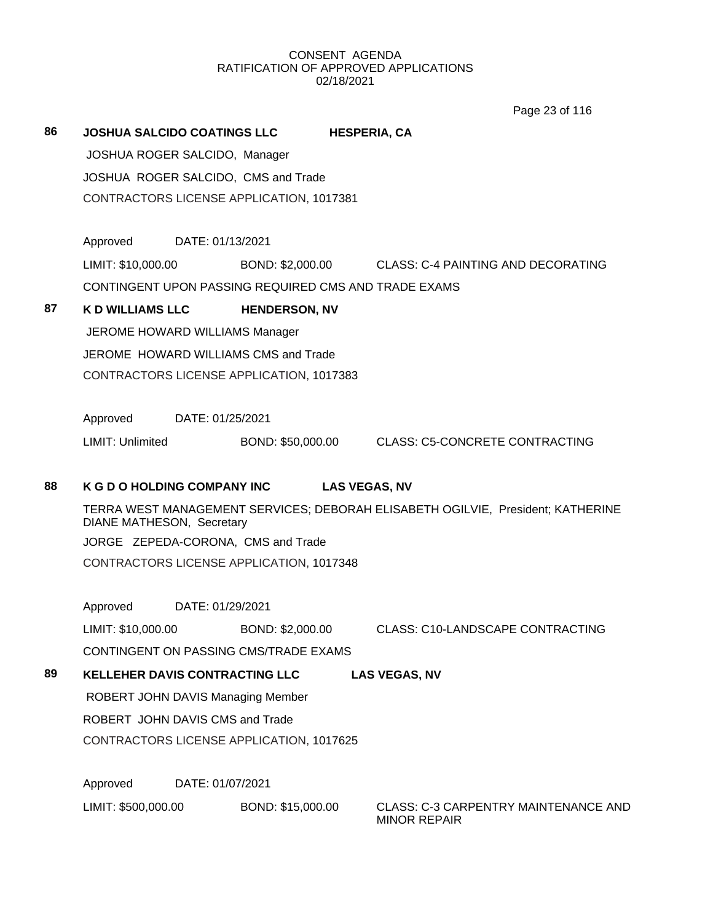Page 23 of 116

| 86 | <b>JOSHUA SALCIDO COATINGS LLC</b>                                                                           |                                                            |                                                      | <b>HESPERIA, CA</b>                                                |  |  |  |  |
|----|--------------------------------------------------------------------------------------------------------------|------------------------------------------------------------|------------------------------------------------------|--------------------------------------------------------------------|--|--|--|--|
|    |                                                                                                              | JOSHUA ROGER SALCIDO, Manager                              |                                                      |                                                                    |  |  |  |  |
|    |                                                                                                              | JOSHUA ROGER SALCIDO, CMS and Trade                        |                                                      |                                                                    |  |  |  |  |
|    |                                                                                                              | CONTRACTORS LICENSE APPLICATION, 1017381                   |                                                      |                                                                    |  |  |  |  |
|    | Approved                                                                                                     |                                                            | DATE: 01/13/2021                                     |                                                                    |  |  |  |  |
|    | LIMIT: \$10,000.00                                                                                           |                                                            | BOND: \$2,000.00                                     | CLASS: C-4 PAINTING AND DECORATING                                 |  |  |  |  |
|    |                                                                                                              |                                                            | CONTINGENT UPON PASSING REQUIRED CMS AND TRADE EXAMS |                                                                    |  |  |  |  |
| 87 | <b>K D WILLIAMS LLC</b>                                                                                      |                                                            | <b>HENDERSON, NV</b>                                 |                                                                    |  |  |  |  |
|    |                                                                                                              |                                                            | JEROME HOWARD WILLIAMS Manager                       |                                                                    |  |  |  |  |
|    |                                                                                                              |                                                            | JEROME HOWARD WILLIAMS CMS and Trade                 |                                                                    |  |  |  |  |
|    |                                                                                                              |                                                            | CONTRACTORS LICENSE APPLICATION, 1017383             |                                                                    |  |  |  |  |
|    | Approved                                                                                                     | DATE: 01/25/2021                                           |                                                      |                                                                    |  |  |  |  |
|    | LIMIT: Unlimited                                                                                             |                                                            | BOND: \$50,000.00                                    | <b>CLASS: C5-CONCRETE CONTRACTING</b>                              |  |  |  |  |
| 88 |                                                                                                              | <b>K G D O HOLDING COMPANY INC</b><br><b>LAS VEGAS, NV</b> |                                                      |                                                                    |  |  |  |  |
|    | TERRA WEST MANAGEMENT SERVICES; DEBORAH ELISABETH OGILVIE, President; KATHERINE<br>DIANE MATHESON, Secretary |                                                            |                                                      |                                                                    |  |  |  |  |
|    | JORGE ZEPEDA-CORONA, CMS and Trade                                                                           |                                                            |                                                      |                                                                    |  |  |  |  |
|    | CONTRACTORS LICENSE APPLICATION, 1017348                                                                     |                                                            |                                                      |                                                                    |  |  |  |  |
|    | Approved                                                                                                     |                                                            | DATE: 01/29/2021                                     |                                                                    |  |  |  |  |
|    | LIMIT: \$10,000.00                                                                                           |                                                            | BOND: \$2,000.00                                     | <b>CLASS: C10-LANDSCAPE CONTRACTING</b>                            |  |  |  |  |
|    |                                                                                                              |                                                            | CONTINGENT ON PASSING CMS/TRADE EXAMS                |                                                                    |  |  |  |  |
| 89 |                                                                                                              |                                                            | <b>KELLEHER DAVIS CONTRACTING LLC</b>                | <b>LAS VEGAS, NV</b>                                               |  |  |  |  |
|    |                                                                                                              | ROBERT JOHN DAVIS Managing Member                          |                                                      |                                                                    |  |  |  |  |
|    | ROBERT JOHN DAVIS CMS and Trade                                                                              |                                                            |                                                      |                                                                    |  |  |  |  |
|    |                                                                                                              |                                                            | CONTRACTORS LICENSE APPLICATION, 1017625             |                                                                    |  |  |  |  |
|    | Approved                                                                                                     |                                                            | DATE: 01/07/2021                                     |                                                                    |  |  |  |  |
|    | LIMIT: \$500,000.00                                                                                          |                                                            | BOND: \$15,000.00                                    | <b>CLASS: C-3 CARPENTRY MAINTENANCE AND</b><br><b>MINOR REPAIR</b> |  |  |  |  |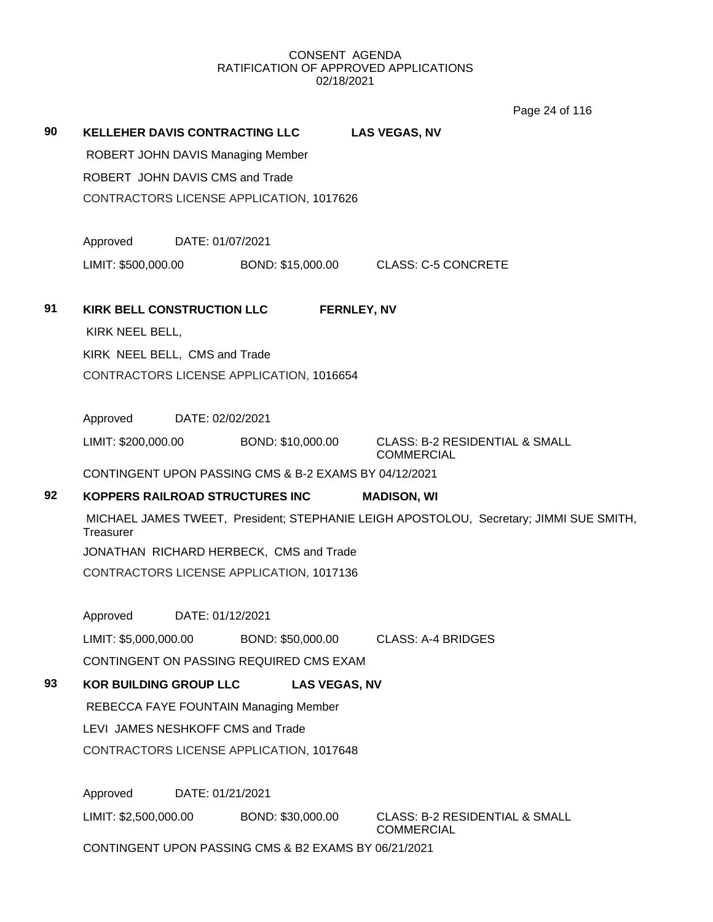Page 24 of 116

| 90 | KELLEHER DAVIS CONTRACTING LLC<br>ROBERT JOHN DAVIS Managing Member<br>ROBERT JOHN DAVIS CMS and Trade |                                       | <b>LAS VEGAS, NV</b>                                                                   |  |  |
|----|--------------------------------------------------------------------------------------------------------|---------------------------------------|----------------------------------------------------------------------------------------|--|--|
|    | CONTRACTORS LICENSE APPLICATION, 1017626                                                               |                                       |                                                                                        |  |  |
|    | Approved<br>DATE: 01/07/2021                                                                           |                                       |                                                                                        |  |  |
|    | LIMIT: \$500,000.00                                                                                    |                                       | BOND: \$15,000.00 CLASS: C-5 CONCRETE                                                  |  |  |
| 91 | <b>KIRK BELL CONSTRUCTION LLC</b><br>KIRK NEEL BELL,                                                   | <b>FERNLEY, NV</b>                    |                                                                                        |  |  |
|    | KIRK NEEL BELL, CMS and Trade                                                                          |                                       |                                                                                        |  |  |
|    | CONTRACTORS LICENSE APPLICATION, 1016654                                                               |                                       |                                                                                        |  |  |
|    |                                                                                                        |                                       |                                                                                        |  |  |
|    | Approved<br>DATE: 02/02/2021                                                                           |                                       |                                                                                        |  |  |
|    | LIMIT: \$200,000.00                                                                                    | BOND: \$10,000.00                     | <b>CLASS: B-2 RESIDENTIAL &amp; SMALL</b><br><b>COMMERCIAL</b>                         |  |  |
|    | CONTINGENT UPON PASSING CMS & B-2 EXAMS BY 04/12/2021                                                  |                                       |                                                                                        |  |  |
| 92 | KOPPERS RAILROAD STRUCTURES INC                                                                        |                                       | <b>MADISON, WI</b>                                                                     |  |  |
|    | Treasurer                                                                                              |                                       | MICHAEL JAMES TWEET, President; STEPHANIE LEIGH APOSTOLOU, Secretary; JIMMI SUE SMITH, |  |  |
|    | JONATHAN RICHARD HERBECK, CMS and Trade                                                                |                                       |                                                                                        |  |  |
|    | CONTRACTORS LICENSE APPLICATION, 1017136                                                               |                                       |                                                                                        |  |  |
|    | Approved<br>DATE: 01/12/2021                                                                           |                                       |                                                                                        |  |  |
|    |                                                                                                        |                                       |                                                                                        |  |  |
|    | CONTINGENT ON PASSING REQUIRED CMS EXAM                                                                |                                       |                                                                                        |  |  |
| 93 | <b>KOR BUILDING GROUP LLC</b>                                                                          | <b>LAS VEGAS, NV</b>                  |                                                                                        |  |  |
|    |                                                                                                        | REBECCA FAYE FOUNTAIN Managing Member |                                                                                        |  |  |
|    | LEVI JAMES NESHKOFF CMS and Trade                                                                      |                                       |                                                                                        |  |  |
|    | CONTRACTORS LICENSE APPLICATION, 1017648                                                               |                                       |                                                                                        |  |  |
|    | Approved<br>DATE: 01/21/2021                                                                           |                                       |                                                                                        |  |  |
|    | LIMIT: \$2,500,000.00                                                                                  | BOND: \$30,000.00                     | <b>CLASS: B-2 RESIDENTIAL &amp; SMALL</b><br><b>COMMERCIAL</b>                         |  |  |
|    | CONTINGENT UPON PASSING CMS & B2 EXAMS BY 06/21/2021                                                   |                                       |                                                                                        |  |  |
|    |                                                                                                        |                                       |                                                                                        |  |  |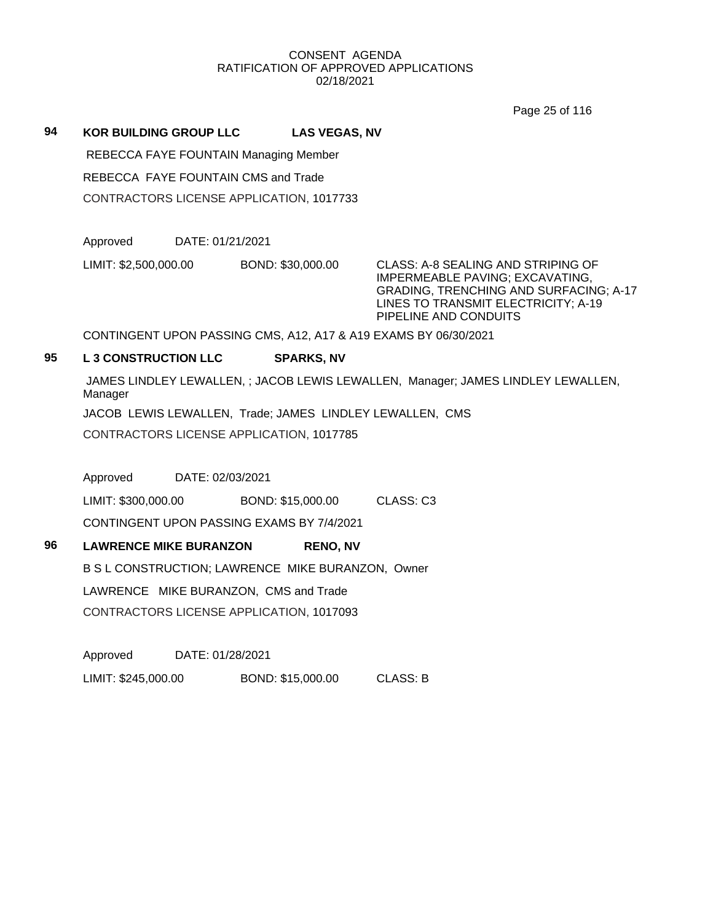Page 25 of 116

**94 KOR BUILDING GROUP LLC LAS VEGAS, NV**

REBECCA FAYE FOUNTAIN Managing Member

REBECCA FAYE FOUNTAIN CMS and Trade

CONTRACTORS LICENSE APPLICATION, 1017733

Approved DATE: 01/21/2021

LIMIT: \$2,500,000.00 BOND: \$30,000.00 CLASS: A-8 SEALING AND STRIPING OF

IMPERMEABLE PAVING; EXCAVATING, GRADING, TRENCHING AND SURFACING; A-17 LINES TO TRANSMIT ELECTRICITY; A-19 PIPELINE AND CONDUITS

CONTINGENT UPON PASSING CMS, A12, A17 & A19 EXAMS BY 06/30/2021

## **95 L 3 CONSTRUCTION LLC SPARKS, NV**

JAMES LINDLEY LEWALLEN, ; JACOB LEWIS LEWALLEN, Manager; JAMES LINDLEY LEWALLEN, Manager

JACOB LEWIS LEWALLEN, Trade; JAMES LINDLEY LEWALLEN, CMS

CONTRACTORS LICENSE APPLICATION, 1017785

Approved DATE: 02/03/2021

LIMIT: \$300,000.00 BOND: \$15,000.00 CLASS: C3

CONTINGENT UPON PASSING EXAMS BY 7/4/2021

## **96 LAWRENCE MIKE BURANZON RENO, NV**

B S L CONSTRUCTION; LAWRENCE MIKE BURANZON, Owner

LAWRENCE MIKE BURANZON, CMS and Trade

CONTRACTORS LICENSE APPLICATION, 1017093

Approved DATE: 01/28/2021

LIMIT: \$245,000.00 BOND: \$15,000.00 CLASS: B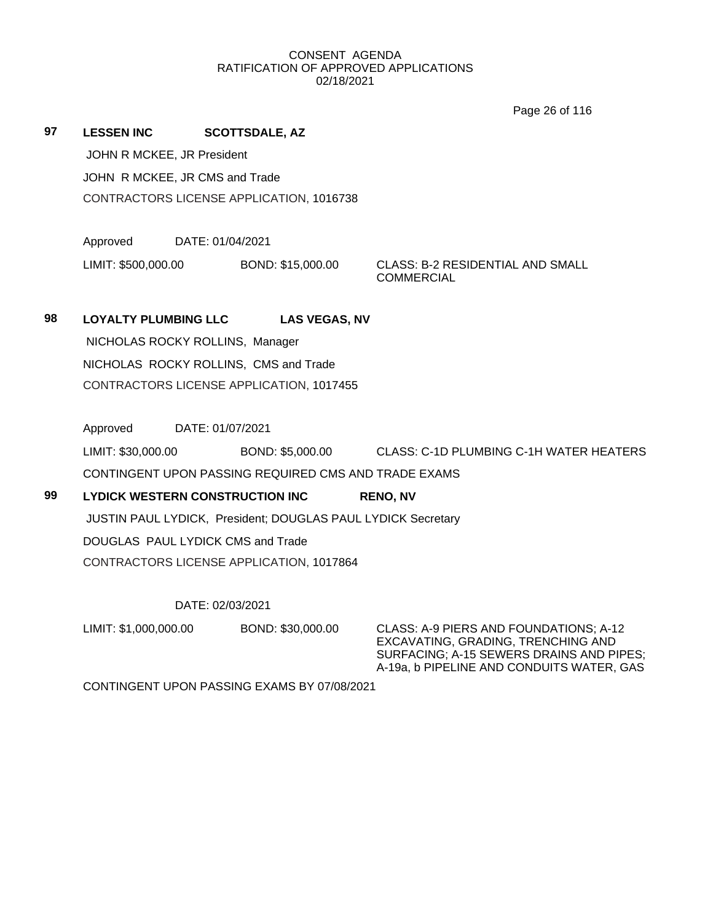Page 26 of 116

**97 LESSEN INC SCOTTSDALE, AZ** JOHN R MCKEE, JR President JOHN R MCKEE, JR CMS and Trade CONTRACTORS LICENSE APPLICATION, 1016738

Approved DATE: 01/04/2021

LIMIT: \$500,000.00 BOND: \$15,000.00 CLASS: B-2 RESIDENTIAL AND SMALL

**COMMERCIAL** 

# **98 LOYALTY PLUMBING LLC LAS VEGAS, NV**

NICHOLAS ROCKY ROLLINS, Manager NICHOLAS ROCKY ROLLINS, CMS and Trade CONTRACTORS LICENSE APPLICATION, 1017455

Approved DATE: 01/07/2021

LIMIT: \$30,000.00 BOND: \$5,000.00 CLASS: C-1D PLUMBING C-1H WATER HEATERS CONTINGENT UPON PASSING REQUIRED CMS AND TRADE EXAMS

# **99 LYDICK WESTERN CONSTRUCTION INC RENO, NV** JUSTIN PAUL LYDICK, President; DOUGLAS PAUL LYDICK Secretary DOUGLAS PAUL LYDICK CMS and Trade CONTRACTORS LICENSE APPLICATION, 1017864

# DATE: 02/03/2021

LIMIT: \$1,000,000.00 BOND: \$30,000.00 CLASS: A-9 PIERS AND FOUNDATIONS; A-12

EXCAVATING, GRADING, TRENCHING AND SURFACING; A-15 SEWERS DRAINS AND PIPES; A-19a, b PIPELINE AND CONDUITS WATER, GAS

CONTINGENT UPON PASSING EXAMS BY 07/08/2021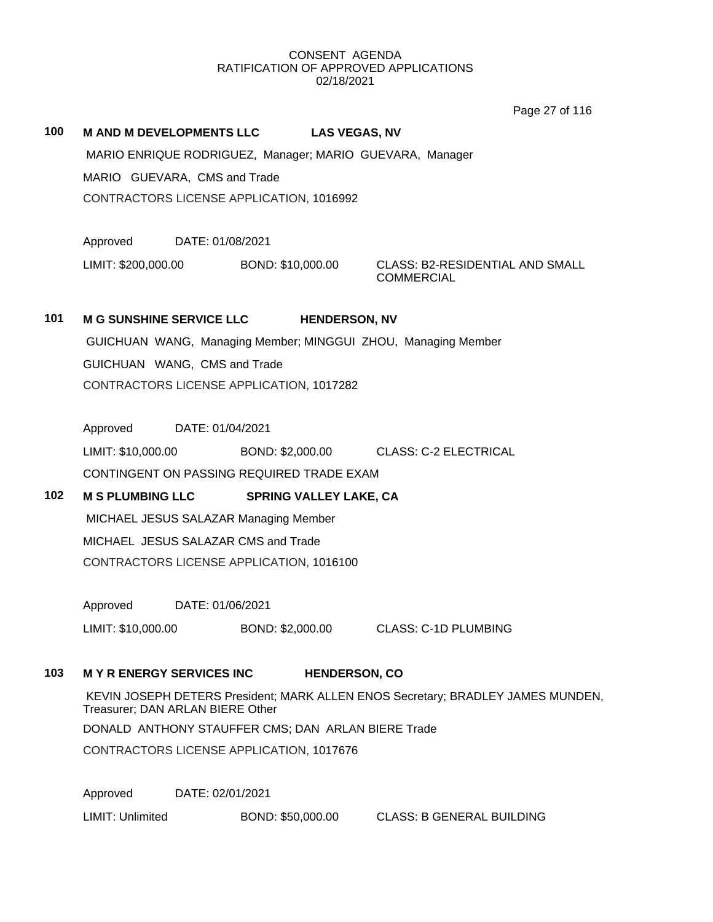Page 27 of 116

#### **100 M AND M DEVELOPMENTS LLC LAS VEGAS, NV**

MARIO ENRIQUE RODRIGUEZ, Manager; MARIO GUEVARA, Manager MARIO GUEVARA, CMS and Trade CONTRACTORS LICENSE APPLICATION, 1016992

Approved DATE: 01/08/2021

LIMIT: \$200,000.00 BOND: \$10,000.00 CLASS: B2-RESIDENTIAL AND SMALL

**COMMERCIAL** 

# **101 M G SUNSHINE SERVICE LLC HENDERSON, NV**

GUICHUAN WANG, Managing Member; MINGGUI ZHOU, Managing Member GUICHUAN WANG, CMS and Trade CONTRACTORS LICENSE APPLICATION, 1017282

Approved DATE: 01/04/2021

LIMIT: \$10,000.00 BOND: \$2,000.00 CLASS: C-2 ELECTRICAL CONTINGENT ON PASSING REQUIRED TRADE EXAM

# **102 M S PLUMBING LLC SPRING VALLEY LAKE, CA**

MICHAEL JESUS SALAZAR Managing Member MICHAEL JESUS SALAZAR CMS and Trade CONTRACTORS LICENSE APPLICATION, 1016100

Approved DATE: 01/06/2021

LIMIT: \$10,000.00 BOND: \$2,000.00 CLASS: C-1D PLUMBING

# **103 M Y R ENERGY SERVICES INC HENDERSON, CO**

KEVIN JOSEPH DETERS President; MARK ALLEN ENOS Secretary; BRADLEY JAMES MUNDEN, Treasurer; DAN ARLAN BIERE Other

DONALD ANTHONY STAUFFER CMS; DAN ARLAN BIERE Trade

CONTRACTORS LICENSE APPLICATION, 1017676

Approved DATE: 02/01/2021

LIMIT: Unlimited BOND: \$50,000.00 CLASS: B GENERAL BUILDING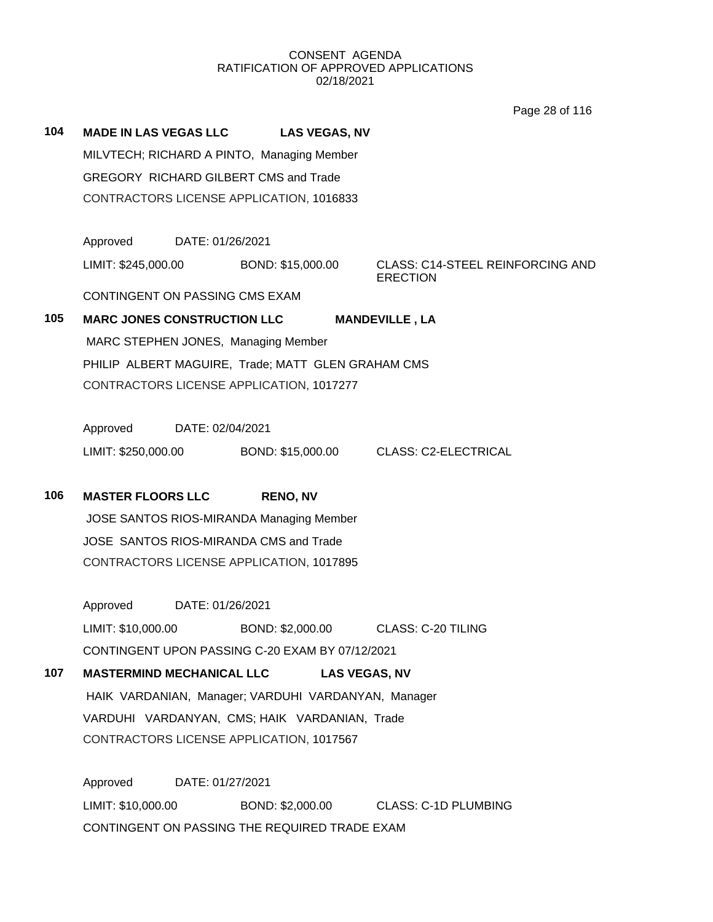Page 28 of 116

| 104 | <b>MADE IN LAS VEGAS LLC</b>                 | <b>LAS VEGAS, NV</b>                                |                                                            |  |  |
|-----|----------------------------------------------|-----------------------------------------------------|------------------------------------------------------------|--|--|
|     | MILVTECH; RICHARD A PINTO, Managing Member   |                                                     |                                                            |  |  |
|     | <b>GREGORY RICHARD GILBERT CMS and Trade</b> |                                                     |                                                            |  |  |
|     | CONTRACTORS LICENSE APPLICATION, 1016833     |                                                     |                                                            |  |  |
|     |                                              |                                                     |                                                            |  |  |
|     | Approved                                     | DATE: 01/26/2021                                    |                                                            |  |  |
|     | LIMIT: \$245,000.00                          | BOND: \$15,000.00                                   | <b>CLASS: C14-STEEL REINFORCING AND</b><br><b>ERECTION</b> |  |  |
|     | CONTINGENT ON PASSING CMS EXAM               |                                                     |                                                            |  |  |
| 105 | <b>MARC JONES CONSTRUCTION LLC</b>           |                                                     | <b>MANDEVILLE, LA</b>                                      |  |  |
|     | MARC STEPHEN JONES, Managing Member          |                                                     |                                                            |  |  |
|     |                                              | PHILIP ALBERT MAGUIRE, Trade; MATT GLEN GRAHAM CMS  |                                                            |  |  |
|     |                                              | CONTRACTORS LICENSE APPLICATION, 1017277            |                                                            |  |  |
|     | Approved                                     | DATE: 02/04/2021                                    |                                                            |  |  |
|     | LIMIT: \$250,000.00                          | BOND: \$15,000.00                                   | <b>CLASS: C2-ELECTRICAL</b>                                |  |  |
|     |                                              |                                                     |                                                            |  |  |
| 106 | <b>MASTER FLOORS LLC</b>                     | <b>RENO, NV</b>                                     |                                                            |  |  |
|     |                                              | JOSE SANTOS RIOS-MIRANDA Managing Member            |                                                            |  |  |
|     | JOSE SANTOS RIOS-MIRANDA CMS and Trade       |                                                     |                                                            |  |  |
|     |                                              | CONTRACTORS LICENSE APPLICATION, 1017895            |                                                            |  |  |
|     | Approved                                     | DATE: 01/26/2021                                    |                                                            |  |  |
|     | LIMIT: \$10,000.00                           | BOND: \$2,000.00                                    | CLASS: C-20 TILING                                         |  |  |
|     |                                              | CONTINGENT UPON PASSING C-20 EXAM BY 07/12/2021     |                                                            |  |  |
| 107 | <b>MASTERMIND MECHANICAL LLC</b>             | <b>LAS VEGAS, NV</b>                                |                                                            |  |  |
|     |                                              | HAIK VARDANIAN, Manager; VARDUHI VARDANYAN, Manager |                                                            |  |  |
|     |                                              | VARDUHI VARDANYAN, CMS; HAIK VARDANIAN, Trade       |                                                            |  |  |
|     |                                              | CONTRACTORS LICENSE APPLICATION, 1017567            |                                                            |  |  |
|     |                                              |                                                     |                                                            |  |  |
|     | Approved                                     | DATE: 01/27/2021                                    |                                                            |  |  |
|     | LIMIT: \$10,000.00                           |                                                     | BOND: \$2,000.00 CLASS: C-1D PLUMBING                      |  |  |
|     |                                              | CONTINGENT ON PASSING THE REQUIRED TRADE EXAM       |                                                            |  |  |
|     |                                              |                                                     |                                                            |  |  |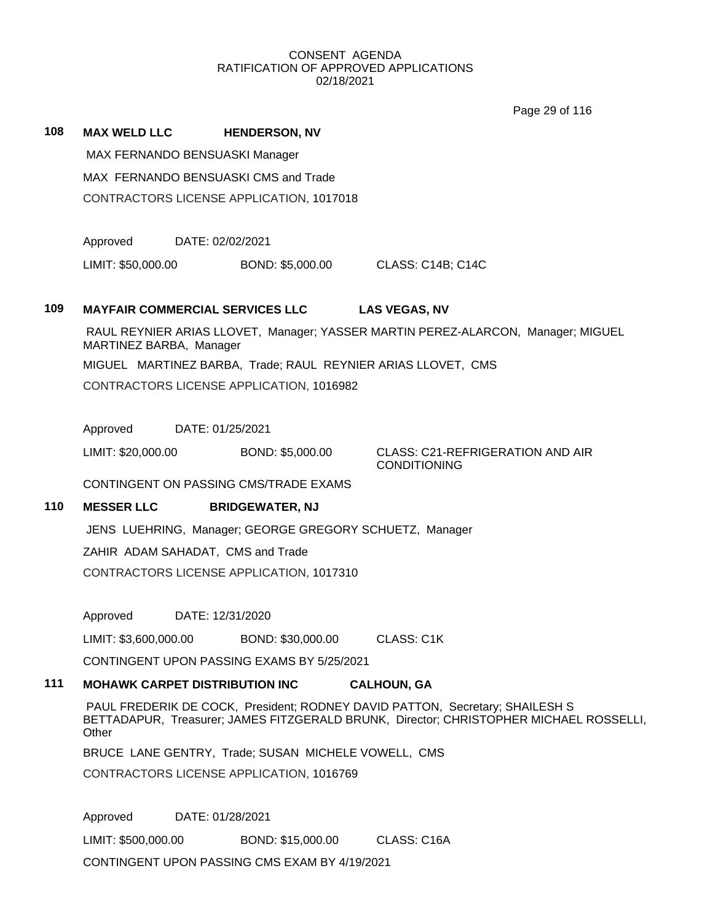|     |                                                                                                                                                                                 |                                                         | Page 29 of 116                                                                   |  |  |
|-----|---------------------------------------------------------------------------------------------------------------------------------------------------------------------------------|---------------------------------------------------------|----------------------------------------------------------------------------------|--|--|
| 108 | <b>MAX WELD LLC</b>                                                                                                                                                             | <b>HENDERSON, NV</b>                                    |                                                                                  |  |  |
|     |                                                                                                                                                                                 | MAX FERNANDO BENSUASKI Manager                          |                                                                                  |  |  |
|     | MAX FERNANDO BENSUASKI CMS and Trade                                                                                                                                            |                                                         |                                                                                  |  |  |
|     |                                                                                                                                                                                 | CONTRACTORS LICENSE APPLICATION, 1017018                |                                                                                  |  |  |
|     |                                                                                                                                                                                 |                                                         |                                                                                  |  |  |
|     | Approved                                                                                                                                                                        | DATE: 02/02/2021                                        |                                                                                  |  |  |
|     | LIMIT: \$50,000.00                                                                                                                                                              | BOND: \$5,000.00                                        | CLASS: C14B; C14C                                                                |  |  |
| 109 | <b>MAYFAIR COMMERCIAL SERVICES LLC</b>                                                                                                                                          |                                                         | <b>LAS VEGAS, NV</b>                                                             |  |  |
|     | MARTINEZ BARBA, Manager                                                                                                                                                         |                                                         | RAUL REYNIER ARIAS LLOVET, Manager; YASSER MARTIN PEREZ-ALARCON, Manager; MIGUEL |  |  |
|     |                                                                                                                                                                                 |                                                         | MIGUEL MARTINEZ BARBA, Trade; RAUL REYNIER ARIAS LLOVET, CMS                     |  |  |
|     |                                                                                                                                                                                 | CONTRACTORS LICENSE APPLICATION, 1016982                |                                                                                  |  |  |
|     |                                                                                                                                                                                 |                                                         |                                                                                  |  |  |
|     | Approved                                                                                                                                                                        | DATE: 01/25/2021                                        |                                                                                  |  |  |
|     | LIMIT: \$20,000.00                                                                                                                                                              | BOND: \$5,000.00                                        | <b>CLASS: C21-REFRIGERATION AND AIR</b><br><b>CONDITIONING</b>                   |  |  |
|     |                                                                                                                                                                                 | CONTINGENT ON PASSING CMS/TRADE EXAMS                   |                                                                                  |  |  |
| 110 | <b>MESSER LLC</b>                                                                                                                                                               | <b>BRIDGEWATER, NJ</b>                                  |                                                                                  |  |  |
|     |                                                                                                                                                                                 | JENS LUEHRING, Manager; GEORGE GREGORY SCHUETZ, Manager |                                                                                  |  |  |
|     | ZAHIR ADAM SAHADAT, CMS and Trade                                                                                                                                               |                                                         |                                                                                  |  |  |
|     |                                                                                                                                                                                 | CONTRACTORS LICENSE APPLICATION, 1017310                |                                                                                  |  |  |
|     | Approved                                                                                                                                                                        | DATE: 12/31/2020                                        |                                                                                  |  |  |
|     | LIMIT: \$3,600,000.00                                                                                                                                                           | BOND: \$30,000.00                                       | <b>CLASS: C1K</b>                                                                |  |  |
|     |                                                                                                                                                                                 | CONTINGENT UPON PASSING EXAMS BY 5/25/2021              |                                                                                  |  |  |
| 111 | <b>MOHAWK CARPET DISTRIBUTION INC.</b>                                                                                                                                          |                                                         | <b>CALHOUN, GA</b>                                                               |  |  |
|     | PAUL FREDERIK DE COCK, President; RODNEY DAVID PATTON, Secretary; SHAILESH S<br>BETTADAPUR, Treasurer; JAMES FITZGERALD BRUNK, Director; CHRISTOPHER MICHAEL ROSSELLI,<br>Other |                                                         |                                                                                  |  |  |
|     |                                                                                                                                                                                 | BRUCE LANE GENTRY, Trade; SUSAN MICHELE VOWELL, CMS     |                                                                                  |  |  |
|     |                                                                                                                                                                                 | CONTRACTORS LICENSE APPLICATION, 1016769                |                                                                                  |  |  |
|     |                                                                                                                                                                                 |                                                         |                                                                                  |  |  |
|     | Approved                                                                                                                                                                        | DATE: 01/28/2021                                        |                                                                                  |  |  |

LIMIT: \$500,000.00 BOND: \$15,000.00 CLASS: C16A CONTINGENT UPON PASSING CMS EXAM BY 4/19/2021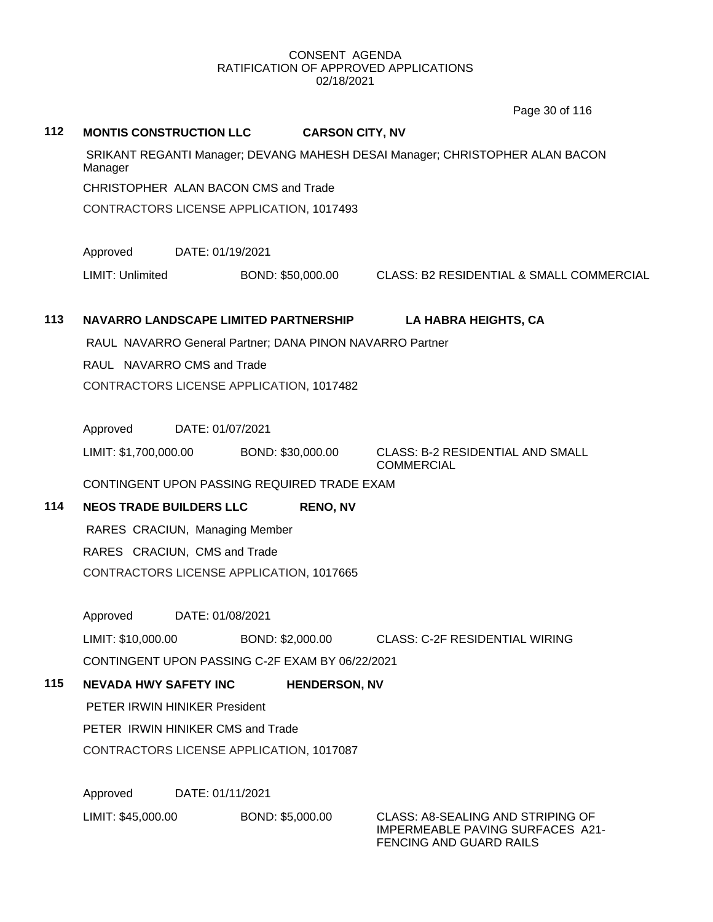Page 30 of 116

| 112 | <b>MONTIS CONSTRUCTION LLC</b>                                                          | <b>CARSON CITY, NV</b> |                                                                    |  |
|-----|-----------------------------------------------------------------------------------------|------------------------|--------------------------------------------------------------------|--|
|     | SRIKANT REGANTI Manager; DEVANG MAHESH DESAI Manager; CHRISTOPHER ALAN BACON<br>Manager |                        |                                                                    |  |
|     | CHRISTOPHER ALAN BACON CMS and Trade                                                    |                        |                                                                    |  |
|     | CONTRACTORS LICENSE APPLICATION, 1017493                                                |                        |                                                                    |  |
|     | Approved<br>DATE: 01/19/2021                                                            |                        |                                                                    |  |
|     | LIMIT: Unlimited                                                                        | BOND: \$50,000.00      | CLASS: B2 RESIDENTIAL & SMALL COMMERCIAL                           |  |
| 113 | NAVARRO LANDSCAPE LIMITED PARTNERSHIP                                                   |                        | LA HABRA HEIGHTS, CA                                               |  |
|     | RAUL NAVARRO General Partner; DANA PINON NAVARRO Partner                                |                        |                                                                    |  |
|     | RAUL NAVARRO CMS and Trade                                                              |                        |                                                                    |  |
|     | CONTRACTORS LICENSE APPLICATION, 1017482                                                |                        |                                                                    |  |
|     |                                                                                         |                        |                                                                    |  |
|     | Approved<br>DATE: 01/07/2021                                                            |                        |                                                                    |  |
|     | LIMIT: \$1,700,000.00                                                                   | BOND: \$30,000.00      | <b>CLASS: B-2 RESIDENTIAL AND SMALL</b><br><b>COMMERCIAL</b>       |  |
|     | CONTINGENT UPON PASSING REQUIRED TRADE EXAM                                             |                        |                                                                    |  |
| 114 | <b>NEOS TRADE BUILDERS LLC</b>                                                          | <b>RENO, NV</b>        |                                                                    |  |
|     | RARES CRACIUN, Managing Member                                                          |                        |                                                                    |  |
|     | RARES CRACIUN, CMS and Trade                                                            |                        |                                                                    |  |
|     | CONTRACTORS LICENSE APPLICATION, 1017665                                                |                        |                                                                    |  |
|     | Approved<br>DATE: 01/08/2021                                                            |                        |                                                                    |  |
|     | LIMIT: \$10,000.00                                                                      |                        | BOND: \$2,000.00 CLASS: C-2F RESIDENTIAL WIRING                    |  |
|     | CONTINGENT UPON PASSING C-2F EXAM BY 06/22/2021                                         |                        |                                                                    |  |
| 115 | <b>NEVADA HWY SAFETY INC</b>                                                            | <b>HENDERSON, NV</b>   |                                                                    |  |
|     | PETER IRWIN HINIKER President                                                           |                        |                                                                    |  |
|     | PETER IRWIN HINIKER CMS and Trade                                                       |                        |                                                                    |  |
|     | CONTRACTORS LICENSE APPLICATION, 1017087                                                |                        |                                                                    |  |
|     | Approved<br>DATE: 01/11/2021                                                            |                        |                                                                    |  |
|     | LIMIT: \$45,000.00                                                                      | BOND: \$5,000.00       | <b>CLASS: A8-SEALING AND STRIPING OF</b>                           |  |
|     |                                                                                         |                        | <b>IMPERMEABLE PAVING SURFACES A21-</b><br>FENCING AND GUARD RAILS |  |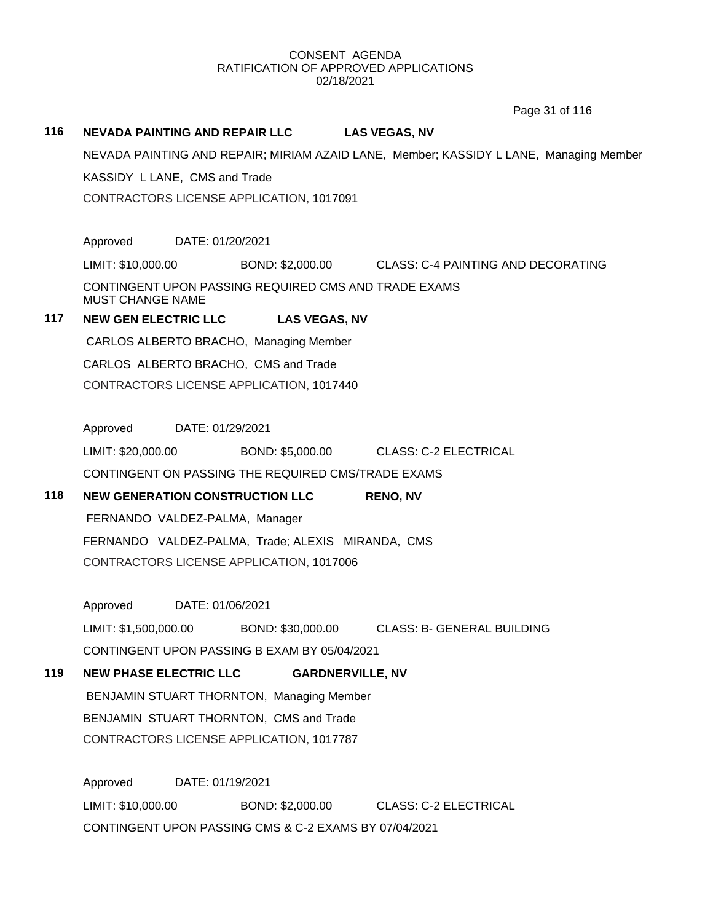Page 31 of 116

# **116 NEVADA PAINTING AND REPAIR LLC LAS VEGAS, NV** NEVADA PAINTING AND REPAIR; MIRIAM AZAID LANE, Member; KASSIDY L LANE, Managing Member KASSIDY L LANE, CMS and Trade CONTRACTORS LICENSE APPLICATION, 1017091 Approved DATE: 01/20/2021 LIMIT: \$10,000.00 BOND: \$2,000.00 CLASS: C-4 PAINTING AND DECORATING CONTINGENT UPON PASSING REQUIRED CMS AND TRADE EXAMS MUST CHANGE NAME **117 NEW GEN ELECTRIC LLC LAS VEGAS, NV** CARLOS ALBERTO BRACHO, Managing Member CARLOS ALBERTO BRACHO, CMS and Trade CONTRACTORS LICENSE APPLICATION, 1017440 Approved DATE: 01/29/2021 LIMIT: \$20,000.00 BOND: \$5,000.00 CLASS: C-2 ELECTRICAL CONTINGENT ON PASSING THE REQUIRED CMS/TRADE EXAMS **118 NEW GENERATION CONSTRUCTION LLC RENO, NV** FERNANDO VALDEZ-PALMA, Manager FERNANDO VALDEZ-PALMA, Trade; ALEXIS MIRANDA, CMS CONTRACTORS LICENSE APPLICATION, 1017006 Approved DATE: 01/06/2021 LIMIT: \$1,500,000.00 BOND: \$30,000.00 CLASS: B- GENERAL BUILDING CONTINGENT UPON PASSING B EXAM BY 05/04/2021 **119 NEW PHASE ELECTRIC LLC GARDNERVILLE, NV** BENJAMIN STUART THORNTON, Managing Member BENJAMIN STUART THORNTON, CMS and Trade CONTRACTORS LICENSE APPLICATION, 1017787 Approved DATE: 01/19/2021 LIMIT: \$10,000.00 BOND: \$2,000.00 CLASS: C-2 ELECTRICAL CONTINGENT UPON PASSING CMS & C-2 EXAMS BY 07/04/2021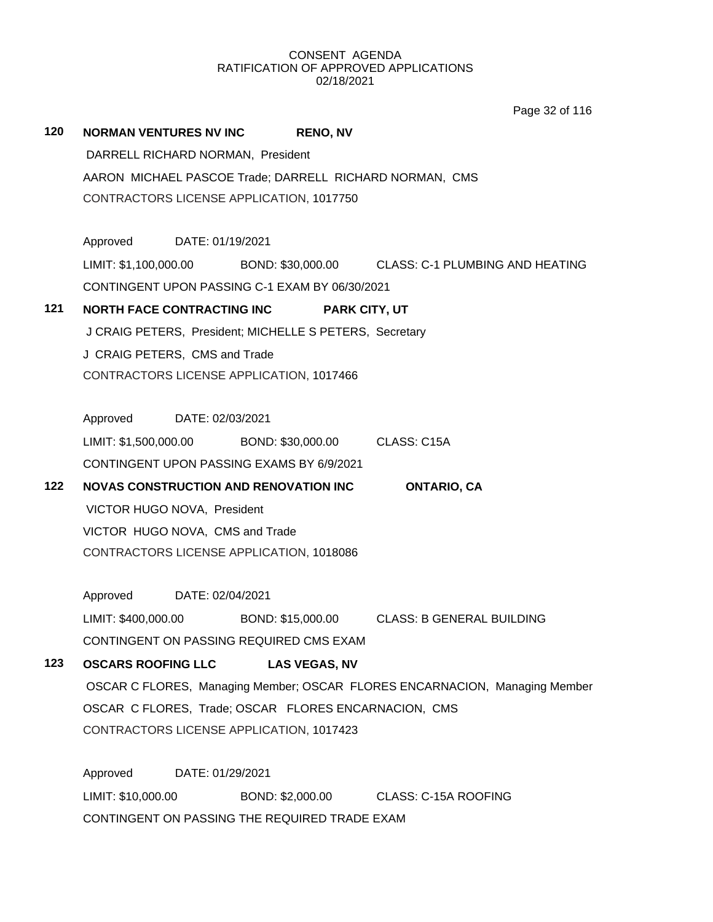Page 32 of 116

| 120                                      | <b>NORMAN VENTURES NV INC</b><br><b>RENO, NV</b>                                             |  |  |  |  |
|------------------------------------------|----------------------------------------------------------------------------------------------|--|--|--|--|
|                                          | DARRELL RICHARD NORMAN, President<br>AARON MICHAEL PASCOE Trade; DARRELL RICHARD NORMAN, CMS |  |  |  |  |
|                                          |                                                                                              |  |  |  |  |
| CONTRACTORS LICENSE APPLICATION, 1017750 |                                                                                              |  |  |  |  |
|                                          |                                                                                              |  |  |  |  |
|                                          | Approved DATE: 01/19/2021                                                                    |  |  |  |  |
|                                          | LIMIT: \$1,100,000.00 BOND: \$30,000.00 CLASS: C-1 PLUMBING AND HEATING                      |  |  |  |  |
|                                          | CONTINGENT UPON PASSING C-1 EXAM BY 06/30/2021                                               |  |  |  |  |
| 121                                      | <b>NORTH FACE CONTRACTING INC</b><br><b>PARK CITY, UT</b>                                    |  |  |  |  |
|                                          | J CRAIG PETERS, President; MICHELLE S PETERS, Secretary                                      |  |  |  |  |
|                                          | J CRAIG PETERS, CMS and Trade                                                                |  |  |  |  |
|                                          | CONTRACTORS LICENSE APPLICATION, 1017466                                                     |  |  |  |  |
|                                          |                                                                                              |  |  |  |  |
|                                          | Approved DATE: 02/03/2021                                                                    |  |  |  |  |
|                                          | LIMIT: \$1,500,000.00 BOND: \$30,000.00 CLASS: C15A                                          |  |  |  |  |
|                                          | CONTINGENT UPON PASSING EXAMS BY 6/9/2021                                                    |  |  |  |  |
| 122                                      | <b>NOVAS CONSTRUCTION AND RENOVATION INC</b><br><b>ONTARIO, CA</b>                           |  |  |  |  |
|                                          | VICTOR HUGO NOVA, President                                                                  |  |  |  |  |
|                                          | VICTOR HUGO NOVA, CMS and Trade                                                              |  |  |  |  |
|                                          | CONTRACTORS LICENSE APPLICATION, 1018086                                                     |  |  |  |  |
|                                          |                                                                                              |  |  |  |  |
|                                          | Approved DATE: 02/04/2021                                                                    |  |  |  |  |
|                                          | BOND: \$15,000.00 CLASS: B GENERAL BUILDING<br>LIMIT: \$400,000.00                           |  |  |  |  |
|                                          | CONTINGENT ON PASSING REQUIRED CMS EXAM                                                      |  |  |  |  |
| 123                                      | <b>OSCARS ROOFING LLC</b><br><b>LAS VEGAS, NV</b>                                            |  |  |  |  |
|                                          | OSCAR C FLORES, Managing Member; OSCAR FLORES ENCARNACION, Managing Member                   |  |  |  |  |
|                                          | OSCAR C FLORES, Trade; OSCAR FLORES ENCARNACION, CMS                                         |  |  |  |  |
|                                          | CONTRACTORS LICENSE APPLICATION, 1017423                                                     |  |  |  |  |
|                                          |                                                                                              |  |  |  |  |
|                                          | Approved<br>DATE: 01/29/2021                                                                 |  |  |  |  |
|                                          | LIMIT: \$10,000.00<br>BOND: \$2,000.00<br>CLASS: C-15A ROOFING                               |  |  |  |  |

CONTINGENT ON PASSING THE REQUIRED TRADE EXAM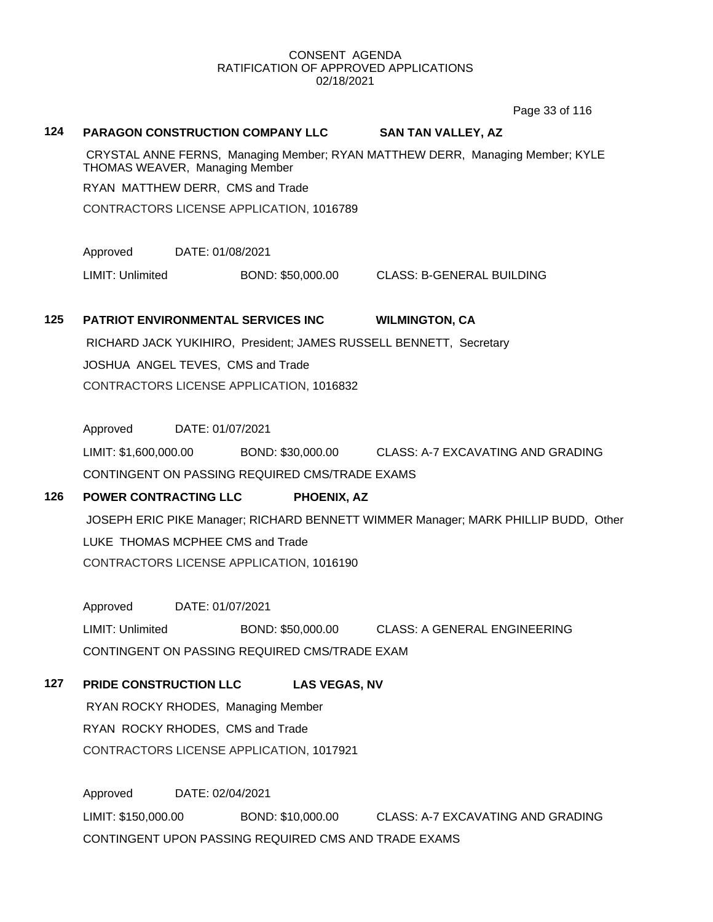Page 33 of 116

#### **124 PARAGON CONSTRUCTION COMPANY LLC SAN TAN VALLEY, AZ**

CRYSTAL ANNE FERNS, Managing Member; RYAN MATTHEW DERR, Managing Member; KYLE THOMAS WEAVER, Managing Member

RYAN MATTHEW DERR, CMS and Trade

CONTRACTORS LICENSE APPLICATION, 1016789

Approved DATE: 01/08/2021

LIMIT: Unlimited BOND: \$50,000.00 CLASS: B-GENERAL BUILDING

# **125 PATRIOT ENVIRONMENTAL SERVICES INC WILMINGTON, CA** RICHARD JACK YUKIHIRO, President; JAMES RUSSELL BENNETT, Secretary JOSHUA ANGEL TEVES, CMS and Trade

CONTRACTORS LICENSE APPLICATION, 1016832

Approved DATE: 01/07/2021

LIMIT: \$1,600,000.00 BOND: \$30,000.00 CLASS: A-7 EXCAVATING AND GRADING CONTINGENT ON PASSING REQUIRED CMS/TRADE EXAMS

# **126 POWER CONTRACTING LLC PHOENIX, AZ**

JOSEPH ERIC PIKE Manager; RICHARD BENNETT WIMMER Manager; MARK PHILLIP BUDD, Other LUKE THOMAS MCPHEE CMS and Trade CONTRACTORS LICENSE APPLICATION, 1016190

Approved DATE: 01/07/2021 LIMIT: Unlimited BOND: \$50,000.00 CLASS: A GENERAL ENGINEERING CONTINGENT ON PASSING REQUIRED CMS/TRADE EXAM

## **127 PRIDE CONSTRUCTION LLC LAS VEGAS, NV**

RYAN ROCKY RHODES, Managing Member RYAN ROCKY RHODES, CMS and Trade CONTRACTORS LICENSE APPLICATION, 1017921

Approved DATE: 02/04/2021 LIMIT: \$150,000.00 BOND: \$10,000.00 CLASS: A-7 EXCAVATING AND GRADING CONTINGENT UPON PASSING REQUIRED CMS AND TRADE EXAMS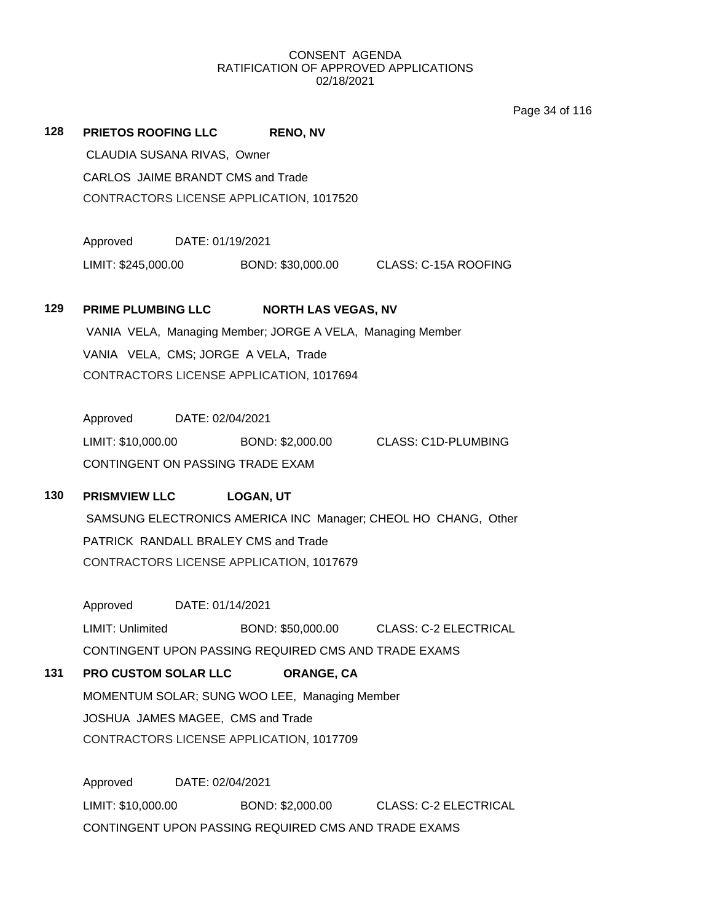Page 34 of 116

| 128 | PRIETOS ROOFING LLC RENO, NV                                                                    |                            |                                                            |  |
|-----|-------------------------------------------------------------------------------------------------|----------------------------|------------------------------------------------------------|--|
|     | CLAUDIA SUSANA RIVAS, Owner                                                                     |                            |                                                            |  |
|     | CARLOS JAIME BRANDT CMS and Trade                                                               |                            |                                                            |  |
|     | CONTRACTORS LICENSE APPLICATION, 1017520                                                        |                            |                                                            |  |
|     |                                                                                                 |                            |                                                            |  |
|     | Approved DATE: 01/19/2021                                                                       |                            |                                                            |  |
|     |                                                                                                 |                            | LIMIT: \$245,000.00 BOND: \$30,000.00 CLASS: C-15A ROOFING |  |
|     |                                                                                                 |                            |                                                            |  |
| 129 | <b>PRIME PLUMBING LLC</b>                                                                       | <b>NORTH LAS VEGAS, NV</b> |                                                            |  |
|     | VANIA VELA, Managing Member; JORGE A VELA, Managing Member                                      |                            |                                                            |  |
|     | VANIA VELA, CMS; JORGE A VELA, Trade                                                            |                            |                                                            |  |
|     | CONTRACTORS LICENSE APPLICATION, 1017694                                                        |                            |                                                            |  |
|     | Approved DATE: 02/04/2021                                                                       |                            |                                                            |  |
|     | LIMIT: \$10,000.00                                                                              |                            | BOND: \$2,000.00 CLASS: C1D-PLUMBING                       |  |
|     | CONTINGENT ON PASSING TRADE EXAM                                                                |                            |                                                            |  |
|     |                                                                                                 |                            |                                                            |  |
| 130 | <b>PRISMVIEW LLC</b>                                                                            | <b>LOGAN, UT</b>           |                                                            |  |
|     | SAMSUNG ELECTRONICS AMERICA INC Manager; CHEOL HO CHANG, Other                                  |                            |                                                            |  |
|     | PATRICK RANDALL BRALEY CMS and Trade                                                            |                            |                                                            |  |
|     | CONTRACTORS LICENSE APPLICATION, 1017679                                                        |                            |                                                            |  |
|     | Approved DATE: 01/14/2021                                                                       |                            |                                                            |  |
|     | LIMIT: Unlimited                                                                                |                            |                                                            |  |
|     | BOND: \$50,000.00 CLASS: C-2 ELECTRICAL<br>CONTINGENT UPON PASSING REQUIRED CMS AND TRADE EXAMS |                            |                                                            |  |
| 131 | <b>PRO CUSTOM SOLAR LLC</b>                                                                     | ORANGE, CA                 |                                                            |  |
|     | MOMENTUM SOLAR; SUNG WOO LEE, Managing Member                                                   |                            |                                                            |  |
|     | JOSHUA JAMES MAGEE, CMS and Trade                                                               |                            |                                                            |  |
|     | CONTRACTORS LICENSE APPLICATION, 1017709                                                        |                            |                                                            |  |
|     |                                                                                                 |                            |                                                            |  |
|     | Approved<br>DATE: 02/04/2021                                                                    |                            |                                                            |  |
|     | LIMIT: \$10,000.00                                                                              | BOND: \$2,000.00           | <b>CLASS: C-2 ELECTRICAL</b>                               |  |

CONTINGENT UPON PASSING REQUIRED CMS AND TRADE EXAMS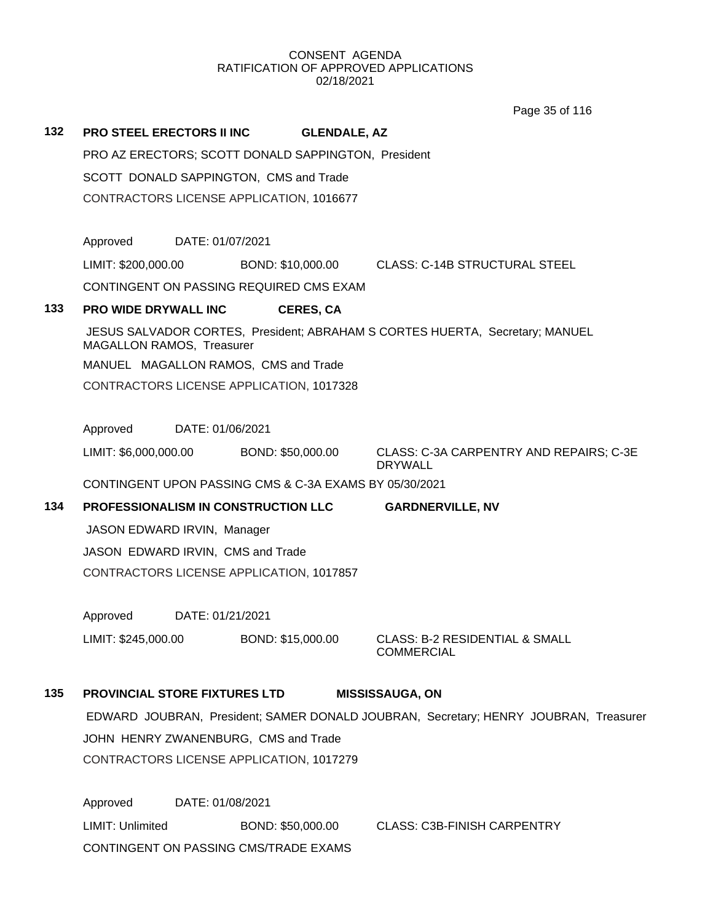Page 35 of 116

| 132 | <b>PRO STEEL ERECTORS II INC</b>                                                                                             |                  | <b>GLENDALE, AZ</b>                                    |                                                                              |  |
|-----|------------------------------------------------------------------------------------------------------------------------------|------------------|--------------------------------------------------------|------------------------------------------------------------------------------|--|
|     | PRO AZ ERECTORS; SCOTT DONALD SAPPINGTON, President                                                                          |                  |                                                        |                                                                              |  |
|     | SCOTT DONALD SAPPINGTON, CMS and Trade                                                                                       |                  |                                                        |                                                                              |  |
|     |                                                                                                                              |                  | CONTRACTORS LICENSE APPLICATION, 1016677               |                                                                              |  |
|     |                                                                                                                              |                  |                                                        |                                                                              |  |
|     | Approved                                                                                                                     | DATE: 01/07/2021 |                                                        |                                                                              |  |
|     | LIMIT: \$200,000.00                                                                                                          |                  | BOND: \$10,000.00                                      | <b>CLASS: C-14B STRUCTURAL STEEL</b>                                         |  |
|     |                                                                                                                              |                  | CONTINGENT ON PASSING REQUIRED CMS EXAM                |                                                                              |  |
| 133 | PRO WIDE DRYWALL INC                                                                                                         |                  | <b>CERES, CA</b>                                       |                                                                              |  |
|     | MAGALLON RAMOS, Treasurer                                                                                                    |                  |                                                        | JESUS SALVADOR CORTES, President; ABRAHAM S CORTES HUERTA, Secretary; MANUEL |  |
|     |                                                                                                                              |                  | MANUEL MAGALLON RAMOS, CMS and Trade                   |                                                                              |  |
|     |                                                                                                                              |                  | CONTRACTORS LICENSE APPLICATION, 1017328               |                                                                              |  |
|     |                                                                                                                              |                  |                                                        |                                                                              |  |
|     | Approved                                                                                                                     | DATE: 01/06/2021 |                                                        |                                                                              |  |
|     | LIMIT: \$6,000,000.00                                                                                                        |                  | BOND: \$50,000.00                                      | CLASS: C-3A CARPENTRY AND REPAIRS; C-3E<br><b>DRYWALL</b>                    |  |
|     |                                                                                                                              |                  | CONTINGENT UPON PASSING CMS & C-3A EXAMS BY 05/30/2021 |                                                                              |  |
| 134 |                                                                                                                              |                  | PROFESSIONALISM IN CONSTRUCTION LLC                    | <b>GARDNERVILLE, NV</b>                                                      |  |
|     | JASON EDWARD IRVIN, Manager                                                                                                  |                  |                                                        |                                                                              |  |
|     | JASON EDWARD IRVIN, CMS and Trade                                                                                            |                  |                                                        |                                                                              |  |
|     | CONTRACTORS LICENSE APPLICATION, 1017857                                                                                     |                  |                                                        |                                                                              |  |
|     |                                                                                                                              |                  |                                                        |                                                                              |  |
|     | Approved                                                                                                                     | DATE: 01/21/2021 |                                                        |                                                                              |  |
|     | LIMIT: \$245,000.00                                                                                                          |                  |                                                        | BOND: \$15,000.00 CLASS: B-2 RESIDENTIAL & SMALL<br><b>COMMERCIAL</b>        |  |
| 135 | <b>PROVINCIAL STORE FIXTURES LTD</b>                                                                                         |                  |                                                        | <b>MISSISSAUGA, ON</b>                                                       |  |
|     | EDWARD JOUBRAN, President; SAMER DONALD JOUBRAN, Secretary; HENRY JOUBRAN, Treasurer<br>JOHN HENRY ZWANENBURG, CMS and Trade |                  |                                                        |                                                                              |  |
|     |                                                                                                                              |                  |                                                        |                                                                              |  |
|     |                                                                                                                              |                  | CONTRACTORS LICENSE APPLICATION, 1017279               |                                                                              |  |
|     |                                                                                                                              |                  |                                                        |                                                                              |  |
|     | Approved                                                                                                                     | DATE: 01/08/2021 |                                                        |                                                                              |  |

LIMIT: Unlimited BOND: \$50,000.00 CLASS: C3B-FINISH CARPENTRY CONTINGENT ON PASSING CMS/TRADE EXAMS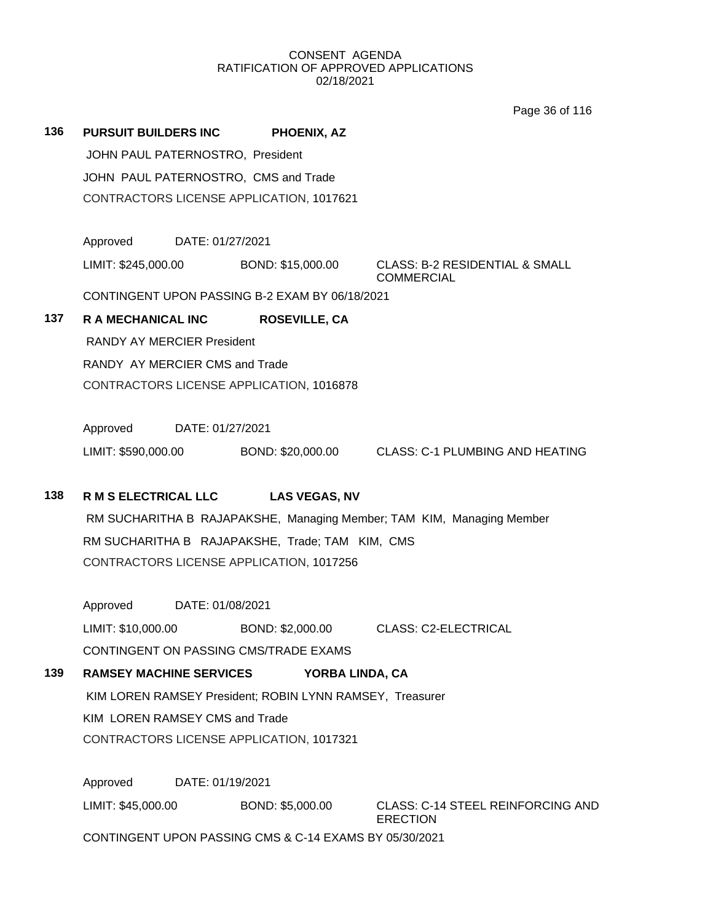Page 36 of 116

| 136                                                                                         | <b>PURSUIT BUILDERS INC</b>                              | PHOENIX, AZ                                                           |                                                                |  |  |  |
|---------------------------------------------------------------------------------------------|----------------------------------------------------------|-----------------------------------------------------------------------|----------------------------------------------------------------|--|--|--|
|                                                                                             | JOHN PAUL PATERNOSTRO, President                         |                                                                       |                                                                |  |  |  |
|                                                                                             | JOHN PAUL PATERNOSTRO, CMS and Trade                     |                                                                       |                                                                |  |  |  |
|                                                                                             |                                                          | CONTRACTORS LICENSE APPLICATION, 1017621                              |                                                                |  |  |  |
|                                                                                             |                                                          |                                                                       |                                                                |  |  |  |
|                                                                                             | Approved<br>DATE: 01/27/2021                             |                                                                       |                                                                |  |  |  |
|                                                                                             | LIMIT: \$245,000.00                                      | BOND: \$15,000.00                                                     | <b>CLASS: B-2 RESIDENTIAL &amp; SMALL</b><br><b>COMMERCIAL</b> |  |  |  |
|                                                                                             | CONTINGENT UPON PASSING B-2 EXAM BY 06/18/2021           |                                                                       |                                                                |  |  |  |
| 137                                                                                         | R A MECHANICAL INC                                       | <b>ROSEVILLE, CA</b>                                                  |                                                                |  |  |  |
|                                                                                             | <b>RANDY AY MERCIER President</b>                        |                                                                       |                                                                |  |  |  |
|                                                                                             | RANDY AY MERCIER CMS and Trade                           |                                                                       |                                                                |  |  |  |
|                                                                                             | CONTRACTORS LICENSE APPLICATION, 1016878                 |                                                                       |                                                                |  |  |  |
|                                                                                             |                                                          |                                                                       |                                                                |  |  |  |
|                                                                                             | Approved<br>DATE: 01/27/2021                             |                                                                       |                                                                |  |  |  |
|                                                                                             | LIMIT: \$590,000.00                                      |                                                                       | BOND: \$20,000.00 CLASS: C-1 PLUMBING AND HEATING              |  |  |  |
| 138                                                                                         | <b>R M S ELECTRICAL LLC</b>                              | <b>LAS VEGAS, NV</b>                                                  |                                                                |  |  |  |
|                                                                                             |                                                          |                                                                       |                                                                |  |  |  |
|                                                                                             |                                                          | RM SUCHARITHA B RAJAPAKSHE, Managing Member; TAM KIM, Managing Member |                                                                |  |  |  |
| RM SUCHARITHA B RAJAPAKSHE, Trade; TAM KIM, CMS<br>CONTRACTORS LICENSE APPLICATION, 1017256 |                                                          |                                                                       |                                                                |  |  |  |
|                                                                                             |                                                          |                                                                       |                                                                |  |  |  |
|                                                                                             | Approved<br>DATE: 01/08/2021                             |                                                                       |                                                                |  |  |  |
|                                                                                             | LIMIT: \$10,000.00                                       | BOND: \$2,000.00                                                      | CLASS: C2-ELECTRICAL                                           |  |  |  |
|                                                                                             | CONTINGENT ON PASSING CMS/TRADE EXAMS                    |                                                                       |                                                                |  |  |  |
| 139                                                                                         | <b>RAMSEY MACHINE SERVICES</b>                           | YORBA LINDA, CA                                                       |                                                                |  |  |  |
|                                                                                             | KIM LOREN RAMSEY President; ROBIN LYNN RAMSEY, Treasurer |                                                                       |                                                                |  |  |  |
|                                                                                             | KIM LOREN RAMSEY CMS and Trade                           |                                                                       |                                                                |  |  |  |
|                                                                                             | CONTRACTORS LICENSE APPLICATION, 1017321                 |                                                                       |                                                                |  |  |  |
|                                                                                             | Approved<br>DATE: 01/19/2021                             |                                                                       |                                                                |  |  |  |
|                                                                                             | LIMIT: \$45,000.00                                       | BOND: \$5,000.00                                                      | <b>CLASS: C-14 STEEL REINFORCING AND</b>                       |  |  |  |
|                                                                                             |                                                          |                                                                       | <b>ERECTION</b>                                                |  |  |  |
|                                                                                             | CONTINGENT UPON PASSING CMS & C-14 EXAMS BY 05/30/2021   |                                                                       |                                                                |  |  |  |
|                                                                                             |                                                          |                                                                       |                                                                |  |  |  |
|                                                                                             |                                                          |                                                                       |                                                                |  |  |  |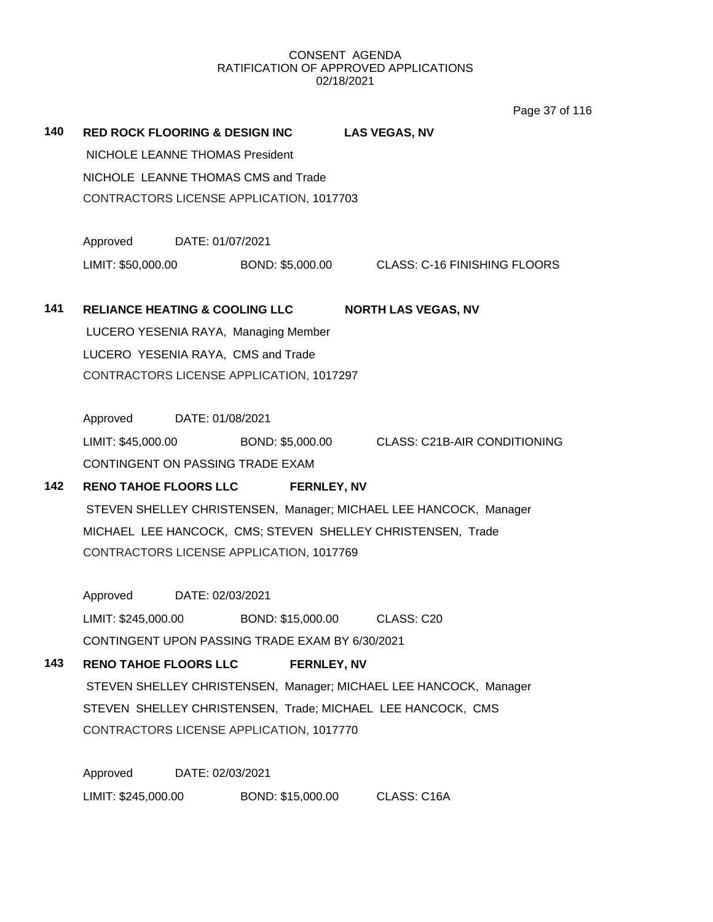Page 37 of 116

| 140                                                         |                                                                   |                  | RED ROCK FLOORING & DESIGN INC LAS VEGAS, NV     |  |                                                                   |
|-------------------------------------------------------------|-------------------------------------------------------------------|------------------|--------------------------------------------------|--|-------------------------------------------------------------------|
|                                                             | NICHOLE LEANNE THOMAS President                                   |                  |                                                  |  |                                                                   |
|                                                             | NICHOLE LEANNE THOMAS CMS and Trade                               |                  |                                                  |  |                                                                   |
|                                                             | CONTRACTORS LICENSE APPLICATION, 1017703                          |                  |                                                  |  |                                                                   |
|                                                             | Approved DATE: 01/07/2021                                         |                  |                                                  |  |                                                                   |
|                                                             |                                                                   |                  |                                                  |  | LIMIT: \$50,000.00 BOND: \$5,000.00 CLASS: C-16 FINISHING FLOORS  |
| 141                                                         |                                                                   |                  |                                                  |  | RELIANCE HEATING & COOLING LLC NORTH LAS VEGAS, NV                |
|                                                             |                                                                   |                  | LUCERO YESENIA RAYA, Managing Member             |  |                                                                   |
|                                                             |                                                                   |                  | LUCERO YESENIA RAYA, CMS and Trade               |  |                                                                   |
|                                                             |                                                                   |                  | CONTRACTORS LICENSE APPLICATION, 1017297         |  |                                                                   |
|                                                             | Approved DATE: 01/08/2021                                         |                  |                                                  |  |                                                                   |
|                                                             |                                                                   |                  |                                                  |  | LIMIT: \$45,000.00 BOND: \$5,000.00 CLASS: C21B-AIR CONDITIONING  |
|                                                             | CONTINGENT ON PASSING TRADE EXAM                                  |                  |                                                  |  |                                                                   |
| 142                                                         |                                                                   |                  | RENO TAHOE FLOORS LLC FERNLEY, NV                |  |                                                                   |
|                                                             |                                                                   |                  |                                                  |  | STEVEN SHELLEY CHRISTENSEN, Manager; MICHAEL LEE HANCOCK, Manager |
|                                                             | MICHAEL LEE HANCOCK, CMS; STEVEN SHELLEY CHRISTENSEN, Trade       |                  |                                                  |  |                                                                   |
|                                                             |                                                                   |                  | CONTRACTORS LICENSE APPLICATION, 1017769         |  |                                                                   |
|                                                             | Approved DATE: 02/03/2021                                         |                  |                                                  |  |                                                                   |
|                                                             |                                                                   |                  | LIMIT: \$245,000.00 BOND: \$15,000.00 CLASS: C20 |  |                                                                   |
|                                                             |                                                                   |                  | CONTINGENT UPON PASSING TRADE EXAM BY 6/30/2021  |  |                                                                   |
| 143                                                         | <b>RENO TAHOE FLOORS LLC</b>                                      |                  | <b>FERNLEY, NV</b>                               |  |                                                                   |
|                                                             | STEVEN SHELLEY CHRISTENSEN, Manager; MICHAEL LEE HANCOCK, Manager |                  |                                                  |  |                                                                   |
| STEVEN SHELLEY CHRISTENSEN, Trade; MICHAEL LEE HANCOCK, CMS |                                                                   |                  |                                                  |  |                                                                   |
|                                                             | CONTRACTORS LICENSE APPLICATION, 1017770                          |                  |                                                  |  |                                                                   |
|                                                             | Approved                                                          | DATE: 02/03/2021 |                                                  |  |                                                                   |
|                                                             | LIMIT: \$245,000.00                                               |                  | BOND: \$15,000.00                                |  | CLASS: C16A                                                       |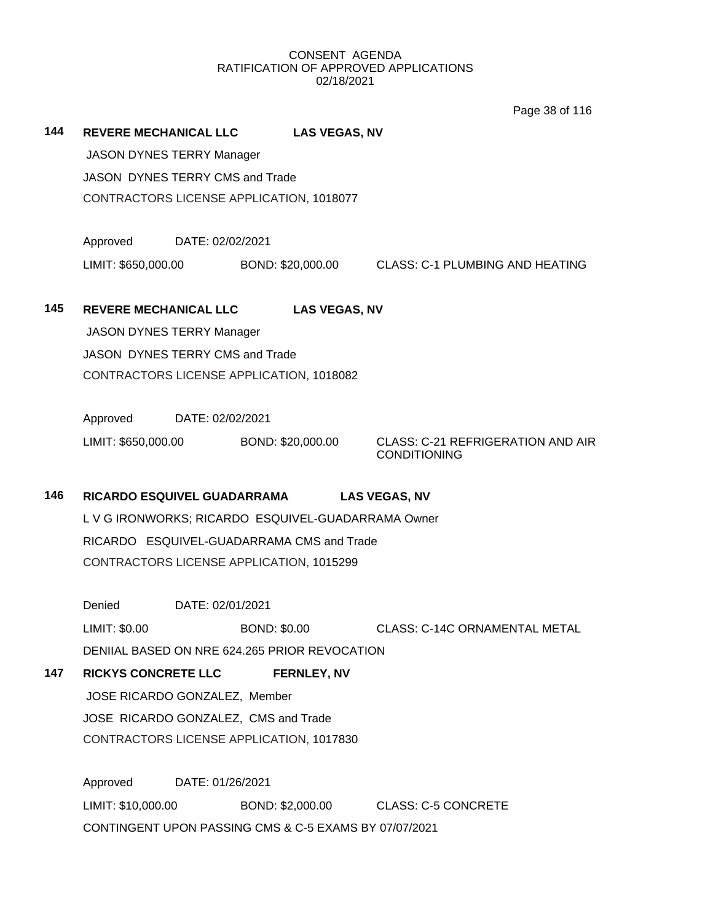Page 38 of 116

**144 REVERE MECHANICAL LLC LAS VEGAS, NV** JASON DYNES TERRY Manager JASON DYNES TERRY CMS and Trade CONTRACTORS LICENSE APPLICATION, 1018077 Approved DATE: 02/02/2021 LIMIT: \$650,000.00 BOND: \$20,000.00 CLASS: C-1 PLUMBING AND HEATING **145 REVERE MECHANICAL LLC LAS VEGAS, NV** JASON DYNES TERRY Manager JASON DYNES TERRY CMS and Trade CONTRACTORS LICENSE APPLICATION, 1018082 Approved DATE: 02/02/2021 LIMIT: \$650,000.00 BOND: \$20,000.00 CLASS: C-21 REFRIGERATION AND AIR CONDITIONING **146 RICARDO ESQUIVEL GUADARRAMA LAS VEGAS, NV** L V G IRONWORKS; RICARDO ESQUIVEL-GUADARRAMA Owner RICARDO ESQUIVEL-GUADARRAMA CMS and Trade CONTRACTORS LICENSE APPLICATION, 1015299 Denied DATE: 02/01/2021 LIMIT: \$0.00 BOND: \$0.00 CLASS: C-14C ORNAMENTAL METAL DENIIAL BASED ON NRE 624.265 PRIOR REVOCATION **147 RICKYS CONCRETE LLC FERNLEY, NV** JOSE RICARDO GONZALEZ, Member JOSE RICARDO GONZALEZ, CMS and Trade CONTRACTORS LICENSE APPLICATION, 1017830 Approved DATE: 01/26/2021 LIMIT: \$10,000.00 BOND: \$2,000.00 CLASS: C-5 CONCRETE CONTINGENT UPON PASSING CMS & C-5 EXAMS BY 07/07/2021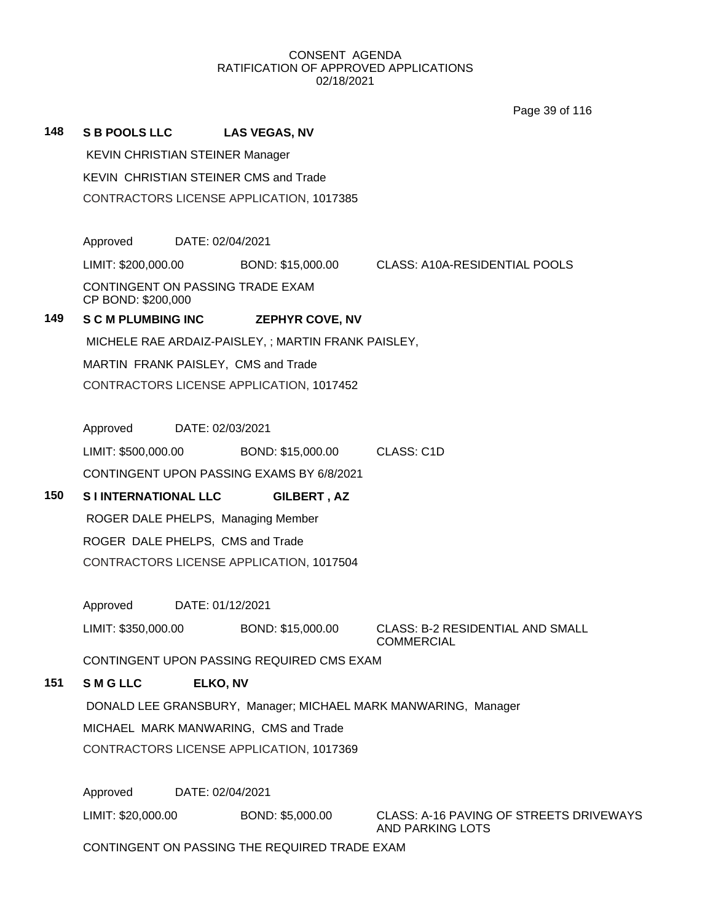Page 39 of 116

# **148 S B POOLS LLC LAS VEGAS, NV** KEVIN CHRISTIAN STEINER Manager KEVIN CHRISTIAN STEINER CMS and Trade CONTRACTORS LICENSE APPLICATION, 1017385 Approved DATE: 02/04/2021 LIMIT: \$200,000.00 BOND: \$15,000.00 CLASS: A10A-RESIDENTIAL POOLS CONTINGENT ON PASSING TRADE EXAM CP BOND: \$200,000 **149 S C M PLUMBING INC ZEPHYR COVE, NV** MICHELE RAE ARDAIZ-PAISLEY, ; MARTIN FRANK PAISLEY, MARTIN FRANK PAISLEY, CMS and Trade CONTRACTORS LICENSE APPLICATION, 1017452 Approved DATE: 02/03/2021 LIMIT: \$500,000.00 BOND: \$15,000.00 CLASS: C1D CONTINGENT UPON PASSING EXAMS BY 6/8/2021 **150 S I INTERNATIONAL LLC GILBERT , AZ** ROGER DALE PHELPS, Managing Member ROGER DALE PHELPS, CMS and Trade CONTRACTORS LICENSE APPLICATION, 1017504 Approved DATE: 01/12/2021 LIMIT: \$350,000.00 BOND: \$15,000.00 CLASS: B-2 RESIDENTIAL AND SMALL COMMERCIAL CONTINGENT UPON PASSING REQUIRED CMS EXAM **151 S M G LLC ELKO, NV** DONALD LEE GRANSBURY, Manager; MICHAEL MARK MANWARING, Manager MICHAEL MARK MANWARING, CMS and Trade CONTRACTORS LICENSE APPLICATION, 1017369

Approved DATE: 02/04/2021

LIMIT: \$20,000.00 BOND: \$5,000.00 CLASS: A-16 PAVING OF STREETS DRIVEWAYS

AND PARKING LOTS

CONTINGENT ON PASSING THE REQUIRED TRADE EXAM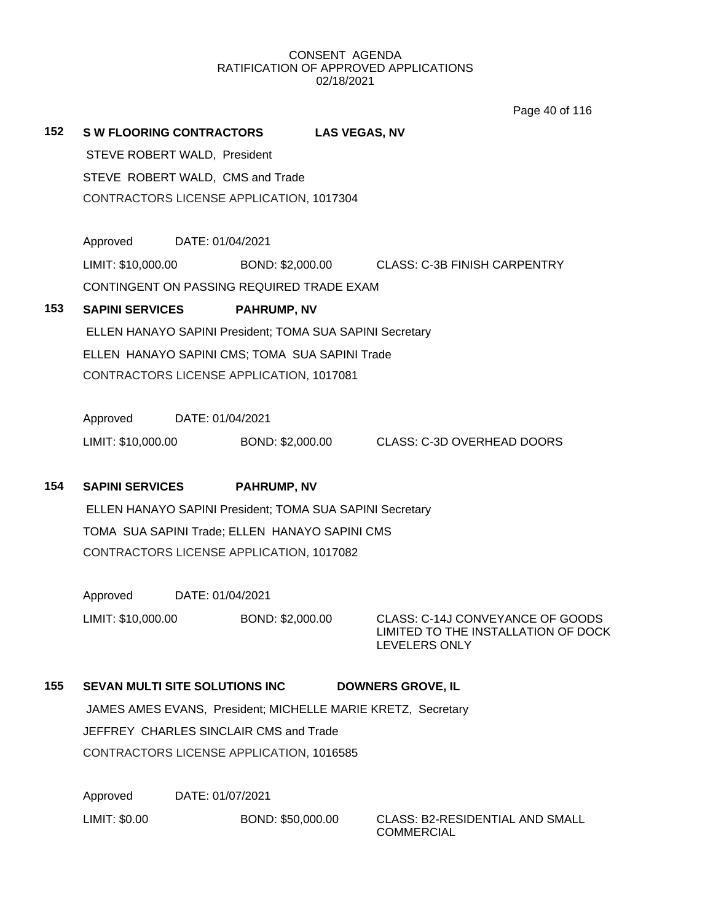Page 40 of 116

| 152 | <b>SW FLOORING CONTRACTORS</b><br><b>LAS VEGAS, NV</b>   |                                                              |                                                                                          |  |  |
|-----|----------------------------------------------------------|--------------------------------------------------------------|------------------------------------------------------------------------------------------|--|--|
|     | STEVE ROBERT WALD, President                             |                                                              |                                                                                          |  |  |
|     | STEVE ROBERT WALD, CMS and Trade                         |                                                              |                                                                                          |  |  |
|     | CONTRACTORS LICENSE APPLICATION, 1017304                 |                                                              |                                                                                          |  |  |
|     |                                                          |                                                              |                                                                                          |  |  |
|     | Approved<br>DATE: 01/04/2021                             |                                                              |                                                                                          |  |  |
|     | LIMIT: \$10,000.00                                       | BOND: \$2,000.00                                             | <b>CLASS: C-3B FINISH CARPENTRY</b>                                                      |  |  |
|     | CONTINGENT ON PASSING REQUIRED TRADE EXAM                |                                                              |                                                                                          |  |  |
| 153 | <b>SAPINI SERVICES</b>                                   | <b>PAHRUMP, NV</b>                                           |                                                                                          |  |  |
|     |                                                          | ELLEN HANAYO SAPINI President; TOMA SUA SAPINI Secretary     |                                                                                          |  |  |
|     | ELLEN HANAYO SAPINI CMS; TOMA SUA SAPINI Trade           |                                                              |                                                                                          |  |  |
|     | CONTRACTORS LICENSE APPLICATION, 1017081                 |                                                              |                                                                                          |  |  |
|     |                                                          |                                                              |                                                                                          |  |  |
|     | Approved                                                 | DATE: 01/04/2021                                             |                                                                                          |  |  |
|     | LIMIT: \$10,000.00                                       | BOND: \$2,000.00                                             | <b>CLASS: C-3D OVERHEAD DOORS</b>                                                        |  |  |
|     |                                                          |                                                              |                                                                                          |  |  |
| 154 | <b>SAPINI SERVICES</b>                                   | <b>PAHRUMP, NV</b>                                           |                                                                                          |  |  |
|     | ELLEN HANAYO SAPINI President; TOMA SUA SAPINI Secretary |                                                              |                                                                                          |  |  |
|     | TOMA SUA SAPINI Trade; ELLEN HANAYO SAPINI CMS           |                                                              |                                                                                          |  |  |
|     | CONTRACTORS LICENSE APPLICATION, 1017082                 |                                                              |                                                                                          |  |  |
|     |                                                          |                                                              |                                                                                          |  |  |
|     | Approved                                                 | DATE: 01/04/2021                                             |                                                                                          |  |  |
|     | LIMIT: \$10,000.00                                       | BOND: \$2,000.00                                             | CLASS: C-14J CONVEYANCE OF GOODS<br>LIMITED TO THE INSTALLATION OF DOCK<br>LEVELERS ONLY |  |  |
|     |                                                          |                                                              |                                                                                          |  |  |
| 155 | <b>SEVAN MULTI SITE SOLUTIONS INC</b>                    |                                                              | <b>DOWNERS GROVE, IL</b>                                                                 |  |  |
|     |                                                          | JAMES AMES EVANS, President; MICHELLE MARIE KRETZ, Secretary |                                                                                          |  |  |
|     | JEFFREY CHARLES SINCLAIR CMS and Trade                   |                                                              |                                                                                          |  |  |
|     | CONTRACTORS LICENSE APPLICATION, 1016585                 |                                                              |                                                                                          |  |  |
|     |                                                          |                                                              |                                                                                          |  |  |
|     |                                                          |                                                              |                                                                                          |  |  |

Approved DATE: 01/07/2021

LIMIT: \$0.00 BOND: \$50,000.00 CLASS: B2-RESIDENTIAL AND SMALL

COMMERCIAL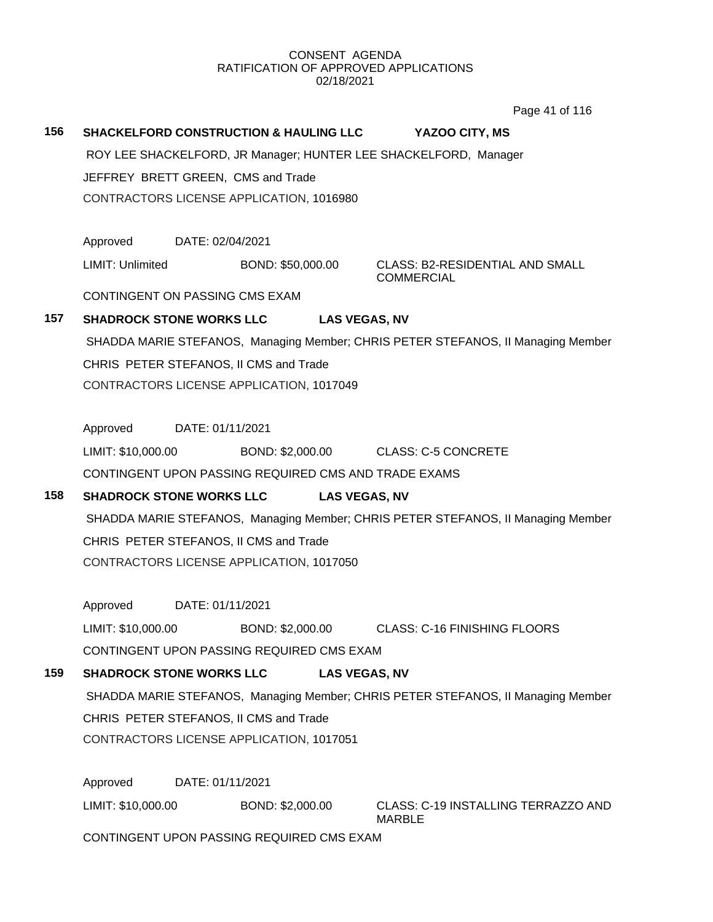Page 41 of 116

# **156 SHACKELFORD CONSTRUCTION & HAULING LLC YAZOO CITY, MS**

ROY LEE SHACKELFORD, JR Manager; HUNTER LEE SHACKELFORD, Manager

JEFFREY BRETT GREEN, CMS and Trade

CONTRACTORS LICENSE APPLICATION, 1016980

Approved DATE: 02/04/2021

LIMIT: Unlimited BOND: \$50,000.00 CLASS: B2-RESIDENTIAL AND SMALL

COMMERCIAL

CONTINGENT ON PASSING CMS EXAM

# **157 SHADROCK STONE WORKS LLC LAS VEGAS, NV**

SHADDA MARIE STEFANOS, Managing Member; CHRIS PETER STEFANOS, II Managing Member CHRIS PETER STEFANOS, II CMS and Trade CONTRACTORS LICENSE APPLICATION, 1017049

Approved DATE: 01/11/2021

LIMIT: \$10,000.00 BOND: \$2,000.00 CLASS: C-5 CONCRETE

CONTINGENT UPON PASSING REQUIRED CMS AND TRADE EXAMS

# **158 SHADROCK STONE WORKS LLC LAS VEGAS, NV**

SHADDA MARIE STEFANOS, Managing Member; CHRIS PETER STEFANOS, II Managing Member CHRIS PETER STEFANOS, II CMS and Trade CONTRACTORS LICENSE APPLICATION, 1017050

Approved DATE: 01/11/2021

LIMIT: \$10,000.00 BOND: \$2,000.00 CLASS: C-16 FINISHING FLOORS

CONTINGENT UPON PASSING REQUIRED CMS EXAM

# **159 SHADROCK STONE WORKS LLC LAS VEGAS, NV**

SHADDA MARIE STEFANOS, Managing Member; CHRIS PETER STEFANOS, II Managing Member CHRIS PETER STEFANOS, II CMS and Trade CONTRACTORS LICENSE APPLICATION, 1017051

Approved DATE: 01/11/2021

LIMIT: \$10,000.00 BOND: \$2,000.00 CLASS: C-19 INSTALLING TERRAZZO AND MARBLE

CONTINGENT UPON PASSING REQUIRED CMS EXAM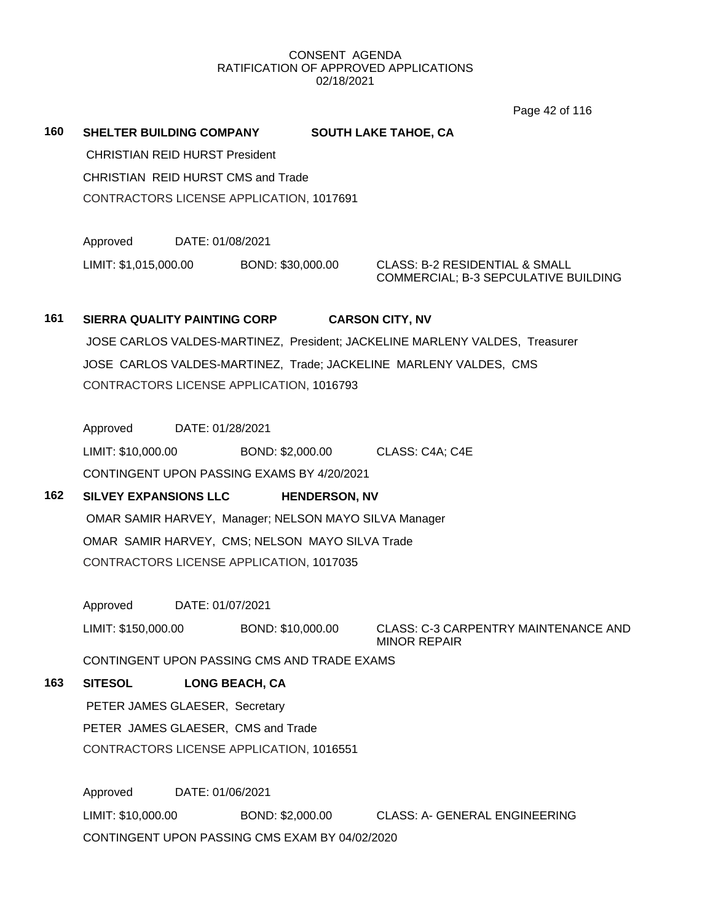Page 42 of 116

**160 SHELTER BUILDING COMPANY SOUTH LAKE TAHOE, CA**

CHRISTIAN REID HURST President CHRISTIAN REID HURST CMS and Trade CONTRACTORS LICENSE APPLICATION, 1017691

Approved DATE: 01/08/2021 LIMIT: \$1,015,000.00 BOND: \$30,000.00 CLASS: B-2 RESIDENTIAL & SMALL

COMMERCIAL; B-3 SEPCULATIVE BUILDING

# **161 SIERRA QUALITY PAINTING CORP CARSON CITY, NV** JOSE CARLOS VALDES-MARTINEZ, President; JACKELINE MARLENY VALDES, Treasurer JOSE CARLOS VALDES-MARTINEZ, Trade; JACKELINE MARLENY VALDES, CMS CONTRACTORS LICENSE APPLICATION, 1016793

Approved DATE: 01/28/2021

LIMIT: \$10,000.00 BOND: \$2,000.00 CLASS: C4A; C4E CONTINGENT UPON PASSING EXAMS BY 4/20/2021

# **162 SILVEY EXPANSIONS LLC HENDERSON, NV**

OMAR SAMIR HARVEY, Manager; NELSON MAYO SILVA Manager OMAR SAMIR HARVEY, CMS; NELSON MAYO SILVA Trade CONTRACTORS LICENSE APPLICATION, 1017035

Approved DATE: 01/07/2021

LIMIT: \$150,000.00 BOND: \$10,000.00 CLASS: C-3 CARPENTRY MAINTENANCE AND MINOR REPAIR

CONTINGENT UPON PASSING CMS AND TRADE EXAMS

# **163 SITESOL LONG BEACH, CA**

PETER JAMES GLAESER, Secretary PETER JAMES GLAESER, CMS and Trade CONTRACTORS LICENSE APPLICATION, 1016551

Approved DATE: 01/06/2021 LIMIT: \$10,000.00 BOND: \$2,000.00 CLASS: A- GENERAL ENGINEERING CONTINGENT UPON PASSING CMS EXAM BY 04/02/2020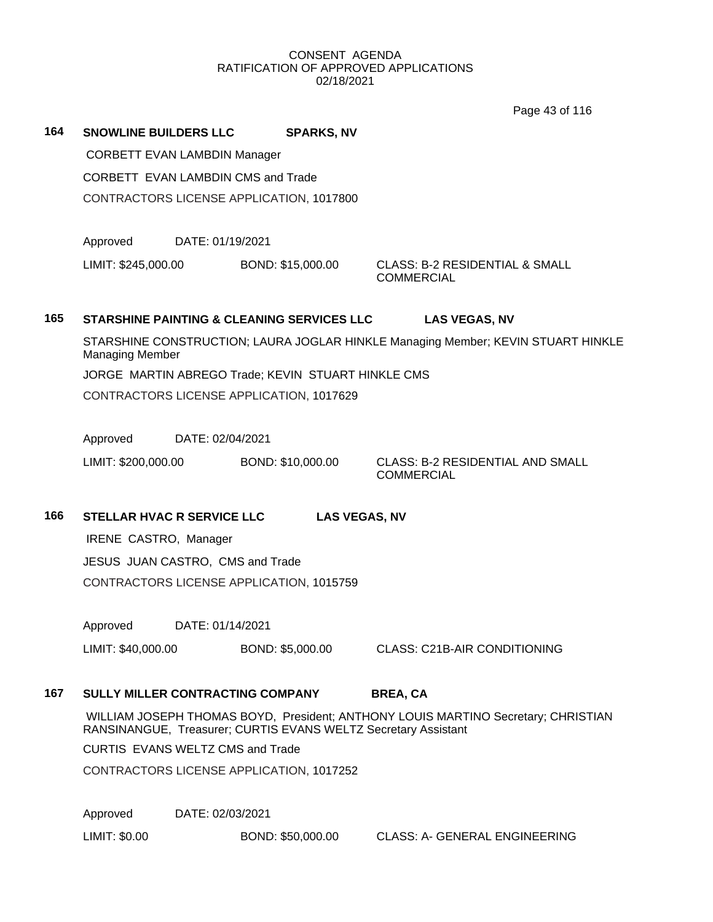Page 43 of 116

**164 SNOWLINE BUILDERS LLC SPARKS, NV**

CORBETT EVAN LAMBDIN Manager

CORBETT EVAN LAMBDIN CMS and Trade

CONTRACTORS LICENSE APPLICATION, 1017800

Approved DATE: 01/19/2021

LIMIT: \$245,000.00 BOND: \$15,000.00 CLASS: B-2 RESIDENTIAL & SMALL

**COMMERCIAL** 

# **165 STARSHINE PAINTING & CLEANING SERVICES LLC LAS VEGAS, NV**

STARSHINE CONSTRUCTION; LAURA JOGLAR HINKLE Managing Member; KEVIN STUART HINKLE Managing Member JORGE MARTIN ABREGO Trade; KEVIN STUART HINKLE CMS CONTRACTORS LICENSE APPLICATION, 1017629

Approved DATE: 02/04/2021

LIMIT: \$200,000.00 BOND: \$10,000.00 CLASS: B-2 RESIDENTIAL AND SMALL

**COMMERCIAL** 

**166 STELLAR HVAC R SERVICE LLC LAS VEGAS, NV**

IRENE CASTRO, Manager JESUS JUAN CASTRO, CMS and Trade

CONTRACTORS LICENSE APPLICATION, 1015759

Approved DATE: 01/14/2021

LIMIT: \$40,000.00 BOND: \$5,000.00 CLASS: C21B-AIR CONDITIONING

# **167 SULLY MILLER CONTRACTING COMPANY BREA, CA**

WILLIAM JOSEPH THOMAS BOYD, President; ANTHONY LOUIS MARTINO Secretary; CHRISTIAN RANSINANGUE, Treasurer; CURTIS EVANS WELTZ Secretary Assistant

CURTIS EVANS WELTZ CMS and Trade

CONTRACTORS LICENSE APPLICATION, 1017252

Approved DATE: 02/03/2021

LIMIT: \$0.00 BOND: \$50,000.00 CLASS: A- GENERAL ENGINEERING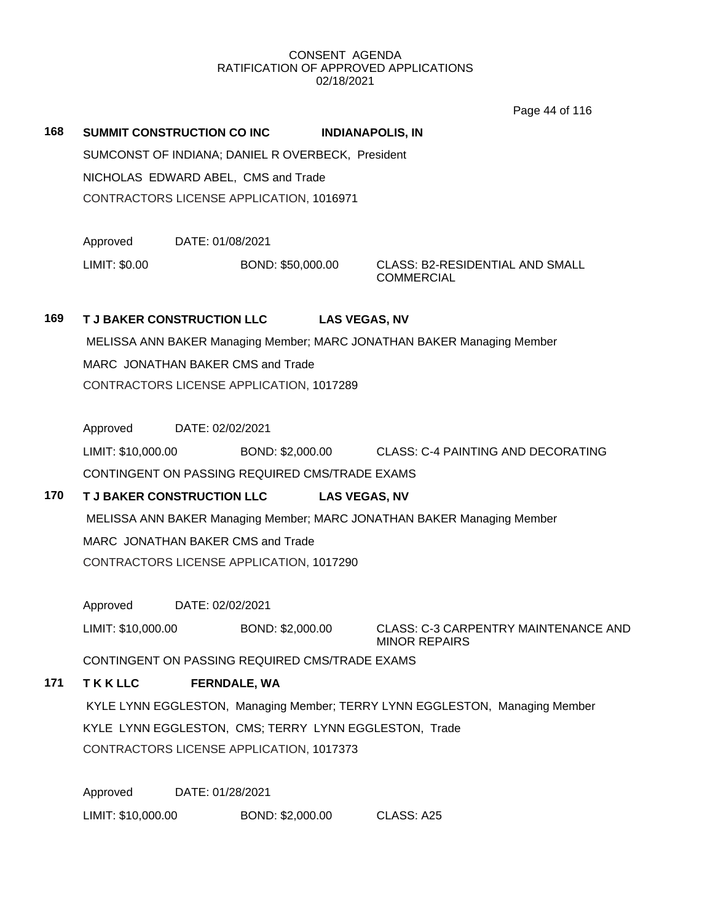Page 44 of 116

**168 SUMMIT CONSTRUCTION CO INC INDIANAPOLIS, IN** SUMCONST OF INDIANA; DANIEL R OVERBECK, President NICHOLAS EDWARD ABEL, CMS and Trade CONTRACTORS LICENSE APPLICATION, 1016971

Approved DATE: 01/08/2021

LIMIT: \$0.00 BOND: \$50,000.00 CLASS: B2-RESIDENTIAL AND SMALL

**COMMERCIAL** 

# **169 T J BAKER CONSTRUCTION LLC LAS VEGAS, NV**

MELISSA ANN BAKER Managing Member; MARC JONATHAN BAKER Managing Member MARC JONATHAN BAKER CMS and Trade CONTRACTORS LICENSE APPLICATION, 1017289

Approved DATE: 02/02/2021

LIMIT: \$10,000.00 BOND: \$2,000.00 CLASS: C-4 PAINTING AND DECORATING CONTINGENT ON PASSING REQUIRED CMS/TRADE EXAMS

# **170 T J BAKER CONSTRUCTION LLC LAS VEGAS, NV**

MELISSA ANN BAKER Managing Member; MARC JONATHAN BAKER Managing Member MARC JONATHAN BAKER CMS and Trade CONTRACTORS LICENSE APPLICATION, 1017290

Approved DATE: 02/02/2021

LIMIT: \$10,000.00 BOND: \$2,000.00 CLASS: C-3 CARPENTRY MAINTENANCE AND MINOR REPAIRS

CONTINGENT ON PASSING REQUIRED CMS/TRADE EXAMS

# **171 T K K LLC FERNDALE, WA**

KYLE LYNN EGGLESTON, Managing Member; TERRY LYNN EGGLESTON, Managing Member KYLE LYNN EGGLESTON, CMS; TERRY LYNN EGGLESTON, Trade CONTRACTORS LICENSE APPLICATION, 1017373

Approved DATE: 01/28/2021

LIMIT: \$10,000.00 BOND: \$2,000.00 CLASS: A25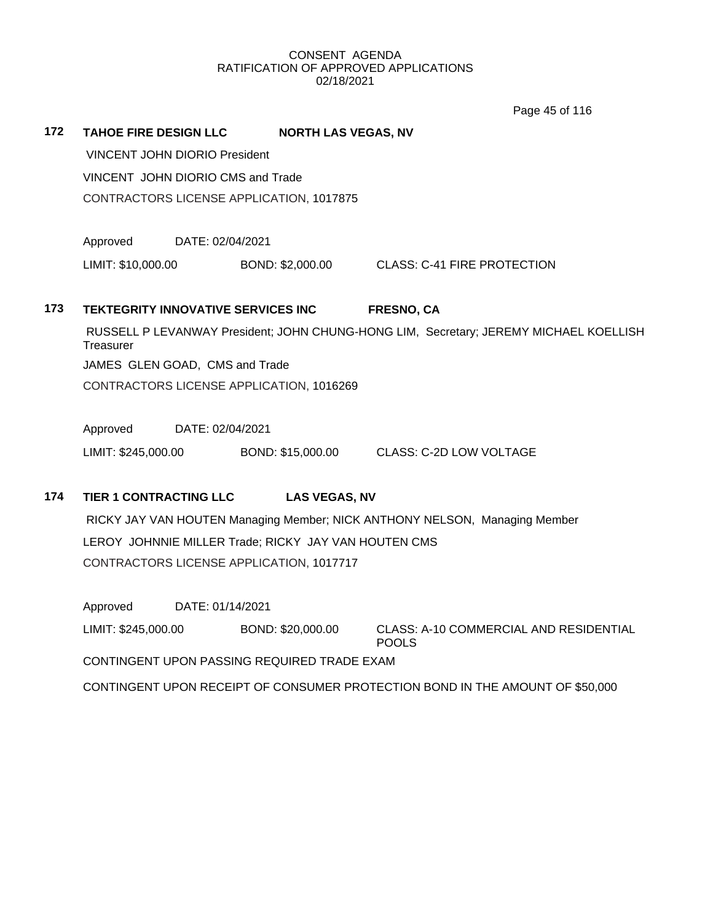Page 45 of 116

| 172                                      | <b>TAHOE FIRE DESIGN LLC</b><br><b>NORTH LAS VEGAS, NV</b>                    |                                                                                       |                                          |                                                        |  |  |
|------------------------------------------|-------------------------------------------------------------------------------|---------------------------------------------------------------------------------------|------------------------------------------|--------------------------------------------------------|--|--|
|                                          | <b>VINCENT JOHN DIORIO President</b>                                          |                                                                                       |                                          |                                                        |  |  |
| VINCENT JOHN DIORIO CMS and Trade        |                                                                               |                                                                                       |                                          |                                                        |  |  |
|                                          |                                                                               |                                                                                       | CONTRACTORS LICENSE APPLICATION, 1017875 |                                                        |  |  |
|                                          | Approved                                                                      | DATE: 02/04/2021                                                                      |                                          |                                                        |  |  |
|                                          | LIMIT: \$10,000.00                                                            |                                                                                       | BOND: \$2,000.00                         | <b>CLASS: C-41 FIRE PROTECTION</b>                     |  |  |
| 173                                      | <b>TEKTEGRITY INNOVATIVE SERVICES INC</b>                                     |                                                                                       |                                          | <b>FRESNO, CA</b>                                      |  |  |
|                                          | Treasurer                                                                     | RUSSELL P LEVANWAY President; JOHN CHUNG-HONG LIM, Secretary; JEREMY MICHAEL KOELLISH |                                          |                                                        |  |  |
|                                          | JAMES GLEN GOAD, CMS and Trade                                                |                                                                                       |                                          |                                                        |  |  |
|                                          |                                                                               | CONTRACTORS LICENSE APPLICATION, 1016269                                              |                                          |                                                        |  |  |
|                                          | Approved                                                                      | DATE: 02/04/2021                                                                      |                                          |                                                        |  |  |
|                                          | LIMIT: \$245,000.00                                                           |                                                                                       | BOND: \$15,000.00                        | <b>CLASS: C-2D LOW VOLTAGE</b>                         |  |  |
| 174                                      | <b>TIER 1 CONTRACTING LLC</b>                                                 |                                                                                       | <b>LAS VEGAS, NV</b>                     |                                                        |  |  |
|                                          | RICKY JAY VAN HOUTEN Managing Member; NICK ANTHONY NELSON, Managing Member    |                                                                                       |                                          |                                                        |  |  |
|                                          |                                                                               | LEROY JOHNNIE MILLER Trade; RICKY JAY VAN HOUTEN CMS                                  |                                          |                                                        |  |  |
| CONTRACTORS LICENSE APPLICATION, 1017717 |                                                                               |                                                                                       |                                          |                                                        |  |  |
|                                          | Approved                                                                      | DATE: 01/14/2021                                                                      |                                          |                                                        |  |  |
|                                          | LIMIT: \$245,000.00                                                           |                                                                                       | BOND: \$20,000.00                        | CLASS: A-10 COMMERCIAL AND RESIDENTIAL<br><b>POOLS</b> |  |  |
|                                          | CONTINGENT UPON PASSING REQUIRED TRADE EXAM                                   |                                                                                       |                                          |                                                        |  |  |
|                                          | CONTINGENT UPON RECEIPT OF CONSUMER PROTECTION BOND IN THE AMOUNT OF \$50,000 |                                                                                       |                                          |                                                        |  |  |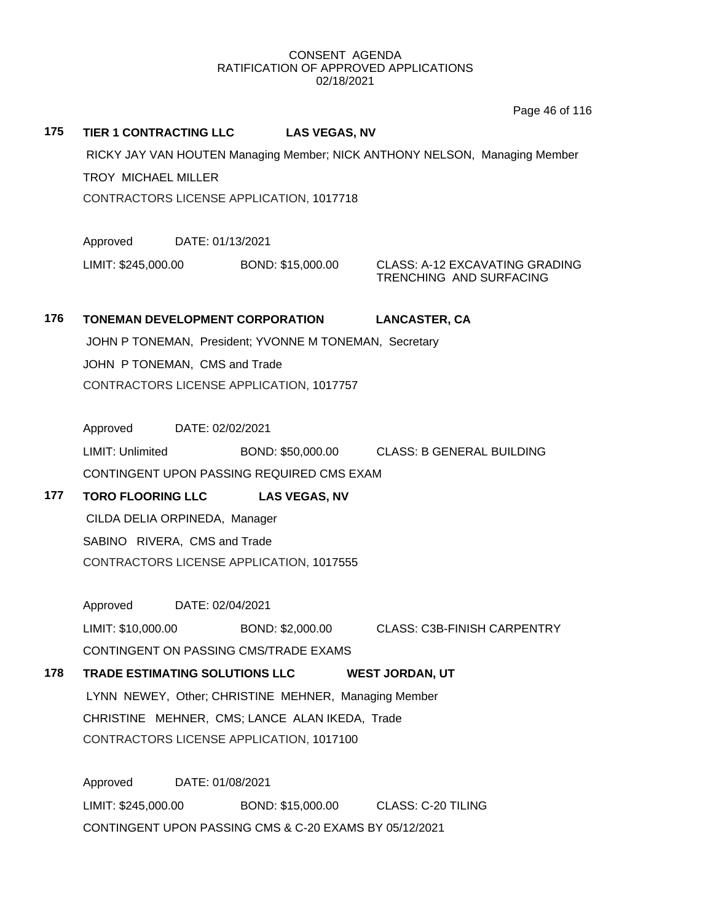Page 46 of 116

# **175 TIER 1 CONTRACTING LLC LAS VEGAS, NV**

RICKY JAY VAN HOUTEN Managing Member; NICK ANTHONY NELSON, Managing Member TROY MICHAEL MILLER CONTRACTORS LICENSE APPLICATION, 1017718

Approved DATE: 01/13/2021

LIMIT: \$245,000.00 BOND: \$15,000.00 CLASS: A-12 EXCAVATING GRADING

TRENCHING AND SURFACING

# **176 TONEMAN DEVELOPMENT CORPORATION LANCASTER, CA**

JOHN P TONEMAN, President; YVONNE M TONEMAN, Secretary JOHN P TONEMAN, CMS and Trade CONTRACTORS LICENSE APPLICATION, 1017757

Approved DATE: 02/02/2021

LIMIT: Unlimited BOND: \$50,000.00 CLASS: B GENERAL BUILDING CONTINGENT UPON PASSING REQUIRED CMS EXAM

# **177 TORO FLOORING LLC LAS VEGAS, NV**

CILDA DELIA ORPINEDA, Manager SABINO RIVERA, CMS and Trade CONTRACTORS LICENSE APPLICATION, 1017555

Approved DATE: 02/04/2021 LIMIT: \$10,000.00 BOND: \$2,000.00 CLASS: C3B-FINISH CARPENTRY CONTINGENT ON PASSING CMS/TRADE EXAMS

**178 TRADE ESTIMATING SOLUTIONS LLC WEST JORDAN, UT**

LYNN NEWEY, Other; CHRISTINE MEHNER, Managing Member CHRISTINE MEHNER, CMS; LANCE ALAN IKEDA, Trade CONTRACTORS LICENSE APPLICATION, 1017100

Approved DATE: 01/08/2021 LIMIT: \$245,000.00 BOND: \$15,000.00 CLASS: C-20 TILING CONTINGENT UPON PASSING CMS & C-20 EXAMS BY 05/12/2021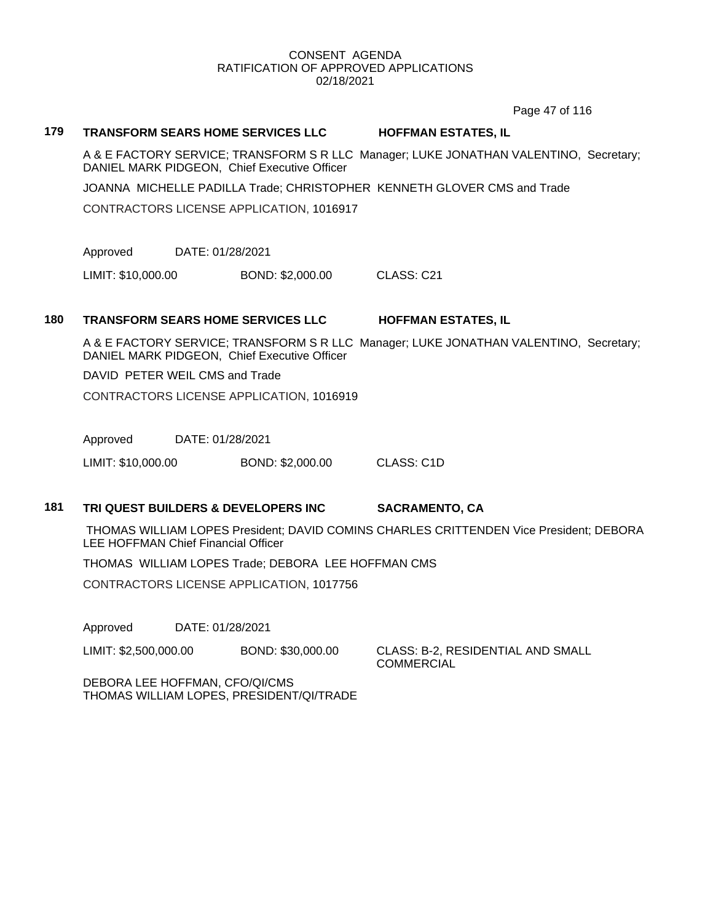Page 47 of 116

### **179 TRANSFORM SEARS HOME SERVICES LLC HOFFMAN ESTATES, IL**

A & E FACTORY SERVICE; TRANSFORM S R LLC Manager; LUKE JONATHAN VALENTINO, Secretary; DANIEL MARK PIDGEON, Chief Executive Officer

JOANNA MICHELLE PADILLA Trade; CHRISTOPHER KENNETH GLOVER CMS and Trade

CONTRACTORS LICENSE APPLICATION, 1016917

Approved DATE: 01/28/2021

LIMIT: \$10,000.00 BOND: \$2,000.00 CLASS: C21

# **180 TRANSFORM SEARS HOME SERVICES LLC HOFFMAN ESTATES, IL**

A & E FACTORY SERVICE; TRANSFORM S R LLC Manager; LUKE JONATHAN VALENTINO, Secretary; DANIEL MARK PIDGEON, Chief Executive Officer

DAVID PETER WEIL CMS and Trade

CONTRACTORS LICENSE APPLICATION, 1016919

Approved DATE: 01/28/2021

LIMIT: \$10,000.00 BOND: \$2,000.00 CLASS: C1D

## **181 TRI QUEST BUILDERS & DEVELOPERS INC SACRAMENTO, CA**

THOMAS WILLIAM LOPES President; DAVID COMINS CHARLES CRITTENDEN Vice President; DEBORA LEE HOFFMAN Chief Financial Officer

THOMAS WILLIAM LOPES Trade; DEBORA LEE HOFFMAN CMS

CONTRACTORS LICENSE APPLICATION, 1017756

Approved DATE: 01/28/2021

LIMIT: \$2,500,000.00 BOND: \$30,000.00 CLASS: B-2, RESIDENTIAL AND SMALL

**COMMERCIAL** 

DEBORA LEE HOFFMAN, CFO/QI/CMS THOMAS WILLIAM LOPES, PRESIDENT/QI/TRADE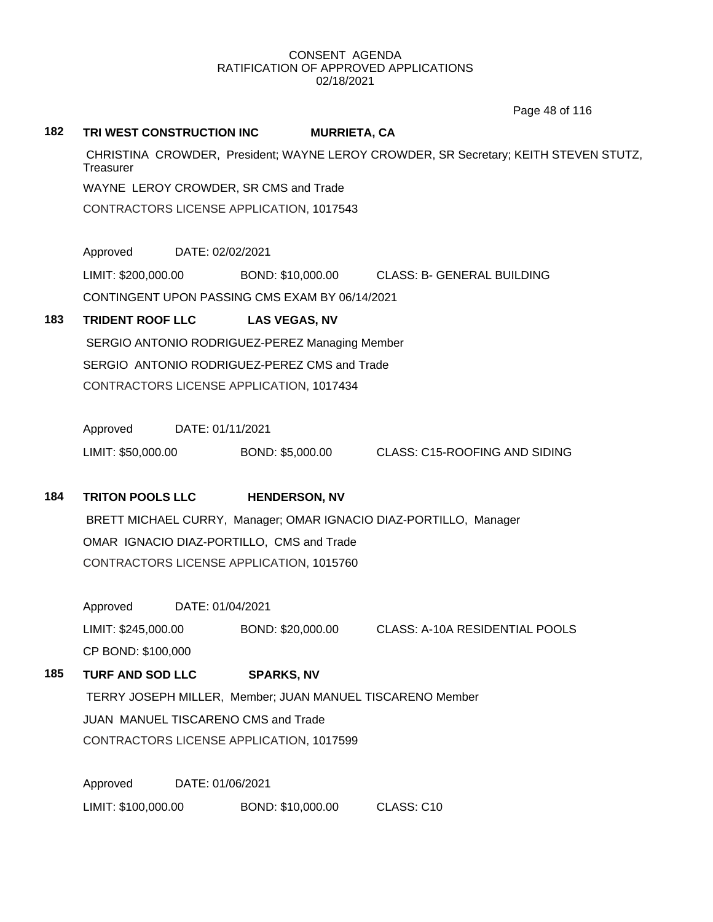Page 48 of 116

#### **182 TRI WEST CONSTRUCTION INC MURRIETA, CA**

CHRISTINA CROWDER, President; WAYNE LEROY CROWDER, SR Secretary; KEITH STEVEN STUTZ, **Treasurer** WAYNE LEROY CROWDER, SR CMS and Trade

CONTRACTORS LICENSE APPLICATION, 1017543

Approved DATE: 02/02/2021

LIMIT: \$200,000.00 BOND: \$10,000.00 CLASS: B- GENERAL BUILDING

CONTINGENT UPON PASSING CMS EXAM BY 06/14/2021

# **183 TRIDENT ROOF LLC LAS VEGAS, NV**

SERGIO ANTONIO RODRIGUEZ-PEREZ Managing Member SERGIO ANTONIO RODRIGUEZ-PEREZ CMS and Trade CONTRACTORS LICENSE APPLICATION, 1017434

Approved DATE: 01/11/2021

LIMIT: \$50,000.00 BOND: \$5,000.00 CLASS: C15-ROOFING AND SIDING

# **184 TRITON POOLS LLC HENDERSON, NV**

BRETT MICHAEL CURRY, Manager; OMAR IGNACIO DIAZ-PORTILLO, Manager OMAR IGNACIO DIAZ-PORTILLO, CMS and Trade CONTRACTORS LICENSE APPLICATION, 1015760

Approved DATE: 01/04/2021 LIMIT: \$245,000.00 BOND: \$20,000.00 CLASS: A-10A RESIDENTIAL POOLS CP BOND: \$100,000

# **185 TURF AND SOD LLC SPARKS, NV**

TERRY JOSEPH MILLER, Member; JUAN MANUEL TISCARENO Member JUAN MANUEL TISCARENO CMS and Trade CONTRACTORS LICENSE APPLICATION, 1017599

Approved DATE: 01/06/2021 LIMIT: \$100,000.00 BOND: \$10,000.00 CLASS: C10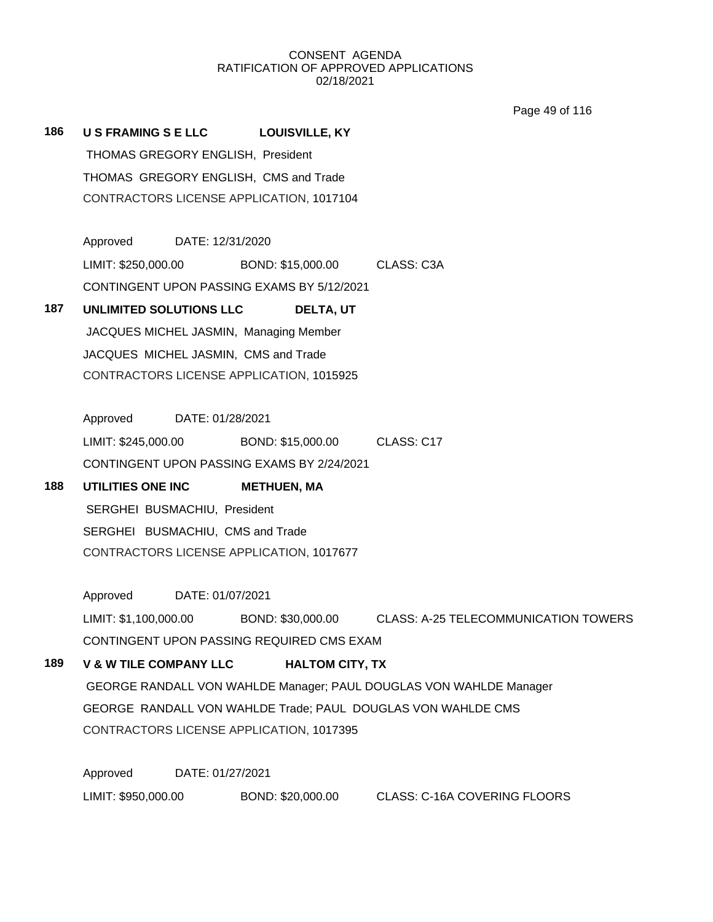Page 49 of 116

**186 U S FRAMING S E LLC LOUISVILLE, KY** THOMAS GREGORY ENGLISH, President THOMAS GREGORY ENGLISH, CMS and Trade CONTRACTORS LICENSE APPLICATION, 1017104

> Approved DATE: 12/31/2020 LIMIT: \$250,000.00 BOND: \$15,000.00 CLASS: C3A CONTINGENT UPON PASSING EXAMS BY 5/12/2021

# **187 UNLIMITED SOLUTIONS LLC DELTA, UT**

JACQUES MICHEL JASMIN, Managing Member JACQUES MICHEL JASMIN, CMS and Trade CONTRACTORS LICENSE APPLICATION, 1015925

Approved DATE: 01/28/2021 LIMIT: \$245,000.00 BOND: \$15,000.00 CLASS: C17 CONTINGENT UPON PASSING EXAMS BY 2/24/2021

# **188 UTILITIES ONE INC METHUEN, MA** SERGHEI BUSMACHIU, President SERGHEI BUSMACHIU, CMS and Trade CONTRACTORS LICENSE APPLICATION, 1017677

Approved DATE: 01/07/2021

LIMIT: \$1,100,000.00 BOND: \$30,000.00 CLASS: A-25 TELECOMMUNICATION TOWERS CONTINGENT UPON PASSING REQUIRED CMS EXAM

# **189 V & W TILE COMPANY LLC HALTOM CITY, TX**

GEORGE RANDALL VON WAHLDE Manager; PAUL DOUGLAS VON WAHLDE Manager GEORGE RANDALL VON WAHLDE Trade; PAUL DOUGLAS VON WAHLDE CMS CONTRACTORS LICENSE APPLICATION, 1017395

Approved DATE: 01/27/2021 LIMIT: \$950,000.00 BOND: \$20,000.00 CLASS: C-16A COVERING FLOORS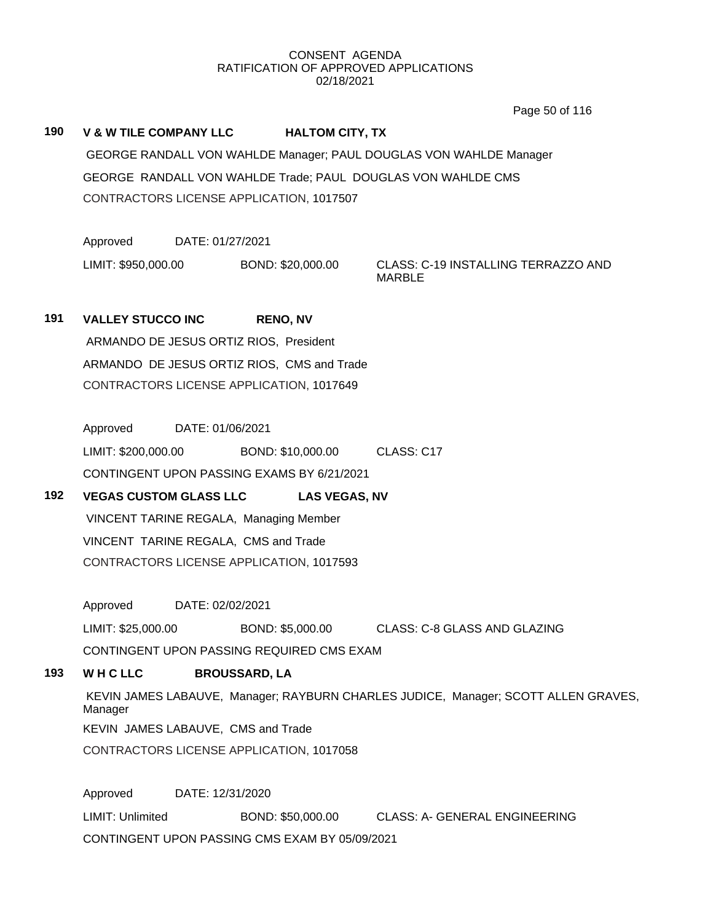Page 50 of 116

## **190 V & W TILE COMPANY LLC HALTOM CITY, TX**

GEORGE RANDALL VON WAHLDE Manager; PAUL DOUGLAS VON WAHLDE Manager GEORGE RANDALL VON WAHLDE Trade; PAUL DOUGLAS VON WAHLDE CMS CONTRACTORS LICENSE APPLICATION, 1017507

Approved DATE: 01/27/2021

LIMIT: \$950,000.00 BOND: \$20,000.00 CLASS: C-19 INSTALLING TERRAZZO AND

MARBLE

# **191 VALLEY STUCCO INC RENO, NV** ARMANDO DE JESUS ORTIZ RIOS, President ARMANDO DE JESUS ORTIZ RIOS, CMS and Trade CONTRACTORS LICENSE APPLICATION, 1017649

Approved DATE: 01/06/2021 LIMIT: \$200,000.00 BOND: \$10,000.00 CLASS: C17 CONTINGENT UPON PASSING EXAMS BY 6/21/2021

# **192 VEGAS CUSTOM GLASS LLC LAS VEGAS, NV**

VINCENT TARINE REGALA, Managing Member VINCENT TARINE REGALA, CMS and Trade CONTRACTORS LICENSE APPLICATION, 1017593

Approved DATE: 02/02/2021

LIMIT: \$25,000.00 BOND: \$5,000.00 CLASS: C-8 GLASS AND GLAZING

CONTINGENT UPON PASSING REQUIRED CMS EXAM

# **193 W H C LLC BROUSSARD, LA**

KEVIN JAMES LABAUVE, Manager; RAYBURN CHARLES JUDICE, Manager; SCOTT ALLEN GRAVES, Manager KEVIN JAMES LABAUVE, CMS and Trade

CONTRACTORS LICENSE APPLICATION, 1017058

Approved DATE: 12/31/2020 LIMIT: Unlimited BOND: \$50,000.00 CLASS: A- GENERAL ENGINEERING CONTINGENT UPON PASSING CMS EXAM BY 05/09/2021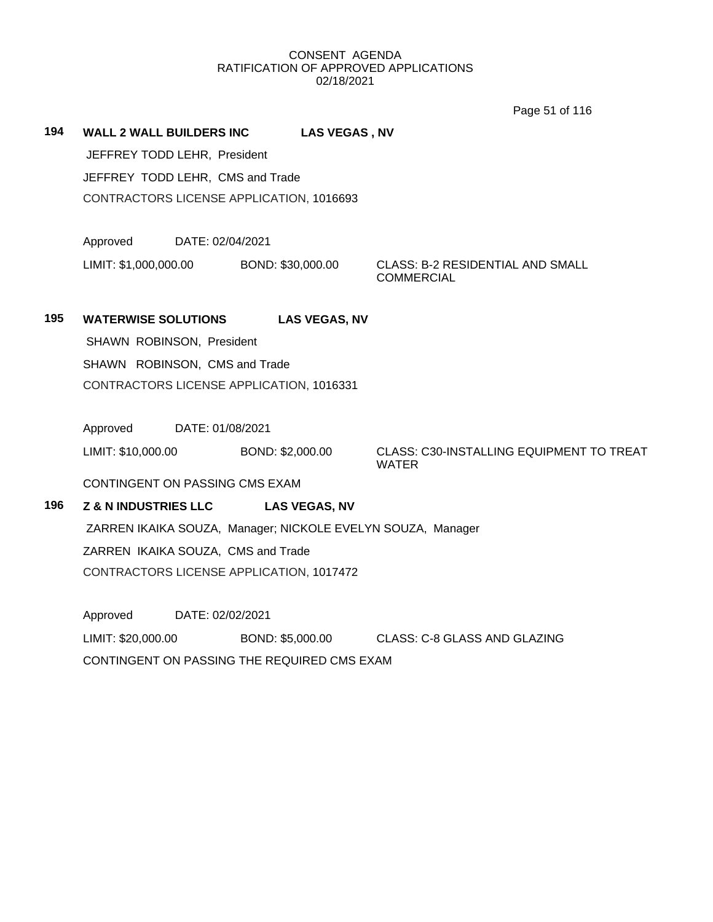Page 51 of 116

**194 WALL 2 WALL BUILDERS INC LAS VEGAS , NV** JEFFREY TODD LEHR, President JEFFREY TODD LEHR, CMS and Trade CONTRACTORS LICENSE APPLICATION, 1016693

Approved DATE: 02/04/2021

LIMIT: \$1,000,000.00 BOND: \$30,000.00 CLASS: B-2 RESIDENTIAL AND SMALL

**COMMERCIAL** 

# **195 WATERWISE SOLUTIONS LAS VEGAS, NV**

SHAWN ROBINSON, President SHAWN ROBINSON, CMS and Trade

CONTRACTORS LICENSE APPLICATION, 1016331

Approved DATE: 01/08/2021

LIMIT: \$10,000.00 BOND: \$2,000.00 CLASS: C30-INSTALLING EQUIPMENT TO TREAT WATER

CONTINGENT ON PASSING CMS EXAM

# **196 Z & N INDUSTRIES LLC LAS VEGAS, NV**

ZARREN IKAIKA SOUZA, Manager; NICKOLE EVELYN SOUZA, Manager ZARREN IKAIKA SOUZA, CMS and Trade CONTRACTORS LICENSE APPLICATION, 1017472

Approved DATE: 02/02/2021 LIMIT: \$20,000.00 BOND: \$5,000.00 CLASS: C-8 GLASS AND GLAZING CONTINGENT ON PASSING THE REQUIRED CMS EXAM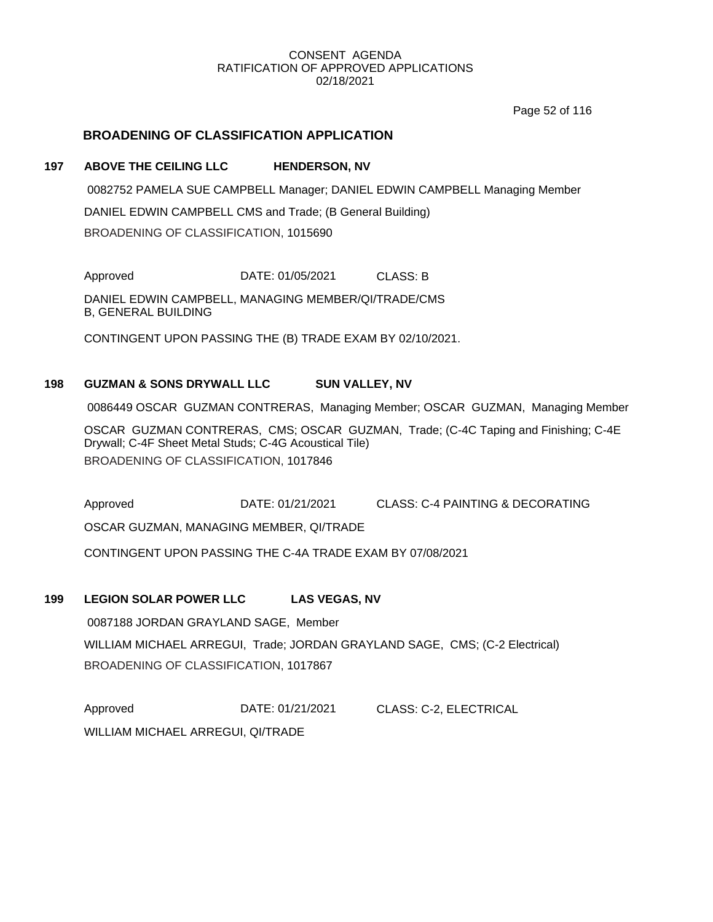Page 52 of 116

# **BROADENING OF CLASSIFICATION APPLICATION**

## **197 ABOVE THE CEILING LLC HENDERSON, NV**

0082752 PAMELA SUE CAMPBELL Manager; DANIEL EDWIN CAMPBELL Managing Member DANIEL EDWIN CAMPBELL CMS and Trade; (B General Building) BROADENING OF CLASSIFICATION, 1015690

Approved DATE: 01/05/2021 CLASS: B

DANIEL EDWIN CAMPBELL, MANAGING MEMBER/QI/TRADE/CMS B, GENERAL BUILDING

CONTINGENT UPON PASSING THE (B) TRADE EXAM BY 02/10/2021.

# **198 GUZMAN & SONS DRYWALL LLC SUN VALLEY, NV**

0086449 OSCAR GUZMAN CONTRERAS, Managing Member; OSCAR GUZMAN, Managing Member

OSCAR GUZMAN CONTRERAS, CMS; OSCAR GUZMAN, Trade; (C-4C Taping and Finishing; C-4E Drywall; C-4F Sheet Metal Studs; C-4G Acoustical Tile) BROADENING OF CLASSIFICATION, 1017846

Approved DATE: 01/21/2021 CLASS: C-4 PAINTING & DECORATING

OSCAR GUZMAN, MANAGING MEMBER, QI/TRADE

CONTINGENT UPON PASSING THE C-4A TRADE EXAM BY 07/08/2021

# **199 LEGION SOLAR POWER LLC LAS VEGAS, NV**

0087188 JORDAN GRAYLAND SAGE, Member WILLIAM MICHAEL ARREGUI, Trade; JORDAN GRAYLAND SAGE, CMS; (C-2 Electrical) BROADENING OF CLASSIFICATION, 1017867

Approved DATE: 01/21/2021 CLASS: C-2, ELECTRICAL WILLIAM MICHAEL ARREGUI, QI/TRADE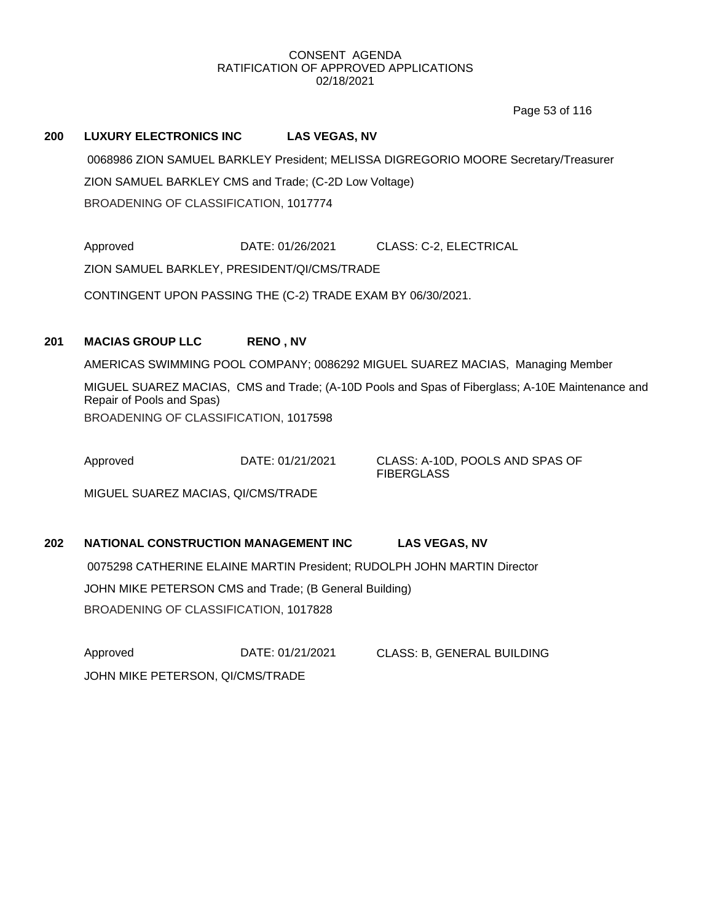Page 53 of 116

## **200 LUXURY ELECTRONICS INC LAS VEGAS, NV**

0068986 ZION SAMUEL BARKLEY President; MELISSA DIGREGORIO MOORE Secretary/Treasurer ZION SAMUEL BARKLEY CMS and Trade; (C-2D Low Voltage) BROADENING OF CLASSIFICATION, 1017774

Approved **DATE: 01/26/2021** CLASS: C-2, ELECTRICAL

ZION SAMUEL BARKLEY, PRESIDENT/QI/CMS/TRADE

CONTINGENT UPON PASSING THE (C-2) TRADE EXAM BY 06/30/2021.

# **201 MACIAS GROUP LLC RENO , NV**

AMERICAS SWIMMING POOL COMPANY; 0086292 MIGUEL SUAREZ MACIAS, Managing Member MIGUEL SUAREZ MACIAS, CMS and Trade; (A-10D Pools and Spas of Fiberglass; A-10E Maintenance and Repair of Pools and Spas) BROADENING OF CLASSIFICATION, 1017598

Approved DATE: 01/21/2021 CLASS: A-10D, POOLS AND SPAS OF

**FIBERGLASS** 

MIGUEL SUAREZ MACIAS, QI/CMS/TRADE

# **202 NATIONAL CONSTRUCTION MANAGEMENT INC LAS VEGAS, NV** 0075298 CATHERINE ELAINE MARTIN President; RUDOLPH JOHN MARTIN Director JOHN MIKE PETERSON CMS and Trade; (B General Building) BROADENING OF CLASSIFICATION, 1017828

Approved DATE: 01/21/2021 CLASS: B, GENERAL BUILDING JOHN MIKE PETERSON, QI/CMS/TRADE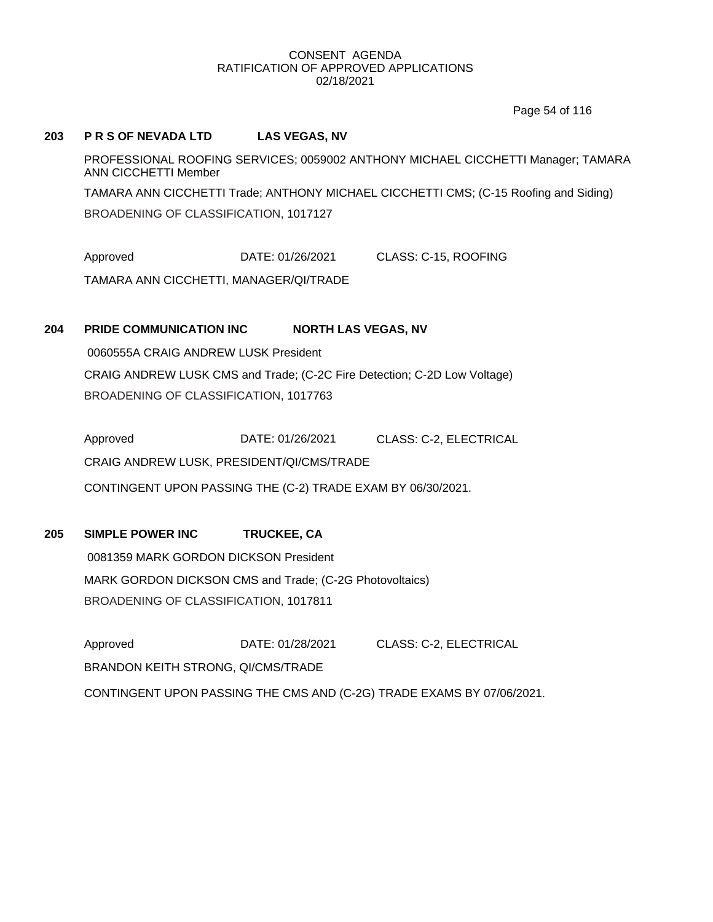Page 54 of 116

## **203 P R S OF NEVADA LTD LAS VEGAS, NV**

PROFESSIONAL ROOFING SERVICES; 0059002 ANTHONY MICHAEL CICCHETTI Manager; TAMARA ANN CICCHETTI Member TAMARA ANN CICCHETTI Trade; ANTHONY MICHAEL CICCHETTI CMS; (C-15 Roofing and Siding)

BROADENING OF CLASSIFICATION, 1017127

Approved DATE: 01/26/2021 CLASS: C-15, ROOFING

TAMARA ANN CICCHETTI, MANAGER/QI/TRADE

# **204 PRIDE COMMUNICATION INC NORTH LAS VEGAS, NV**

0060555A CRAIG ANDREW LUSK President CRAIG ANDREW LUSK CMS and Trade; (C-2C Fire Detection; C-2D Low Voltage) BROADENING OF CLASSIFICATION, 1017763

Approved **DATE: 01/26/2021** CLASS: C-2, ELECTRICAL CRAIG ANDREW LUSK, PRESIDENT/QI/CMS/TRADE CONTINGENT UPON PASSING THE (C-2) TRADE EXAM BY 06/30/2021.

# **205 SIMPLE POWER INC TRUCKEE, CA**

0081359 MARK GORDON DICKSON President MARK GORDON DICKSON CMS and Trade; (C-2G Photovoltaics) BROADENING OF CLASSIFICATION, 1017811

Approved DATE: 01/28/2021 CLASS: C-2, ELECTRICAL BRANDON KEITH STRONG, QI/CMS/TRADE CONTINGENT UPON PASSING THE CMS AND (C-2G) TRADE EXAMS BY 07/06/2021.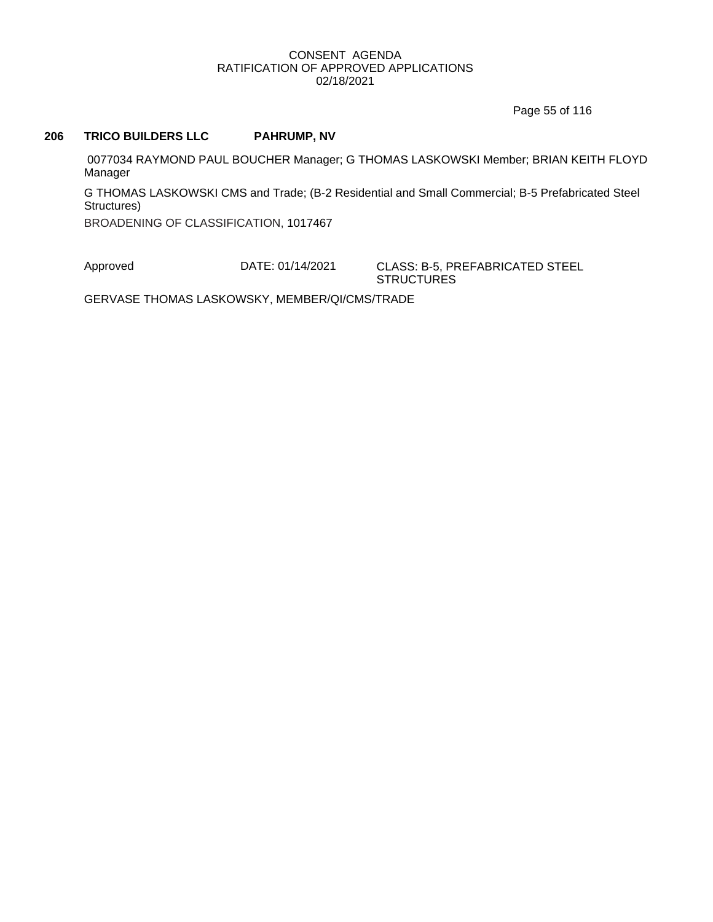Page 55 of 116

## **206 TRICO BUILDERS LLC PAHRUMP, NV**

0077034 RAYMOND PAUL BOUCHER Manager; G THOMAS LASKOWSKI Member; BRIAN KEITH FLOYD Manager

G THOMAS LASKOWSKI CMS and Trade; (B-2 Residential and Small Commercial; B-5 Prefabricated Steel Structures)

BROADENING OF CLASSIFICATION, 1017467

Approved DATE: 01/14/2021 CLASS: B-5, PREFABRICATED STEEL

**STRUCTURES** 

GERVASE THOMAS LASKOWSKY, MEMBER/QI/CMS/TRADE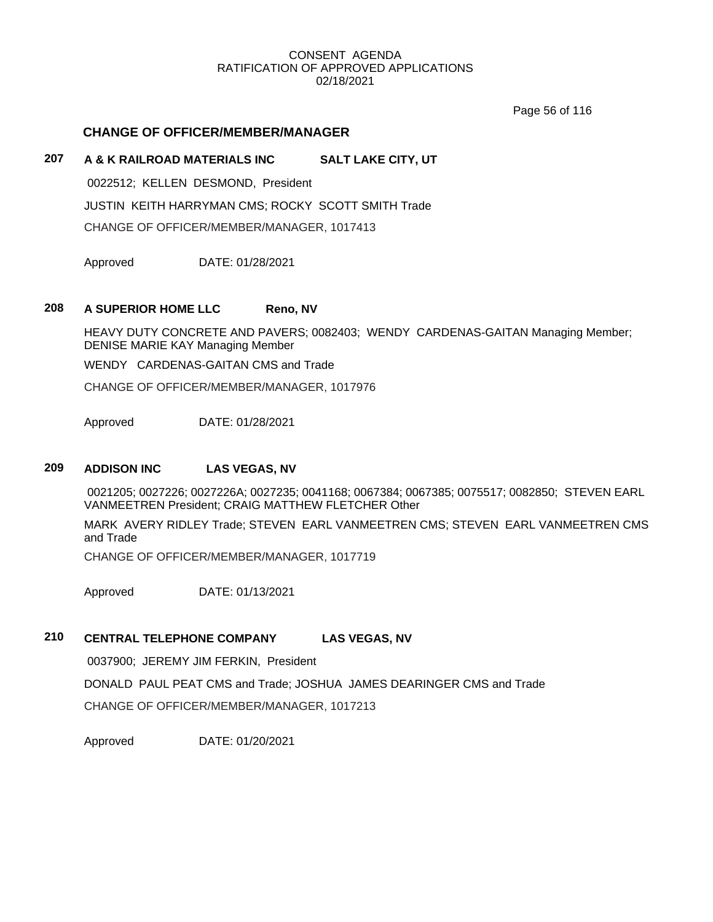Page 56 of 116

## **CHANGE OF OFFICER/MEMBER/MANAGER**

# **207 A & K RAILROAD MATERIALS INC SALT LAKE CITY, UT**

0022512; KELLEN DESMOND, President JUSTIN KEITH HARRYMAN CMS; ROCKY SCOTT SMITH Trade CHANGE OF OFFICER/MEMBER/MANAGER, 1017413

Approved DATE: 01/28/2021

## **208 A SUPERIOR HOME LLC Reno, NV**

HEAVY DUTY CONCRETE AND PAVERS; 0082403; WENDY CARDENAS-GAITAN Managing Member; DENISE MARIE KAY Managing Member

WENDY CARDENAS-GAITAN CMS and Trade

CHANGE OF OFFICER/MEMBER/MANAGER, 1017976

Approved DATE: 01/28/2021

# **209 ADDISON INC LAS VEGAS, NV**

0021205; 0027226; 0027226A; 0027235; 0041168; 0067384; 0067385; 0075517; 0082850; STEVEN EARL VANMEETREN President; CRAIG MATTHEW FLETCHER Other

MARK AVERY RIDLEY Trade; STEVEN EARL VANMEETREN CMS; STEVEN EARL VANMEETREN CMS and Trade

CHANGE OF OFFICER/MEMBER/MANAGER, 1017719

Approved DATE: 01/13/2021

# **210 CENTRAL TELEPHONE COMPANY LAS VEGAS, NV**

0037900; JEREMY JIM FERKIN, President

DONALD PAUL PEAT CMS and Trade; JOSHUA JAMES DEARINGER CMS and Trade CHANGE OF OFFICER/MEMBER/MANAGER, 1017213

Approved DATE: 01/20/2021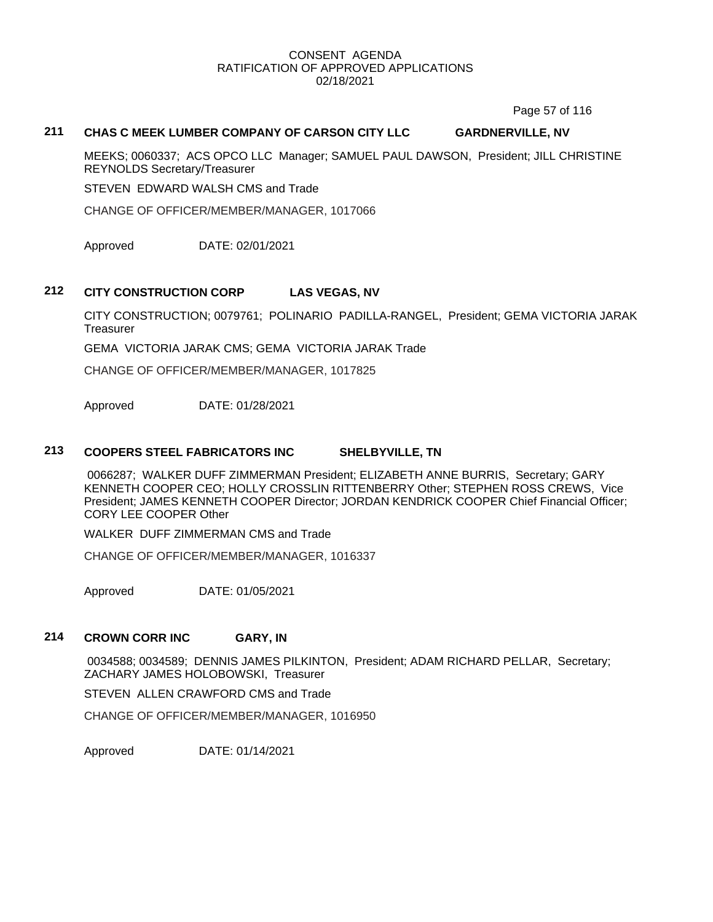Page 57 of 116

## **211 CHAS C MEEK LUMBER COMPANY OF CARSON CITY LLC GARDNERVILLE, NV**

MEEKS; 0060337; ACS OPCO LLC Manager; SAMUEL PAUL DAWSON, President; JILL CHRISTINE REYNOLDS Secretary/Treasurer

STEVEN EDWARD WALSH CMS and Trade

CHANGE OF OFFICER/MEMBER/MANAGER, 1017066

Approved DATE: 02/01/2021

## **212 CITY CONSTRUCTION CORP LAS VEGAS, NV**

CITY CONSTRUCTION; 0079761; POLINARIO PADILLA-RANGEL, President; GEMA VICTORIA JARAK **Treasurer** 

GEMA VICTORIA JARAK CMS; GEMA VICTORIA JARAK Trade

CHANGE OF OFFICER/MEMBER/MANAGER, 1017825

Approved DATE: 01/28/2021

#### **213 COOPERS STEEL FABRICATORS INC SHELBYVILLE, TN**

0066287; WALKER DUFF ZIMMERMAN President; ELIZABETH ANNE BURRIS, Secretary; GARY KENNETH COOPER CEO; HOLLY CROSSLIN RITTENBERRY Other; STEPHEN ROSS CREWS, Vice President; JAMES KENNETH COOPER Director; JORDAN KENDRICK COOPER Chief Financial Officer; CORY LEE COOPER Other

WALKER DUFF ZIMMERMAN CMS and Trade

CHANGE OF OFFICER/MEMBER/MANAGER, 1016337

Approved DATE: 01/05/2021

## **214 CROWN CORR INC GARY, IN**

0034588; 0034589; DENNIS JAMES PILKINTON, President; ADAM RICHARD PELLAR, Secretary; ZACHARY JAMES HOLOBOWSKI, Treasurer

STEVEN ALLEN CRAWFORD CMS and Trade

CHANGE OF OFFICER/MEMBER/MANAGER, 1016950

Approved DATE: 01/14/2021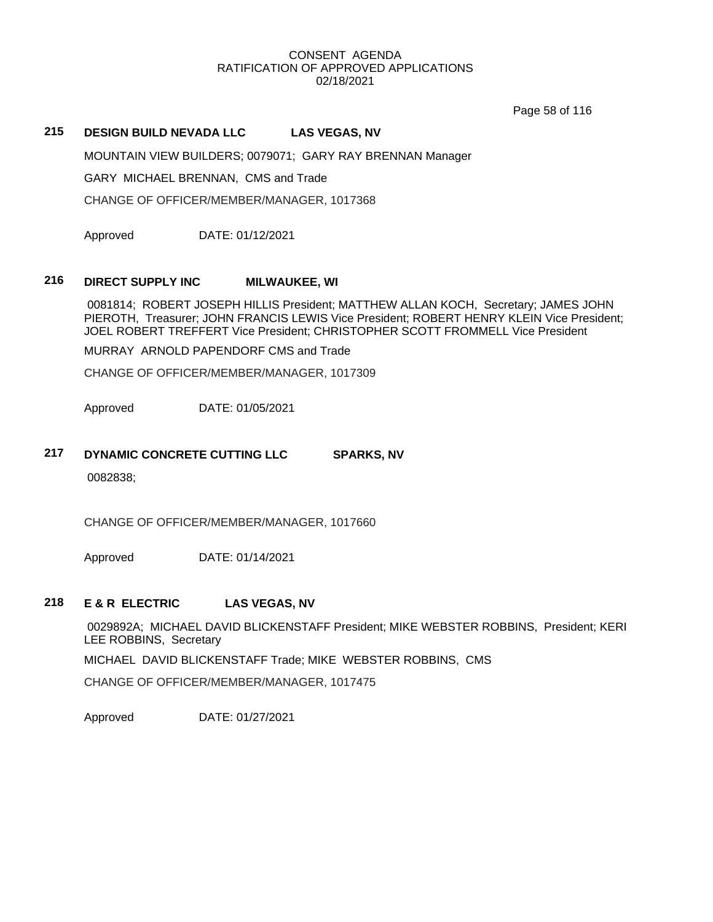Page 58 of 116

# **215 DESIGN BUILD NEVADA LLC LAS VEGAS, NV**

MOUNTAIN VIEW BUILDERS; 0079071; GARY RAY BRENNAN Manager

GARY MICHAEL BRENNAN, CMS and Trade

CHANGE OF OFFICER/MEMBER/MANAGER, 1017368

Approved DATE: 01/12/2021

#### **216 DIRECT SUPPLY INC MILWAUKEE, WI**

0081814; ROBERT JOSEPH HILLIS President; MATTHEW ALLAN KOCH, Secretary; JAMES JOHN PIEROTH, Treasurer; JOHN FRANCIS LEWIS Vice President; ROBERT HENRY KLEIN Vice President; JOEL ROBERT TREFFERT Vice President; CHRISTOPHER SCOTT FROMMELL Vice President

MURRAY ARNOLD PAPENDORF CMS and Trade

CHANGE OF OFFICER/MEMBER/MANAGER, 1017309

Approved DATE: 01/05/2021

# **217 DYNAMIC CONCRETE CUTTING LLC SPARKS, NV**

0082838;

CHANGE OF OFFICER/MEMBER/MANAGER, 1017660

Approved DATE: 01/14/2021

### **218 E & R ELECTRIC LAS VEGAS, NV**

0029892A; MICHAEL DAVID BLICKENSTAFF President; MIKE WEBSTER ROBBINS, President; KERI LEE ROBBINS, Secretary

MICHAEL DAVID BLICKENSTAFF Trade; MIKE WEBSTER ROBBINS, CMS

CHANGE OF OFFICER/MEMBER/MANAGER, 1017475

Approved DATE: 01/27/2021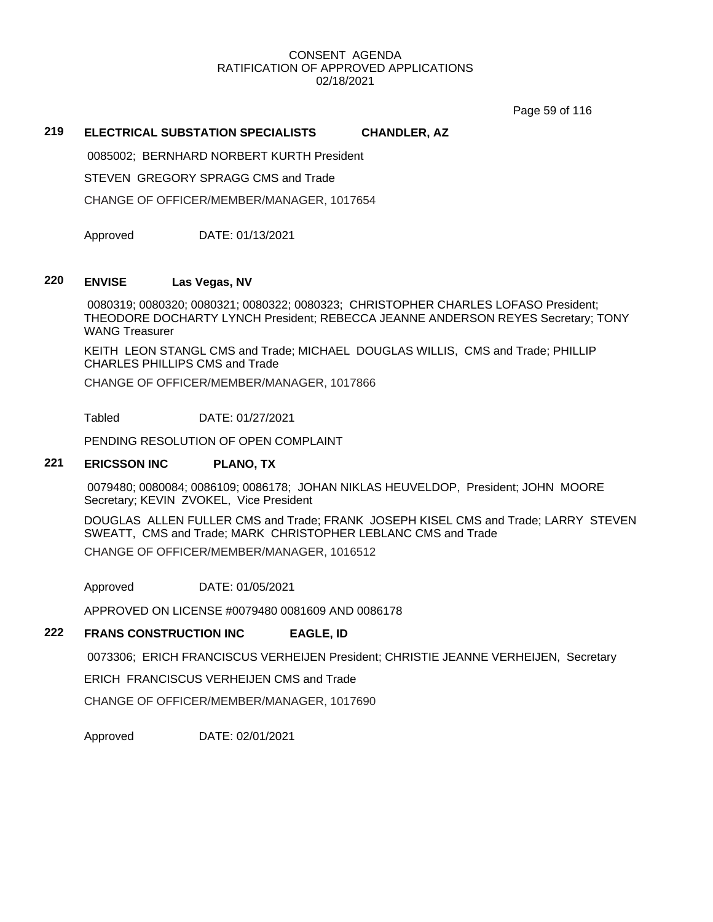Page 59 of 116

# **219 ELECTRICAL SUBSTATION SPECIALISTS CHANDLER, AZ**

0085002; BERNHARD NORBERT KURTH President

STEVEN GREGORY SPRAGG CMS and Trade

CHANGE OF OFFICER/MEMBER/MANAGER, 1017654

Approved DATE: 01/13/2021

## **220 ENVISE Las Vegas, NV**

0080319; 0080320; 0080321; 0080322; 0080323; CHRISTOPHER CHARLES LOFASO President; THEODORE DOCHARTY LYNCH President; REBECCA JEANNE ANDERSON REYES Secretary; TONY WANG Treasurer

KEITH LEON STANGL CMS and Trade; MICHAEL DOUGLAS WILLIS, CMS and Trade; PHILLIP CHARLES PHILLIPS CMS and Trade

CHANGE OF OFFICER/MEMBER/MANAGER, 1017866

Tabled DATE: 01/27/2021

PENDING RESOLUTION OF OPEN COMPLAINT

# **221 ERICSSON INC PLANO, TX**

0079480; 0080084; 0086109; 0086178; JOHAN NIKLAS HEUVELDOP, President; JOHN MOORE Secretary; KEVIN ZVOKEL, Vice President

DOUGLAS ALLEN FULLER CMS and Trade; FRANK JOSEPH KISEL CMS and Trade; LARRY STEVEN SWEATT, CMS and Trade; MARK CHRISTOPHER LEBLANC CMS and Trade CHANGE OF OFFICER/MEMBER/MANAGER, 1016512

Approved DATE: 01/05/2021

APPROVED ON LICENSE #0079480 0081609 AND 0086178

## **222 FRANS CONSTRUCTION INC EAGLE, ID**

0073306; ERICH FRANCISCUS VERHEIJEN President; CHRISTIE JEANNE VERHEIJEN, Secretary

ERICH FRANCISCUS VERHEIJEN CMS and Trade

CHANGE OF OFFICER/MEMBER/MANAGER, 1017690

Approved DATE: 02/01/2021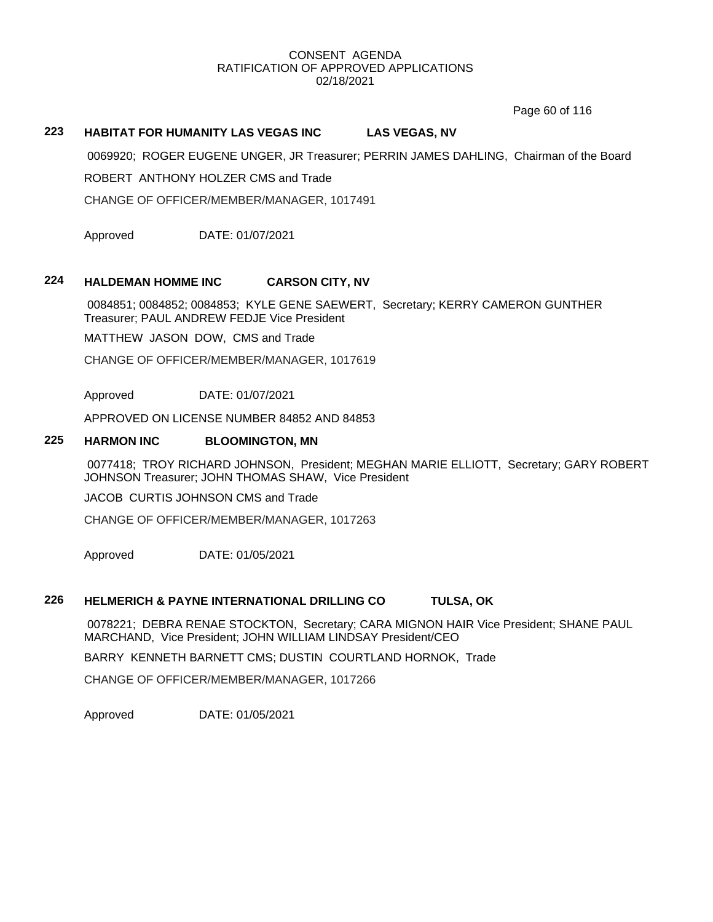Page 60 of 116

# **223 HABITAT FOR HUMANITY LAS VEGAS INC LAS VEGAS, NV**

0069920; ROGER EUGENE UNGER, JR Treasurer; PERRIN JAMES DAHLING, Chairman of the Board

ROBERT ANTHONY HOLZER CMS and Trade

CHANGE OF OFFICER/MEMBER/MANAGER, 1017491

Approved DATE: 01/07/2021

## **224 HALDEMAN HOMME INC CARSON CITY, NV**

0084851; 0084852; 0084853; KYLE GENE SAEWERT, Secretary; KERRY CAMERON GUNTHER Treasurer; PAUL ANDREW FEDJE Vice President

MATTHEW JASON DOW, CMS and Trade

CHANGE OF OFFICER/MEMBER/MANAGER, 1017619

Approved DATE: 01/07/2021

APPROVED ON LICENSE NUMBER 84852 AND 84853

#### **225 HARMON INC BLOOMINGTON, MN**

0077418; TROY RICHARD JOHNSON, President; MEGHAN MARIE ELLIOTT, Secretary; GARY ROBERT JOHNSON Treasurer; JOHN THOMAS SHAW, Vice President

JACOB CURTIS JOHNSON CMS and Trade

CHANGE OF OFFICER/MEMBER/MANAGER, 1017263

Approved DATE: 01/05/2021

#### **226 HELMERICH & PAYNE INTERNATIONAL DRILLING CO TULSA, OK**

0078221; DEBRA RENAE STOCKTON, Secretary; CARA MIGNON HAIR Vice President; SHANE PAUL MARCHAND, Vice President; JOHN WILLIAM LINDSAY President/CEO

BARRY KENNETH BARNETT CMS; DUSTIN COURTLAND HORNOK, Trade

CHANGE OF OFFICER/MEMBER/MANAGER, 1017266

Approved DATE: 01/05/2021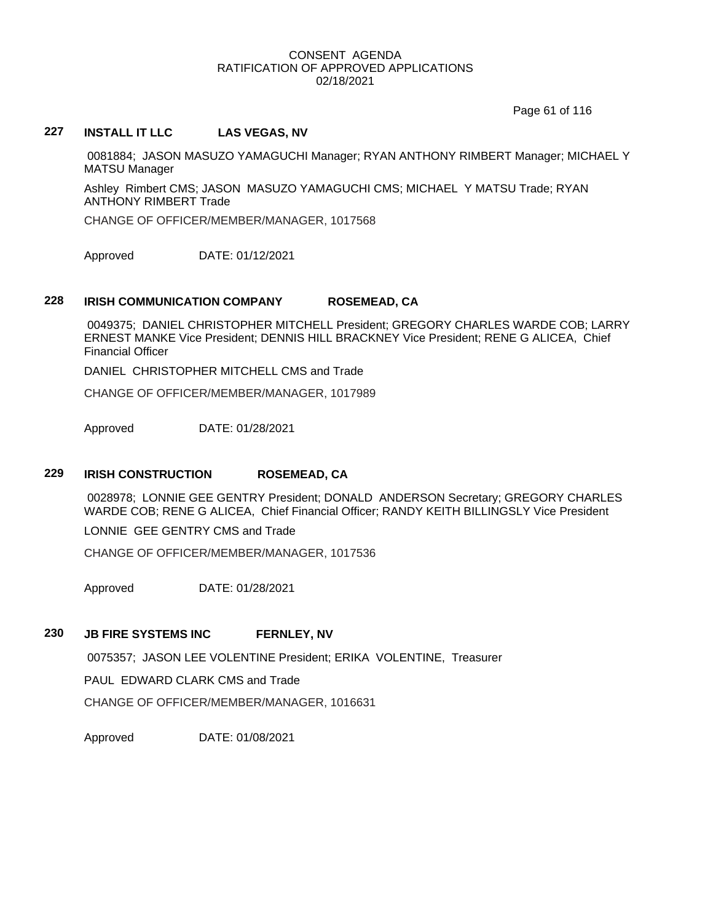Page 61 of 116

# **227 INSTALL IT LLC LAS VEGAS, NV**

0081884; JASON MASUZO YAMAGUCHI Manager; RYAN ANTHONY RIMBERT Manager; MICHAEL Y MATSU Manager

Ashley Rimbert CMS; JASON MASUZO YAMAGUCHI CMS; MICHAEL Y MATSU Trade; RYAN ANTHONY RIMBERT Trade

CHANGE OF OFFICER/MEMBER/MANAGER, 1017568

Approved DATE: 01/12/2021

# **228 IRISH COMMUNICATION COMPANY ROSEMEAD, CA**

0049375; DANIEL CHRISTOPHER MITCHELL President; GREGORY CHARLES WARDE COB; LARRY ERNEST MANKE Vice President; DENNIS HILL BRACKNEY Vice President; RENE G ALICEA, Chief Financial Officer

DANIEL CHRISTOPHER MITCHELL CMS and Trade

CHANGE OF OFFICER/MEMBER/MANAGER, 1017989

Approved DATE: 01/28/2021

## **229 IRISH CONSTRUCTION ROSEMEAD, CA**

0028978; LONNIE GEE GENTRY President; DONALD ANDERSON Secretary; GREGORY CHARLES WARDE COB; RENE G ALICEA, Chief Financial Officer; RANDY KEITH BILLINGSLY Vice President

LONNIE GEE GENTRY CMS and Trade

CHANGE OF OFFICER/MEMBER/MANAGER, 1017536

Approved DATE: 01/28/2021

## **230 JB FIRE SYSTEMS INC FERNLEY, NV**

0075357; JASON LEE VOLENTINE President; ERIKA VOLENTINE, Treasurer

PAUL EDWARD CLARK CMS and Trade

CHANGE OF OFFICER/MEMBER/MANAGER, 1016631

Approved DATE: 01/08/2021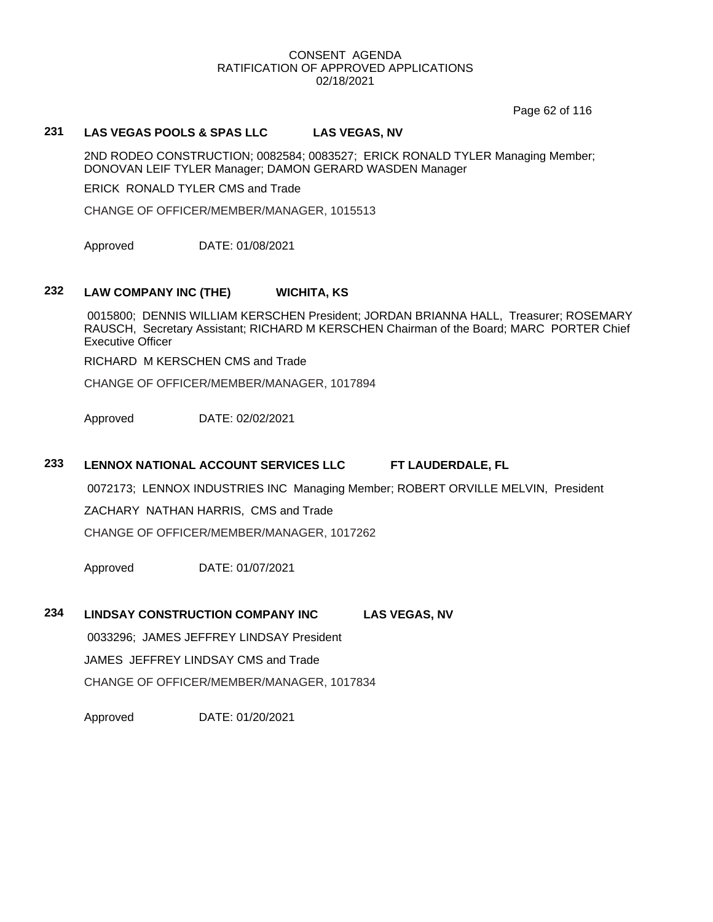Page 62 of 116

# **231 LAS VEGAS POOLS & SPAS LLC LAS VEGAS, NV**

2ND RODEO CONSTRUCTION; 0082584; 0083527; ERICK RONALD TYLER Managing Member; DONOVAN LEIF TYLER Manager; DAMON GERARD WASDEN Manager

ERICK RONALD TYLER CMS and Trade

CHANGE OF OFFICER/MEMBER/MANAGER, 1015513

Approved DATE: 01/08/2021

## **232 LAW COMPANY INC (THE) WICHITA, KS**

0015800; DENNIS WILLIAM KERSCHEN President; JORDAN BRIANNA HALL, Treasurer; ROSEMARY RAUSCH, Secretary Assistant; RICHARD M KERSCHEN Chairman of the Board; MARC PORTER Chief Executive Officer

RICHARD M KERSCHEN CMS and Trade

CHANGE OF OFFICER/MEMBER/MANAGER, 1017894

Approved DATE: 02/02/2021

## **233 LENNOX NATIONAL ACCOUNT SERVICES LLC FT LAUDERDALE, FL**

0072173; LENNOX INDUSTRIES INC Managing Member; ROBERT ORVILLE MELVIN, President

ZACHARY NATHAN HARRIS, CMS and Trade

CHANGE OF OFFICER/MEMBER/MANAGER, 1017262

Approved DATE: 01/07/2021

#### **234 LINDSAY CONSTRUCTION COMPANY INC LAS VEGAS, NV**

0033296; JAMES JEFFREY LINDSAY President

JAMES JEFFREY LINDSAY CMS and Trade

CHANGE OF OFFICER/MEMBER/MANAGER, 1017834

Approved DATE: 01/20/2021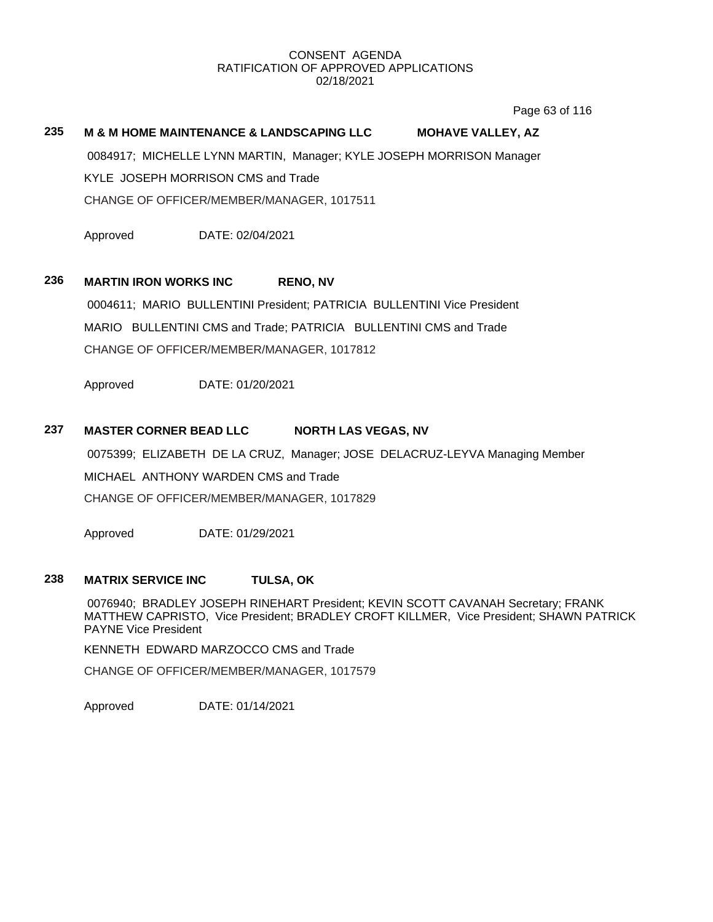Page 63 of 116

# **235 M & M HOME MAINTENANCE & LANDSCAPING LLC MOHAVE VALLEY, AZ**

0084917; MICHELLE LYNN MARTIN, Manager; KYLE JOSEPH MORRISON Manager KYLE JOSEPH MORRISON CMS and Trade CHANGE OF OFFICER/MEMBER/MANAGER, 1017511

Approved DATE: 02/04/2021

## **236 MARTIN IRON WORKS INC RENO, NV**

0004611; MARIO BULLENTINI President; PATRICIA BULLENTINI Vice President MARIO BULLENTINI CMS and Trade; PATRICIA BULLENTINI CMS and Trade CHANGE OF OFFICER/MEMBER/MANAGER, 1017812

Approved DATE: 01/20/2021

## **237 MASTER CORNER BEAD LLC NORTH LAS VEGAS, NV**

0075399; ELIZABETH DE LA CRUZ, Manager; JOSE DELACRUZ-LEYVA Managing Member

MICHAEL ANTHONY WARDEN CMS and Trade

CHANGE OF OFFICER/MEMBER/MANAGER, 1017829

Approved DATE: 01/29/2021

# **238 MATRIX SERVICE INC TULSA, OK**

0076940; BRADLEY JOSEPH RINEHART President; KEVIN SCOTT CAVANAH Secretary; FRANK MATTHEW CAPRISTO, Vice President; BRADLEY CROFT KILLMER, Vice President; SHAWN PATRICK PAYNE Vice President

KENNETH EDWARD MARZOCCO CMS and Trade

CHANGE OF OFFICER/MEMBER/MANAGER, 1017579

Approved DATE: 01/14/2021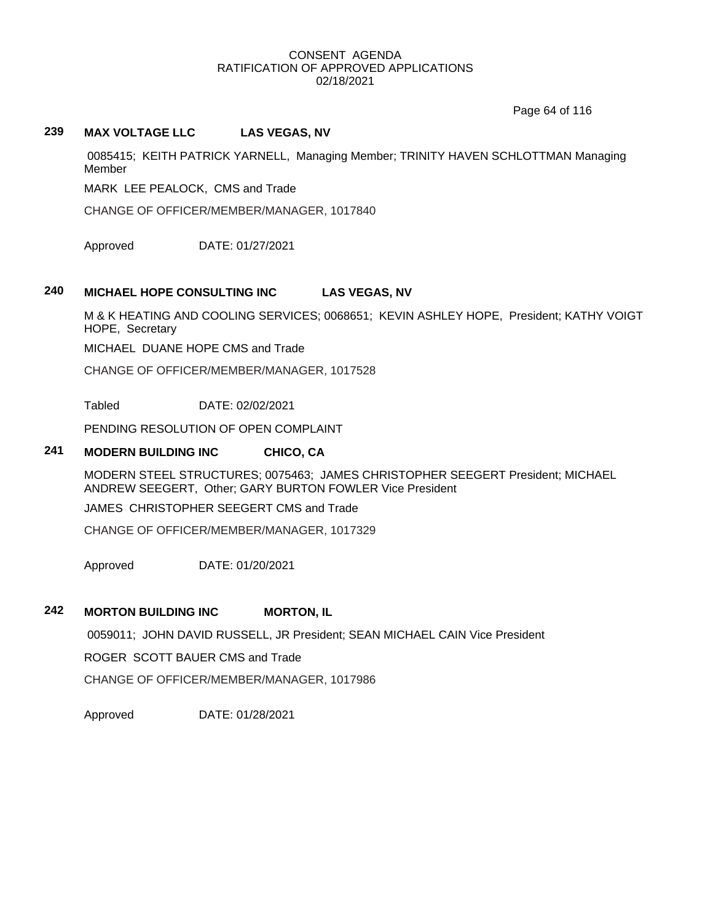Page 64 of 116

## **239 MAX VOLTAGE LLC LAS VEGAS, NV**

0085415; KEITH PATRICK YARNELL, Managing Member; TRINITY HAVEN SCHLOTTMAN Managing Member

MARK LEE PEALOCK, CMS and Trade

CHANGE OF OFFICER/MEMBER/MANAGER, 1017840

Approved DATE: 01/27/2021

## **240 MICHAEL HOPE CONSULTING INC LAS VEGAS, NV**

M & K HEATING AND COOLING SERVICES; 0068651; KEVIN ASHLEY HOPE, President; KATHY VOIGT HOPE, Secretary

MICHAEL DUANE HOPE CMS and Trade

CHANGE OF OFFICER/MEMBER/MANAGER, 1017528

Tabled DATE: 02/02/2021

PENDING RESOLUTION OF OPEN COMPLAINT

### **241 MODERN BUILDING INC CHICO, CA**

MODERN STEEL STRUCTURES; 0075463; JAMES CHRISTOPHER SEEGERT President; MICHAEL ANDREW SEEGERT, Other; GARY BURTON FOWLER Vice President

JAMES CHRISTOPHER SEEGERT CMS and Trade

CHANGE OF OFFICER/MEMBER/MANAGER, 1017329

Approved DATE: 01/20/2021

# **242 MORTON BUILDING INC MORTON, IL**

0059011; JOHN DAVID RUSSELL, JR President; SEAN MICHAEL CAIN Vice President

ROGER SCOTT BAUER CMS and Trade

CHANGE OF OFFICER/MEMBER/MANAGER, 1017986

Approved DATE: 01/28/2021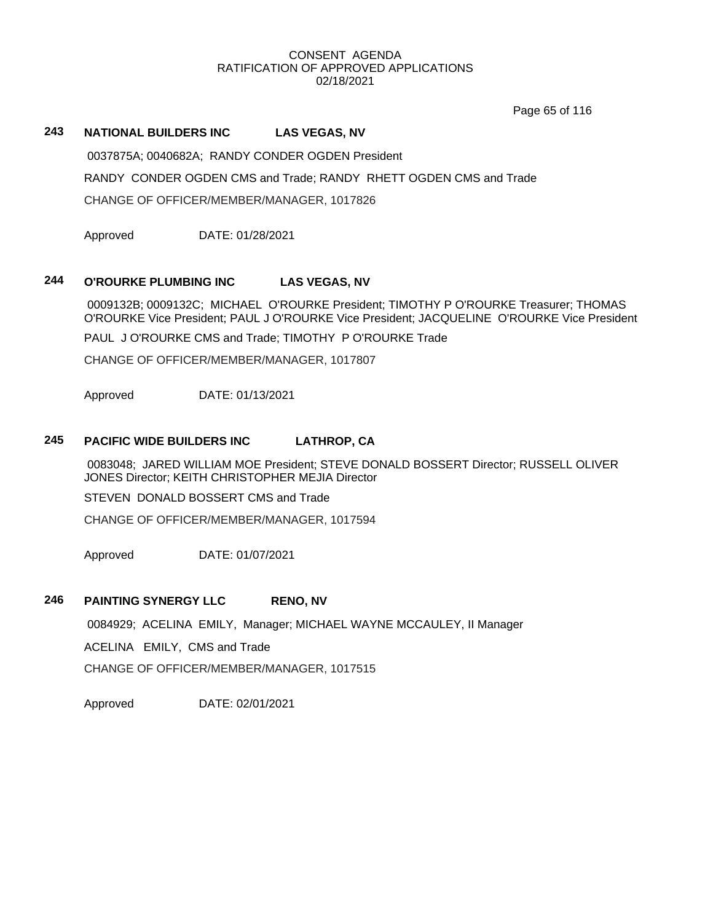Page 65 of 116

# **243 NATIONAL BUILDERS INC LAS VEGAS, NV**

0037875A; 0040682A; RANDY CONDER OGDEN President

RANDY CONDER OGDEN CMS and Trade; RANDY RHETT OGDEN CMS and Trade

CHANGE OF OFFICER/MEMBER/MANAGER, 1017826

Approved DATE: 01/28/2021

## **244 O'ROURKE PLUMBING INC LAS VEGAS, NV**

0009132B; 0009132C; MICHAEL O'ROURKE President; TIMOTHY P O'ROURKE Treasurer; THOMAS O'ROURKE Vice President; PAUL J O'ROURKE Vice President; JACQUELINE O'ROURKE Vice President

PAUL J O'ROURKE CMS and Trade; TIMOTHY P O'ROURKE Trade

CHANGE OF OFFICER/MEMBER/MANAGER, 1017807

Approved DATE: 01/13/2021

## **245 PACIFIC WIDE BUILDERS INC LATHROP, CA**

0083048; JARED WILLIAM MOE President; STEVE DONALD BOSSERT Director; RUSSELL OLIVER JONES Director; KEITH CHRISTOPHER MEJIA Director

STEVEN DONALD BOSSERT CMS and Trade

CHANGE OF OFFICER/MEMBER/MANAGER, 1017594

Approved DATE: 01/07/2021

### **246 PAINTING SYNERGY LLC RENO, NV**

0084929; ACELINA EMILY, Manager; MICHAEL WAYNE MCCAULEY, II Manager

ACELINA EMILY, CMS and Trade

CHANGE OF OFFICER/MEMBER/MANAGER, 1017515

Approved DATE: 02/01/2021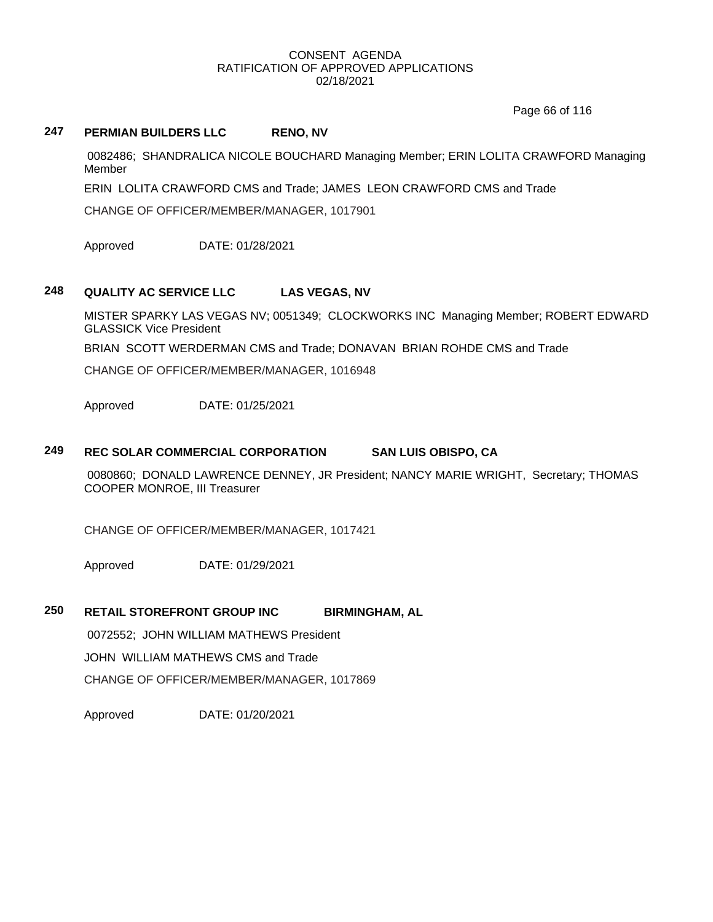Page 66 of 116

# **247 PERMIAN BUILDERS LLC RENO, NV**

0082486; SHANDRALICA NICOLE BOUCHARD Managing Member; ERIN LOLITA CRAWFORD Managing Member

ERIN LOLITA CRAWFORD CMS and Trade; JAMES LEON CRAWFORD CMS and Trade

CHANGE OF OFFICER/MEMBER/MANAGER, 1017901

Approved DATE: 01/28/2021

# **248 QUALITY AC SERVICE LLC LAS VEGAS, NV**

MISTER SPARKY LAS VEGAS NV; 0051349; CLOCKWORKS INC Managing Member; ROBERT EDWARD GLASSICK Vice President

BRIAN SCOTT WERDERMAN CMS and Trade; DONAVAN BRIAN ROHDE CMS and Trade

CHANGE OF OFFICER/MEMBER/MANAGER, 1016948

Approved DATE: 01/25/2021

## **249 REC SOLAR COMMERCIAL CORPORATION SAN LUIS OBISPO, CA**

0080860; DONALD LAWRENCE DENNEY, JR President; NANCY MARIE WRIGHT, Secretary; THOMAS COOPER MONROE, III Treasurer

CHANGE OF OFFICER/MEMBER/MANAGER, 1017421

Approved DATE: 01/29/2021

# **250 RETAIL STOREFRONT GROUP INC BIRMINGHAM, AL**

0072552; JOHN WILLIAM MATHEWS President

JOHN WILLIAM MATHEWS CMS and Trade

CHANGE OF OFFICER/MEMBER/MANAGER, 1017869

Approved DATE: 01/20/2021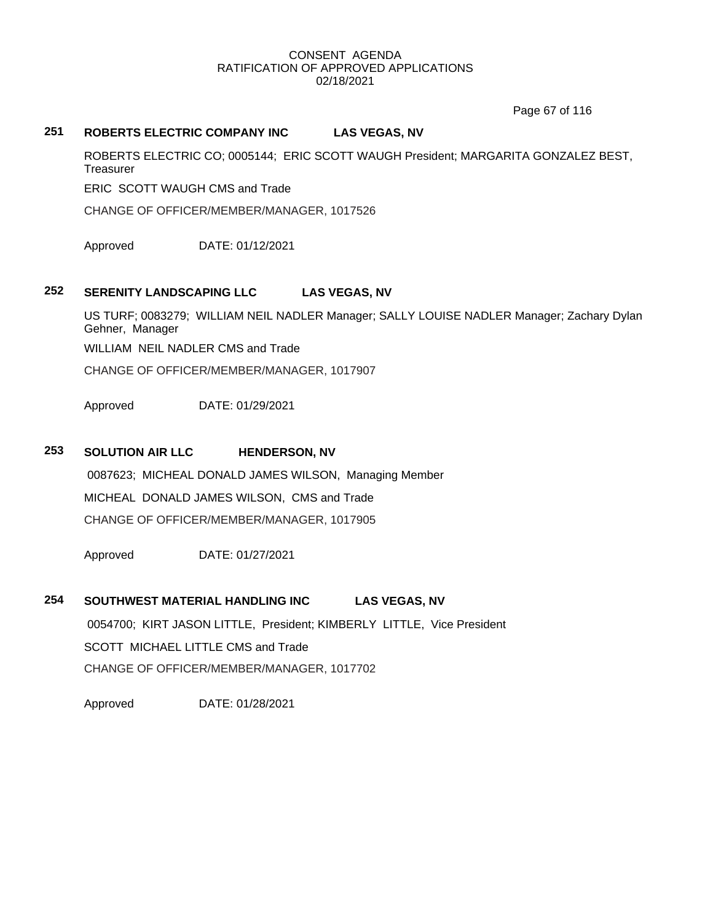Page 67 of 116

# **251 ROBERTS ELECTRIC COMPANY INC LAS VEGAS, NV**

ROBERTS ELECTRIC CO; 0005144; ERIC SCOTT WAUGH President; MARGARITA GONZALEZ BEST, **Treasurer** 

ERIC SCOTT WAUGH CMS and Trade

CHANGE OF OFFICER/MEMBER/MANAGER, 1017526

Approved DATE: 01/12/2021

# **252 SERENITY LANDSCAPING LLC LAS VEGAS, NV**

US TURF; 0083279; WILLIAM NEIL NADLER Manager; SALLY LOUISE NADLER Manager; Zachary Dylan Gehner, Manager WILLIAM NEIL NADLER CMS and Trade CHANGE OF OFFICER/MEMBER/MANAGER, 1017907

Approved DATE: 01/29/2021

## **253 SOLUTION AIR LLC HENDERSON, NV**

0087623; MICHEAL DONALD JAMES WILSON, Managing Member MICHEAL DONALD JAMES WILSON, CMS and Trade CHANGE OF OFFICER/MEMBER/MANAGER, 1017905

Approved DATE: 01/27/2021

# **254 SOUTHWEST MATERIAL HANDLING INC LAS VEGAS, NV**

0054700; KIRT JASON LITTLE, President; KIMBERLY LITTLE, Vice President SCOTT MICHAEL LITTLE CMS and Trade CHANGE OF OFFICER/MEMBER/MANAGER, 1017702

Approved DATE: 01/28/2021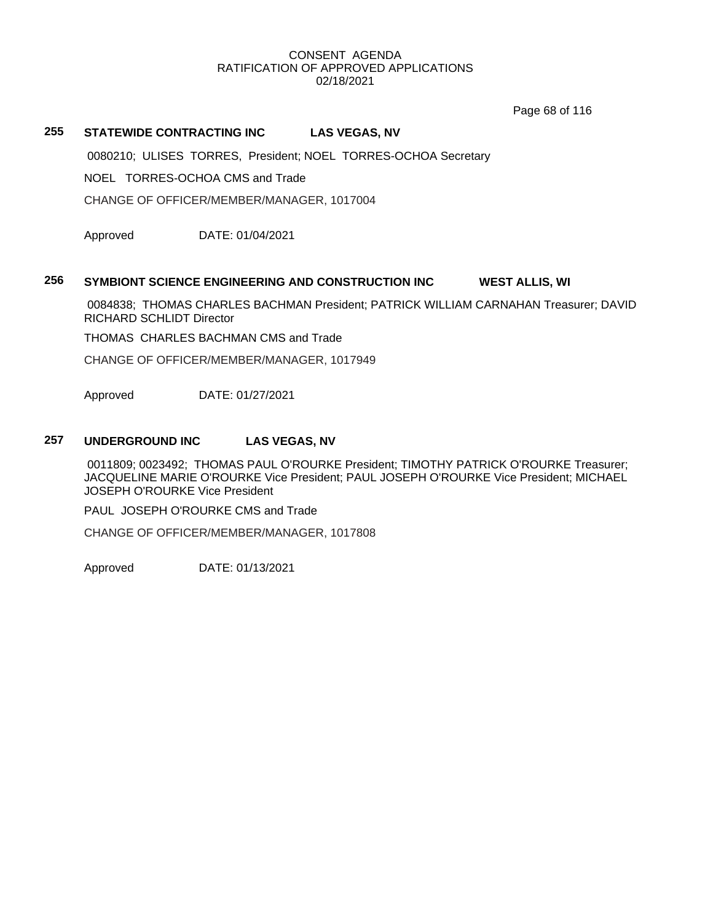Page 68 of 116

# **255 STATEWIDE CONTRACTING INC LAS VEGAS, NV**

0080210; ULISES TORRES, President; NOEL TORRES-OCHOA Secretary

NOEL TORRES-OCHOA CMS and Trade

CHANGE OF OFFICER/MEMBER/MANAGER, 1017004

Approved DATE: 01/04/2021

#### **256 SYMBIONT SCIENCE ENGINEERING AND CONSTRUCTION INC WEST ALLIS, WI**

0084838; THOMAS CHARLES BACHMAN President; PATRICK WILLIAM CARNAHAN Treasurer; DAVID RICHARD SCHLIDT Director

THOMAS CHARLES BACHMAN CMS and Trade

CHANGE OF OFFICER/MEMBER/MANAGER, 1017949

Approved DATE: 01/27/2021

### **257 UNDERGROUND INC LAS VEGAS, NV**

0011809; 0023492; THOMAS PAUL O'ROURKE President; TIMOTHY PATRICK O'ROURKE Treasurer; JACQUELINE MARIE O'ROURKE Vice President; PAUL JOSEPH O'ROURKE Vice President; MICHAEL JOSEPH O'ROURKE Vice President

PAUL JOSEPH O'ROURKE CMS and Trade

CHANGE OF OFFICER/MEMBER/MANAGER, 1017808

Approved DATE: 01/13/2021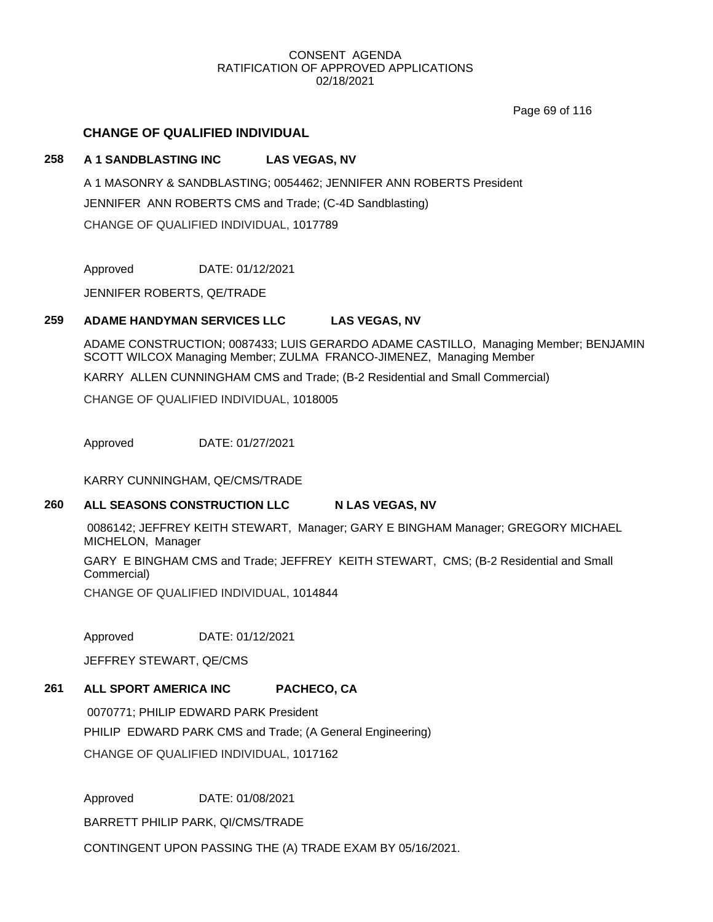Page 69 of 116

# **CHANGE OF QUALIFIED INDIVIDUAL**

## **258 A 1 SANDBLASTING INC LAS VEGAS, NV**

A 1 MASONRY & SANDBLASTING; 0054462; JENNIFER ANN ROBERTS President JENNIFER ANN ROBERTS CMS and Trade; (C-4D Sandblasting) CHANGE OF QUALIFIED INDIVIDUAL, 1017789

Approved DATE: 01/12/2021

JENNIFER ROBERTS, QE/TRADE

## **259 ADAME HANDYMAN SERVICES LLC LAS VEGAS, NV**

ADAME CONSTRUCTION; 0087433; LUIS GERARDO ADAME CASTILLO, Managing Member; BENJAMIN SCOTT WILCOX Managing Member; ZULMA FRANCO-JIMENEZ, Managing Member

KARRY ALLEN CUNNINGHAM CMS and Trade; (B-2 Residential and Small Commercial)

CHANGE OF QUALIFIED INDIVIDUAL, 1018005

Approved DATE: 01/27/2021

KARRY CUNNINGHAM, QE/CMS/TRADE

#### **260 ALL SEASONS CONSTRUCTION LLC N LAS VEGAS, NV**

0086142; JEFFREY KEITH STEWART, Manager; GARY E BINGHAM Manager; GREGORY MICHAEL MICHELON, Manager

GARY E BINGHAM CMS and Trade; JEFFREY KEITH STEWART, CMS; (B-2 Residential and Small Commercial)

CHANGE OF QUALIFIED INDIVIDUAL, 1014844

Approved DATE: 01/12/2021

JEFFREY STEWART, QE/CMS

# **261 ALL SPORT AMERICA INC PACHECO, CA**

0070771; PHILIP EDWARD PARK President PHILIP EDWARD PARK CMS and Trade; (A General Engineering) CHANGE OF QUALIFIED INDIVIDUAL, 1017162

Approved DATE: 01/08/2021

BARRETT PHILIP PARK, QI/CMS/TRADE

CONTINGENT UPON PASSING THE (A) TRADE EXAM BY 05/16/2021.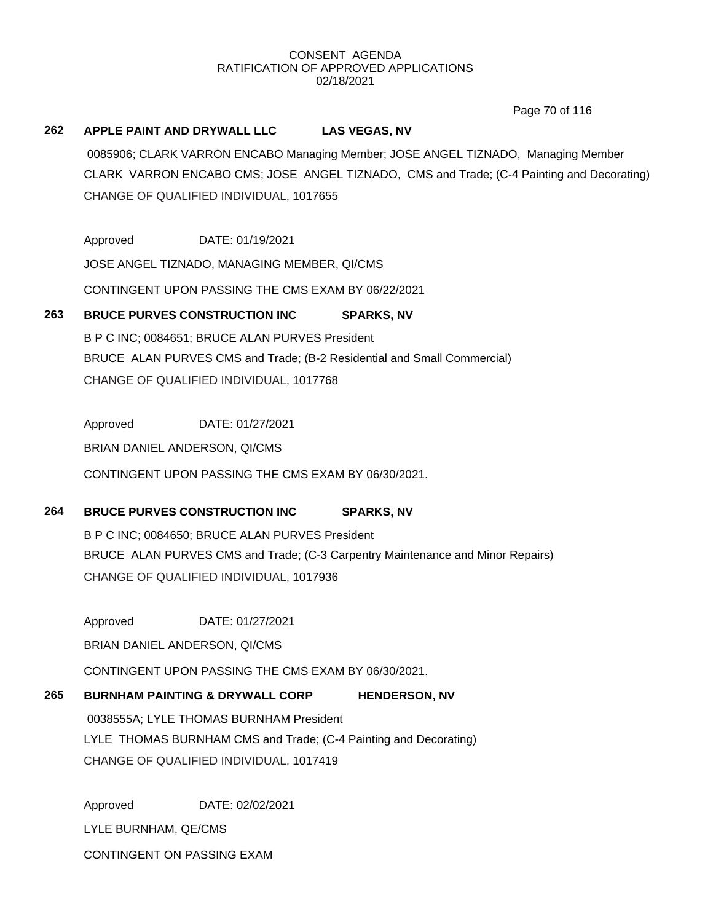Page 70 of 116

#### **262 APPLE PAINT AND DRYWALL LLC LAS VEGAS, NV**

0085906; CLARK VARRON ENCABO Managing Member; JOSE ANGEL TIZNADO, Managing Member CLARK VARRON ENCABO CMS; JOSE ANGEL TIZNADO, CMS and Trade; (C-4 Painting and Decorating) CHANGE OF QUALIFIED INDIVIDUAL, 1017655

Approved DATE: 01/19/2021

JOSE ANGEL TIZNADO, MANAGING MEMBER, QI/CMS

CONTINGENT UPON PASSING THE CMS EXAM BY 06/22/2021

# **263 BRUCE PURVES CONSTRUCTION INC SPARKS, NV**

B P C INC; 0084651; BRUCE ALAN PURVES President BRUCE ALAN PURVES CMS and Trade; (B-2 Residential and Small Commercial) CHANGE OF QUALIFIED INDIVIDUAL, 1017768

Approved DATE: 01/27/2021

BRIAN DANIEL ANDERSON, QI/CMS

CONTINGENT UPON PASSING THE CMS EXAM BY 06/30/2021.

# **264 BRUCE PURVES CONSTRUCTION INC SPARKS, NV**

B P C INC; 0084650; BRUCE ALAN PURVES President BRUCE ALAN PURVES CMS and Trade; (C-3 Carpentry Maintenance and Minor Repairs) CHANGE OF QUALIFIED INDIVIDUAL, 1017936

Approved DATE: 01/27/2021

BRIAN DANIEL ANDERSON, QI/CMS

CONTINGENT UPON PASSING THE CMS EXAM BY 06/30/2021.

# **265 BURNHAM PAINTING & DRYWALL CORP HENDERSON, NV** 0038555A; LYLE THOMAS BURNHAM President LYLE THOMAS BURNHAM CMS and Trade; (C-4 Painting and Decorating) CHANGE OF QUALIFIED INDIVIDUAL, 1017419

Approved DATE: 02/02/2021 LYLE BURNHAM, QE/CMS CONTINGENT ON PASSING EXAM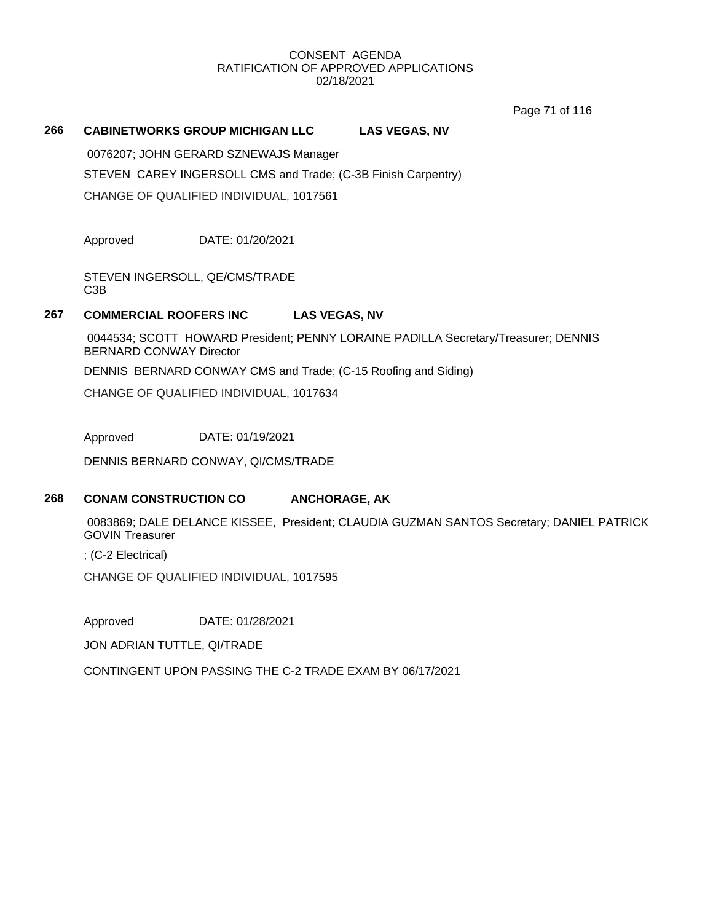Page 71 of 116

#### **266 CABINETWORKS GROUP MICHIGAN LLC LAS VEGAS, NV**

0076207; JOHN GERARD SZNEWAJS Manager STEVEN CAREY INGERSOLL CMS and Trade; (C-3B Finish Carpentry) CHANGE OF QUALIFIED INDIVIDUAL, 1017561

Approved DATE: 01/20/2021

STEVEN INGERSOLL, QE/CMS/TRADE C3B

### **267 COMMERCIAL ROOFERS INC LAS VEGAS, NV**

0044534; SCOTT HOWARD President; PENNY LORAINE PADILLA Secretary/Treasurer; DENNIS BERNARD CONWAY Director

DENNIS BERNARD CONWAY CMS and Trade; (C-15 Roofing and Siding)

CHANGE OF QUALIFIED INDIVIDUAL, 1017634

Approved DATE: 01/19/2021

DENNIS BERNARD CONWAY, QI/CMS/TRADE

# **268 CONAM CONSTRUCTION CO ANCHORAGE, AK**

0083869; DALE DELANCE KISSEE, President; CLAUDIA GUZMAN SANTOS Secretary; DANIEL PATRICK GOVIN Treasurer

; (C-2 Electrical)

CHANGE OF QUALIFIED INDIVIDUAL, 1017595

Approved DATE: 01/28/2021

JON ADRIAN TUTTLE, QI/TRADE

CONTINGENT UPON PASSING THE C-2 TRADE EXAM BY 06/17/2021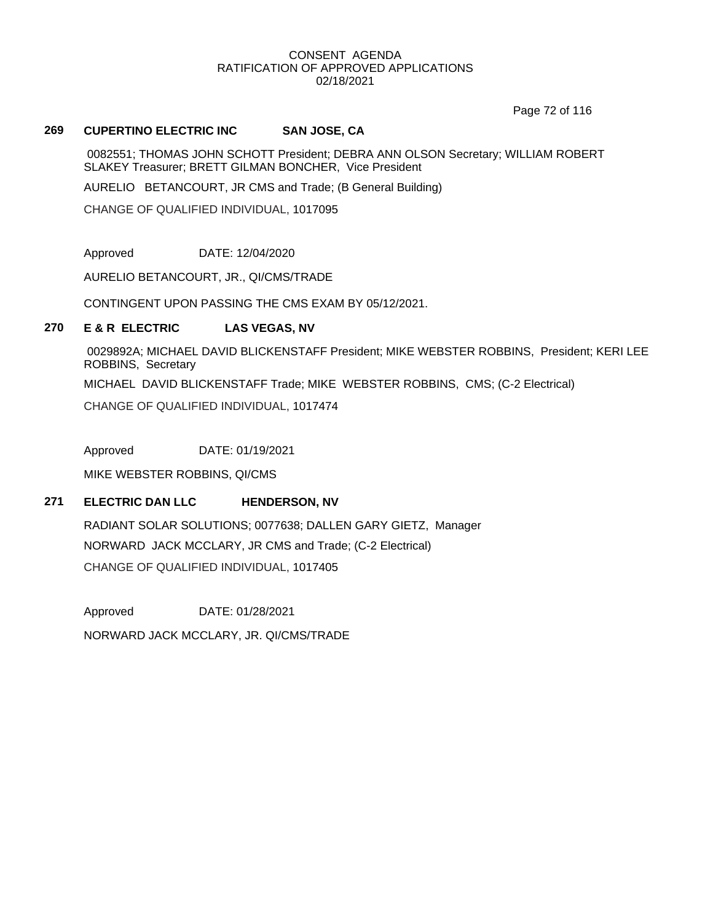Page 72 of 116

#### **269 CUPERTINO ELECTRIC INC SAN JOSE, CA**

0082551; THOMAS JOHN SCHOTT President; DEBRA ANN OLSON Secretary; WILLIAM ROBERT SLAKEY Treasurer; BRETT GILMAN BONCHER, Vice President

AURELIO BETANCOURT, JR CMS and Trade; (B General Building)

CHANGE OF QUALIFIED INDIVIDUAL, 1017095

Approved DATE: 12/04/2020

AURELIO BETANCOURT, JR., QI/CMS/TRADE

CONTINGENT UPON PASSING THE CMS EXAM BY 05/12/2021.

#### **270 E & R ELECTRIC LAS VEGAS, NV**

0029892A; MICHAEL DAVID BLICKENSTAFF President; MIKE WEBSTER ROBBINS, President; KERI LEE ROBBINS, Secretary

MICHAEL DAVID BLICKENSTAFF Trade; MIKE WEBSTER ROBBINS, CMS; (C-2 Electrical)

CHANGE OF QUALIFIED INDIVIDUAL, 1017474

Approved DATE: 01/19/2021

MIKE WEBSTER ROBBINS, QI/CMS

#### **271 ELECTRIC DAN LLC HENDERSON, NV**

RADIANT SOLAR SOLUTIONS; 0077638; DALLEN GARY GIETZ, Manager NORWARD JACK MCCLARY, JR CMS and Trade; (C-2 Electrical) CHANGE OF QUALIFIED INDIVIDUAL, 1017405

Approved DATE: 01/28/2021 NORWARD JACK MCCLARY, JR. QI/CMS/TRADE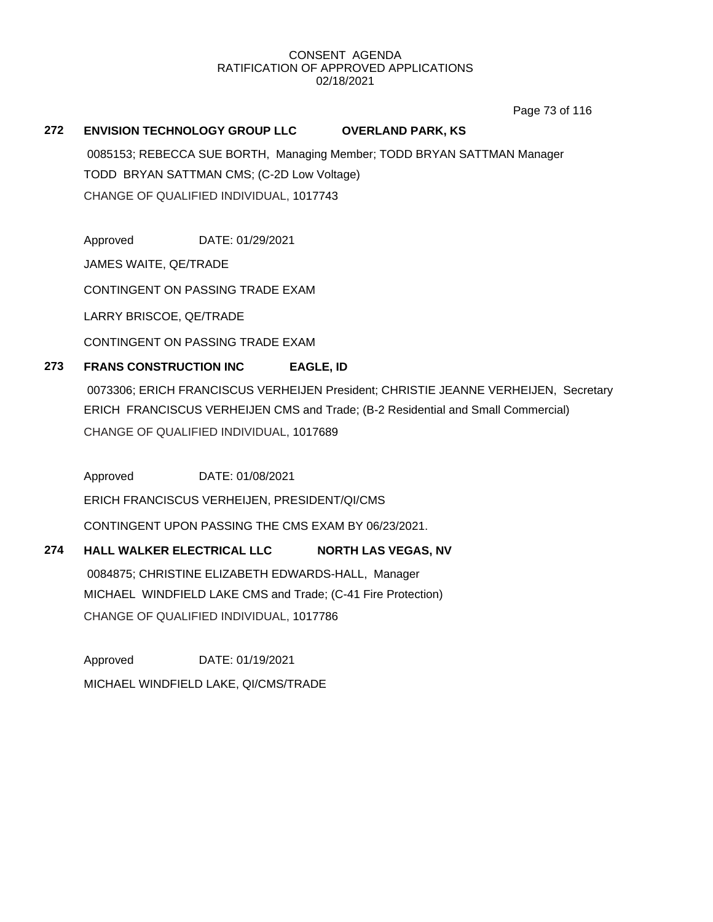Page 73 of 116

# **272 ENVISION TECHNOLOGY GROUP LLC OVERLAND PARK, KS**

0085153; REBECCA SUE BORTH, Managing Member; TODD BRYAN SATTMAN Manager TODD BRYAN SATTMAN CMS; (C-2D Low Voltage) CHANGE OF QUALIFIED INDIVIDUAL, 1017743

Approved DATE: 01/29/2021

JAMES WAITE, QE/TRADE

CONTINGENT ON PASSING TRADE EXAM

LARRY BRISCOE, QE/TRADE

CONTINGENT ON PASSING TRADE EXAM

# **273 FRANS CONSTRUCTION INC EAGLE, ID**

0073306; ERICH FRANCISCUS VERHEIJEN President; CHRISTIE JEANNE VERHEIJEN, Secretary ERICH FRANCISCUS VERHEIJEN CMS and Trade; (B-2 Residential and Small Commercial) CHANGE OF QUALIFIED INDIVIDUAL, 1017689

Approved DATE: 01/08/2021

ERICH FRANCISCUS VERHEIJEN, PRESIDENT/QI/CMS

CONTINGENT UPON PASSING THE CMS EXAM BY 06/23/2021.

# **274 HALL WALKER ELECTRICAL LLC NORTH LAS VEGAS, NV**

0084875; CHRISTINE ELIZABETH EDWARDS-HALL, Manager MICHAEL WINDFIELD LAKE CMS and Trade; (C-41 Fire Protection) CHANGE OF QUALIFIED INDIVIDUAL, 1017786

Approved DATE: 01/19/2021 MICHAEL WINDFIELD LAKE, QI/CMS/TRADE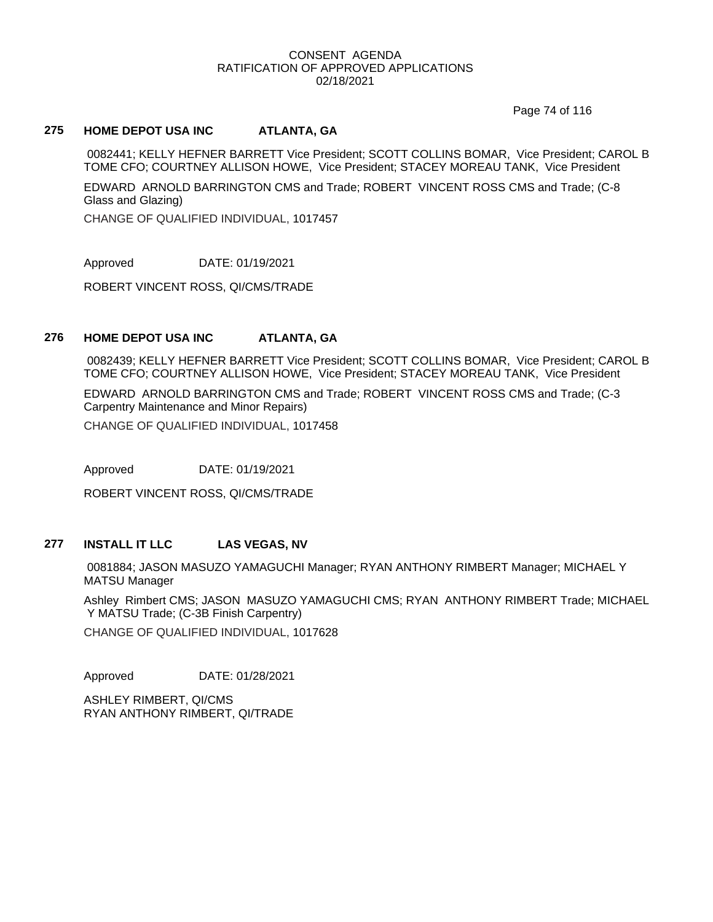Page 74 of 116

### **275 HOME DEPOT USA INC ATLANTA, GA**

0082441; KELLY HEFNER BARRETT Vice President; SCOTT COLLINS BOMAR, Vice President; CAROL B TOME CFO; COURTNEY ALLISON HOWE, Vice President; STACEY MOREAU TANK, Vice President

EDWARD ARNOLD BARRINGTON CMS and Trade; ROBERT VINCENT ROSS CMS and Trade; (C-8 Glass and Glazing)

CHANGE OF QUALIFIED INDIVIDUAL, 1017457

Approved DATE: 01/19/2021

ROBERT VINCENT ROSS, QI/CMS/TRADE

### **276 HOME DEPOT USA INC ATLANTA, GA**

0082439; KELLY HEFNER BARRETT Vice President; SCOTT COLLINS BOMAR, Vice President; CAROL B TOME CFO; COURTNEY ALLISON HOWE, Vice President; STACEY MOREAU TANK, Vice President

EDWARD ARNOLD BARRINGTON CMS and Trade; ROBERT VINCENT ROSS CMS and Trade; (C-3 Carpentry Maintenance and Minor Repairs)

CHANGE OF QUALIFIED INDIVIDUAL, 1017458

Approved DATE: 01/19/2021

ROBERT VINCENT ROSS, QI/CMS/TRADE

#### **277 INSTALL IT LLC LAS VEGAS, NV**

0081884; JASON MASUZO YAMAGUCHI Manager; RYAN ANTHONY RIMBERT Manager; MICHAEL Y MATSU Manager

Ashley Rimbert CMS; JASON MASUZO YAMAGUCHI CMS; RYAN ANTHONY RIMBERT Trade; MICHAEL Y MATSU Trade; (C-3B Finish Carpentry)

CHANGE OF QUALIFIED INDIVIDUAL, 1017628

Approved DATE: 01/28/2021

ASHLEY RIMBERT, QI/CMS RYAN ANTHONY RIMBERT, QI/TRADE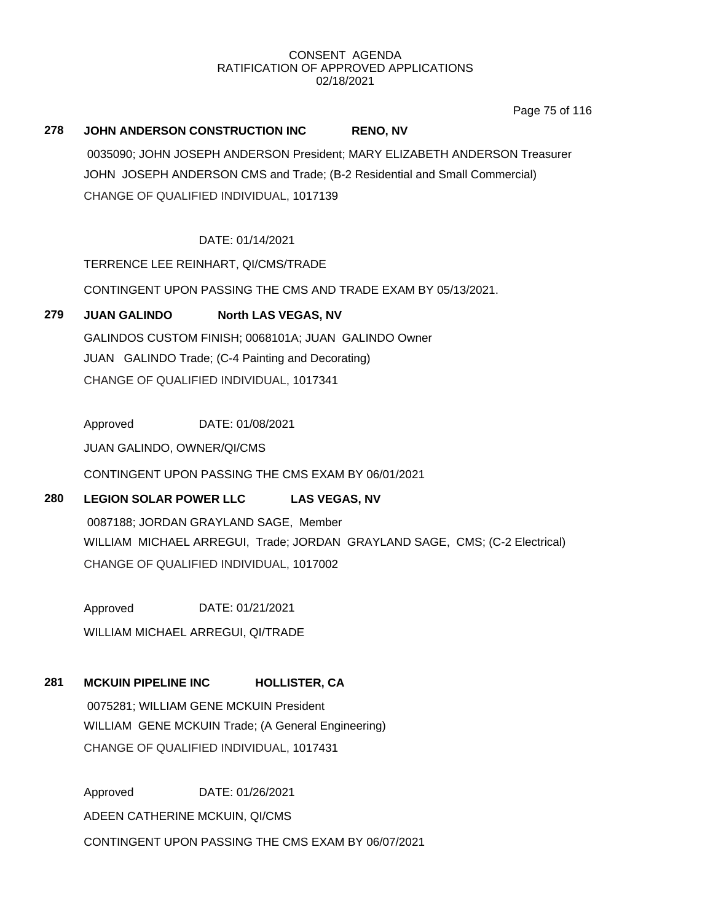Page 75 of 116

# **278 JOHN ANDERSON CONSTRUCTION INC RENO, NV** 0035090; JOHN JOSEPH ANDERSON President; MARY ELIZABETH ANDERSON Treasurer JOHN JOSEPH ANDERSON CMS and Trade; (B-2 Residential and Small Commercial) CHANGE OF QUALIFIED INDIVIDUAL, 1017139

# DATE: 01/14/2021

TERRENCE LEE REINHART, QI/CMS/TRADE

CONTINGENT UPON PASSING THE CMS AND TRADE EXAM BY 05/13/2021.

# **279 JUAN GALINDO North LAS VEGAS, NV**

GALINDOS CUSTOM FINISH; 0068101A; JUAN GALINDO Owner JUAN GALINDO Trade; (C-4 Painting and Decorating) CHANGE OF QUALIFIED INDIVIDUAL, 1017341

Approved DATE: 01/08/2021

JUAN GALINDO, OWNER/QI/CMS

CONTINGENT UPON PASSING THE CMS EXAM BY 06/01/2021

# **280 LEGION SOLAR POWER LLC LAS VEGAS, NV**

0087188; JORDAN GRAYLAND SAGE, Member WILLIAM MICHAEL ARREGUI, Trade; JORDAN GRAYLAND SAGE, CMS; (C-2 Electrical) CHANGE OF QUALIFIED INDIVIDUAL, 1017002

Approved DATE: 01/21/2021 WILLIAM MICHAEL ARREGUI, QI/TRADE

# **281 MCKUIN PIPELINE INC HOLLISTER, CA**

0075281; WILLIAM GENE MCKUIN President WILLIAM GENE MCKUIN Trade; (A General Engineering) CHANGE OF QUALIFIED INDIVIDUAL, 1017431

Approved DATE: 01/26/2021 ADEEN CATHERINE MCKUIN, QI/CMS CONTINGENT UPON PASSING THE CMS EXAM BY 06/07/2021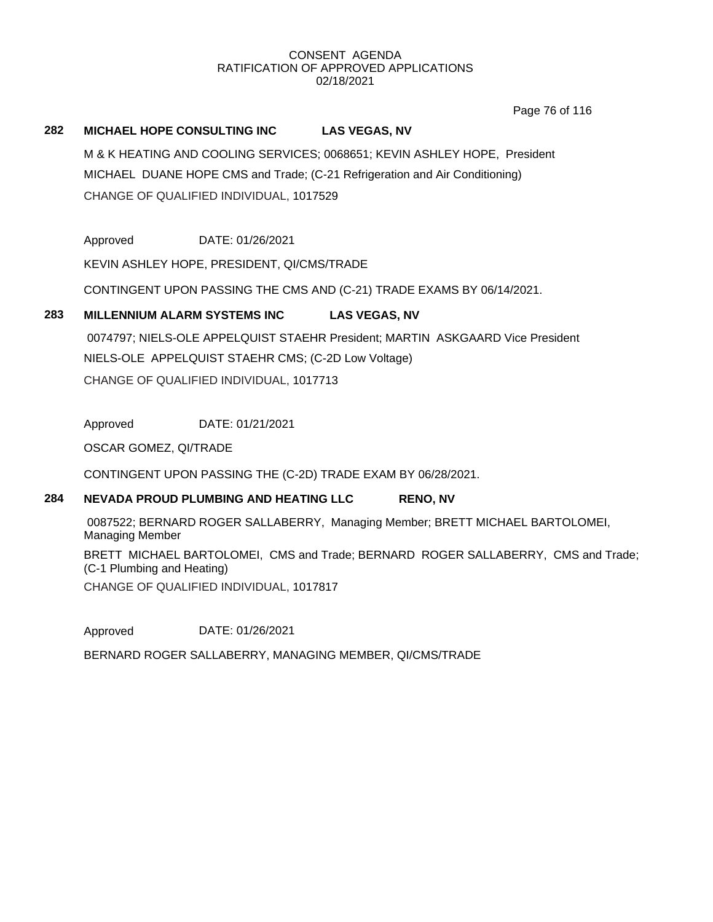Page 76 of 116

#### **282 MICHAEL HOPE CONSULTING INC LAS VEGAS, NV**

M & K HEATING AND COOLING SERVICES; 0068651; KEVIN ASHLEY HOPE, President MICHAEL DUANE HOPE CMS and Trade; (C-21 Refrigeration and Air Conditioning) CHANGE OF QUALIFIED INDIVIDUAL, 1017529

Approved DATE: 01/26/2021

KEVIN ASHLEY HOPE, PRESIDENT, QI/CMS/TRADE

CONTINGENT UPON PASSING THE CMS AND (C-21) TRADE EXAMS BY 06/14/2021.

### **283 MILLENNIUM ALARM SYSTEMS INC LAS VEGAS, NV**

0074797; NIELS-OLE APPELQUIST STAEHR President; MARTIN ASKGAARD Vice President NIELS-OLE APPELQUIST STAEHR CMS; (C-2D Low Voltage) CHANGE OF QUALIFIED INDIVIDUAL, 1017713

Approved DATE: 01/21/2021

OSCAR GOMEZ, QI/TRADE

CONTINGENT UPON PASSING THE (C-2D) TRADE EXAM BY 06/28/2021.

## **284 NEVADA PROUD PLUMBING AND HEATING LLC RENO, NV**

0087522; BERNARD ROGER SALLABERRY, Managing Member; BRETT MICHAEL BARTOLOMEI, Managing Member

BRETT MICHAEL BARTOLOMEI, CMS and Trade; BERNARD ROGER SALLABERRY, CMS and Trade; (C-1 Plumbing and Heating)

CHANGE OF QUALIFIED INDIVIDUAL, 1017817

Approved DATE: 01/26/2021

BERNARD ROGER SALLABERRY, MANAGING MEMBER, QI/CMS/TRADE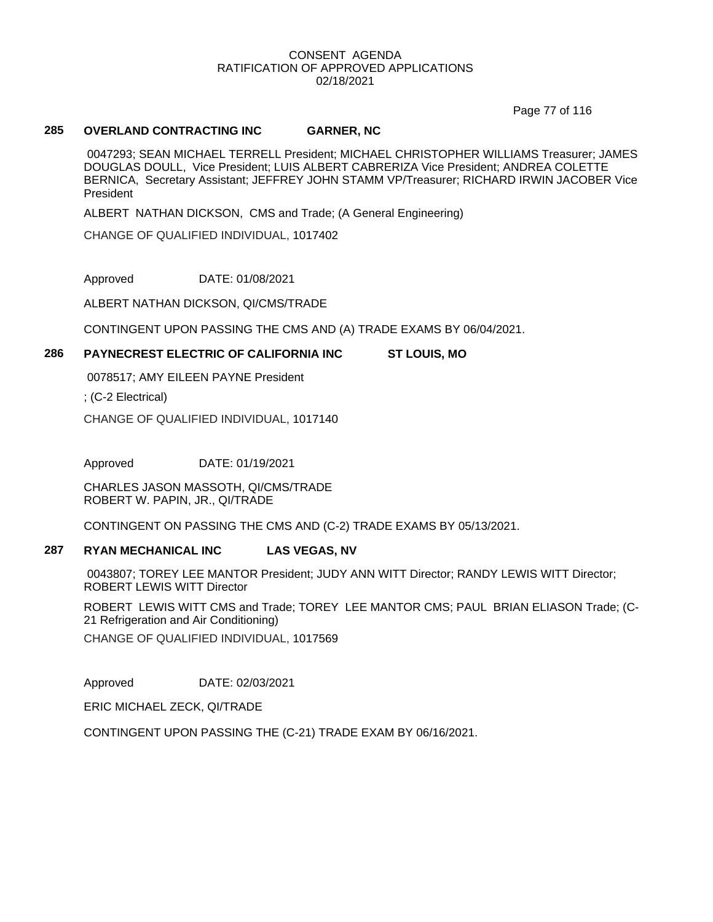Page 77 of 116

#### **285 OVERLAND CONTRACTING INC GARNER, NC**

0047293; SEAN MICHAEL TERRELL President; MICHAEL CHRISTOPHER WILLIAMS Treasurer; JAMES DOUGLAS DOULL, Vice President; LUIS ALBERT CABRERIZA Vice President; ANDREA COLETTE BERNICA, Secretary Assistant; JEFFREY JOHN STAMM VP/Treasurer; RICHARD IRWIN JACOBER Vice President

ALBERT NATHAN DICKSON, CMS and Trade; (A General Engineering)

CHANGE OF QUALIFIED INDIVIDUAL, 1017402

Approved DATE: 01/08/2021

ALBERT NATHAN DICKSON, QI/CMS/TRADE

CONTINGENT UPON PASSING THE CMS AND (A) TRADE EXAMS BY 06/04/2021.

### **286 PAYNECREST ELECTRIC OF CALIFORNIA INC ST LOUIS, MO**

0078517; AMY EILEEN PAYNE President

; (C-2 Electrical)

CHANGE OF QUALIFIED INDIVIDUAL, 1017140

Approved DATE: 01/19/2021

CHARLES JASON MASSOTH, QI/CMS/TRADE ROBERT W. PAPIN, JR., QI/TRADE

CONTINGENT ON PASSING THE CMS AND (C-2) TRADE EXAMS BY 05/13/2021.

# **287 RYAN MECHANICAL INC LAS VEGAS, NV**

0043807; TOREY LEE MANTOR President; JUDY ANN WITT Director; RANDY LEWIS WITT Director; ROBERT LEWIS WITT Director

ROBERT LEWIS WITT CMS and Trade; TOREY LEE MANTOR CMS; PAUL BRIAN ELIASON Trade; (C-21 Refrigeration and Air Conditioning)

CHANGE OF QUALIFIED INDIVIDUAL, 1017569

Approved DATE: 02/03/2021

ERIC MICHAEL ZECK, QI/TRADE

CONTINGENT UPON PASSING THE (C-21) TRADE EXAM BY 06/16/2021.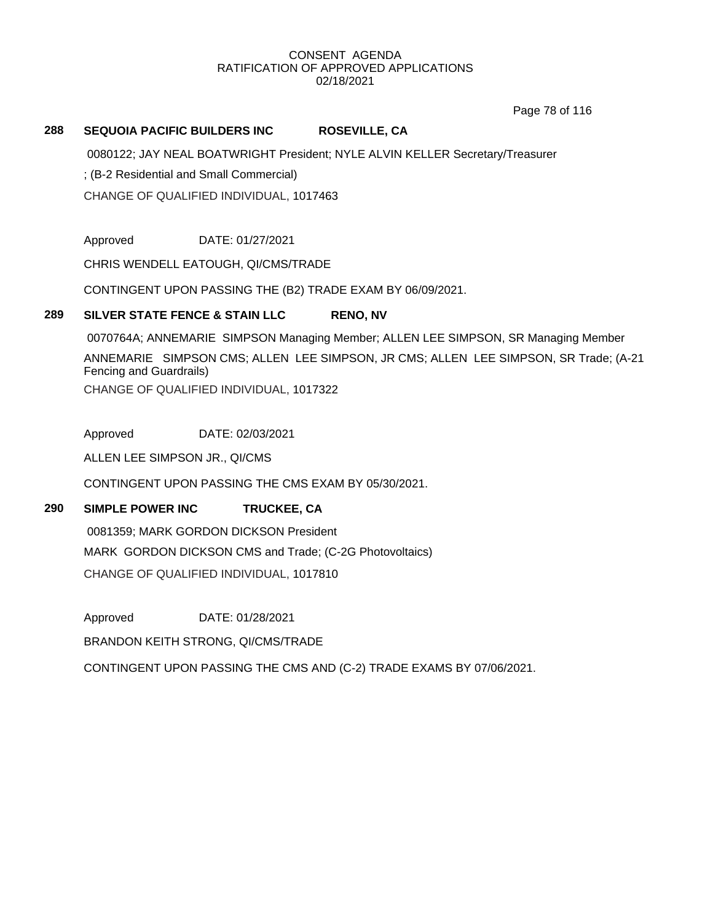Page 78 of 116

#### **288 SEQUOIA PACIFIC BUILDERS INC ROSEVILLE, CA**

0080122; JAY NEAL BOATWRIGHT President; NYLE ALVIN KELLER Secretary/Treasurer

; (B-2 Residential and Small Commercial)

CHANGE OF QUALIFIED INDIVIDUAL, 1017463

Approved DATE: 01/27/2021

CHRIS WENDELL EATOUGH, QI/CMS/TRADE

CONTINGENT UPON PASSING THE (B2) TRADE EXAM BY 06/09/2021.

#### **289 SILVER STATE FENCE & STAIN LLC RENO, NV**

0070764A; ANNEMARIE SIMPSON Managing Member; ALLEN LEE SIMPSON, SR Managing Member ANNEMARIE SIMPSON CMS; ALLEN LEE SIMPSON, JR CMS; ALLEN LEE SIMPSON, SR Trade; (A-21 Fencing and Guardrails) CHANGE OF QUALIFIED INDIVIDUAL, 1017322

Approved DATE: 02/03/2021

ALLEN LEE SIMPSON JR., QI/CMS

CONTINGENT UPON PASSING THE CMS EXAM BY 05/30/2021.

### **290 SIMPLE POWER INC TRUCKEE, CA**

0081359; MARK GORDON DICKSON President MARK GORDON DICKSON CMS and Trade; (C-2G Photovoltaics) CHANGE OF QUALIFIED INDIVIDUAL, 1017810

Approved DATE: 01/28/2021

BRANDON KEITH STRONG, QI/CMS/TRADE

CONTINGENT UPON PASSING THE CMS AND (C-2) TRADE EXAMS BY 07/06/2021.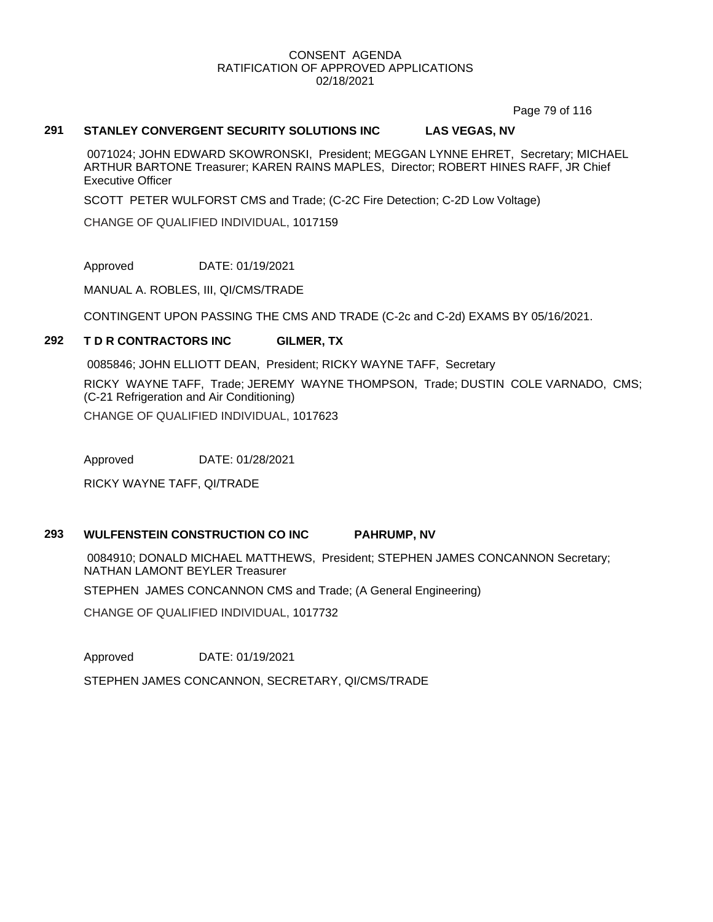Page 79 of 116

#### **291 STANLEY CONVERGENT SECURITY SOLUTIONS INC LAS VEGAS, NV**

0071024; JOHN EDWARD SKOWRONSKI, President; MEGGAN LYNNE EHRET, Secretary; MICHAEL ARTHUR BARTONE Treasurer; KAREN RAINS MAPLES, Director; ROBERT HINES RAFF, JR Chief Executive Officer

SCOTT PETER WULFORST CMS and Trade; (C-2C Fire Detection; C-2D Low Voltage)

CHANGE OF QUALIFIED INDIVIDUAL, 1017159

Approved DATE: 01/19/2021

MANUAL A. ROBLES, III, QI/CMS/TRADE

CONTINGENT UPON PASSING THE CMS AND TRADE (C-2c and C-2d) EXAMS BY 05/16/2021.

#### **292 T D R CONTRACTORS INC GILMER, TX**

0085846; JOHN ELLIOTT DEAN, President; RICKY WAYNE TAFF, Secretary RICKY WAYNE TAFF, Trade; JEREMY WAYNE THOMPSON, Trade; DUSTIN COLE VARNADO, CMS; (C-21 Refrigeration and Air Conditioning) CHANGE OF QUALIFIED INDIVIDUAL, 1017623

Approved DATE: 01/28/2021

RICKY WAYNE TAFF, QI/TRADE

# **293 WULFENSTEIN CONSTRUCTION CO INC PAHRUMP, NV**

0084910; DONALD MICHAEL MATTHEWS, President; STEPHEN JAMES CONCANNON Secretary; NATHAN LAMONT BEYLER Treasurer

STEPHEN JAMES CONCANNON CMS and Trade; (A General Engineering)

CHANGE OF QUALIFIED INDIVIDUAL, 1017732

Approved DATE: 01/19/2021

STEPHEN JAMES CONCANNON, SECRETARY, QI/CMS/TRADE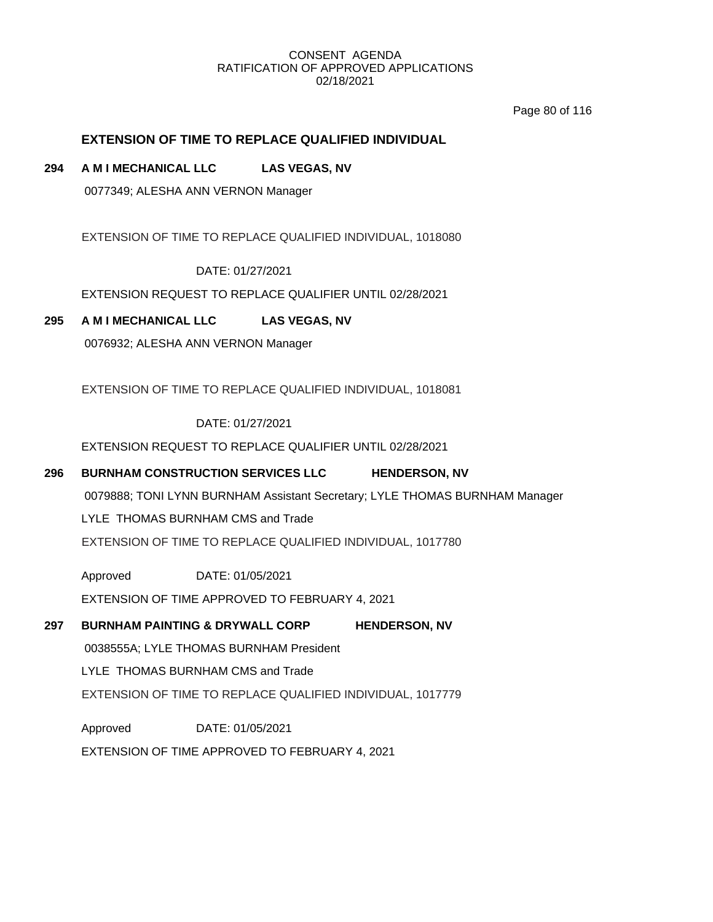Page 80 of 116

# **EXTENSION OF TIME TO REPLACE QUALIFIED INDIVIDUAL**

### **294 A M I MECHANICAL LLC LAS VEGAS, NV**

0077349; ALESHA ANN VERNON Manager

EXTENSION OF TIME TO REPLACE QUALIFIED INDIVIDUAL, 1018080

DATE: 01/27/2021

EXTENSION REQUEST TO REPLACE QUALIFIER UNTIL 02/28/2021

### **295 A M I MECHANICAL LLC LAS VEGAS, NV**

0076932; ALESHA ANN VERNON Manager

EXTENSION OF TIME TO REPLACE QUALIFIED INDIVIDUAL, 1018081

DATE: 01/27/2021

EXTENSION REQUEST TO REPLACE QUALIFIER UNTIL 02/28/2021

### **296 BURNHAM CONSTRUCTION SERVICES LLC HENDERSON, NV**

0079888; TONI LYNN BURNHAM Assistant Secretary; LYLE THOMAS BURNHAM Manager

LYLE THOMAS BURNHAM CMS and Trade

EXTENSION OF TIME TO REPLACE QUALIFIED INDIVIDUAL, 1017780

Approved DATE: 01/05/2021

EXTENSION OF TIME APPROVED TO FEBRUARY 4, 2021

# **297 BURNHAM PAINTING & DRYWALL CORP HENDERSON, NV**

0038555A; LYLE THOMAS BURNHAM President

LYLE THOMAS BURNHAM CMS and Trade

EXTENSION OF TIME TO REPLACE QUALIFIED INDIVIDUAL, 1017779

Approved DATE: 01/05/2021

EXTENSION OF TIME APPROVED TO FEBRUARY 4, 2021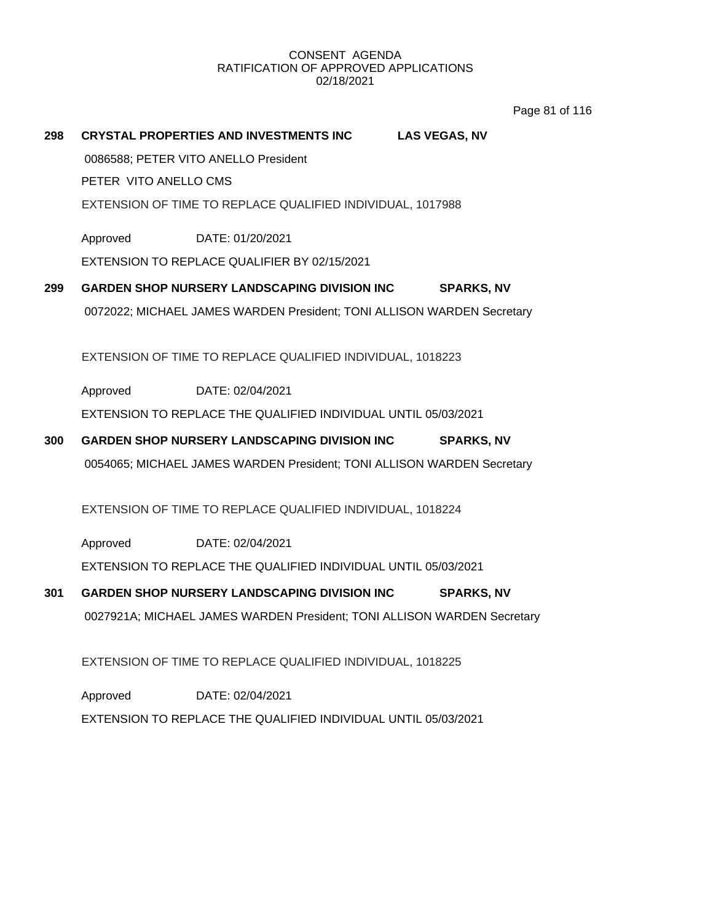Page 81 of 116

### **298 CRYSTAL PROPERTIES AND INVESTMENTS INC LAS VEGAS, NV**

0086588; PETER VITO ANELLO President

PETER VITO ANELLO CMS

EXTENSION OF TIME TO REPLACE QUALIFIED INDIVIDUAL, 1017988

Approved DATE: 01/20/2021

EXTENSION TO REPLACE QUALIFIER BY 02/15/2021

**299 GARDEN SHOP NURSERY LANDSCAPING DIVISION INC SPARKS, NV** 0072022; MICHAEL JAMES WARDEN President; TONI ALLISON WARDEN Secretary

EXTENSION OF TIME TO REPLACE QUALIFIED INDIVIDUAL, 1018223

Approved DATE: 02/04/2021

EXTENSION TO REPLACE THE QUALIFIED INDIVIDUAL UNTIL 05/03/2021

**300 GARDEN SHOP NURSERY LANDSCAPING DIVISION INC SPARKS, NV** 0054065; MICHAEL JAMES WARDEN President; TONI ALLISON WARDEN Secretary

EXTENSION OF TIME TO REPLACE QUALIFIED INDIVIDUAL, 1018224

Approved EXTENSION TO REPLACE THE QUALIFIED INDIVIDUAL UNTIL 05/03/2021 DATE: 02/04/2021

**301 GARDEN SHOP NURSERY LANDSCAPING DIVISION INC SPARKS, NV** 0027921A; MICHAEL JAMES WARDEN President; TONI ALLISON WARDEN Secretary

EXTENSION OF TIME TO REPLACE QUALIFIED INDIVIDUAL, 1018225

Approved EXTENSION TO REPLACE THE QUALIFIED INDIVIDUAL UNTIL 05/03/2021 DATE: 02/04/2021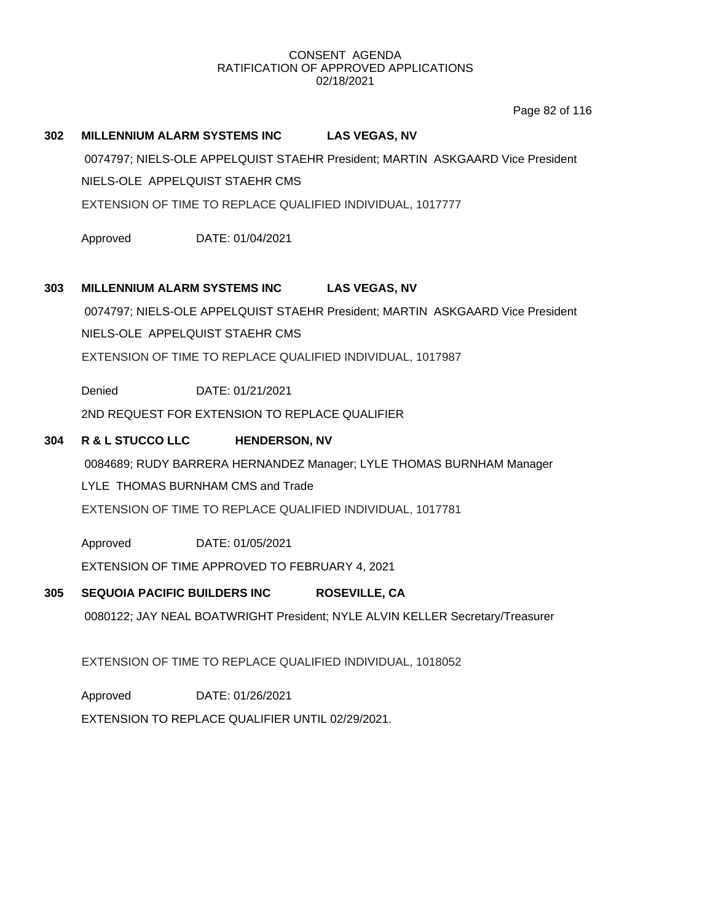Page 82 of 116

#### **302 MILLENNIUM ALARM SYSTEMS INC LAS VEGAS, NV**

0074797; NIELS-OLE APPELQUIST STAEHR President; MARTIN ASKGAARD Vice President NIELS-OLE APPELQUIST STAEHR CMS

EXTENSION OF TIME TO REPLACE QUALIFIED INDIVIDUAL, 1017777

Approved DATE: 01/04/2021

#### **303 MILLENNIUM ALARM SYSTEMS INC LAS VEGAS, NV**

0074797; NIELS-OLE APPELQUIST STAEHR President; MARTIN ASKGAARD Vice President

NIELS-OLE APPELQUIST STAEHR CMS

EXTENSION OF TIME TO REPLACE QUALIFIED INDIVIDUAL, 1017987

Denied DATE: 01/21/2021

2ND REQUEST FOR EXTENSION TO REPLACE QUALIFIER

### **304 R & L STUCCO LLC HENDERSON, NV**

0084689; RUDY BARRERA HERNANDEZ Manager; LYLE THOMAS BURNHAM Manager

LYLE THOMAS BURNHAM CMS and Trade

EXTENSION OF TIME TO REPLACE QUALIFIED INDIVIDUAL, 1017781

Approved DATE: 01/05/2021

EXTENSION OF TIME APPROVED TO FEBRUARY 4, 2021

### **305 SEQUOIA PACIFIC BUILDERS INC ROSEVILLE, CA**

0080122; JAY NEAL BOATWRIGHT President; NYLE ALVIN KELLER Secretary/Treasurer

EXTENSION OF TIME TO REPLACE QUALIFIED INDIVIDUAL, 1018052

Approved DATE: 01/26/2021

EXTENSION TO REPLACE QUALIFIER UNTIL 02/29/2021.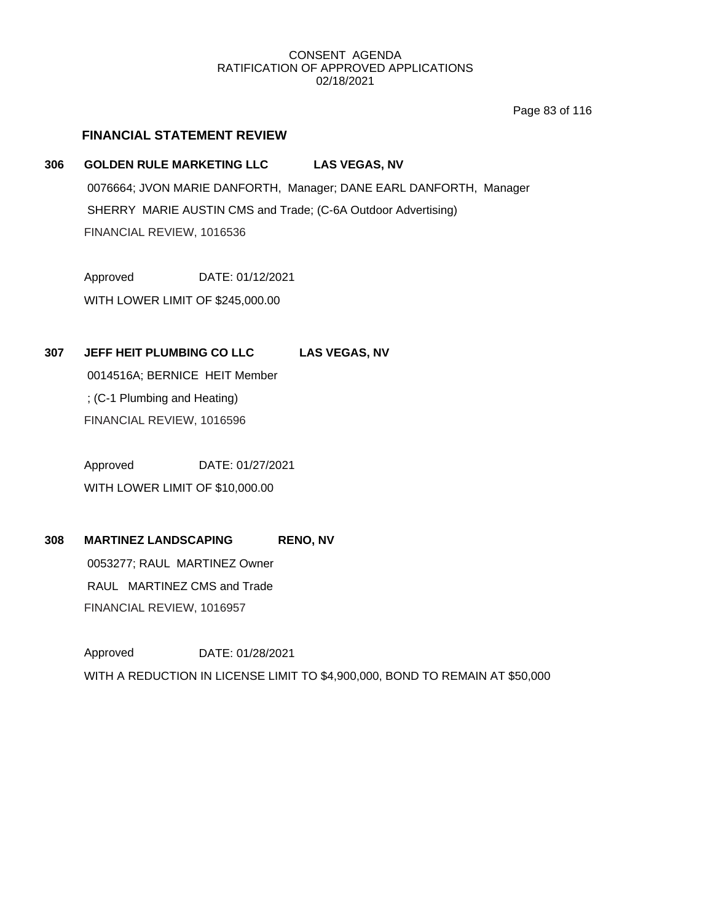Page 83 of 116

### **FINANCIAL STATEMENT REVIEW**

#### **306 GOLDEN RULE MARKETING LLC LAS VEGAS, NV**

0076664; JVON MARIE DANFORTH, Manager; DANE EARL DANFORTH, Manager SHERRY MARIE AUSTIN CMS and Trade; (C-6A Outdoor Advertising) FINANCIAL REVIEW, 1016536

Approved DATE: 01/12/2021

WITH LOWER LIMIT OF \$245,000.00

# **307 JEFF HEIT PLUMBING CO LLC LAS VEGAS, NV**

0014516A; BERNICE HEIT Member ; (C-1 Plumbing and Heating) FINANCIAL REVIEW, 1016596

Approved DATE: 01/27/2021 WITH LOWER LIMIT OF \$10,000.00

# **308 MARTINEZ LANDSCAPING RENO, NV**

0053277; RAUL MARTINEZ Owner RAUL MARTINEZ CMS and Trade FINANCIAL REVIEW, 1016957

Approved DATE: 01/28/2021 WITH A REDUCTION IN LICENSE LIMIT TO \$4,900,000, BOND TO REMAIN AT \$50,000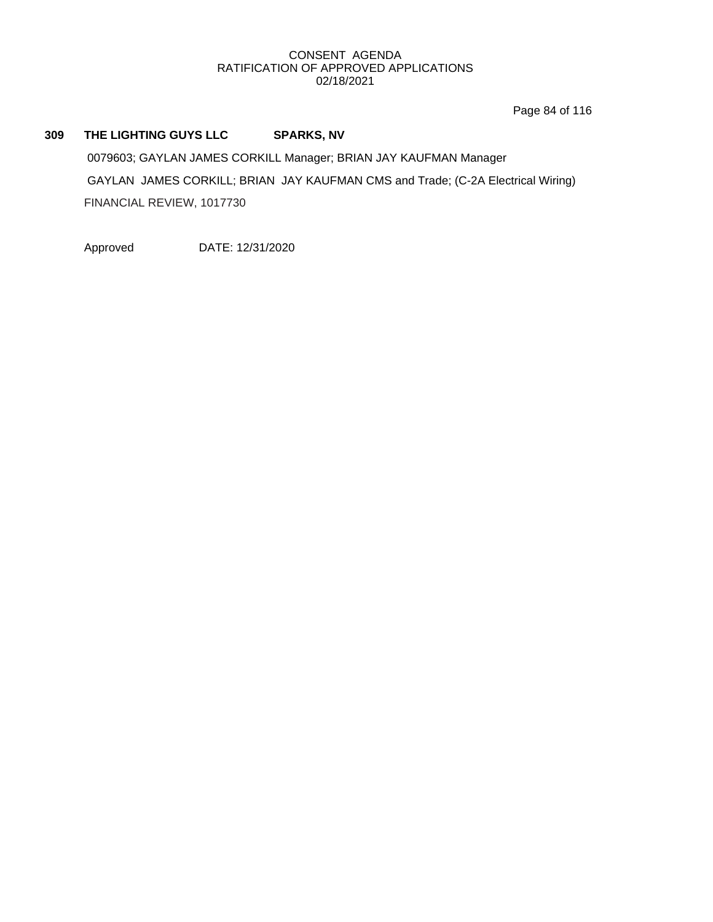Page 84 of 116

## **309 THE LIGHTING GUYS LLC SPARKS, NV**

0079603; GAYLAN JAMES CORKILL Manager; BRIAN JAY KAUFMAN Manager GAYLAN JAMES CORKILL; BRIAN JAY KAUFMAN CMS and Trade; (C-2A Electrical Wiring) FINANCIAL REVIEW, 1017730

Approved DATE: 12/31/2020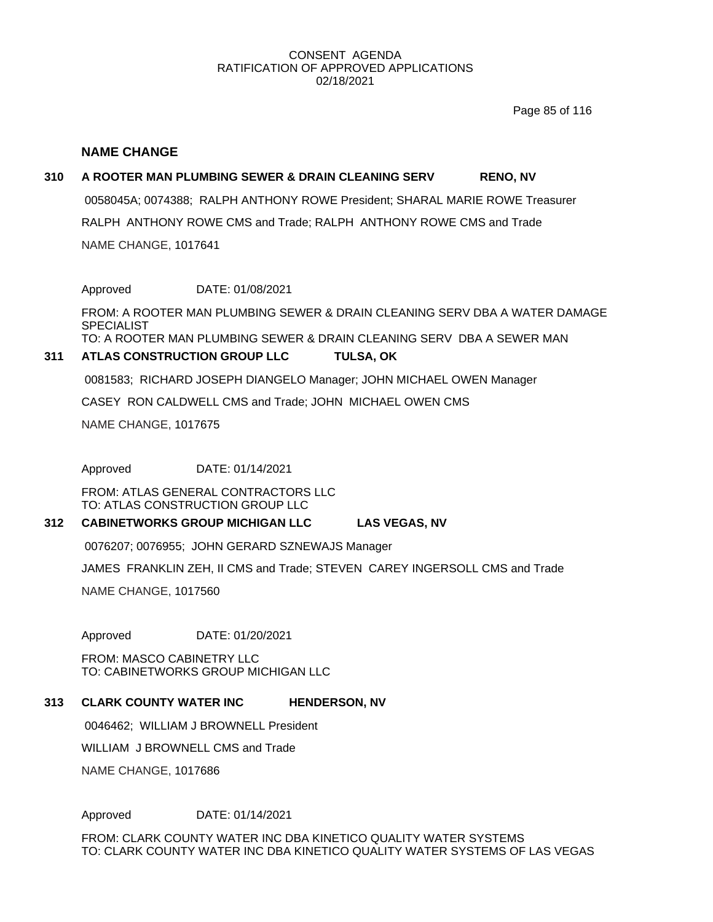Page 85 of 116

#### **NAME CHANGE**

#### **310 A ROOTER MAN PLUMBING SEWER & DRAIN CLEANING SERV RENO, NV**

NAME CHANGE, 1017641 RALPH ANTHONY ROWE CMS and Trade; RALPH ANTHONY ROWE CMS and Trade 0058045A; 0074388; RALPH ANTHONY ROWE President; SHARAL MARIE ROWE Treasurer

Approved DATE: 01/08/2021

FROM: A ROOTER MAN PLUMBING SEWER & DRAIN CLEANING SERV DBA A WATER DAMAGE SPECIALIST TO: A ROOTER MAN PLUMBING SEWER & DRAIN CLEANING SERV DBA A SEWER MAN

#### **311 ATLAS CONSTRUCTION GROUP LLC TULSA, OK**

0081583; RICHARD JOSEPH DIANGELO Manager; JOHN MICHAEL OWEN Manager

CASEY RON CALDWELL CMS and Trade; JOHN MICHAEL OWEN CMS

NAME CHANGE, 1017675

Approved DATE: 01/14/2021

FROM: ATLAS GENERAL CONTRACTORS LLC TO: ATLAS CONSTRUCTION GROUP LLC

#### **312 CABINETWORKS GROUP MICHIGAN LLC LAS VEGAS, NV**

0076207; 0076955; JOHN GERARD SZNEWAJS Manager

JAMES FRANKLIN ZEH, II CMS and Trade; STEVEN CAREY INGERSOLL CMS and Trade

NAME CHANGE, 1017560

Approved DATE: 01/20/2021

FROM: MASCO CABINETRY LLC TO: CABINETWORKS GROUP MICHIGAN LLC

#### **313 CLARK COUNTY WATER INC HENDERSON, NV**

0046462; WILLIAM J BROWNELL President

WILLIAM J BROWNELL CMS and Trade

NAME CHANGE, 1017686

Approved DATE: 01/14/2021

FROM: CLARK COUNTY WATER INC DBA KINETICO QUALITY WATER SYSTEMS TO: CLARK COUNTY WATER INC DBA KINETICO QUALITY WATER SYSTEMS OF LAS VEGAS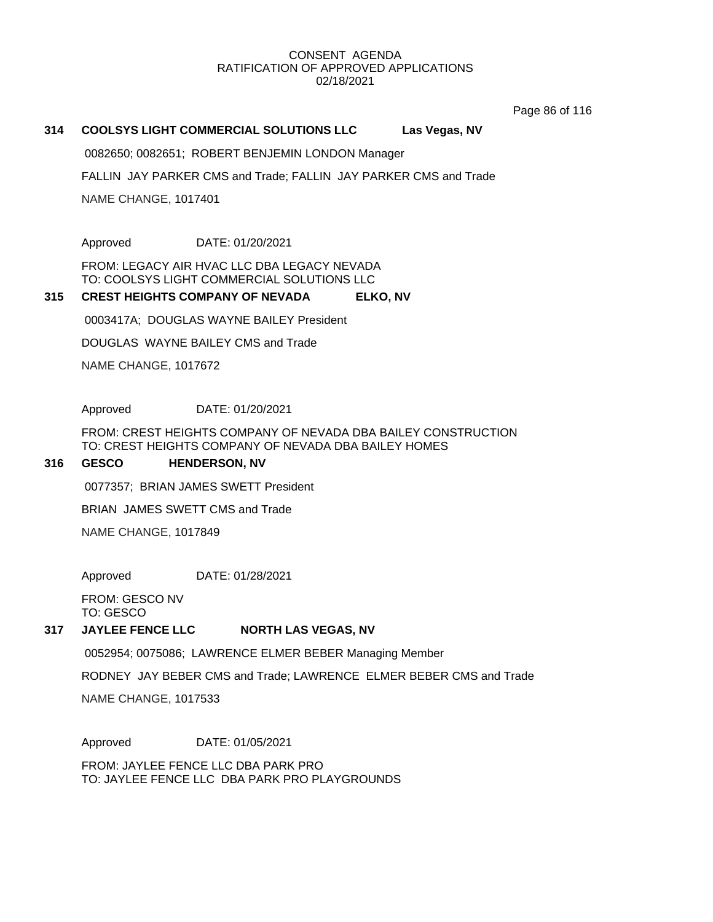Page 86 of 116

#### **314 COOLSYS LIGHT COMMERCIAL SOLUTIONS LLC Las Vegas, NV**

0082650; 0082651; ROBERT BENJEMIN LONDON Manager

FALLIN JAY PARKER CMS and Trade; FALLIN JAY PARKER CMS and Trade

NAME CHANGE, 1017401

Approved DATE: 01/20/2021

FROM: LEGACY AIR HVAC LLC DBA LEGACY NEVADA TO: COOLSYS LIGHT COMMERCIAL SOLUTIONS LLC

#### **315 CREST HEIGHTS COMPANY OF NEVADA ELKO, NV**

0003417A; DOUGLAS WAYNE BAILEY President

DOUGLAS WAYNE BAILEY CMS and Trade

NAME CHANGE, 1017672

Approved DATE: 01/20/2021

FROM: CREST HEIGHTS COMPANY OF NEVADA DBA BAILEY CONSTRUCTION TO: CREST HEIGHTS COMPANY OF NEVADA DBA BAILEY HOMES

#### **316 GESCO HENDERSON, NV**

0077357; BRIAN JAMES SWETT President

BRIAN JAMES SWETT CMS and Trade

NAME CHANGE, 1017849

Approved DATE: 01/28/2021

FROM: GESCO NV TO: GESCO

#### **317 JAYLEE FENCE LLC NORTH LAS VEGAS, NV**

0052954; 0075086; LAWRENCE ELMER BEBER Managing Member

RODNEY JAY BEBER CMS and Trade; LAWRENCE ELMER BEBER CMS and Trade

NAME CHANGE, 1017533

Approved DATE: 01/05/2021

FROM: JAYLEE FENCE LLC DBA PARK PRO TO: JAYLEE FENCE LLC DBA PARK PRO PLAYGROUNDS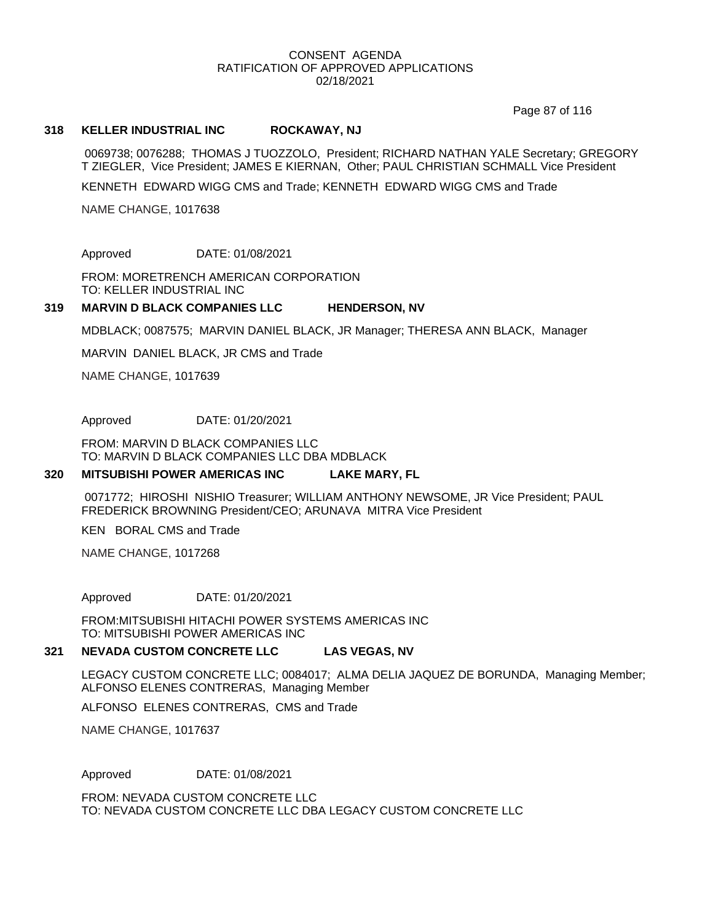Page 87 of 116

#### **318 KELLER INDUSTRIAL INC ROCKAWAY, NJ**

0069738; 0076288; THOMAS J TUOZZOLO, President; RICHARD NATHAN YALE Secretary; GREGORY T ZIEGLER, Vice President; JAMES E KIERNAN, Other; PAUL CHRISTIAN SCHMALL Vice President

KENNETH EDWARD WIGG CMS and Trade; KENNETH EDWARD WIGG CMS and Trade

NAME CHANGE, 1017638

Approved DATE: 01/08/2021

FROM: MORETRENCH AMERICAN CORPORATION TO: KELLER INDUSTRIAL INC

#### **319 MARVIN D BLACK COMPANIES LLC HENDERSON, NV**

MDBLACK; 0087575; MARVIN DANIEL BLACK, JR Manager; THERESA ANN BLACK, Manager

MARVIN DANIEL BLACK, JR CMS and Trade

NAME CHANGE, 1017639

Approved DATE: 01/20/2021

FROM: MARVIN D BLACK COMPANIES LLC TO: MARVIN D BLACK COMPANIES LLC DBA MDBLACK

#### **320 MITSUBISHI POWER AMERICAS INC LAKE MARY, FL**

0071772; HIROSHI NISHIO Treasurer; WILLIAM ANTHONY NEWSOME, JR Vice President; PAUL FREDERICK BROWNING President/CEO; ARUNAVA MITRA Vice President

KEN BORAL CMS and Trade

NAME CHANGE, 1017268

#### Approved DATE: 01/20/2021

FROM:MITSUBISHI HITACHI POWER SYSTEMS AMERICAS INC TO: MITSUBISHI POWER AMERICAS INC

#### **321 NEVADA CUSTOM CONCRETE LLC LAS VEGAS, NV**

LEGACY CUSTOM CONCRETE LLC; 0084017; ALMA DELIA JAQUEZ DE BORUNDA, Managing Member; ALFONSO ELENES CONTRERAS, Managing Member

ALFONSO ELENES CONTRERAS, CMS and Trade

NAME CHANGE, 1017637

Approved DATE: 01/08/2021

FROM: NEVADA CUSTOM CONCRETE LLC TO: NEVADA CUSTOM CONCRETE LLC DBA LEGACY CUSTOM CONCRETE LLC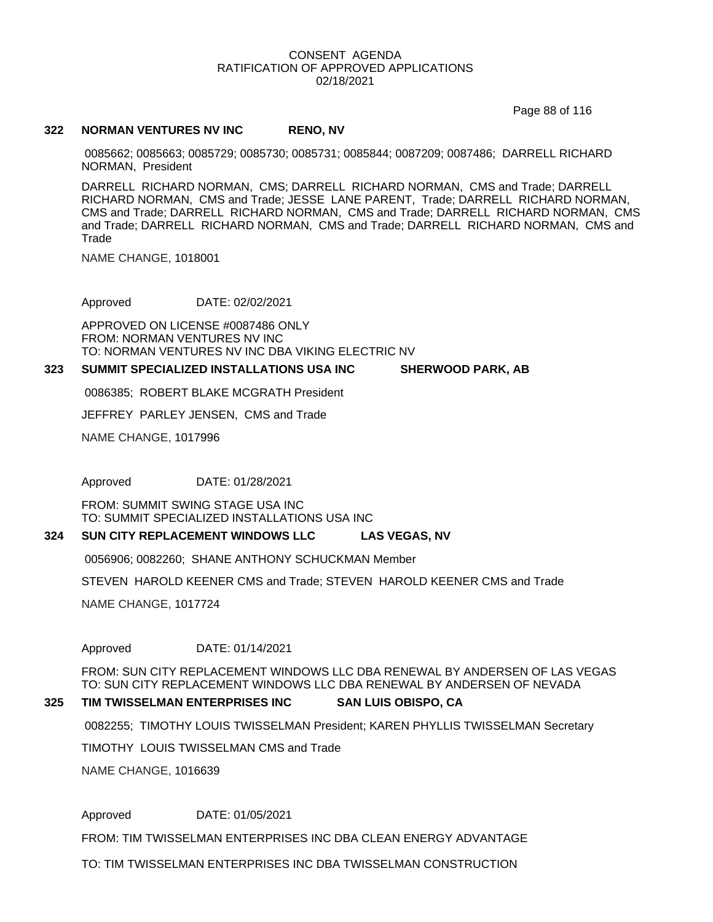Page 88 of 116

#### **322 NORMAN VENTURES NV INC RENO, NV**

0085662; 0085663; 0085729; 0085730; 0085731; 0085844; 0087209; 0087486; DARRELL RICHARD NORMAN, President

DARRELL RICHARD NORMAN, CMS; DARRELL RICHARD NORMAN, CMS and Trade; DARRELL RICHARD NORMAN, CMS and Trade; JESSE LANE PARENT, Trade; DARRELL RICHARD NORMAN, CMS and Trade; DARRELL RICHARD NORMAN, CMS and Trade; DARRELL RICHARD NORMAN, CMS and Trade; DARRELL RICHARD NORMAN, CMS and Trade; DARRELL RICHARD NORMAN, CMS and Trade

NAME CHANGE, 1018001

Approved DATE: 02/02/2021

APPROVED ON LICENSE #0087486 ONLY FROM: NORMAN VENTURES NV INC TO: NORMAN VENTURES NV INC DBA VIKING ELECTRIC NV

#### **323 SUMMIT SPECIALIZED INSTALLATIONS USA INC SHERWOOD PARK, AB**

0086385; ROBERT BLAKE MCGRATH President

JEFFREY PARLEY JENSEN, CMS and Trade

NAME CHANGE, 1017996

Approved DATE: 01/28/2021

FROM: SUMMIT SWING STAGE USA INC TO: SUMMIT SPECIALIZED INSTALLATIONS USA INC

#### **324 SUN CITY REPLACEMENT WINDOWS LLC LAS VEGAS, NV**

0056906; 0082260; SHANE ANTHONY SCHUCKMAN Member

STEVEN HAROLD KEENER CMS and Trade; STEVEN HAROLD KEENER CMS and Trade

NAME CHANGE, 1017724

#### Approved DATE: 01/14/2021

FROM: SUN CITY REPLACEMENT WINDOWS LLC DBA RENEWAL BY ANDERSEN OF LAS VEGAS TO: SUN CITY REPLACEMENT WINDOWS LLC DBA RENEWAL BY ANDERSEN OF NEVADA

#### **325 TIM TWISSELMAN ENTERPRISES INC SAN LUIS OBISPO, CA**

0082255; TIMOTHY LOUIS TWISSELMAN President; KAREN PHYLLIS TWISSELMAN Secretary

TIMOTHY LOUIS TWISSELMAN CMS and Trade

NAME CHANGE, 1016639

#### Approved DATE: 01/05/2021

FROM: TIM TWISSELMAN ENTERPRISES INC DBA CLEAN ENERGY ADVANTAGE

TO: TIM TWISSELMAN ENTERPRISES INC DBA TWISSELMAN CONSTRUCTION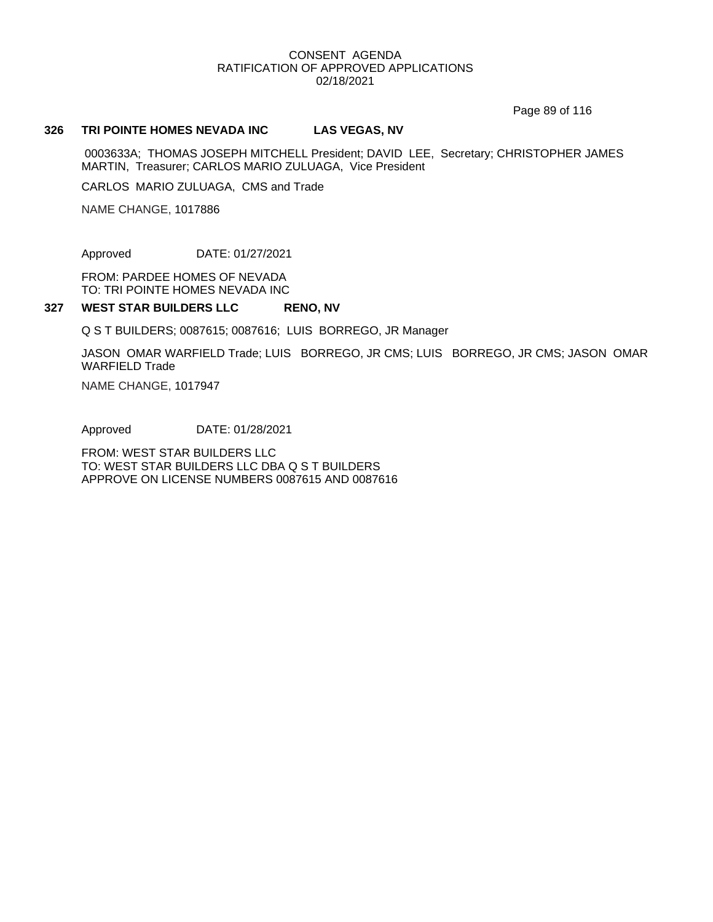Page 89 of 116

#### **326 TRI POINTE HOMES NEVADA INC LAS VEGAS, NV**

0003633A; THOMAS JOSEPH MITCHELL President; DAVID LEE, Secretary; CHRISTOPHER JAMES MARTIN, Treasurer; CARLOS MARIO ZULUAGA, Vice President

CARLOS MARIO ZULUAGA, CMS and Trade

NAME CHANGE, 1017886

Approved DATE: 01/27/2021

FROM: PARDEE HOMES OF NEVADA TO: TRI POINTE HOMES NEVADA INC

#### **327 WEST STAR BUILDERS LLC RENO, NV**

Q S T BUILDERS; 0087615; 0087616; LUIS BORREGO, JR Manager

JASON OMAR WARFIELD Trade; LUIS BORREGO, JR CMS; LUIS BORREGO, JR CMS; JASON OMAR WARFIELD Trade

NAME CHANGE, 1017947

Approved DATE: 01/28/2021

FROM: WEST STAR BUILDERS LLC TO: WEST STAR BUILDERS LLC DBA Q S T BUILDERS APPROVE ON LICENSE NUMBERS 0087615 AND 0087616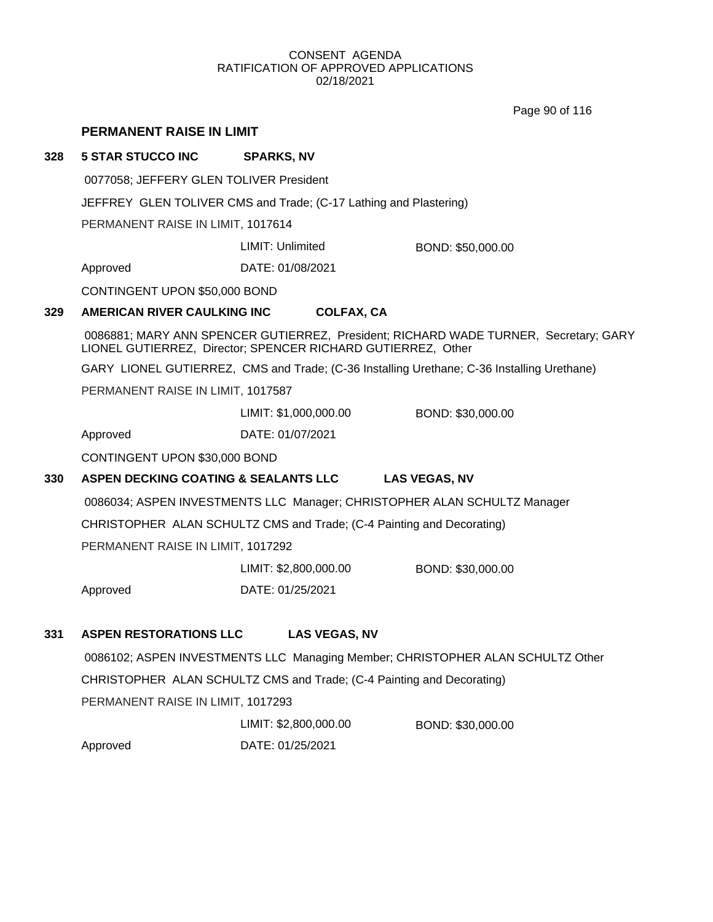Page 90 of 116

|                                         | PERMANENT RAISE IN LIMIT                                                                                                                             |                                                                   |                                                                                            |  |  |
|-----------------------------------------|------------------------------------------------------------------------------------------------------------------------------------------------------|-------------------------------------------------------------------|--------------------------------------------------------------------------------------------|--|--|
| 328                                     | <b>5 STAR STUCCO INC</b>                                                                                                                             | <b>SPARKS, NV</b>                                                 |                                                                                            |  |  |
| 0077058; JEFFERY GLEN TOLIVER President |                                                                                                                                                      |                                                                   |                                                                                            |  |  |
|                                         |                                                                                                                                                      | JEFFREY GLEN TOLIVER CMS and Trade; (C-17 Lathing and Plastering) |                                                                                            |  |  |
|                                         | PERMANENT RAISE IN LIMIT, 1017614                                                                                                                    |                                                                   |                                                                                            |  |  |
|                                         |                                                                                                                                                      | <b>LIMIT: Unlimited</b>                                           | BOND: \$50,000.00                                                                          |  |  |
|                                         | Approved                                                                                                                                             | DATE: 01/08/2021                                                  |                                                                                            |  |  |
|                                         | CONTINGENT UPON \$50,000 BOND                                                                                                                        |                                                                   |                                                                                            |  |  |
| 329                                     | AMERICAN RIVER CAULKING INC                                                                                                                          | <b>COLFAX, CA</b>                                                 |                                                                                            |  |  |
|                                         | 0086881; MARY ANN SPENCER GUTIERREZ, President; RICHARD WADE TURNER, Secretary; GARY<br>LIONEL GUTIERREZ, Director; SPENCER RICHARD GUTIERREZ, Other |                                                                   |                                                                                            |  |  |
|                                         |                                                                                                                                                      |                                                                   | GARY LIONEL GUTIERREZ, CMS and Trade; (C-36 Installing Urethane; C-36 Installing Urethane) |  |  |
|                                         | PERMANENT RAISE IN LIMIT, 1017587                                                                                                                    |                                                                   |                                                                                            |  |  |
|                                         |                                                                                                                                                      | LIMIT: \$1,000,000.00                                             | BOND: \$30,000.00                                                                          |  |  |
|                                         | Approved                                                                                                                                             | DATE: 01/07/2021                                                  |                                                                                            |  |  |
|                                         | CONTINGENT UPON \$30,000 BOND                                                                                                                        |                                                                   |                                                                                            |  |  |
| 330                                     | ASPEN DECKING COATING & SEALANTS LLC<br><b>LAS VEGAS, NV</b>                                                                                         |                                                                   |                                                                                            |  |  |
|                                         | 0086034; ASPEN INVESTMENTS LLC Manager; CHRISTOPHER ALAN SCHULTZ Manager                                                                             |                                                                   |                                                                                            |  |  |
|                                         | CHRISTOPHER ALAN SCHULTZ CMS and Trade; (C-4 Painting and Decorating)                                                                                |                                                                   |                                                                                            |  |  |
|                                         | PERMANENT RAISE IN LIMIT, 1017292                                                                                                                    |                                                                   |                                                                                            |  |  |
|                                         |                                                                                                                                                      | LIMIT: \$2,800,000.00                                             | BOND: \$30,000.00                                                                          |  |  |
|                                         | Approved                                                                                                                                             | DATE: 01/25/2021                                                  |                                                                                            |  |  |
| 331                                     | <b>ASPEN RESTORATIONS LLC</b>                                                                                                                        | <b>LAS VEGAS, NV</b>                                              |                                                                                            |  |  |
|                                         | 0086102; ASPEN INVESTMENTS LLC Managing Member; CHRISTOPHER ALAN SCHULTZ Other                                                                       |                                                                   |                                                                                            |  |  |
|                                         | CHRISTOPHER ALAN SCHULTZ CMS and Trade; (C-4 Painting and Decorating)                                                                                |                                                                   |                                                                                            |  |  |
|                                         | PERMANENT RAISE IN LIMIT, 1017293                                                                                                                    |                                                                   |                                                                                            |  |  |
|                                         |                                                                                                                                                      | LIMIT: \$2,800,000.00                                             | BOND: \$30,000.00                                                                          |  |  |
|                                         | Approved                                                                                                                                             | DATE: 01/25/2021                                                  |                                                                                            |  |  |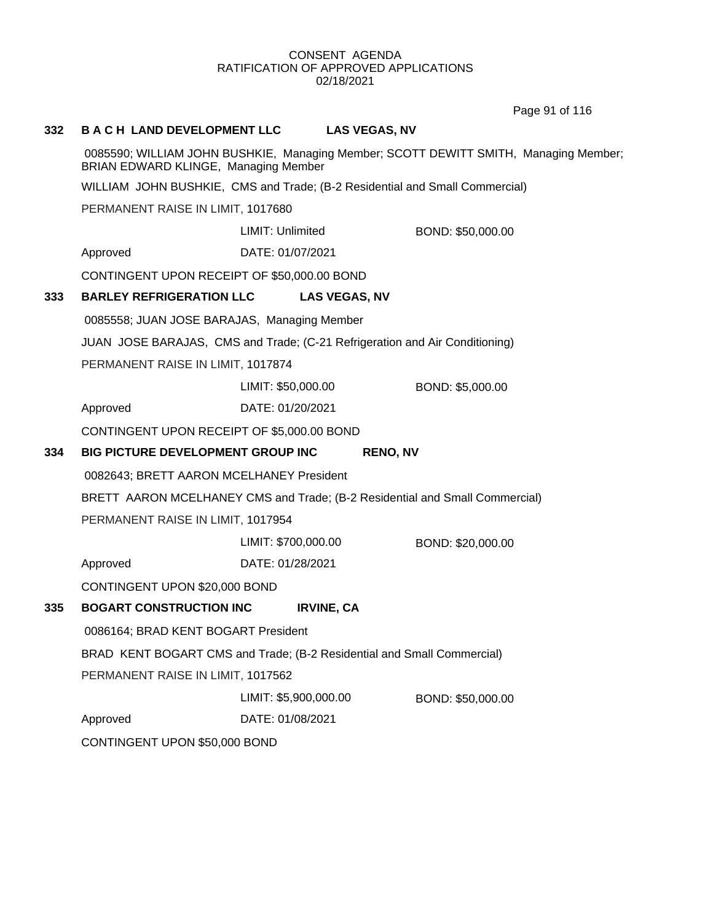Page 91 of 116

#### **332 B A C H LAND DEVELOPMENT LLC LAS VEGAS, NV**

0085590; WILLIAM JOHN BUSHKIE, Managing Member; SCOTT DEWITT SMITH, Managing Member; BRIAN EDWARD KLINGE, Managing Member

WILLIAM JOHN BUSHKIE, CMS and Trade; (B-2 Residential and Small Commercial)

PERMANENT RAISE IN LIMIT, 1017680

LIMIT: Unlimited BOND: \$50,000.00

Approved DATE: 01/07/2021

CONTINGENT UPON RECEIPT OF \$50,000.00 BOND

#### **333 BARLEY REFRIGERATION LLC LAS VEGAS, NV**

0085558; JUAN JOSE BARAJAS, Managing Member

JUAN JOSE BARAJAS, CMS and Trade; (C-21 Refrigeration and Air Conditioning)

PERMANENT RAISE IN LIMIT, 1017874

LIMIT: \$50,000.00 BOND: \$5,000.00

Approved DATE: 01/20/2021

CONTINGENT UPON RECEIPT OF \$5,000.00 BOND

#### **334 BIG PICTURE DEVELOPMENT GROUP INC RENO, NV**

0082643; BRETT AARON MCELHANEY President

BRETT AARON MCELHANEY CMS and Trade; (B-2 Residential and Small Commercial)

PERMANENT RAISE IN LIMIT, 1017954

LIMIT: \$700,000.00 BOND: \$20,000.00

Approved DATE: 01/28/2021

CONTINGENT UPON \$20,000 BOND

# **335 BOGART CONSTRUCTION INC IRVINE, CA**

0086164; BRAD KENT BOGART President

BRAD KENT BOGART CMS and Trade; (B-2 Residential and Small Commercial)

PERMANENT RAISE IN LIMIT, 1017562

LIMIT: \$5,900,000.00 BOND: \$50,000.00

Approved DATE: 01/08/2021

CONTINGENT UPON \$50,000 BOND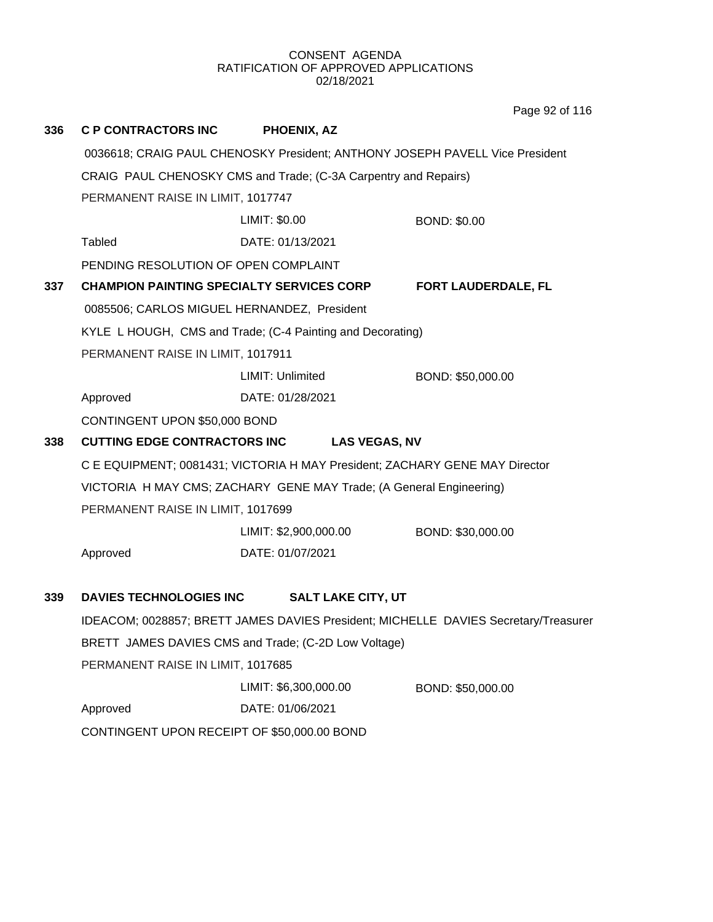**336 C P CONTRACTORS INC PHOENIX, AZ** 0036618; CRAIG PAUL CHENOSKY President; ANTHONY JOSEPH PAVELL Vice President CRAIG PAUL CHENOSKY CMS and Trade; (C-3A Carpentry and Repairs) PERMANENT RAISE IN LIMIT, 1017747 Tabled DATE: 01/13/2021 LIMIT: \$0.00 BOND: \$0.00 PENDING RESOLUTION OF OPEN COMPLAINT **337 CHAMPION PAINTING SPECIALTY SERVICES CORP FORT LAUDERDALE, FL** 0085506; CARLOS MIGUEL HERNANDEZ, President KYLE L HOUGH, CMS and Trade; (C-4 Painting and Decorating) PERMANENT RAISE IN LIMIT, 1017911 Approved DATE: 01/28/2021 LIMIT: Unlimited BOND: \$50,000.00 CONTINGENT UPON \$50,000 BOND **338 CUTTING EDGE CONTRACTORS INC LAS VEGAS, NV** C E EQUIPMENT; 0081431; VICTORIA H MAY President; ZACHARY GENE MAY Director VICTORIA H MAY CMS; ZACHARY GENE MAY Trade; (A General Engineering) PERMANENT RAISE IN LIMIT, 1017699 Approved DATE: 01/07/2021 LIMIT: \$2,900,000.00 BOND: \$30,000.00 **339 DAVIES TECHNOLOGIES INC SALT LAKE CITY, UT** IDEACOM; 0028857; BRETT JAMES DAVIES President; MICHELLE DAVIES Secretary/Treasurer BRETT JAMES DAVIES CMS and Trade; (C-2D Low Voltage) PERMANENT RAISE IN LIMIT, 1017685 Approved DATE: 01/06/2021 LIMIT: \$6,300,000.00 BOND: \$50,000.00 CONTINGENT UPON RECEIPT OF \$50,000.00 BOND Page 92 of 116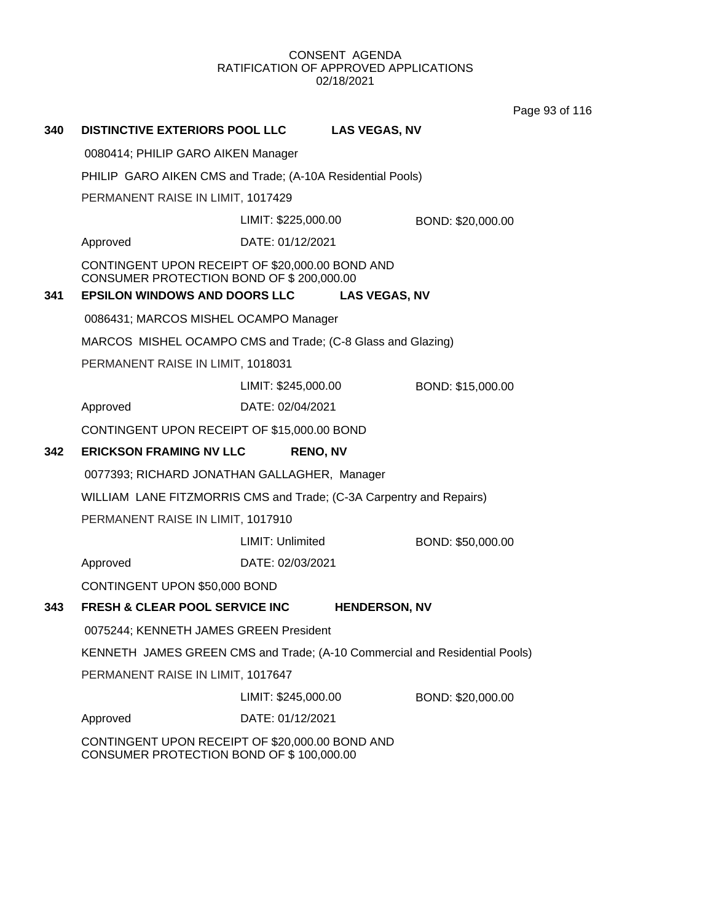Page 93 of 116

| 340                                                                                         | <b>DISTINCTIVE EXTERIORS POOL LLC</b>                                                                                               |                     | <b>LAS VEGAS, NV</b> |                   |  |
|---------------------------------------------------------------------------------------------|-------------------------------------------------------------------------------------------------------------------------------------|---------------------|----------------------|-------------------|--|
|                                                                                             | 0080414; PHILIP GARO AIKEN Manager                                                                                                  |                     |                      |                   |  |
|                                                                                             | PHILIP GARO AIKEN CMS and Trade; (A-10A Residential Pools)                                                                          |                     |                      |                   |  |
|                                                                                             | PERMANENT RAISE IN LIMIT, 1017429                                                                                                   |                     |                      |                   |  |
|                                                                                             |                                                                                                                                     | LIMIT: \$225,000.00 |                      | BOND: \$20,000.00 |  |
|                                                                                             | Approved                                                                                                                            | DATE: 01/12/2021    |                      |                   |  |
| 341                                                                                         | CONTINGENT UPON RECEIPT OF \$20,000.00 BOND AND<br>CONSUMER PROTECTION BOND OF \$200,000.00<br><b>EPSILON WINDOWS AND DOORS LLC</b> |                     | <b>LAS VEGAS, NV</b> |                   |  |
|                                                                                             | 0086431; MARCOS MISHEL OCAMPO Manager                                                                                               |                     |                      |                   |  |
|                                                                                             | MARCOS MISHEL OCAMPO CMS and Trade; (C-8 Glass and Glazing)                                                                         |                     |                      |                   |  |
|                                                                                             | PERMANENT RAISE IN LIMIT, 1018031                                                                                                   |                     |                      |                   |  |
|                                                                                             |                                                                                                                                     | LIMIT: \$245,000.00 |                      | BOND: \$15,000.00 |  |
|                                                                                             | Approved                                                                                                                            | DATE: 02/04/2021    |                      |                   |  |
|                                                                                             | CONTINGENT UPON RECEIPT OF \$15,000.00 BOND                                                                                         |                     |                      |                   |  |
| 342                                                                                         | <b>ERICKSON FRAMING NV LLC</b>                                                                                                      | <b>RENO, NV</b>     |                      |                   |  |
|                                                                                             | 0077393; RICHARD JONATHAN GALLAGHER, Manager                                                                                        |                     |                      |                   |  |
|                                                                                             | WILLIAM LANE FITZMORRIS CMS and Trade; (C-3A Carpentry and Repairs)                                                                 |                     |                      |                   |  |
|                                                                                             | PERMANENT RAISE IN LIMIT, 1017910                                                                                                   |                     |                      |                   |  |
|                                                                                             |                                                                                                                                     | LIMIT: Unlimited    |                      | BOND: \$50,000.00 |  |
|                                                                                             | Approved                                                                                                                            | DATE: 02/03/2021    |                      |                   |  |
|                                                                                             | CONTINGENT UPON \$50,000 BOND                                                                                                       |                     |                      |                   |  |
| 343                                                                                         | FRESH & CLEAR POOL SERVICE INC                                                                                                      |                     | <b>HENDERSON, NV</b> |                   |  |
|                                                                                             | 0075244; KENNETH JAMES GREEN President                                                                                              |                     |                      |                   |  |
|                                                                                             | KENNETH JAMES GREEN CMS and Trade; (A-10 Commercial and Residential Pools)                                                          |                     |                      |                   |  |
|                                                                                             | PERMANENT RAISE IN LIMIT, 1017647                                                                                                   |                     |                      |                   |  |
|                                                                                             |                                                                                                                                     | LIMIT: \$245,000.00 |                      | BOND: \$20,000.00 |  |
|                                                                                             | Approved                                                                                                                            | DATE: 01/12/2021    |                      |                   |  |
| CONTINGENT UPON RECEIPT OF \$20,000.00 BOND AND<br>CONSUMER PROTECTION BOND OF \$100,000.00 |                                                                                                                                     |                     |                      |                   |  |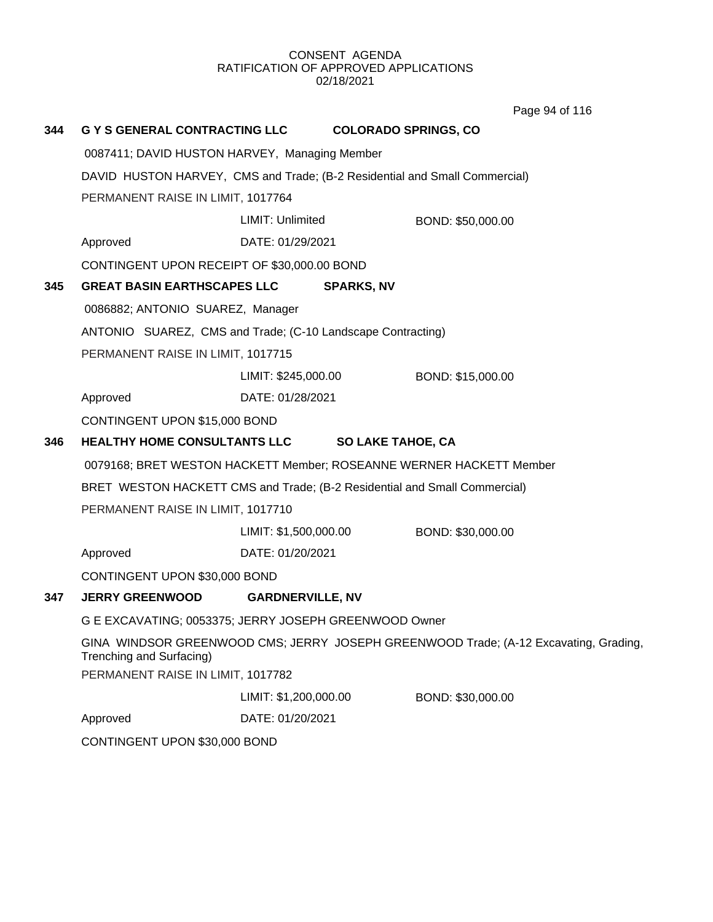**344 G Y S GENERAL CONTRACTING LLC COLORADO SPRINGS, CO** 0087411; DAVID HUSTON HARVEY, Managing Member DAVID HUSTON HARVEY, CMS and Trade; (B-2 Residential and Small Commercial) PERMANENT RAISE IN LIMIT, 1017764 Approved DATE: 01/29/2021 LIMIT: Unlimited BOND: \$50,000.00 CONTINGENT UPON RECEIPT OF \$30,000.00 BOND **345 GREAT BASIN EARTHSCAPES LLC SPARKS, NV** 0086882; ANTONIO SUAREZ, Manager ANTONIO SUAREZ, CMS and Trade; (C-10 Landscape Contracting) PERMANENT RAISE IN LIMIT, 1017715 Approved DATE: 01/28/2021 LIMIT: \$245,000.00 BOND: \$15,000.00 CONTINGENT UPON \$15,000 BOND **346 HEALTHY HOME CONSULTANTS LLC SO LAKE TAHOE, CA** 0079168; BRET WESTON HACKETT Member; ROSEANNE WERNER HACKETT Member BRET WESTON HACKETT CMS and Trade; (B-2 Residential and Small Commercial) PERMANENT RAISE IN LIMIT, 1017710 Approved DATE: 01/20/2021 LIMIT: \$1,500,000.00 BOND: \$30,000.00 CONTINGENT UPON \$30,000 BOND **347 JERRY GREENWOOD GARDNERVILLE, NV** G E EXCAVATING; 0053375; JERRY JOSEPH GREENWOOD Owner GINA WINDSOR GREENWOOD CMS; JERRY JOSEPH GREENWOOD Trade; (A-12 Excavating, Grading, Trenching and Surfacing) PERMANENT RAISE IN LIMIT, 1017782 Approved DATE: 01/20/2021 LIMIT: \$1,200,000.00 BOND: \$30,000.00 CONTINGENT UPON \$30,000 BOND Page 94 of 116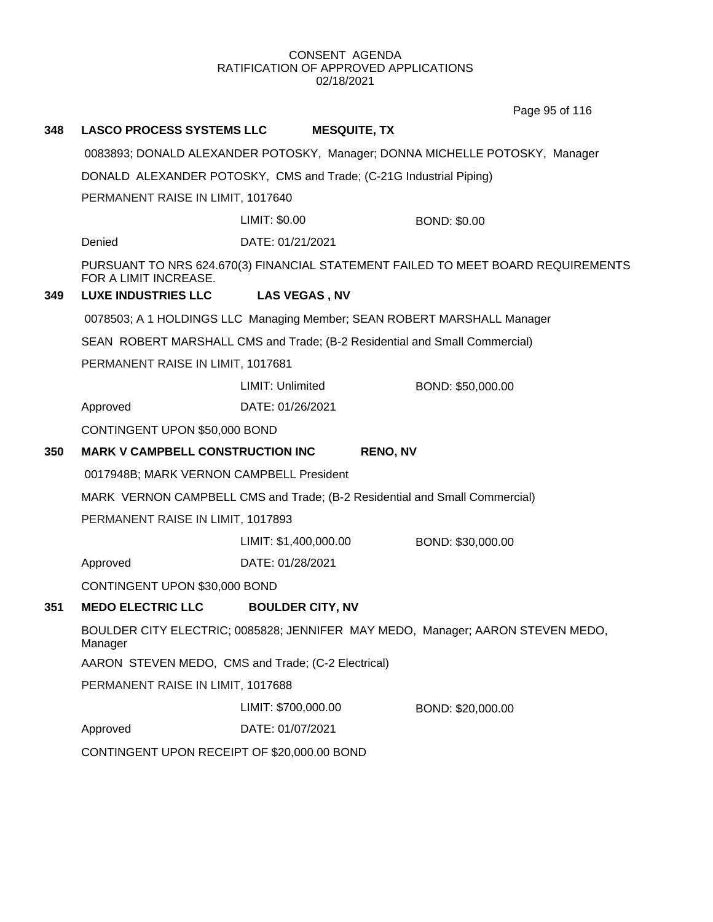Page 95 of 116

| 348 | <b>LASCO PROCESS SYSTEMS LLC</b>                                                                                                                | <b>MESQUITE, TX</b>                                                        |                                                                                  |  |
|-----|-------------------------------------------------------------------------------------------------------------------------------------------------|----------------------------------------------------------------------------|----------------------------------------------------------------------------------|--|
|     | 0083893; DONALD ALEXANDER POTOSKY, Manager; DONNA MICHELLE POTOSKY, Manager                                                                     |                                                                            |                                                                                  |  |
|     | DONALD ALEXANDER POTOSKY, CMS and Trade; (C-21G Industrial Piping)                                                                              |                                                                            |                                                                                  |  |
|     | PERMANENT RAISE IN LIMIT, 1017640                                                                                                               |                                                                            |                                                                                  |  |
|     |                                                                                                                                                 | LIMIT: \$0.00                                                              | <b>BOND: \$0.00</b>                                                              |  |
|     | Denied                                                                                                                                          | DATE: 01/21/2021                                                           |                                                                                  |  |
|     | FOR A LIMIT INCREASE.                                                                                                                           |                                                                            | PURSUANT TO NRS 624.670(3) FINANCIAL STATEMENT FAILED TO MEET BOARD REQUIREMENTS |  |
| 349 | <b>LUXE INDUSTRIES LLC</b>                                                                                                                      | <b>LAS VEGAS, NV</b>                                                       |                                                                                  |  |
|     |                                                                                                                                                 | 0078503; A 1 HOLDINGS LLC Managing Member; SEAN ROBERT MARSHALL Manager    |                                                                                  |  |
|     |                                                                                                                                                 | SEAN ROBERT MARSHALL CMS and Trade; (B-2 Residential and Small Commercial) |                                                                                  |  |
|     | PERMANENT RAISE IN LIMIT, 1017681                                                                                                               |                                                                            |                                                                                  |  |
|     |                                                                                                                                                 | LIMIT: Unlimited                                                           | BOND: \$50,000.00                                                                |  |
|     | Approved                                                                                                                                        | DATE: 01/26/2021                                                           |                                                                                  |  |
|     | CONTINGENT UPON \$50,000 BOND                                                                                                                   |                                                                            |                                                                                  |  |
| 350 | <b>MARK V CAMPBELL CONSTRUCTION INC</b>                                                                                                         | <b>RENO, NV</b>                                                            |                                                                                  |  |
|     | 0017948B; MARK VERNON CAMPBELL President                                                                                                        |                                                                            |                                                                                  |  |
|     | MARK VERNON CAMPBELL CMS and Trade; (B-2 Residential and Small Commercial)                                                                      |                                                                            |                                                                                  |  |
|     | PERMANENT RAISE IN LIMIT, 1017893                                                                                                               |                                                                            |                                                                                  |  |
|     |                                                                                                                                                 | LIMIT: \$1,400,000.00                                                      | BOND: \$30,000.00                                                                |  |
|     | Approved                                                                                                                                        | DATE: 01/28/2021                                                           |                                                                                  |  |
|     | CONTINGENT UPON \$30,000 BOND                                                                                                                   |                                                                            |                                                                                  |  |
| 351 | <b>MEDO ELECTRIC LLC</b>                                                                                                                        | <b>BOULDER CITY, NV</b>                                                    |                                                                                  |  |
|     | BOULDER CITY ELECTRIC; 0085828; JENNIFER MAY MEDO, Manager; AARON STEVEN MEDO,<br>Manager<br>AARON STEVEN MEDO, CMS and Trade; (C-2 Electrical) |                                                                            |                                                                                  |  |
|     |                                                                                                                                                 |                                                                            |                                                                                  |  |
|     | PERMANENT RAISE IN LIMIT, 1017688                                                                                                               |                                                                            |                                                                                  |  |
|     |                                                                                                                                                 | LIMIT: \$700,000.00                                                        | BOND: \$20,000.00                                                                |  |
|     | Approved                                                                                                                                        | DATE: 01/07/2021                                                           |                                                                                  |  |
|     | CONTINGENT UPON RECEIPT OF \$20,000.00 BOND                                                                                                     |                                                                            |                                                                                  |  |
|     |                                                                                                                                                 |                                                                            |                                                                                  |  |
|     |                                                                                                                                                 |                                                                            |                                                                                  |  |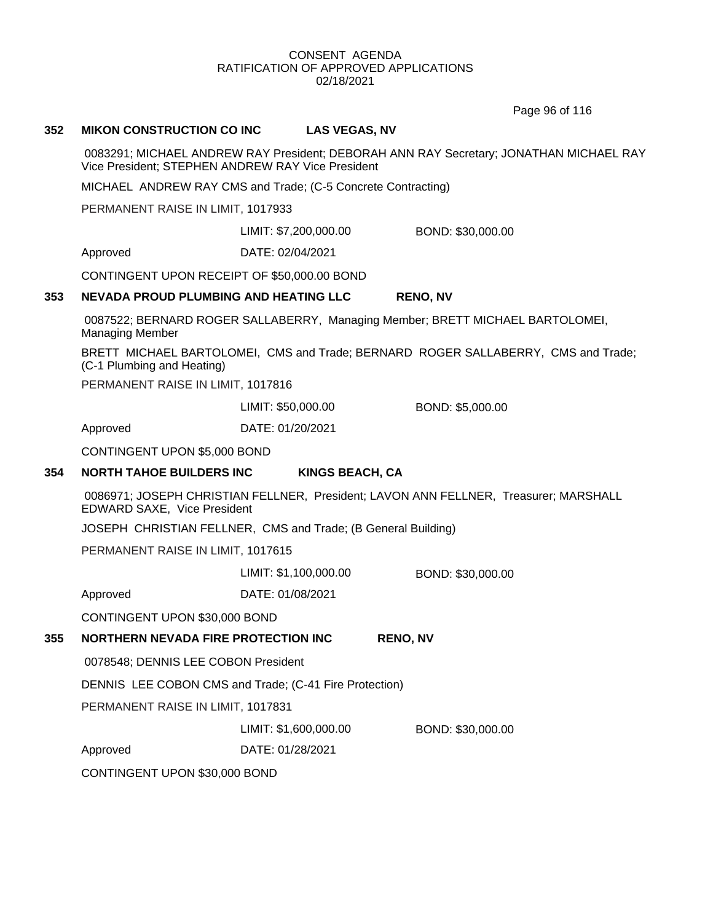Page 96 of 116

#### **352 MIKON CONSTRUCTION CO INC LAS VEGAS, NV**

0083291; MICHAEL ANDREW RAY President; DEBORAH ANN RAY Secretary; JONATHAN MICHAEL RAY Vice President; STEPHEN ANDREW RAY Vice President

MICHAEL ANDREW RAY CMS and Trade; (C-5 Concrete Contracting)

PERMANENT RAISE IN LIMIT, 1017933

LIMIT: \$7,200,000.00 BOND: \$30,000.00

Approved DATE: 02/04/2021

CONTINGENT UPON RECEIPT OF \$50,000.00 BOND

#### **353 NEVADA PROUD PLUMBING AND HEATING LLC RENO, NV**

0087522; BERNARD ROGER SALLABERRY, Managing Member; BRETT MICHAEL BARTOLOMEI, Managing Member

BRETT MICHAEL BARTOLOMEI, CMS and Trade; BERNARD ROGER SALLABERRY, CMS and Trade; (C-1 Plumbing and Heating)

PERMANENT RAISE IN LIMIT, 1017816

LIMIT: \$50,000.00 BOND: \$5,000.00

Approved DATE: 01/20/2021

CONTINGENT UPON \$5,000 BOND

#### **354 NORTH TAHOE BUILDERS INC KINGS BEACH, CA**

0086971; JOSEPH CHRISTIAN FELLNER, President; LAVON ANN FELLNER, Treasurer; MARSHALL EDWARD SAXE, Vice President

JOSEPH CHRISTIAN FELLNER, CMS and Trade; (B General Building)

PERMANENT RAISE IN LIMIT, 1017615

LIMIT: \$1,100,000.00 BOND: \$30,000.00

Approved DATE: 01/08/2021

CONTINGENT UPON \$30,000 BOND

#### **355 NORTHERN NEVADA FIRE PROTECTION INC RENO, NV**

0078548; DENNIS LEE COBON President

DENNIS LEE COBON CMS and Trade; (C-41 Fire Protection)

PERMANENT RAISE IN LIMIT, 1017831

LIMIT: \$1,600,000.00 BOND: \$30,000.00

Approved DATE: 01/28/2021

CONTINGENT UPON \$30,000 BOND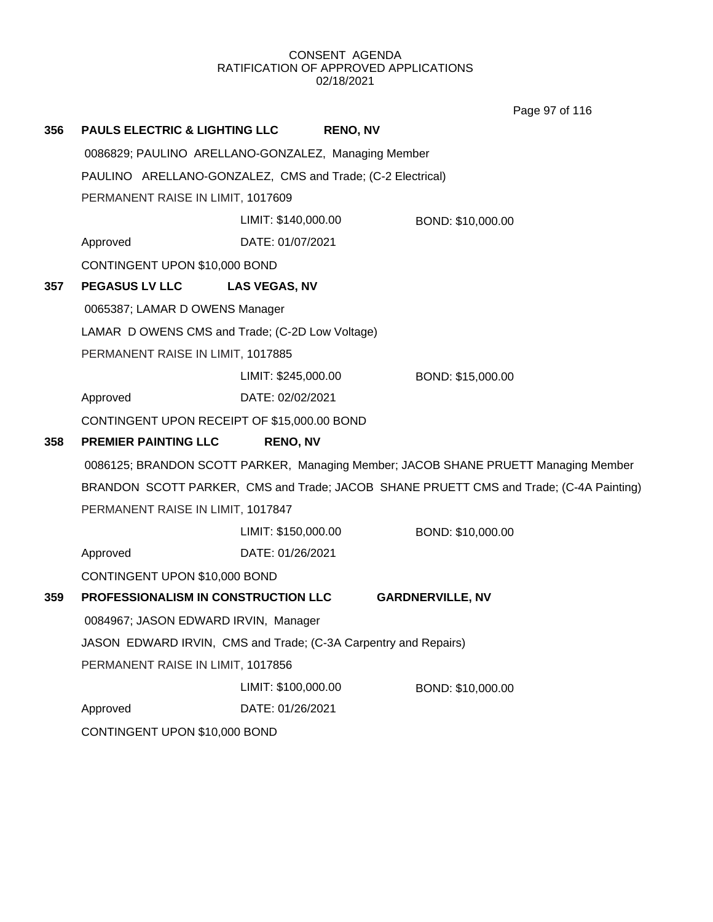Page 97 of 116

| 356 | <b>PAULS ELECTRIC &amp; LIGHTING LLC</b>                                                                | <b>RENO, NV</b>                                     |                                                                                        |  |
|-----|---------------------------------------------------------------------------------------------------------|-----------------------------------------------------|----------------------------------------------------------------------------------------|--|
|     |                                                                                                         | 0086829; PAULINO ARELLANO-GONZALEZ, Managing Member |                                                                                        |  |
|     | PAULINO ARELLANO-GONZALEZ, CMS and Trade; (C-2 Electrical)                                              |                                                     |                                                                                        |  |
|     | PERMANENT RAISE IN LIMIT, 1017609                                                                       |                                                     |                                                                                        |  |
|     |                                                                                                         | LIMIT: \$140,000.00                                 | BOND: \$10,000.00                                                                      |  |
|     | Approved                                                                                                | DATE: 01/07/2021                                    |                                                                                        |  |
|     | CONTINGENT UPON \$10,000 BOND                                                                           |                                                     |                                                                                        |  |
| 357 | <b>PEGASUS LV LLC</b>                                                                                   | <b>LAS VEGAS, NV</b>                                |                                                                                        |  |
|     | 0065387; LAMAR D OWENS Manager                                                                          |                                                     |                                                                                        |  |
|     |                                                                                                         | LAMAR D OWENS CMS and Trade; (C-2D Low Voltage)     |                                                                                        |  |
|     | PERMANENT RAISE IN LIMIT, 1017885                                                                       |                                                     |                                                                                        |  |
|     |                                                                                                         | LIMIT: \$245,000.00                                 | BOND: \$15,000.00                                                                      |  |
|     | Approved                                                                                                | DATE: 02/02/2021                                    |                                                                                        |  |
|     | CONTINGENT UPON RECEIPT OF \$15,000.00 BOND                                                             |                                                     |                                                                                        |  |
| 358 | <b>PREMIER PAINTING LLC</b>                                                                             | <b>RENO, NV</b>                                     |                                                                                        |  |
|     | 0086125; BRANDON SCOTT PARKER, Managing Member; JACOB SHANE PRUETT Managing Member                      |                                                     |                                                                                        |  |
|     |                                                                                                         |                                                     | BRANDON SCOTT PARKER, CMS and Trade; JACOB SHANE PRUETT CMS and Trade; (C-4A Painting) |  |
|     | PERMANENT RAISE IN LIMIT, 1017847                                                                       |                                                     |                                                                                        |  |
|     |                                                                                                         | LIMIT: \$150,000.00                                 | BOND: \$10,000.00                                                                      |  |
|     | Approved                                                                                                | DATE: 01/26/2021                                    |                                                                                        |  |
|     | CONTINGENT UPON \$10,000 BOND                                                                           |                                                     |                                                                                        |  |
| 359 | PROFESSIONALISM IN CONSTRUCTION LLC                                                                     |                                                     | <b>GARDNERVILLE, NV</b>                                                                |  |
|     | 0084967; JASON EDWARD IRVIN, Manager<br>JASON EDWARD IRVIN, CMS and Trade; (C-3A Carpentry and Repairs) |                                                     |                                                                                        |  |
|     |                                                                                                         |                                                     |                                                                                        |  |
|     | PERMANENT RAISE IN LIMIT, 1017856                                                                       |                                                     |                                                                                        |  |
|     |                                                                                                         | LIMIT: \$100,000.00                                 | BOND: \$10,000.00                                                                      |  |
|     | Approved                                                                                                | DATE: 01/26/2021                                    |                                                                                        |  |
|     | CONTINGENT UPON \$10,000 BOND                                                                           |                                                     |                                                                                        |  |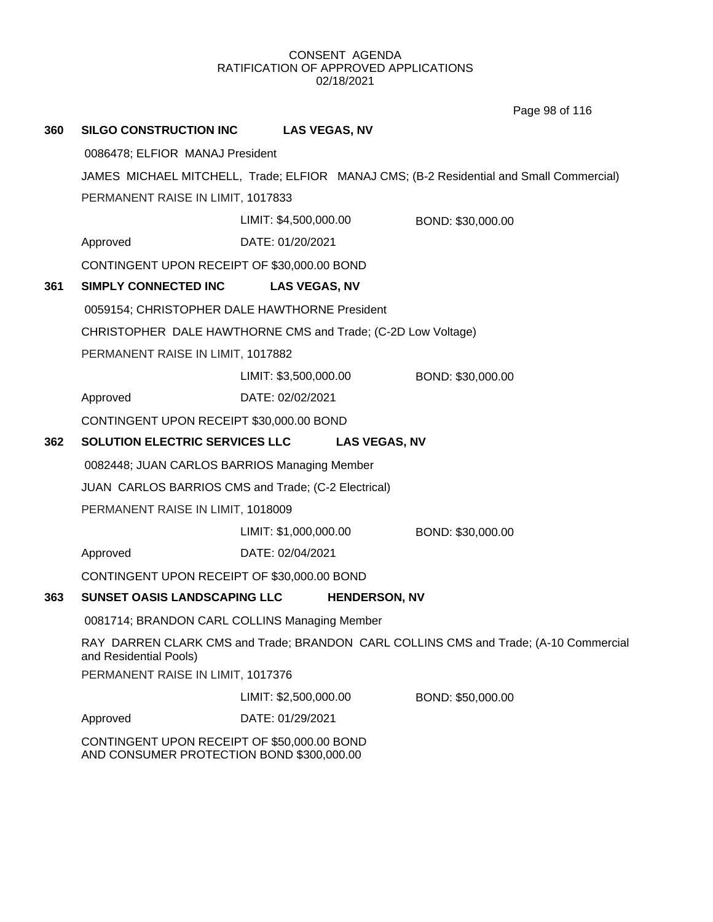Page 98 of 116

| 360 | <b>SILGO CONSTRUCTION INC</b>                                                                                                                                   | <b>LAS VEGAS, NV</b>  |                      |                                                                                         |
|-----|-----------------------------------------------------------------------------------------------------------------------------------------------------------------|-----------------------|----------------------|-----------------------------------------------------------------------------------------|
|     | 0086478; ELFIOR MANAJ President                                                                                                                                 |                       |                      |                                                                                         |
|     |                                                                                                                                                                 |                       |                      | JAMES MICHAEL MITCHELL, Trade; ELFIOR MANAJ CMS; (B-2 Residential and Small Commercial) |
|     | PERMANENT RAISE IN LIMIT, 1017833                                                                                                                               |                       |                      |                                                                                         |
|     |                                                                                                                                                                 | LIMIT: \$4,500,000.00 |                      | BOND: \$30,000.00                                                                       |
|     | Approved                                                                                                                                                        | DATE: 01/20/2021      |                      |                                                                                         |
|     | CONTINGENT UPON RECEIPT OF \$30,000.00 BOND                                                                                                                     |                       |                      |                                                                                         |
| 361 | <b>SIMPLY CONNECTED INC</b>                                                                                                                                     | <b>LAS VEGAS, NV</b>  |                      |                                                                                         |
|     | 0059154; CHRISTOPHER DALE HAWTHORNE President                                                                                                                   |                       |                      |                                                                                         |
|     | CHRISTOPHER DALE HAWTHORNE CMS and Trade; (C-2D Low Voltage)                                                                                                    |                       |                      |                                                                                         |
|     | PERMANENT RAISE IN LIMIT, 1017882                                                                                                                               |                       |                      |                                                                                         |
|     |                                                                                                                                                                 | LIMIT: \$3,500,000.00 |                      | BOND: \$30,000.00                                                                       |
|     | Approved                                                                                                                                                        | DATE: 02/02/2021      |                      |                                                                                         |
|     | CONTINGENT UPON RECEIPT \$30,000.00 BOND                                                                                                                        |                       |                      |                                                                                         |
| 362 | SOLUTION ELECTRIC SERVICES LLC                                                                                                                                  |                       | <b>LAS VEGAS, NV</b> |                                                                                         |
|     | 0082448; JUAN CARLOS BARRIOS Managing Member                                                                                                                    |                       |                      |                                                                                         |
|     | JUAN CARLOS BARRIOS CMS and Trade; (C-2 Electrical)                                                                                                             |                       |                      |                                                                                         |
|     | PERMANENT RAISE IN LIMIT, 1018009                                                                                                                               |                       |                      |                                                                                         |
|     |                                                                                                                                                                 | LIMIT: \$1,000,000.00 |                      | BOND: \$30,000.00                                                                       |
|     | Approved                                                                                                                                                        | DATE: 02/04/2021      |                      |                                                                                         |
|     | CONTINGENT UPON RECEIPT OF \$30,000.00 BOND                                                                                                                     |                       |                      |                                                                                         |
| 363 | SUNSET OASIS LANDSCAPING LLC                                                                                                                                    |                       | <b>HENDERSON, NV</b> |                                                                                         |
|     | 0081714; BRANDON CARL COLLINS Managing Member<br>RAY DARREN CLARK CMS and Trade; BRANDON CARL COLLINS CMS and Trade; (A-10 Commercial<br>and Residential Pools) |                       |                      |                                                                                         |
|     |                                                                                                                                                                 |                       |                      |                                                                                         |
|     | PERMANENT RAISE IN LIMIT, 1017376                                                                                                                               |                       |                      |                                                                                         |
|     |                                                                                                                                                                 | LIMIT: \$2,500,000.00 |                      | BOND: \$50,000.00                                                                       |
|     | Approved                                                                                                                                                        | DATE: 01/29/2021      |                      |                                                                                         |
|     | CONTINGENT UPON RECEIPT OF \$50,000.00 BOND                                                                                                                     |                       |                      |                                                                                         |

AND CONSUMER PROTECTION BOND \$300,000.00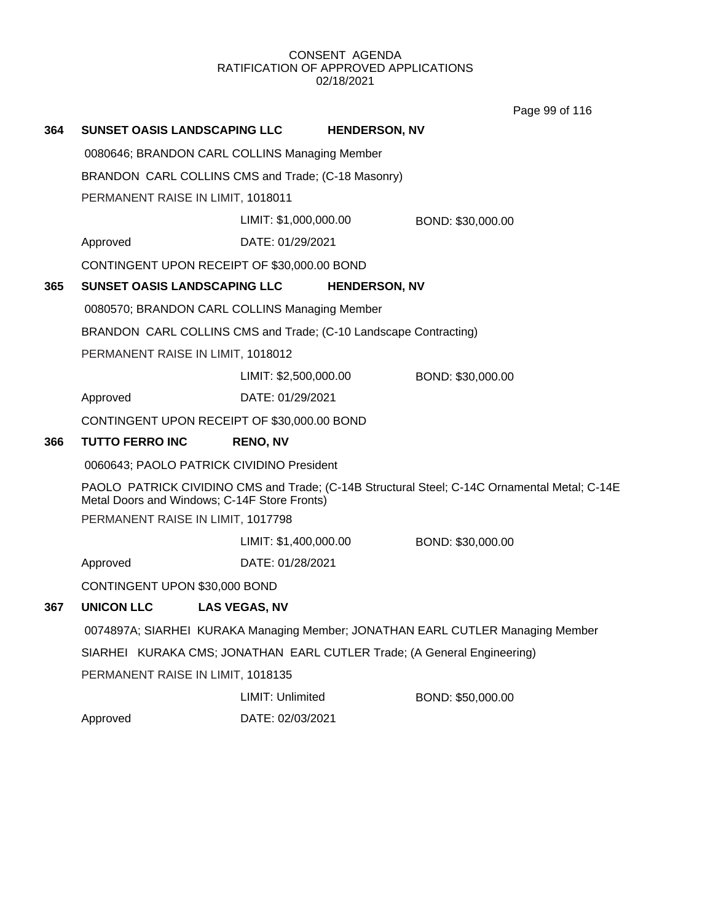Page 99 of 116

| 364                                                                                                                                          | SUNSET OASIS LANDSCAPING LLC                                                                                                                              |                                                                  | <b>HENDERSON, NV</b> |                   |
|----------------------------------------------------------------------------------------------------------------------------------------------|-----------------------------------------------------------------------------------------------------------------------------------------------------------|------------------------------------------------------------------|----------------------|-------------------|
|                                                                                                                                              | 0080646; BRANDON CARL COLLINS Managing Member                                                                                                             |                                                                  |                      |                   |
|                                                                                                                                              | BRANDON CARL COLLINS CMS and Trade; (C-18 Masonry)                                                                                                        |                                                                  |                      |                   |
|                                                                                                                                              | PERMANENT RAISE IN LIMIT, 1018011                                                                                                                         |                                                                  |                      |                   |
|                                                                                                                                              |                                                                                                                                                           | LIMIT: \$1,000,000.00                                            |                      | BOND: \$30,000.00 |
|                                                                                                                                              | Approved                                                                                                                                                  | DATE: 01/29/2021                                                 |                      |                   |
|                                                                                                                                              |                                                                                                                                                           | CONTINGENT UPON RECEIPT OF \$30,000.00 BOND                      |                      |                   |
| 365                                                                                                                                          | <b>SUNSET OASIS LANDSCAPING LLC</b>                                                                                                                       |                                                                  | <b>HENDERSON, NV</b> |                   |
|                                                                                                                                              |                                                                                                                                                           | 0080570; BRANDON CARL COLLINS Managing Member                    |                      |                   |
|                                                                                                                                              |                                                                                                                                                           | BRANDON CARL COLLINS CMS and Trade; (C-10 Landscape Contracting) |                      |                   |
|                                                                                                                                              | PERMANENT RAISE IN LIMIT, 1018012                                                                                                                         |                                                                  |                      |                   |
|                                                                                                                                              |                                                                                                                                                           | LIMIT: \$2,500,000.00                                            |                      | BOND: \$30,000.00 |
|                                                                                                                                              | Approved                                                                                                                                                  | DATE: 01/29/2021                                                 |                      |                   |
|                                                                                                                                              |                                                                                                                                                           | CONTINGENT UPON RECEIPT OF \$30,000.00 BOND                      |                      |                   |
| 366                                                                                                                                          | <b>TUTTO FERRO INC</b>                                                                                                                                    | <b>RENO, NV</b>                                                  |                      |                   |
|                                                                                                                                              |                                                                                                                                                           | 0060643; PAOLO PATRICK CIVIDINO President                        |                      |                   |
| PAOLO PATRICK CIVIDINO CMS and Trade; (C-14B Structural Steel; C-14C Ornamental Metal; C-14E<br>Metal Doors and Windows; C-14F Store Fronts) |                                                                                                                                                           |                                                                  |                      |                   |
| PERMANENT RAISE IN LIMIT, 1017798                                                                                                            |                                                                                                                                                           |                                                                  |                      |                   |
|                                                                                                                                              |                                                                                                                                                           | LIMIT: \$1,400,000.00                                            |                      | BOND: \$30,000.00 |
|                                                                                                                                              | Approved                                                                                                                                                  | DATE: 01/28/2021                                                 |                      |                   |
|                                                                                                                                              | CONTINGENT UPON \$30,000 BOND                                                                                                                             |                                                                  |                      |                   |
| 367                                                                                                                                          | <b>UNICON LLC</b>                                                                                                                                         | <b>LAS VEGAS, NV</b>                                             |                      |                   |
|                                                                                                                                              | 0074897A; SIARHEI KURAKA Managing Member; JONATHAN EARL CUTLER Managing Member<br>SIARHEI KURAKA CMS; JONATHAN EARL CUTLER Trade; (A General Engineering) |                                                                  |                      |                   |
|                                                                                                                                              |                                                                                                                                                           |                                                                  |                      |                   |
|                                                                                                                                              | PERMANENT RAISE IN LIMIT, 1018135                                                                                                                         |                                                                  |                      |                   |
|                                                                                                                                              |                                                                                                                                                           | LIMIT: Unlimited                                                 |                      | BOND: \$50,000.00 |
|                                                                                                                                              | Approved                                                                                                                                                  | DATE: 02/03/2021                                                 |                      |                   |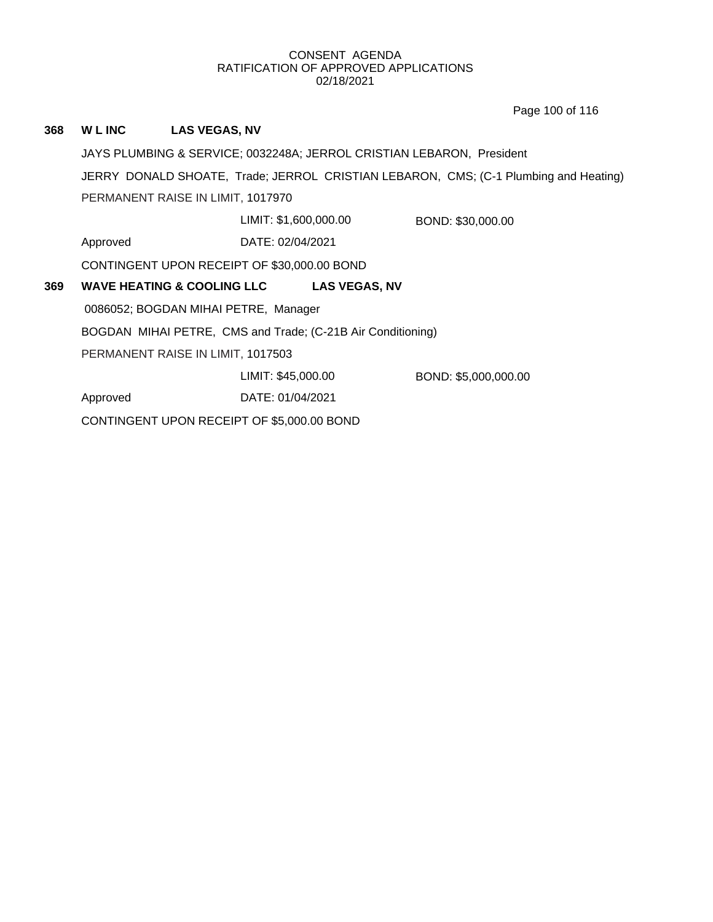Page 100 of 116

# **368 W L INC LAS VEGAS, NV**

JAYS PLUMBING & SERVICE; 0032248A; JERROL CRISTIAN LEBARON, President JERRY DONALD SHOATE, Trade; JERROL CRISTIAN LEBARON, CMS; (C-1 Plumbing and Heating) PERMANENT RAISE IN LIMIT, 1017970

LIMIT: \$1,600,000.00 BOND: \$30,000.00

Approved DATE: 02/04/2021

CONTINGENT UPON RECEIPT OF \$30,000.00 BOND

#### **369 WAVE HEATING & COOLING LLC LAS VEGAS, NV**

0086052; BOGDAN MIHAI PETRE, Manager

BOGDAN MIHAI PETRE, CMS and Trade; (C-21B Air Conditioning)

PERMANENT RAISE IN LIMIT, 1017503

LIMIT: \$45,000.00 BOND: \$5,000,000.00

Approved DATE: 01/04/2021

CONTINGENT UPON RECEIPT OF \$5,000.00 BOND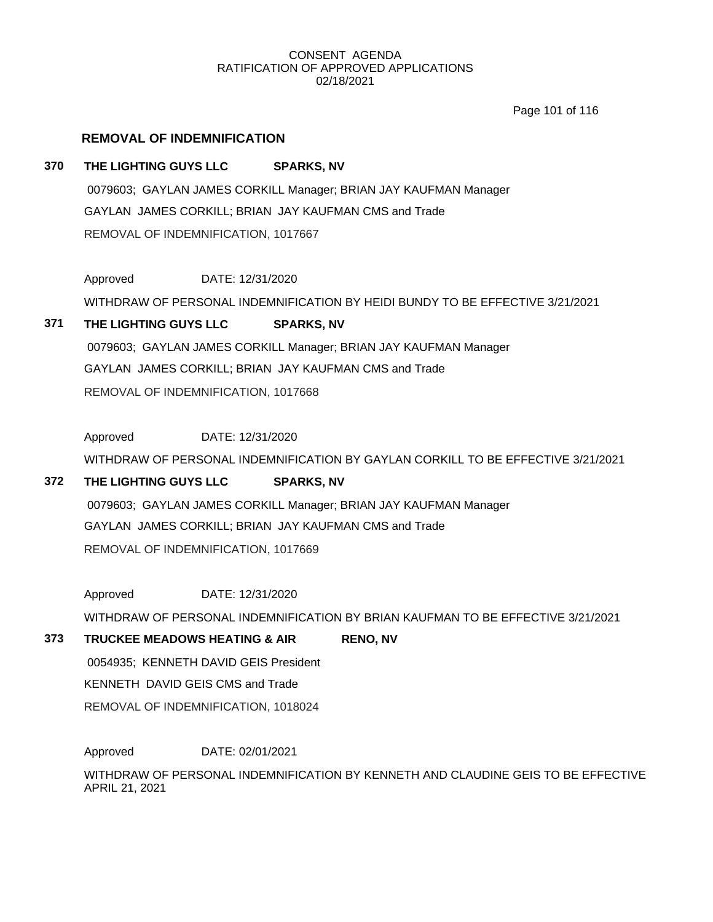Page 101 of 116

# **REMOVAL OF INDEMNIFICATION**

# **370 THE LIGHTING GUYS LLC SPARKS, NV**

0079603; GAYLAN JAMES CORKILL Manager; BRIAN JAY KAUFMAN Manager GAYLAN JAMES CORKILL; BRIAN JAY KAUFMAN CMS and Trade REMOVAL OF INDEMNIFICATION, 1017667

Approved DATE: 12/31/2020 WITHDRAW OF PERSONAL INDEMNIFICATION BY HEIDI BUNDY TO BE EFFECTIVE 3/21/2021

# **371 THE LIGHTING GUYS LLC SPARKS, NV** 0079603; GAYLAN JAMES CORKILL Manager; BRIAN JAY KAUFMAN Manager GAYLAN JAMES CORKILL; BRIAN JAY KAUFMAN CMS and Trade

REMOVAL OF INDEMNIFICATION, 1017668

Approved DATE: 12/31/2020

WITHDRAW OF PERSONAL INDEMNIFICATION BY GAYLAN CORKILL TO BE EFFECTIVE 3/21/2021

# **372 THE LIGHTING GUYS LLC SPARKS, NV**

0079603; GAYLAN JAMES CORKILL Manager; BRIAN JAY KAUFMAN Manager GAYLAN JAMES CORKILL; BRIAN JAY KAUFMAN CMS and Trade REMOVAL OF INDEMNIFICATION, 1017669

Approved DATE: 12/31/2020

WITHDRAW OF PERSONAL INDEMNIFICATION BY BRIAN KAUFMAN TO BE EFFECTIVE 3/21/2021

# **373 TRUCKEE MEADOWS HEATING & AIR RENO, NV**

0054935; KENNETH DAVID GEIS President KENNETH DAVID GEIS CMS and Trade

REMOVAL OF INDEMNIFICATION, 1018024

Approved DATE: 02/01/2021

WITHDRAW OF PERSONAL INDEMNIFICATION BY KENNETH AND CLAUDINE GEIS TO BE EFFECTIVE APRIL 21, 2021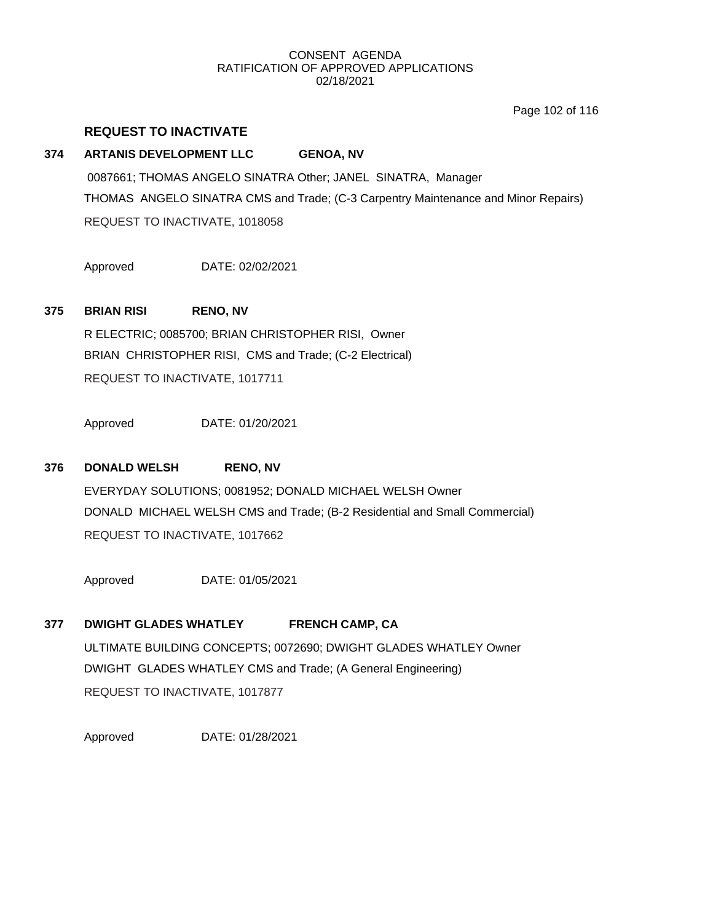Page 102 of 116

### **REQUEST TO INACTIVATE**

### **374 ARTANIS DEVELOPMENT LLC GENOA, NV**

0087661; THOMAS ANGELO SINATRA Other; JANEL SINATRA, Manager THOMAS ANGELO SINATRA CMS and Trade; (C-3 Carpentry Maintenance and Minor Repairs) REQUEST TO INACTIVATE, 1018058

Approved DATE: 02/02/2021

### **375 BRIAN RISI RENO, NV**

R ELECTRIC; 0085700; BRIAN CHRISTOPHER RISI, Owner BRIAN CHRISTOPHER RISI, CMS and Trade; (C-2 Electrical) REQUEST TO INACTIVATE, 1017711

Approved DATE: 01/20/2021

# **376 DONALD WELSH RENO, NV**

EVERYDAY SOLUTIONS; 0081952; DONALD MICHAEL WELSH Owner DONALD MICHAEL WELSH CMS and Trade; (B-2 Residential and Small Commercial) REQUEST TO INACTIVATE, 1017662

Approved DATE: 01/05/2021

# **377 DWIGHT GLADES WHATLEY FRENCH CAMP, CA**

ULTIMATE BUILDING CONCEPTS; 0072690; DWIGHT GLADES WHATLEY Owner DWIGHT GLADES WHATLEY CMS and Trade; (A General Engineering) REQUEST TO INACTIVATE, 1017877

Approved DATE: 01/28/2021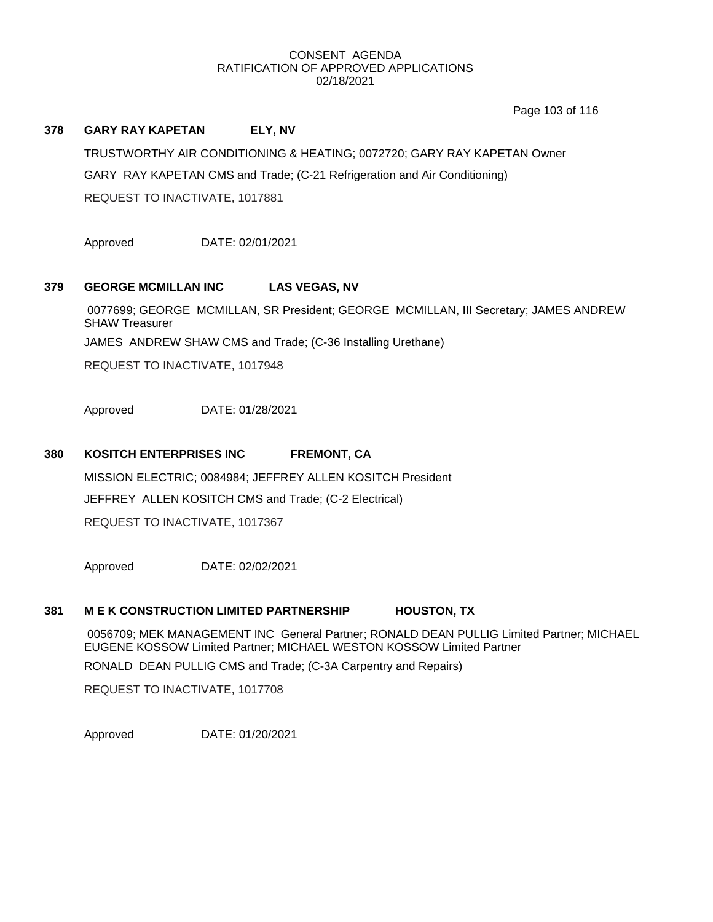Page 103 of 116

#### **378 GARY RAY KAPETAN ELY, NV**

TRUSTWORTHY AIR CONDITIONING & HEATING; 0072720; GARY RAY KAPETAN Owner GARY RAY KAPETAN CMS and Trade; (C-21 Refrigeration and Air Conditioning) REQUEST TO INACTIVATE, 1017881

Approved DATE: 02/01/2021

### **379 GEORGE MCMILLAN INC LAS VEGAS, NV**

0077699; GEORGE MCMILLAN, SR President; GEORGE MCMILLAN, III Secretary; JAMES ANDREW SHAW Treasurer

JAMES ANDREW SHAW CMS and Trade; (C-36 Installing Urethane)

REQUEST TO INACTIVATE, 1017948

Approved DATE: 01/28/2021

#### **380 KOSITCH ENTERPRISES INC FREMONT, CA**

MISSION ELECTRIC; 0084984; JEFFREY ALLEN KOSITCH President JEFFREY ALLEN KOSITCH CMS and Trade; (C-2 Electrical) REQUEST TO INACTIVATE, 1017367

Approved DATE: 02/02/2021

#### **381 M E K CONSTRUCTION LIMITED PARTNERSHIP HOUSTON, TX**

0056709; MEK MANAGEMENT INC General Partner; RONALD DEAN PULLIG Limited Partner; MICHAEL EUGENE KOSSOW Limited Partner; MICHAEL WESTON KOSSOW Limited Partner

RONALD DEAN PULLIG CMS and Trade; (C-3A Carpentry and Repairs)

REQUEST TO INACTIVATE, 1017708

Approved DATE: 01/20/2021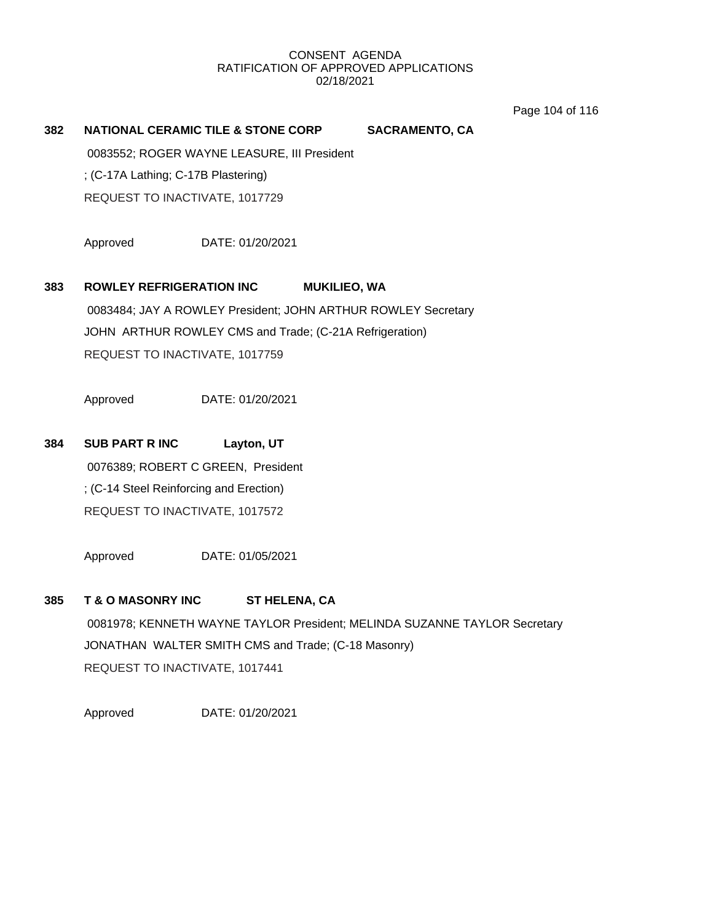Page 104 of 116

#### **382 NATIONAL CERAMIC TILE & STONE CORP SACRAMENTO, CA**

0083552; ROGER WAYNE LEASURE, III President

; (C-17A Lathing; C-17B Plastering)

REQUEST TO INACTIVATE, 1017729

Approved DATE: 01/20/2021

# **383 ROWLEY REFRIGERATION INC MUKILIEO, WA**

0083484; JAY A ROWLEY President; JOHN ARTHUR ROWLEY Secretary JOHN ARTHUR ROWLEY CMS and Trade; (C-21A Refrigeration) REQUEST TO INACTIVATE, 1017759

Approved DATE: 01/20/2021

# **384 SUB PART R INC Layton, UT**

0076389; ROBERT C GREEN, President ; (C-14 Steel Reinforcing and Erection) REQUEST TO INACTIVATE, 1017572

Approved DATE: 01/05/2021

### **385 T & O MASONRY INC ST HELENA, CA**

0081978; KENNETH WAYNE TAYLOR President; MELINDA SUZANNE TAYLOR Secretary JONATHAN WALTER SMITH CMS and Trade; (C-18 Masonry) REQUEST TO INACTIVATE, 1017441

Approved DATE: 01/20/2021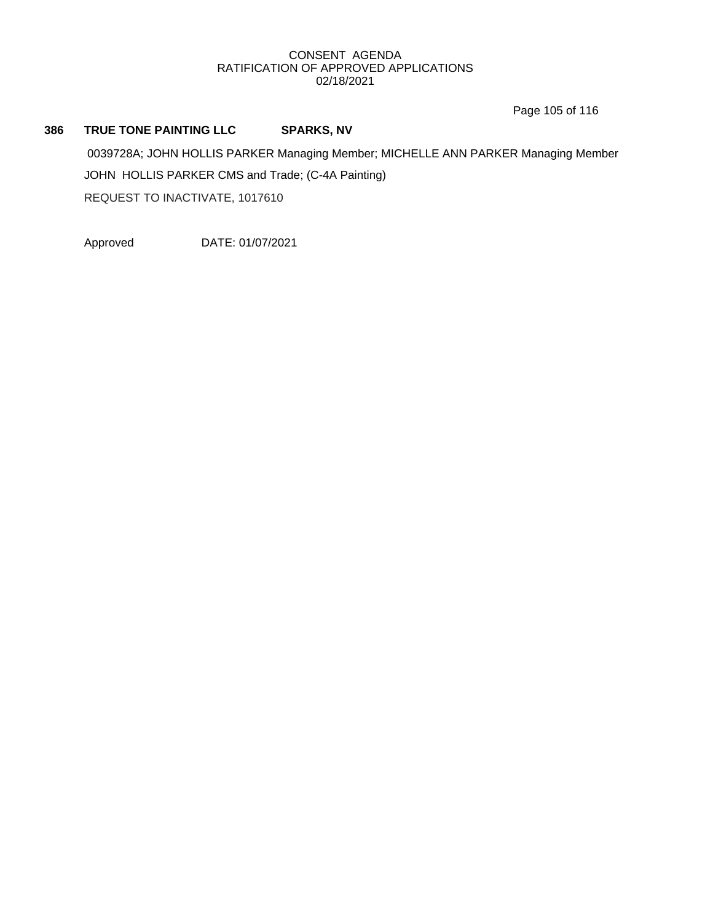Page 105 of 116

# **386 TRUE TONE PAINTING LLC SPARKS, NV**

0039728A; JOHN HOLLIS PARKER Managing Member; MICHELLE ANN PARKER Managing Member JOHN HOLLIS PARKER CMS and Trade; (C-4A Painting) REQUEST TO INACTIVATE, 1017610

Approved DATE: 01/07/2021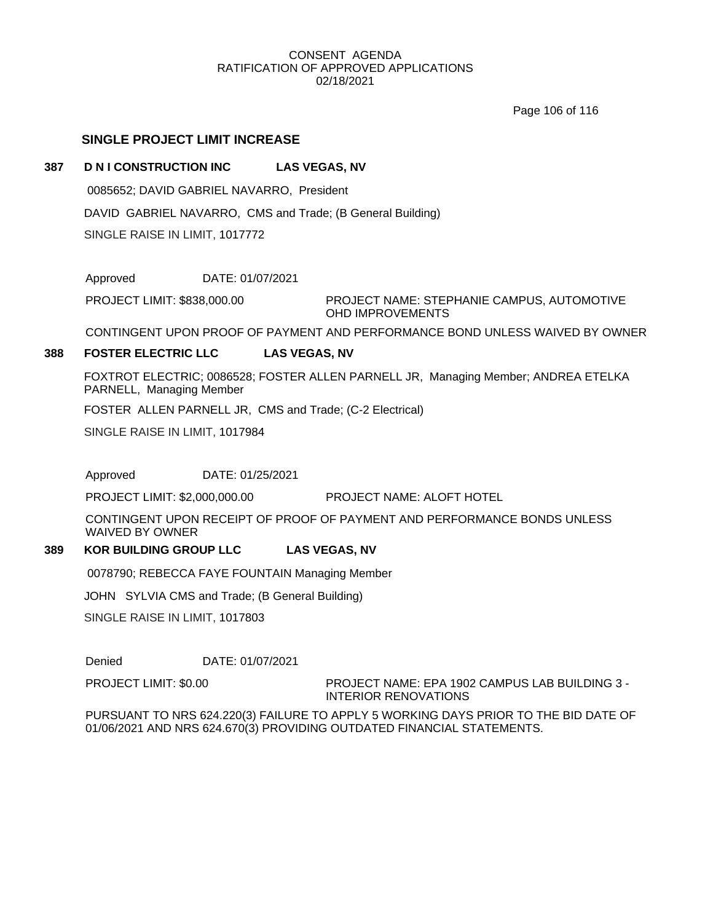Page 106 of 116

# **SINGLE PROJECT LIMIT INCREASE**

## **387 D N I CONSTRUCTION INC LAS VEGAS, NV**

0085652; DAVID GABRIEL NAVARRO, President

DAVID GABRIEL NAVARRO, CMS and Trade; (B General Building)

SINGLE RAISE IN LIMIT, 1017772

Approved DATE: 01/07/2021

PROJECT NAME: STEPHANIE CAMPUS, AUTOMOTIVE OHD IMPROVEMENTS PROJECT LIMIT: \$838,000.00

CONTINGENT UPON PROOF OF PAYMENT AND PERFORMANCE BOND UNLESS WAIVED BY OWNER

# **388 FOSTER ELECTRIC LLC LAS VEGAS, NV**

FOXTROT ELECTRIC; 0086528; FOSTER ALLEN PARNELL JR, Managing Member; ANDREA ETELKA PARNELL, Managing Member

FOSTER ALLEN PARNELL JR, CMS and Trade; (C-2 Electrical)

SINGLE RAISE IN LIMIT, 1017984

Approved DATE: 01/25/2021

PROJECT LIMIT: \$2,000,000.00 PROJECT NAME: ALOFT HOTEL

CONTINGENT UPON RECEIPT OF PROOF OF PAYMENT AND PERFORMANCE BONDS UNLESS WAIVED BY OWNER

## **389 KOR BUILDING GROUP LLC LAS VEGAS, NV**

0078790; REBECCA FAYE FOUNTAIN Managing Member

JOHN SYLVIA CMS and Trade; (B General Building)

SINGLE RAISE IN LIMIT, 1017803

Denied DATE: 01/07/2021

PROJECT LIMIT: \$0.00

PROJECT NAME: EPA 1902 CAMPUS LAB BUILDING 3 - INTERIOR RENOVATIONS

PURSUANT TO NRS 624.220(3) FAILURE TO APPLY 5 WORKING DAYS PRIOR TO THE BID DATE OF 01/06/2021 AND NRS 624.670(3) PROVIDING OUTDATED FINANCIAL STATEMENTS.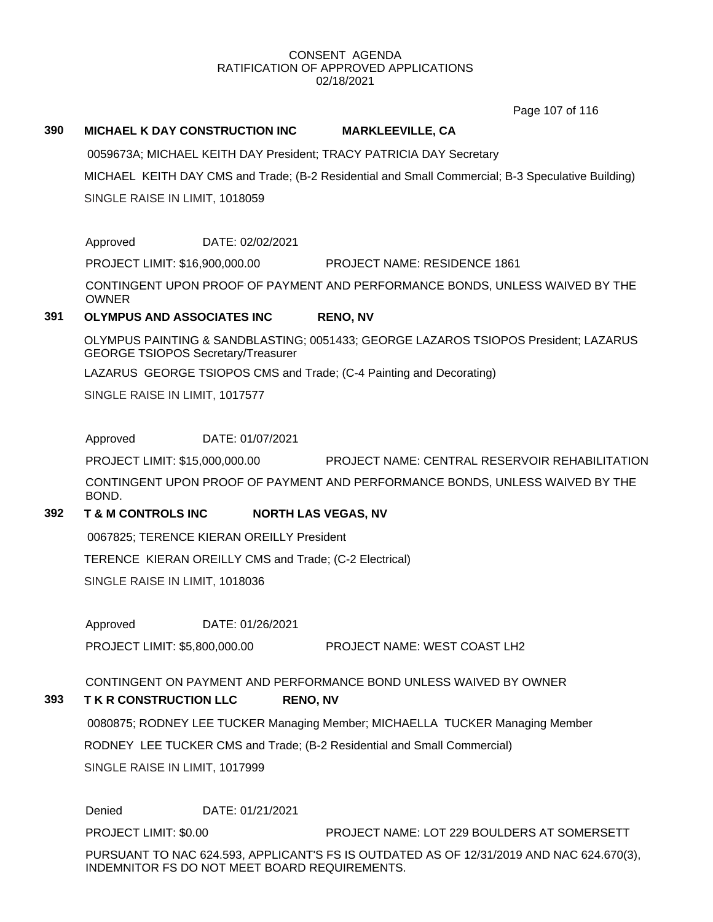Page 107 of 116

## **390 MICHAEL K DAY CONSTRUCTION INC MARKLEEVILLE, CA**

0059673A; MICHAEL KEITH DAY President; TRACY PATRICIA DAY Secretary

MICHAEL KEITH DAY CMS and Trade; (B-2 Residential and Small Commercial; B-3 Speculative Building) SINGLE RAISE IN LIMIT, 1018059

Approved DATE: 02/02/2021

PROJECT LIMIT: \$16,900,000.00 PROJECT NAME: RESIDENCE 1861

CONTINGENT UPON PROOF OF PAYMENT AND PERFORMANCE BONDS, UNLESS WAIVED BY THE OWNER

# **391 OLYMPUS AND ASSOCIATES INC RENO, NV**

OLYMPUS PAINTING & SANDBLASTING; 0051433; GEORGE LAZAROS TSIOPOS President; LAZARUS GEORGE TSIOPOS Secretary/Treasurer

LAZARUS GEORGE TSIOPOS CMS and Trade; (C-4 Painting and Decorating)

SINGLE RAISE IN LIMIT, 1017577

Approved DATE: 01/07/2021

PROJECT LIMIT: \$15,000,000.00 PROJECT NAME: CENTRAL RESERVOIR REHABILITATION

CONTINGENT UPON PROOF OF PAYMENT AND PERFORMANCE BONDS, UNLESS WAIVED BY THE BOND.

# **392 T & M CONTROLS INC NORTH LAS VEGAS, NV**

0067825; TERENCE KIERAN OREILLY President

TERENCE KIERAN OREILLY CMS and Trade; (C-2 Electrical)

SINGLE RAISE IN LIMIT, 1018036

Approved DATE: 01/26/2021

PROJECT LIMIT: \$5,800,000.00 PROJECT NAME: WEST COAST LH2

CONTINGENT ON PAYMENT AND PERFORMANCE BOND UNLESS WAIVED BY OWNER

# **393 T K R CONSTRUCTION LLC RENO, NV**

0080875; RODNEY LEE TUCKER Managing Member; MICHAELLA TUCKER Managing Member RODNEY LEE TUCKER CMS and Trade; (B-2 Residential and Small Commercial) SINGLE RAISE IN LIMIT, 1017999

Denied DATE: 01/21/2021

PROJECT LIMIT: \$0.00 PROJECT NAME: LOT 229 BOULDERS AT SOMERSETT

PURSUANT TO NAC 624.593, APPLICANT'S FS IS OUTDATED AS OF 12/31/2019 AND NAC 624.670(3), INDEMNITOR FS DO NOT MEET BOARD REQUIREMENTS.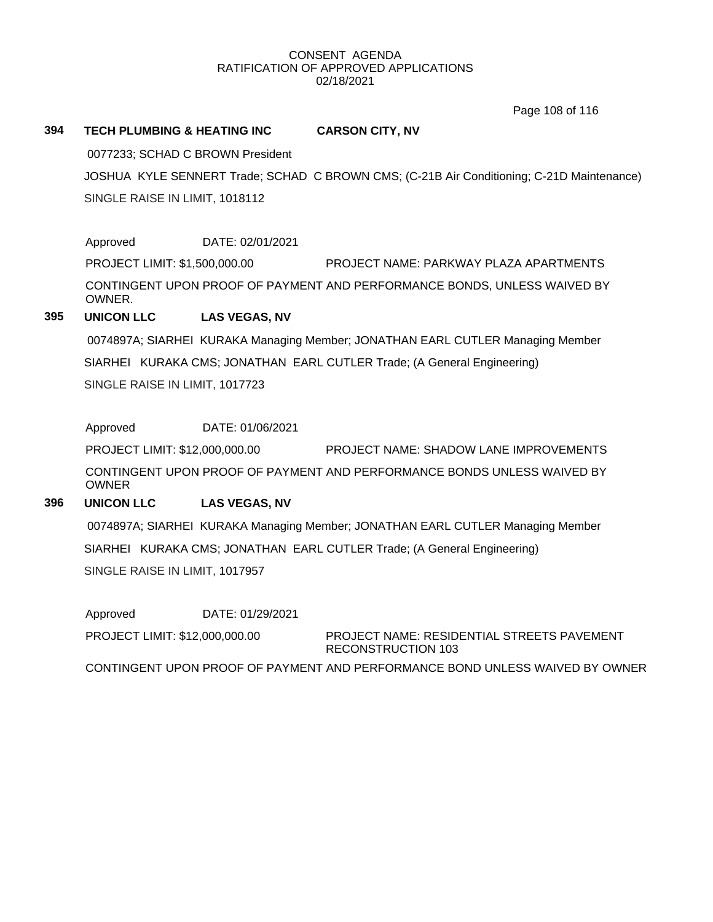Page 108 of 116

# **394 TECH PLUMBING & HEATING INC CARSON CITY, NV**

0077233; SCHAD C BROWN President

JOSHUA KYLE SENNERT Trade; SCHAD C BROWN CMS; (C-21B Air Conditioning; C-21D Maintenance) SINGLE RAISE IN LIMIT, 1018112

# Approved DATE: 02/01/2021

PROJECT LIMIT: \$1,500,000.00 PROJECT NAME: PARKWAY PLAZA APARTMENTS CONTINGENT UPON PROOF OF PAYMENT AND PERFORMANCE BONDS, UNLESS WAIVED BY OWNER.

# **395 UNICON LLC LAS VEGAS, NV**

0074897A; SIARHEI KURAKA Managing Member; JONATHAN EARL CUTLER Managing Member SIARHEI KURAKA CMS; JONATHAN EARL CUTLER Trade; (A General Engineering) SINGLE RAISE IN LIMIT, 1017723

Approved DATE: 01/06/2021

PROJECT LIMIT: \$12,000,000.00 PROJECT NAME: SHADOW LANE IMPROVEMENTS CONTINGENT UPON PROOF OF PAYMENT AND PERFORMANCE BONDS UNLESS WAIVED BY OWNER

# **396 UNICON LLC LAS VEGAS, NV**

0074897A; SIARHEI KURAKA Managing Member; JONATHAN EARL CUTLER Managing Member SIARHEI KURAKA CMS; JONATHAN EARL CUTLER Trade; (A General Engineering) SINGLE RAISE IN LIMIT, 1017957

Approved DATE: 01/29/2021 PROJECT LIMIT: \$12,000,000.00

PROJECT NAME: RESIDENTIAL STREETS PAVEMENT RECONSTRUCTION 103

CONTINGENT UPON PROOF OF PAYMENT AND PERFORMANCE BOND UNLESS WAIVED BY OWNER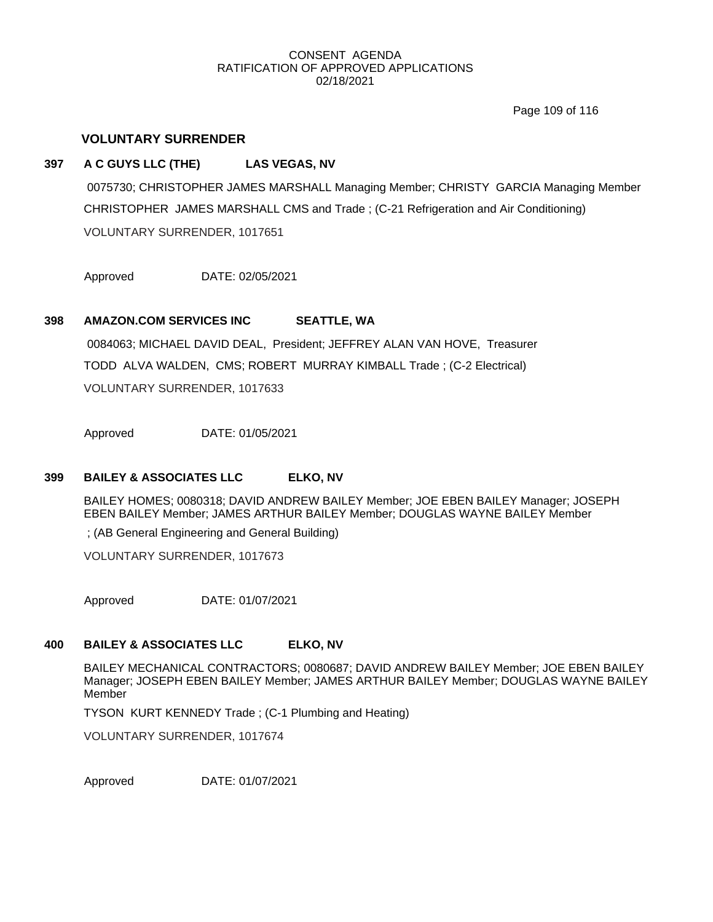Page 109 of 116

# **VOLUNTARY SURRENDER**

## **397 A C GUYS LLC (THE) LAS VEGAS, NV**

0075730; CHRISTOPHER JAMES MARSHALL Managing Member; CHRISTY GARCIA Managing Member CHRISTOPHER JAMES MARSHALL CMS and Trade ; (C-21 Refrigeration and Air Conditioning) VOLUNTARY SURRENDER, 1017651

Approved DATE: 02/05/2021

# **398 AMAZON.COM SERVICES INC SEATTLE, WA**

0084063; MICHAEL DAVID DEAL, President; JEFFREY ALAN VAN HOVE, Treasurer TODD ALVA WALDEN, CMS; ROBERT MURRAY KIMBALL Trade ; (C-2 Electrical) VOLUNTARY SURRENDER, 1017633

Approved DATE: 01/05/2021

# **399 BAILEY & ASSOCIATES LLC ELKO, NV**

BAILEY HOMES; 0080318; DAVID ANDREW BAILEY Member; JOE EBEN BAILEY Manager; JOSEPH EBEN BAILEY Member; JAMES ARTHUR BAILEY Member; DOUGLAS WAYNE BAILEY Member

; (AB General Engineering and General Building)

VOLUNTARY SURRENDER, 1017673

Approved DATE: 01/07/2021

#### **400 BAILEY & ASSOCIATES LLC ELKO, NV**

BAILEY MECHANICAL CONTRACTORS; 0080687; DAVID ANDREW BAILEY Member; JOE EBEN BAILEY Manager; JOSEPH EBEN BAILEY Member; JAMES ARTHUR BAILEY Member; DOUGLAS WAYNE BAILEY Member

TYSON KURT KENNEDY Trade ; (C-1 Plumbing and Heating)

VOLUNTARY SURRENDER, 1017674

Approved DATE: 01/07/2021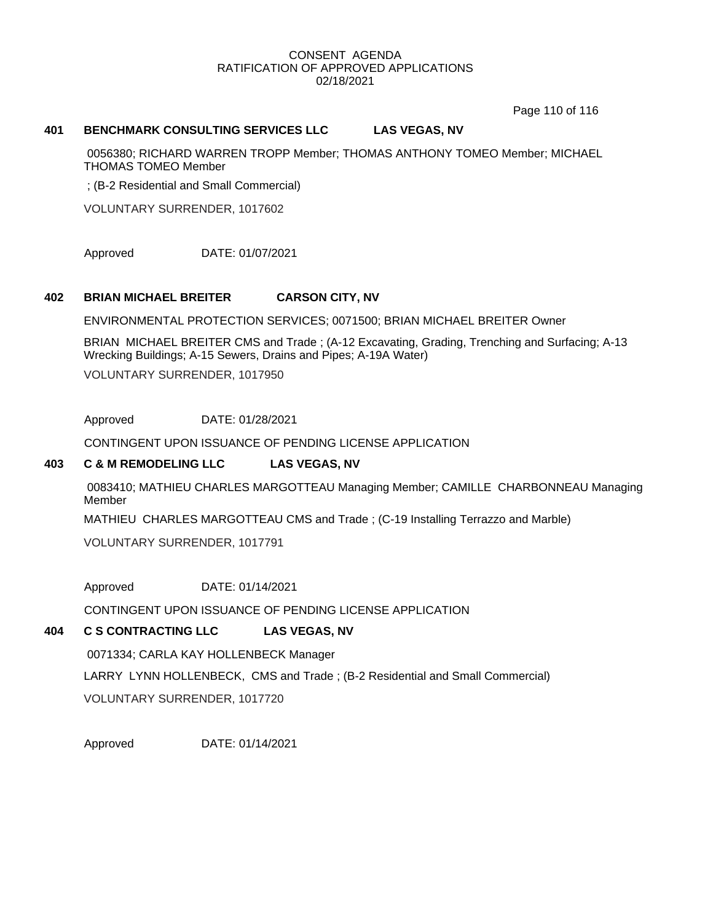Page 110 of 116

#### **401 BENCHMARK CONSULTING SERVICES LLC LAS VEGAS, NV**

0056380; RICHARD WARREN TROPP Member; THOMAS ANTHONY TOMEO Member; MICHAEL THOMAS TOMEO Member

; (B-2 Residential and Small Commercial)

VOLUNTARY SURRENDER, 1017602

Approved DATE: 01/07/2021

#### **402 BRIAN MICHAEL BREITER CARSON CITY, NV**

ENVIRONMENTAL PROTECTION SERVICES; 0071500; BRIAN MICHAEL BREITER Owner

BRIAN MICHAEL BREITER CMS and Trade ; (A-12 Excavating, Grading, Trenching and Surfacing; A-13 Wrecking Buildings; A-15 Sewers, Drains and Pipes; A-19A Water)

VOLUNTARY SURRENDER, 1017950

Approved DATE: 01/28/2021

CONTINGENT UPON ISSUANCE OF PENDING LICENSE APPLICATION

## **403 C & M REMODELING LLC LAS VEGAS, NV**

0083410; MATHIEU CHARLES MARGOTTEAU Managing Member; CAMILLE CHARBONNEAU Managing Member

MATHIEU CHARLES MARGOTTEAU CMS and Trade ; (C-19 Installing Terrazzo and Marble)

VOLUNTARY SURRENDER, 1017791

Approved DATE: 01/14/2021

CONTINGENT UPON ISSUANCE OF PENDING LICENSE APPLICATION

# **404 C S CONTRACTING LLC LAS VEGAS, NV**

0071334; CARLA KAY HOLLENBECK Manager

LARRY LYNN HOLLENBECK, CMS and Trade ; (B-2 Residential and Small Commercial)

VOLUNTARY SURRENDER, 1017720

Approved DATE: 01/14/2021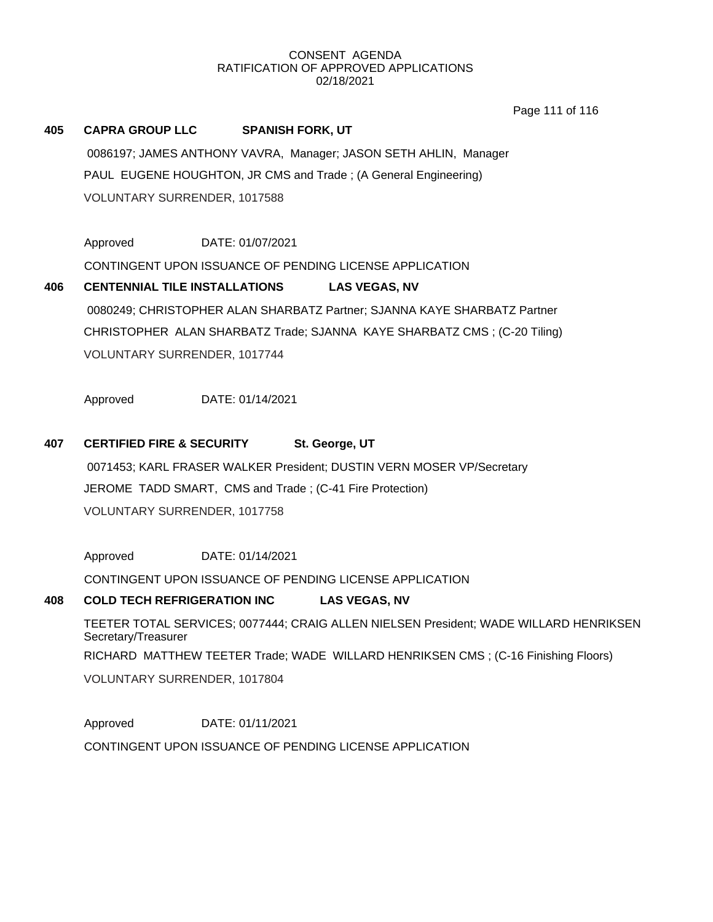Page 111 of 116

# **405 CAPRA GROUP LLC SPANISH FORK, UT**

0086197; JAMES ANTHONY VAVRA, Manager; JASON SETH AHLIN, Manager PAUL EUGENE HOUGHTON, JR CMS and Trade ; (A General Engineering) VOLUNTARY SURRENDER, 1017588

Approved DATE: 01/07/2021

CONTINGENT UPON ISSUANCE OF PENDING LICENSE APPLICATION

# **406 CENTENNIAL TILE INSTALLATIONS LAS VEGAS, NV** 0080249; CHRISTOPHER ALAN SHARBATZ Partner; SJANNA KAYE SHARBATZ Partner CHRISTOPHER ALAN SHARBATZ Trade; SJANNA KAYE SHARBATZ CMS ; (C-20 Tiling) VOLUNTARY SURRENDER, 1017744

Approved DATE: 01/14/2021

# **407 CERTIFIED FIRE & SECURITY St. George, UT**

0071453; KARL FRASER WALKER President; DUSTIN VERN MOSER VP/Secretary JEROME TADD SMART, CMS and Trade ; (C-41 Fire Protection) VOLUNTARY SURRENDER, 1017758

Approved DATE: 01/14/2021

CONTINGENT UPON ISSUANCE OF PENDING LICENSE APPLICATION

# **408 COLD TECH REFRIGERATION INC LAS VEGAS, NV**

TEETER TOTAL SERVICES; 0077444; CRAIG ALLEN NIELSEN President; WADE WILLARD HENRIKSEN Secretary/Treasurer RICHARD MATTHEW TEETER Trade; WADE WILLARD HENRIKSEN CMS ; (C-16 Finishing Floors) VOLUNTARY SURRENDER, 1017804

Approved DATE: 01/11/2021 CONTINGENT UPON ISSUANCE OF PENDING LICENSE APPLICATION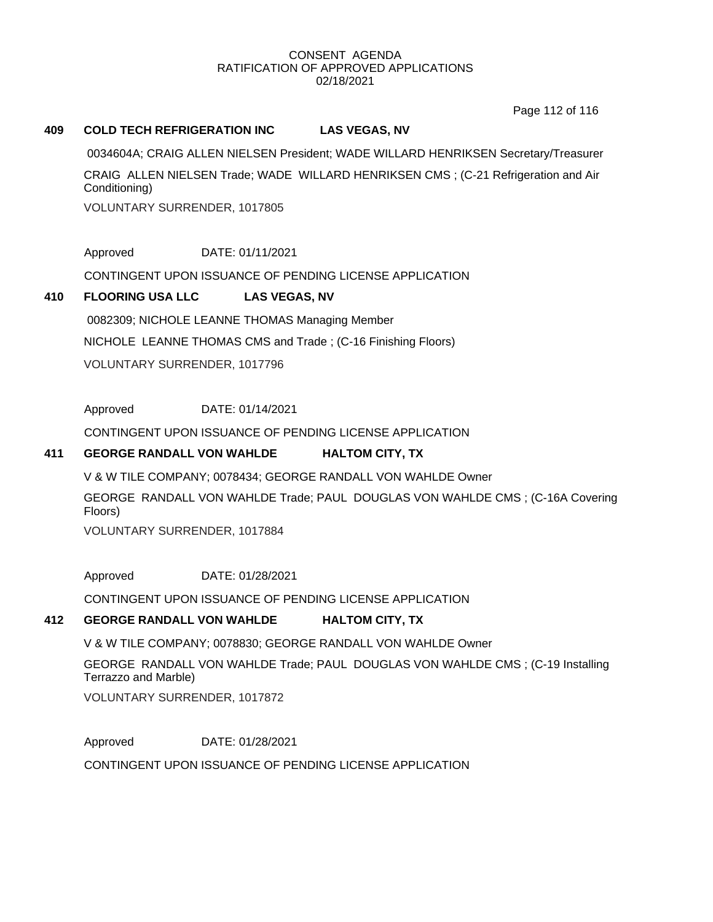Page 112 of 116

## **409 COLD TECH REFRIGERATION INC LAS VEGAS, NV**

0034604A; CRAIG ALLEN NIELSEN President; WADE WILLARD HENRIKSEN Secretary/Treasurer CRAIG ALLEN NIELSEN Trade; WADE WILLARD HENRIKSEN CMS ; (C-21 Refrigeration and Air Conditioning)

VOLUNTARY SURRENDER, 1017805

Approved DATE: 01/11/2021

CONTINGENT UPON ISSUANCE OF PENDING LICENSE APPLICATION

# **410 FLOORING USA LLC LAS VEGAS, NV**

0082309; NICHOLE LEANNE THOMAS Managing Member NICHOLE LEANNE THOMAS CMS and Trade ; (C-16 Finishing Floors) VOLUNTARY SURRENDER, 1017796

Approved DATE: 01/14/2021

CONTINGENT UPON ISSUANCE OF PENDING LICENSE APPLICATION

## **411 GEORGE RANDALL VON WAHLDE HALTOM CITY, TX**

V & W TILE COMPANY; 0078434; GEORGE RANDALL VON WAHLDE Owner GEORGE RANDALL VON WAHLDE Trade; PAUL DOUGLAS VON WAHLDE CMS ; (C-16A Covering Floors)

VOLUNTARY SURRENDER, 1017884

Approved DATE: 01/28/2021

CONTINGENT UPON ISSUANCE OF PENDING LICENSE APPLICATION

# **412 GEORGE RANDALL VON WAHLDE HALTOM CITY, TX**

V & W TILE COMPANY; 0078830; GEORGE RANDALL VON WAHLDE Owner

GEORGE RANDALL VON WAHLDE Trade; PAUL DOUGLAS VON WAHLDE CMS ; (C-19 Installing Terrazzo and Marble) VOLUNTARY SURRENDER, 1017872

Approved DATE: 01/28/2021 CONTINGENT UPON ISSUANCE OF PENDING LICENSE APPLICATION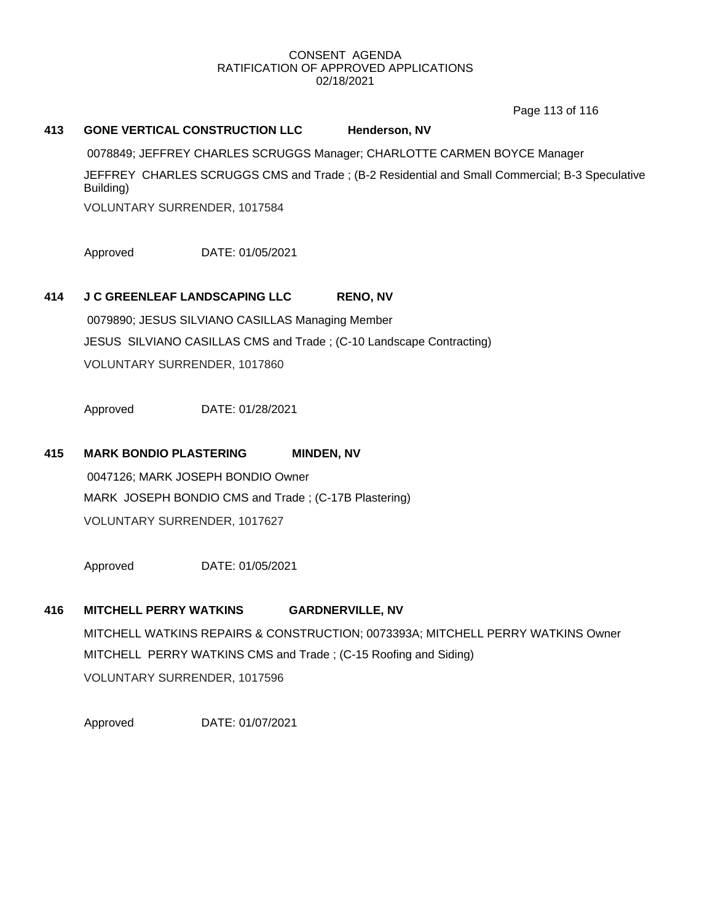Page 113 of 116

## **413 GONE VERTICAL CONSTRUCTION LLC Henderson, NV**

0078849; JEFFREY CHARLES SCRUGGS Manager; CHARLOTTE CARMEN BOYCE Manager JEFFREY CHARLES SCRUGGS CMS and Trade ; (B-2 Residential and Small Commercial; B-3 Speculative Building)

VOLUNTARY SURRENDER, 1017584

Approved DATE: 01/05/2021

# **414 J C GREENLEAF LANDSCAPING LLC RENO, NV**

0079890; JESUS SILVIANO CASILLAS Managing Member JESUS SILVIANO CASILLAS CMS and Trade ; (C-10 Landscape Contracting) VOLUNTARY SURRENDER, 1017860

Approved DATE: 01/28/2021

# **415 MARK BONDIO PLASTERING MINDEN, NV**

0047126; MARK JOSEPH BONDIO Owner MARK JOSEPH BONDIO CMS and Trade ; (C-17B Plastering) VOLUNTARY SURRENDER, 1017627

Approved DATE: 01/05/2021

# **416 MITCHELL PERRY WATKINS GARDNERVILLE, NV**

MITCHELL WATKINS REPAIRS & CONSTRUCTION; 0073393A; MITCHELL PERRY WATKINS Owner MITCHELL PERRY WATKINS CMS and Trade ; (C-15 Roofing and Siding) VOLUNTARY SURRENDER, 1017596

Approved DATE: 01/07/2021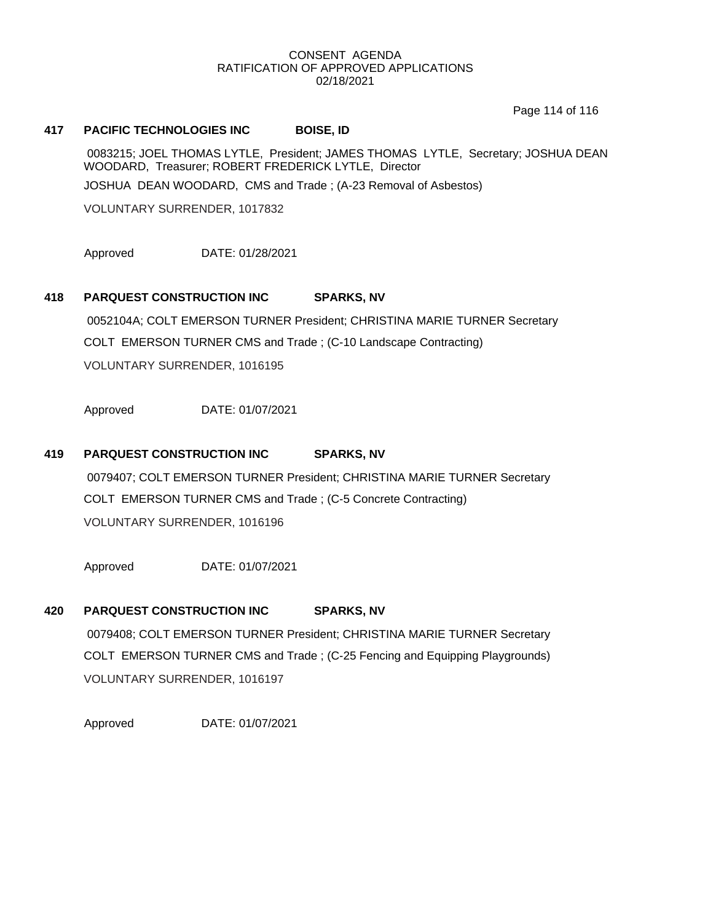Page 114 of 116

#### **417 PACIFIC TECHNOLOGIES INC BOISE, ID**

0083215; JOEL THOMAS LYTLE, President; JAMES THOMAS LYTLE, Secretary; JOSHUA DEAN WOODARD, Treasurer; ROBERT FREDERICK LYTLE, Director

JOSHUA DEAN WOODARD, CMS and Trade ; (A-23 Removal of Asbestos)

VOLUNTARY SURRENDER, 1017832

Approved DATE: 01/28/2021

## **418 PARQUEST CONSTRUCTION INC SPARKS, NV**

0052104A; COLT EMERSON TURNER President; CHRISTINA MARIE TURNER Secretary COLT EMERSON TURNER CMS and Trade ; (C-10 Landscape Contracting) VOLUNTARY SURRENDER, 1016195

Approved DATE: 01/07/2021

## **419 PARQUEST CONSTRUCTION INC SPARKS, NV**

0079407; COLT EMERSON TURNER President; CHRISTINA MARIE TURNER Secretary COLT EMERSON TURNER CMS and Trade ; (C-5 Concrete Contracting) VOLUNTARY SURRENDER, 1016196

Approved DATE: 01/07/2021

#### **420 PARQUEST CONSTRUCTION INC SPARKS, NV**

0079408; COLT EMERSON TURNER President; CHRISTINA MARIE TURNER Secretary COLT EMERSON TURNER CMS and Trade ; (C-25 Fencing and Equipping Playgrounds) VOLUNTARY SURRENDER, 1016197

Approved DATE: 01/07/2021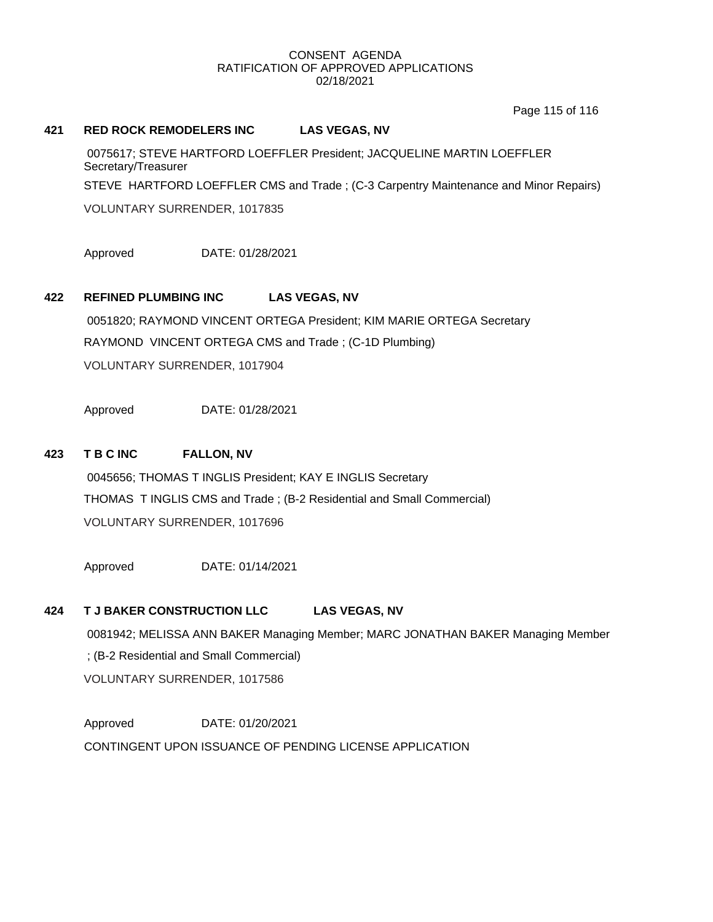Page 115 of 116

#### **421 RED ROCK REMODELERS INC LAS VEGAS, NV**

0075617; STEVE HARTFORD LOEFFLER President; JACQUELINE MARTIN LOEFFLER Secretary/Treasurer STEVE HARTFORD LOEFFLER CMS and Trade ; (C-3 Carpentry Maintenance and Minor Repairs) VOLUNTARY SURRENDER, 1017835

Approved DATE: 01/28/2021

# **422 REFINED PLUMBING INC LAS VEGAS, NV**

0051820; RAYMOND VINCENT ORTEGA President; KIM MARIE ORTEGA Secretary RAYMOND VINCENT ORTEGA CMS and Trade ; (C-1D Plumbing) VOLUNTARY SURRENDER, 1017904

Approved DATE: 01/28/2021

## **423 T B C INC FALLON, NV**

0045656; THOMAS T INGLIS President; KAY E INGLIS Secretary THOMAS T INGLIS CMS and Trade ; (B-2 Residential and Small Commercial) VOLUNTARY SURRENDER, 1017696

Approved DATE: 01/14/2021

#### **424 T J BAKER CONSTRUCTION LLC LAS VEGAS, NV**

0081942; MELISSA ANN BAKER Managing Member; MARC JONATHAN BAKER Managing Member ; (B-2 Residential and Small Commercial) VOLUNTARY SURRENDER, 1017586

Approved DATE: 01/20/2021 CONTINGENT UPON ISSUANCE OF PENDING LICENSE APPLICATION